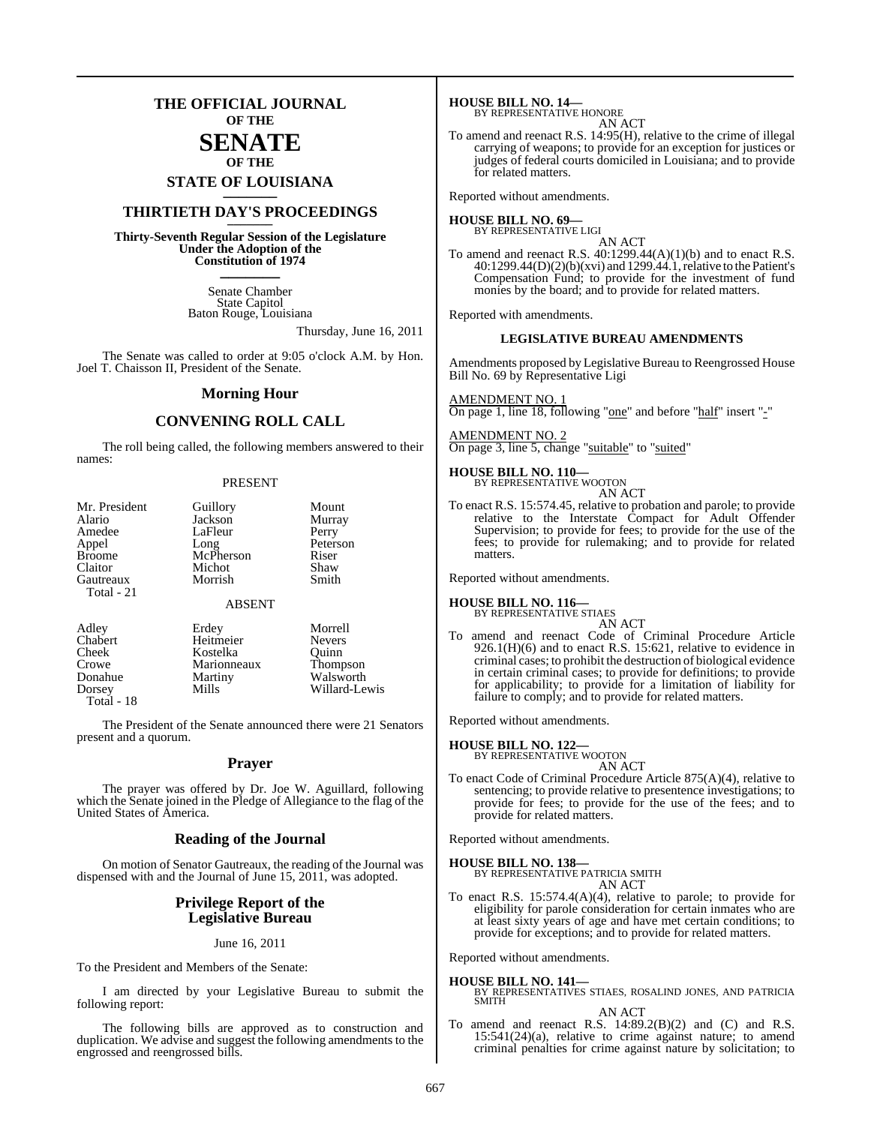## **THE OFFICIAL JOURNAL OF THE**

## **SENATE OF THE**

## **STATE OF LOUISIANA \_\_\_\_\_\_\_**

## **THIRTIETH DAY'S PROCEEDINGS \_\_\_\_\_\_\_**

**Thirty-Seventh Regular Session of the Legislature Under the Adoption of the Constitution of 1974 \_\_\_\_\_\_\_**

> Senate Chamber State Capitol Baton Rouge, Louisiana

> > Thursday, June 16, 2011

The Senate was called to order at 9:05 o'clock A.M. by Hon. Joel T. Chaisson II, President of the Senate.

## **Morning Hour**

## **CONVENING ROLL CALL**

The roll being called, the following members answered to their names:

#### PRESENT

| Mr. President<br>Alario<br>Amedee<br>Appel<br><b>Broome</b><br>Claitor | Guillory<br>Jackson<br>LaFleur<br>Long<br>McPherson<br>Michot<br>Morrish | Mount<br>Murray<br>Perry<br>Peterson<br>Riser<br>Shaw<br>Smith |
|------------------------------------------------------------------------|--------------------------------------------------------------------------|----------------------------------------------------------------|
| Gautreaux<br>Total - 21                                                | <b>ABSENT</b>                                                            |                                                                |
| Adley<br>$\sim$ 1                                                      | Erdey                                                                    | Morrell<br><b>BT</b>                                           |

| Auley      | Liuty       | <b>NOTE</b>     |
|------------|-------------|-----------------|
| Chabert    | Heitmeier   | <b>Nevers</b>   |
| Cheek      | Kostelka    | Ouinn           |
| Crowe      | Marionneaux | <b>Thompson</b> |
| Donahue    | Martiny     | Walsworth       |
| Dorsey     | Mills       | Willard-Lewis   |
| Total - 18 |             |                 |
|            |             |                 |

The President of the Senate announced there were 21 Senators present and a quorum.

## **Prayer**

The prayer was offered by Dr. Joe W. Aguillard, following which the Senate joined in the Pledge of Allegiance to the flag of the United States of America.

## **Reading of the Journal**

On motion of Senator Gautreaux, the reading of the Journal was dispensed with and the Journal of June 15, 2011, was adopted.

## **Privilege Report of the Legislative Bureau**

#### June 16, 2011

To the President and Members of the Senate:

I am directed by your Legislative Bureau to submit the following report:

The following bills are approved as to construction and duplication. We advise and suggest the following amendments to the engrossed and reengrossed bills.

**HOUSE BILL NO. 14—** BY REPRESENTATIVE HONORE

| VU JR F |    |
|---------|----|
| AN.     | AC |

To amend and reenact R.S. 14:95(H), relative to the crime of illegal carrying of weapons; to provide for an exception for justices or judges of federal courts domiciled in Louisiana; and to provide for related matters.

Reported without amendments.

#### **HOUSE BILL NO. 69—** BY REPRESENTATIVE LIGI

AN ACT

To amend and reenact R.S.  $40:1299.44(A)(1)(b)$  and to enact R.S. 40:1299.44(D)(2)(b)(xvi) and 1299.44.1, relative to the Patient's Compensation Fund; to provide for the investment of fund monies by the board; and to provide for related matters.

Reported with amendments.

## **LEGISLATIVE BUREAU AMENDMENTS**

Amendments proposed by Legislative Bureau to Reengrossed House Bill No. 69 by Representative Ligi

AMENDMENT NO. 1 On page 1, line 18, following "one" and before "half" insert "-"

AMENDMENT NO. 2 On page 3, line 5, change "suitable" to "suited"

## **HOUSE BILL NO. 110—**

BY REPRESENTATIVE WOOTON AN ACT

To enact R.S. 15:574.45, relative to probation and parole; to provide relative to the Interstate Compact for Adult Offender Supervision; to provide for fees; to provide for the use of the fees; to provide for rulemaking; and to provide for related matters.

Reported without amendments.

## **HOUSE BILL NO. 116—**

BY REPRESENTATIVE STIAES AN ACT

To amend and reenact Code of Criminal Procedure Article  $926.1(H)(6)$  and to enact R.S. 15:621, relative to evidence in criminal cases; to prohibit the destruction of biological evidence in certain criminal cases; to provide for definitions; to provide for applicability; to provide for a limitation of liability for failure to comply; and to provide for related matters.

Reported without amendments.

## **HOUSE BILL NO. 122—** BY REPRESENTATIVE WOOTON

AN ACT

To enact Code of Criminal Procedure Article 875(A)(4), relative to sentencing; to provide relative to presentence investigations; to provide for fees; to provide for the use of the fees; and to provide for related matters.

Reported without amendments.

## **HOUSE BILL NO. 138—** BY REPRESENTATIVE PATRICIA SMITH AN ACT

To enact R.S. 15:574.4(A)(4), relative to parole; to provide for eligibility for parole consideration for certain inmates who are at least sixty years of age and have met certain conditions; to provide for exceptions; and to provide for related matters.

Reported without amendments.

## **HOUSE BILL NO. 141—** BY REPRESENTATIVES STIAES, ROSALIND JONES, AND PATRICIA SMITH

#### AN ACT

To amend and reenact R.S. 14:89.2(B)(2) and (C) and R.S.  $15:541(24)(a)$ , relative to crime against nature; to amend criminal penalties for crime against nature by solicitation; to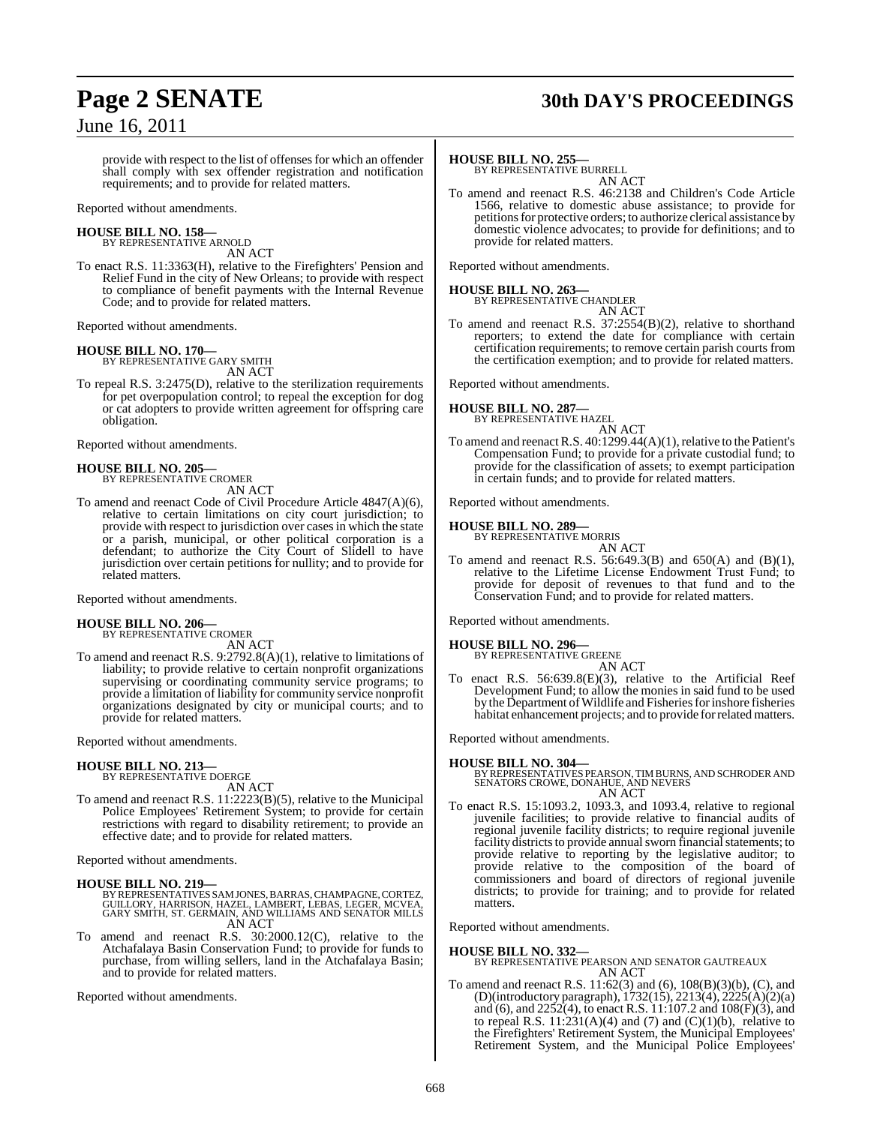## **Page 2 SENATE 30th DAY'S PROCEEDINGS**

provide with respect to the list of offenses for which an offender shall comply with sex offender registration and notification requirements; and to provide for related matters.

Reported without amendments.

## **HOUSE BILL NO. 158—** BY REPRESENTATIVE ARNOLD

AN ACT To enact R.S. 11:3363(H), relative to the Firefighters' Pension and Relief Fund in the city of New Orleans; to provide with respect

to compliance of benefit payments with the Internal Revenue Code; and to provide for related matters.

Reported without amendments.

**HOUSE BILL NO. 170—** BY REPRESENTATIVE GARY SMITH AN ACT

To repeal R.S. 3:2475(D), relative to the sterilization requirements for pet overpopulation control; to repeal the exception for dog or cat adopters to provide written agreement for offspring care obligation.

Reported without amendments.

## **HOUSE BILL NO. 205—** BY REPRESENTATIVE CROMER

AN ACT

To amend and reenact Code of Civil Procedure Article 4847(A)(6), relative to certain limitations on city court jurisdiction; to provide with respect to jurisdiction over casesin which the state or a parish, municipal, or other political corporation is a defendant; to authorize the City Court of Slidell to have jurisdiction over certain petitions for nullity; and to provide for related matters.

Reported without amendments.

## **HOUSE BILL NO. 206—** BY REPRESENTATIVE CROMER

AN ACT

To amend and reenact R.S. 9:2792.8(A)(1), relative to limitations of liability; to provide relative to certain nonprofit organizations supervising or coordinating community service programs; to provide a limitation of liability for community service nonprofit organizations designated by city or municipal courts; and to provide for related matters.

Reported without amendments.

## **HOUSE BILL NO. 213—**

BY REPRESENTATIVE DOERGE AN ACT

To amend and reenact R.S. 11:2223(B)(5), relative to the Municipal Police Employees' Retirement System; to provide for certain restrictions with regard to disability retirement; to provide an effective date; and to provide for related matters.

Reported without amendments.

## **HOUSE BILL NO. 219—**

- BY REPRESENTATIVES SAM JONES, BARRAS, CHAMPAGNE, CORTEZ, GUILLORY, HARRISON, HAZEL, LAMBERT, LEBAS, LEGER, MCVEA, GARY SMITH, ST. GERMAIN, AND WILLIAMS AND SENATOR MILLS AN ACT
- To amend and reenact R.S. 30:2000.12(C), relative to the Atchafalaya Basin Conservation Fund; to provide for funds to purchase, from willing sellers, land in the Atchafalaya Basin; and to provide for related matters.

Reported without amendments.

## **HOUSE BILL NO. 255—**

BY REPRESENTATIVE BURRELL AN ACT

To amend and reenact R.S. 46:2138 and Children's Code Article 1566, relative to domestic abuse assistance; to provide for petitions for protective orders; to authorize clerical assistance by domestic violence advocates; to provide for definitions; and to provide for related matters.

Reported without amendments.

**HOUSE BILL NO. 263—** BY REPRESENTATIVE CHANDLER

AN ACT To amend and reenact R.S. 37:2554(B)(2), relative to shorthand reporters; to extend the date for compliance with certain certification requirements; to remove certain parish courts from the certification exemption; and to provide for related matters.

Reported without amendments.

## **HOUSE BILL NO. 287—**



To amend and reenact R.S.  $40:1299.44(A)(1)$ , relative to the Patient's Compensation Fund; to provide for a private custodial fund; to provide for the classification of assets; to exempt participation in certain funds; and to provide for related matters.

Reported without amendments.

## **HOUSE BILL NO. 289—** BY REPRESENTATIVE MORRIS

AN ACT

To amend and reenact R.S.  $56:649.3(B)$  and  $650(A)$  and  $(B)(1)$ , relative to the Lifetime License Endowment Trust Fund; to provide for deposit of revenues to that fund and to the Conservation Fund; and to provide for related matters.

Reported without amendments.

#### **HOUSE BILL NO. 296—** BY REPRESENTATIVE GREENE AN ACT

To enact R.S. 56:639.8(E)(3), relative to the Artificial Reef Development Fund; to allow the monies in said fund to be used by the Department of Wildlife and Fisheries for inshore fisheries habitat enhancement projects; and to provide forrelated matters.

Reported without amendments.

**HOUSE BILL NO. 304—** BY REPRESENTATIVES PEARSON,TIMBURNS, AND SCHRODER AND SENATORS CROWE, DONAHUE, AND NEVERS AN ACT

To enact R.S. 15:1093.2, 1093.3, and 1093.4, relative to regional juvenile facilities; to provide relative to financial audits of regional juvenile facility districts; to require regional juvenile facility districts to provide annual sworn financial statements; to provide relative to reporting by the legislative auditor; to provide relative to the composition of the board of commissioners and board of directors of regional juvenile districts; to provide for training; and to provide for related matters.

Reported without amendments.

**HOUSE BILL NO. 332—** BY REPRESENTATIVE PEARSON AND SENATOR GAUTREAUX AN ACT

To amend and reenact R.S. 11:62(3) and (6), 108(B)(3)(b), (C), and (D)(introductory paragraph), 1732(15), 2213(4), 2225(A)(2)(a) and (6), and  $2252(4)$ , to enact R.S.  $11:107.2$  and  $108(F)(3)$ , and to repeal R.S.  $11:231(A)(4)$  and  $(7)$  and  $(C)(1)(b)$ , relative to the Firefighters' Retirement System, the Municipal Employees' Retirement System, and the Municipal Police Employees'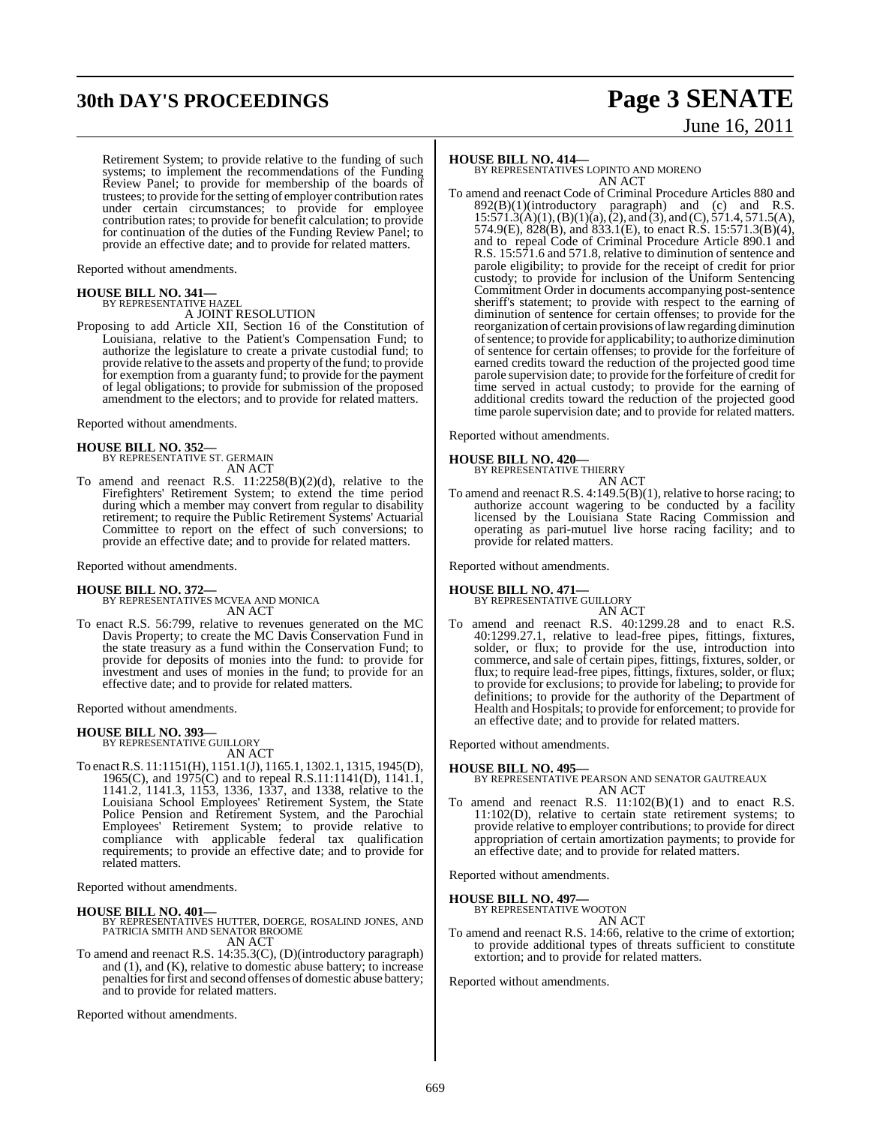## **30th DAY'S PROCEEDINGS Page 3 SENATE**

Retirement System; to provide relative to the funding of such systems; to implement the recommendations of the Funding Review Panel; to provide for membership of the boards of trustees; to provide forthe setting of employer contribution rates under certain circumstances; to provide for employee contribution rates; to provide for benefit calculation; to provide for continuation of the duties of the Funding Review Panel; to provide an effective date; and to provide for related matters.

Reported without amendments.

## **HOUSE BILL NO. 341—** BY REPRESENTATIVE HAZEL

A JOINT RESOLUTION

Proposing to add Article XII, Section 16 of the Constitution of Louisiana, relative to the Patient's Compensation Fund; to authorize the legislature to create a private custodial fund; to provide relative to the assets and property of the fund; to provide for exemption from a guaranty fund; to provide for the payment of legal obligations; to provide for submission of the proposed amendment to the electors; and to provide for related matters.

Reported without amendments.

**HOUSE BILL NO. 352—** BY REPRESENTATIVE ST. GERMAIN AN ACT

To amend and reenact R.S. 11:2258(B)(2)(d), relative to the Firefighters' Retirement System; to extend the time period during which a member may convert from regular to disability retirement; to require the Public Retirement Systems' Actuarial Committee to report on the effect of such conversions; to provide an effective date; and to provide for related matters.

Reported without amendments.

## **HOUSE BILL NO. 372—**

- BY REPRESENTATIVES MCVEA AND MONICA AN ACT
- To enact R.S. 56:799, relative to revenues generated on the MC Davis Property; to create the MC Davis Conservation Fund in the state treasury as a fund within the Conservation Fund; to provide for deposits of monies into the fund: to provide for investment and uses of monies in the fund; to provide for an effective date; and to provide for related matters.

Reported without amendments.

## **HOUSE BILL NO. 393—** BY REPRESENTATIVE GUILLORY

AN ACT

To enactR.S. 11:1151(H), 1151.1(J), 1165.1, 1302.1, 1315, 1945(D), 1965(C), and 1975(C) and to repeal R.S.11:1141(D), 1141.1, 1141.2, 1141.3, 1153, 1336, 1337, and 1338, relative to the Louisiana School Employees' Retirement System, the State Police Pension and Retirement System, and the Parochial Employees' Retirement System; to provide relative to compliance with applicable federal tax qualification requirements; to provide an effective date; and to provide for related matters.

Reported without amendments.

- **HOUSE BILL NO. 401—** BY REPRESENTATIVES HUTTER, DOERGE, ROSALIND JONES, AND PATRICIA SMITH AND SENATOR BROOME AN ACT
- To amend and reenact R.S. 14:35.3(C), (D)(introductory paragraph) and  $(1)$ , and  $(K)$ , relative to domestic abuse battery; to increase penalties for first and second offenses of domestic abuse battery; and to provide for related matters.

Reported without amendments.

## **HOUSE BILL NO. 414—**

BY REPRESENTATIVES LOPINTO AND MORENO AN ACT

To amend and reenact Code of Criminal Procedure Articles 880 and  $892(B)(1)(introducing paragram)$  and (c) and R.S.  $15:571.3(A)(1), (B)(1)(a), (2),$  and  $(3),$  and  $(C), 571.4, 571.5(A),$ 574.9(E), 828(B), and 833.1(E), to enact R.S. 15:571.3(B)(4), and to repeal Code of Criminal Procedure Article 890.1 and R.S. 15:571.6 and 571.8, relative to diminution of sentence and parole eligibility; to provide for the receipt of credit for prior custody; to provide for inclusion of the Uniform Sentencing Commitment Order in documents accompanying post-sentence sheriff's statement; to provide with respect to the earning of diminution of sentence for certain offenses; to provide for the reorganization of certain provisions oflawregarding diminution ofsentence; to provide for applicability; to authorize diminution of sentence for certain offenses; to provide for the forfeiture of earned credits toward the reduction of the projected good time parole supervision date; to provide forthe forfeiture of credit for time served in actual custody; to provide for the earning of additional credits toward the reduction of the projected good time parole supervision date; and to provide for related matters.

Reported without amendments.

## **HOUSE BILL NO. 420—**

BY REPRESENTATIVE THIERRY AN ACT

To amend and reenact R.S. 4:149.5(B)(1), relative to horse racing; to authorize account wagering to be conducted by a facility licensed by the Louisiana State Racing Commission and operating as pari-mutuel live horse racing facility; and to provide for related matters.

Reported without amendments.

## **HOUSE BILL NO. 471—**

BY REPRESENTATIVE GUILLORY AN ACT

To amend and reenact R.S. 40:1299.28 and to enact R.S. 40:1299.27.1, relative to lead-free pipes, fittings, fixtures, solder, or flux; to provide for the use, introduction into commerce, and sale of certain pipes, fittings, fixtures, solder, or flux; to require lead-free pipes, fittings, fixtures, solder, or flux; to provide for exclusions; to provide for labeling; to provide for definitions; to provide for the authority of the Department of Health and Hospitals; to provide for enforcement; to provide for an effective date; and to provide for related matters.

Reported without amendments.

## **HOUSE BILL NO. 495—**

BY REPRESENTATIVE PEARSON AND SENATOR GAUTREAUX AN ACT

To amend and reenact R.S.  $11:102(B)(1)$  and to enact R.S. 11:102(D), relative to certain state retirement systems; to provide relative to employer contributions; to provide for direct appropriation of certain amortization payments; to provide for an effective date; and to provide for related matters.

Reported without amendments.

### **HOUSE BILL NO. 497—**

BY REPRESENTATIVE WOOTON

AN ACT To amend and reenact R.S. 14:66, relative to the crime of extortion; to provide additional types of threats sufficient to constitute extortion; and to provide for related matters.

Reported without amendments.

# June 16, 2011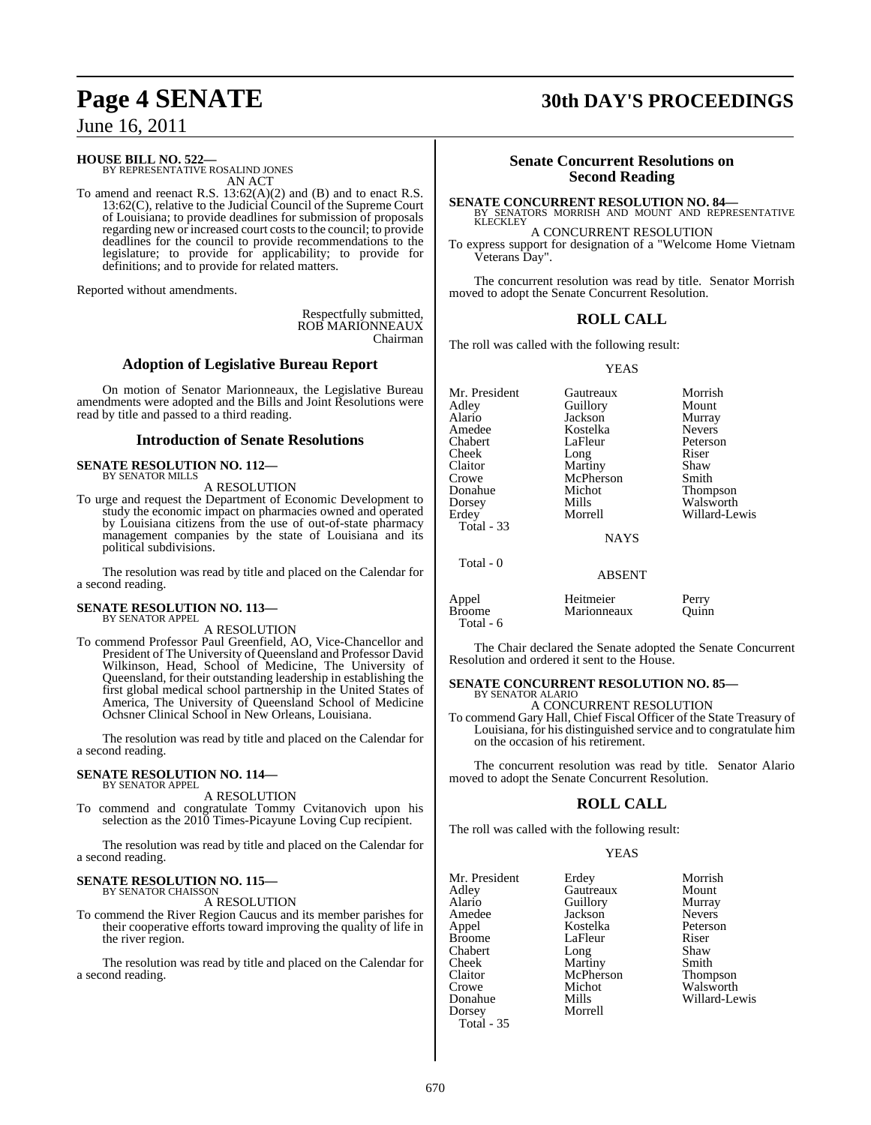## **HOUSE BILL NO. 522—** BY REPRESENTATIVE ROSALIND JONES

AN ACT

To amend and reenact R.S. 13:62(A)(2) and (B) and to enact R.S. 13:62(C), relative to the Judicial Council of the Supreme Court of Louisiana; to provide deadlines for submission of proposals regarding new or increased court costs to the council; to provide deadlines for the council to provide recommendations to the legislature; to provide for applicability; to provide for definitions; and to provide for related matters.

Reported without amendments.

Respectfully submitted, ROB MARIONNEAUX Chairman

## **Adoption of Legislative Bureau Report**

On motion of Senator Marionneaux, the Legislative Bureau amendments were adopted and the Bills and Joint Resolutions were read by title and passed to a third reading.

## **Introduction of Senate Resolutions**

#### **SENATE RESOLUTION NO. 112—** BY SENATOR MILLS A RESOLUTION

To urge and request the Department of Economic Development to study the economic impact on pharmacies owned and operated by Louisiana citizens from the use of out-of-state pharmacy management companies by the state of Louisiana and its political subdivisions.

The resolution was read by title and placed on the Calendar for a second reading.

### **SENATE RESOLUTION NO. 113—** BY SENATOR APPEL

A RESOLUTION

To commend Professor Paul Greenfield, AO, Vice-Chancellor and President of The University of Queensland and Professor David Wilkinson, Head, School of Medicine, The University of Queensland, for their outstanding leadership in establishing the first global medical school partnership in the United States of America, The University of Queensland School of Medicine Ochsner Clinical School in New Orleans, Louisiana.

The resolution was read by title and placed on the Calendar for a second reading.

#### **SENATE RESOLUTION NO. 114—** BY SENATOR APPEL

A RESOLUTION

To commend and congratulate Tommy Cvitanovich upon his selection as the 2010 Times-Picayune Loving Cup recipient.

The resolution was read by title and placed on the Calendar for a second reading.

#### **SENATE RESOLUTION NO. 115—** BY SENATOR CHAISSON

A RESOLUTION

To commend the River Region Caucus and its member parishes for their cooperative efforts toward improving the quality of life in the river region.

The resolution was read by title and placed on the Calendar for a second reading.

## **Page 4 SENATE 30th DAY'S PROCEEDINGS**

## **Senate Concurrent Resolutions on Second Reading**

**SENATE CONCURRENT RESOLUTION NO. 84—**

BY SENATORS MORRISH AND MOUNT AND REPRESENTATIVE KLECKLEY A CONCURRENT RESOLUTION

To express support for designation of a "Welcome Home Vietnam Veterans Day".

The concurrent resolution was read by title. Senator Morrish moved to adopt the Senate Concurrent Resolution.

## **ROLL CALL**

The roll was called with the following result:

YEAS

| Alario                 | Jackson                  | Murray         |
|------------------------|--------------------------|----------------|
| Amedee                 | Kostelka                 | <b>Nevers</b>  |
| Chabert                | LaFleur                  | Peterson       |
| Cheek                  | Long                     | Riser          |
| Claitor                | Martiny                  | Shaw           |
| Crowe                  | McPherson                | Smith          |
| Donahue                | Michot                   | Thompson       |
| Dorsey                 | Mills                    | Walsworth      |
| Erdey                  | Morrell                  | Willard-Lewis  |
| Total - 33             |                          |                |
|                        | <b>NAYS</b>              |                |
| Total - 0              |                          |                |
|                        | <b>ABSENT</b>            |                |
| Appel<br><b>Broome</b> | Heitmeier<br>Marionneaux | Perry<br>Ouinn |
| Total - 6              |                          |                |

Mr. President Gautreaux Morrish<br>Adley Guillory Mount Adley Guillory Mount<br>Alario Iackson Murray

The Chair declared the Senate adopted the Senate Concurrent Resolution and ordered it sent to the House.

#### **SENATE CONCURRENT RESOLUTION NO. 85—** BY SENATOR ALARIO

A CONCURRENT RESOLUTION

To commend Gary Hall, Chief Fiscal Officer of the State Treasury of Louisiana, for his distinguished service and to congratulate him on the occasion of his retirement.

The concurrent resolution was read by title. Senator Alario moved to adopt the Senate Concurrent Resolution.

## **ROLL CALL**

The roll was called with the following result:

## YEAS

McPherson<br>Michot

**Morrell** 

Mr. President Erdey Morrish<br>Adley Gautreaux Mount Adley Gautreaux Mount Amedee Jackson Nevers<br>
Appel Kostelka Peterson Appel Kostelka Peterson Chabert<br>Cheek Cheek Martiny Smith<br>Claitor McPherson Thompson Crowe Michot Walsworth<br>
Donahue Mills Willard-Le Donahue Mills Willard-Lewis Total - 35

Aullory<br>
Alaria Guillory<br>
Alaria Guillor<br>
Nevers LaFleur Riser<br>Long Shaw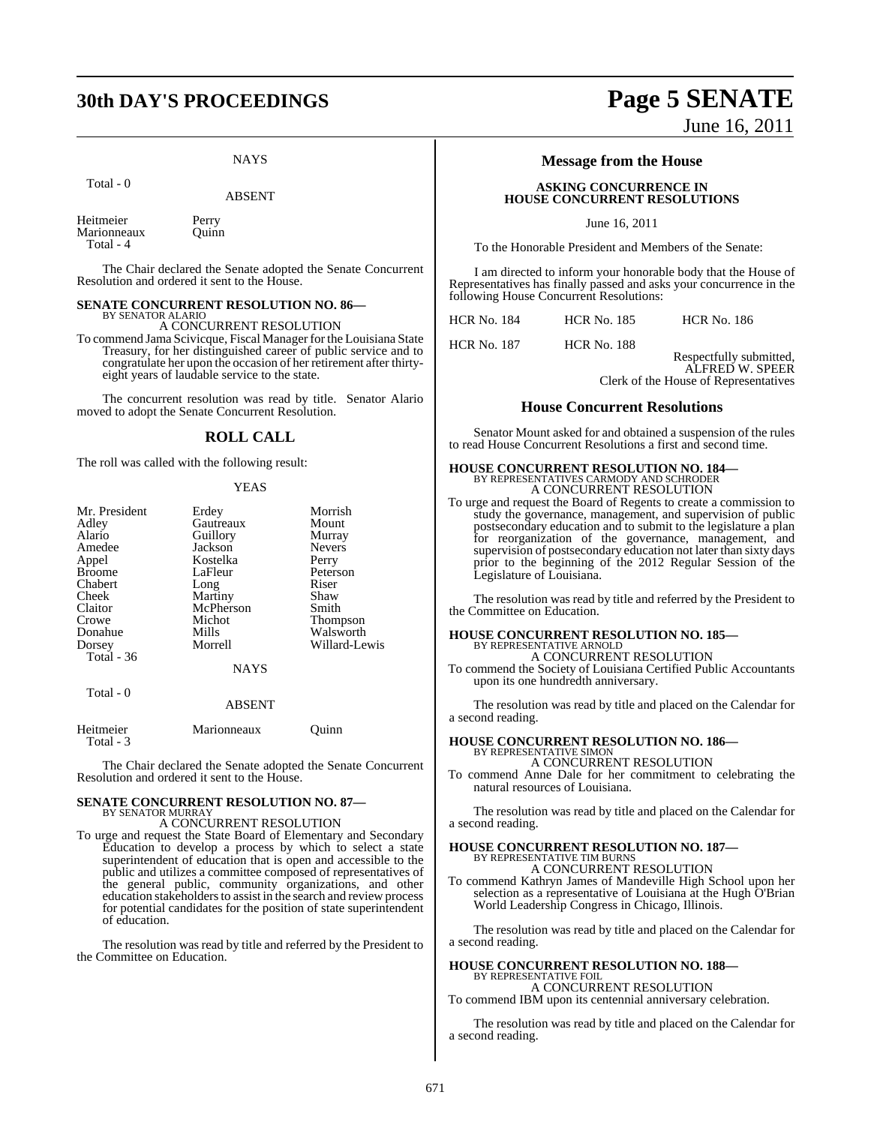## **30th DAY'S PROCEEDINGS Page 5 SENATE**

## **NAYS**

Total - 0

Heitmeier Perry<br>Marionneaux Ouinn **Marionneaux** Total - 4

The Chair declared the Senate adopted the Senate Concurrent Resolution and ordered it sent to the House.

#### **SENATE CONCURRENT RESOLUTION NO. 86—** BY SENATOR ALARIO

A CONCURRENT RESOLUTION

To commend Jama Scivicque, Fiscal Manager for the Louisiana State Treasury, for her distinguished career of public service and to congratulate her upon the occasion of her retirement after thirtyeight years of laudable service to the state.

The concurrent resolution was read by title. Senator Alario moved to adopt the Senate Concurrent Resolution.

## **ROLL CALL**

The roll was called with the following result:

## YEAS

| Mr. President | Erdey         | Morrish       |
|---------------|---------------|---------------|
| Adley         | Gautreaux     | Mount         |
| Alario        | Guillory      | Murray        |
| Amedee        | Jackson       | <b>Nevers</b> |
| Appel         | Kostelka      | Perry         |
| <b>Broome</b> | LaFleur       | Peterson      |
| Chabert       | Long          | Riser         |
| Cheek         | Martiny       | Shaw          |
| Claitor       | McPherson     | Smith         |
| Crowe         | Michot        | Thompson      |
| Donahue       | Mills         | Walsworth     |
| Dorsey        | Morrell       | Willard-Lewis |
| Total $-36$   |               |               |
|               | <b>NAYS</b>   |               |
| Total $-0$    |               |               |
|               | <b>ABSENT</b> |               |

| Marionneaux |       |
|-------------|-------|
|             |       |
|             | Ouinn |

The Chair declared the Senate adopted the Senate Concurrent Resolution and ordered it sent to the House.

#### **SENATE CONCURRENT RESOLUTION NO. 87—** BY SENATOR MURRAY

## A CONCURRENT RESOLUTION

To urge and request the State Board of Elementary and Secondary Education to develop a process by which to select a state superintendent of education that is open and accessible to the public and utilizes a committee composed of representatives of the general public, community organizations, and other education stakeholders to assist in the search and review process for potential candidates for the position of state superintendent of education.

The resolution was read by title and referred by the President to the Committee on Education.

## **Message from the House**

## **ASKING CONCURRENCE IN HOUSE CONCURRENT RESOLUTIONS**

June 16, 2011

To the Honorable President and Members of the Senate:

I am directed to inform your honorable body that the House of Representatives has finally passed and asks your concurrence in the following House Concurrent Resolutions:

HCR No. 187 HCR No. 188

Respectfully submitted, ALFRED W. SPEER Clerk of the House of Representatives

June 16, 2011

## **House Concurrent Resolutions**

Senator Mount asked for and obtained a suspension of the rules to read House Concurrent Resolutions a first and second time.

## **HOUSE CONCURRENT RESOLUTION NO. 184—** BY REPRESENTATIVES CARMODY AND SCHRODER A CONCURRENT RESOLUTION

To urge and request the Board of Regents to create a commission to study the governance, management, and supervision of public postsecondary education and to submit to the legislature a plan for reorganization of the governance, management, and supervision of postsecondary education not later than sixty days prior to the beginning of the 2012 Regular Session of the Legislature of Louisiana.

The resolution was read by title and referred by the President to the Committee on Education.

## **HOUSE CONCURRENT RESOLUTION NO. 185—** BY REPRESENTATIVE ARNOLD

A CONCURRENT RESOLUTION

To commend the Society of Louisiana Certified Public Accountants upon its one hundredth anniversary.

The resolution was read by title and placed on the Calendar for a second reading.

#### **HOUSE CONCURRENT RESOLUTION NO. 186—** BY REPRESENTATIVE SIMON

A CONCURRENT RESOLUTION

To commend Anne Dale for her commitment to celebrating the natural resources of Louisiana.

The resolution was read by title and placed on the Calendar for a second reading.

#### **HOUSE CONCURRENT RESOLUTION NO. 187—** BY REPRESENTATIVE TIM BURNS

A CONCURRENT RESOLUTION

To commend Kathryn James of Mandeville High School upon her selection as a representative of Louisiana at the Hugh O'Brian World Leadership Congress in Chicago, Illinois.

The resolution was read by title and placed on the Calendar for a second reading.

## **HOUSE CONCURRENT RESOLUTION NO. 188—** BY REPRESENTATIVE FOIL A CONCURRENT RESOLUTION

To commend IBM upon its centennial anniversary celebration.

The resolution was read by title and placed on the Calendar for a second reading.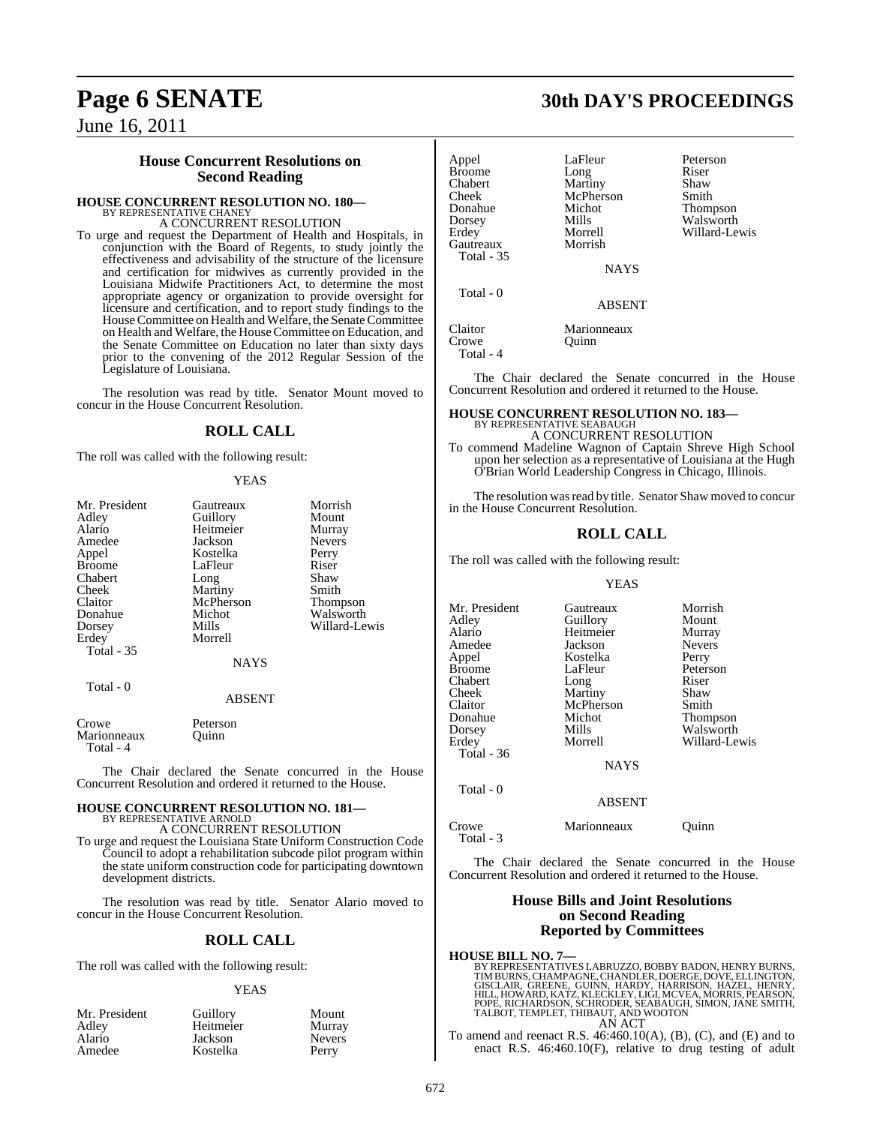## **House Concurrent Resolutions on Second Reading**

## **HOUSE CONCURRENT RESOLUTION NO. 180—**

BY REPRESENTATIVE CHANEY A CONCURRENT RESOLUTION

To urge and request the Department of Health and Hospitals, in conjunction with the Board of Regents, to study jointly the effectiveness and advisability of the structure of the licensure and certification for midwives as currently provided in the Louisiana Midwife Practitioners Act, to determine the most appropriate agency or organization to provide oversight for licensure and certification, and to report study findings to the House Committee on Health and Welfare, the Senate Committee on Health and Welfare, the HouseCommittee on Education, and the Senate Committee on Education no later than sixty days prior to the convening of the 2012 Regular Session of the Legislature of Louisiana.

The resolution was read by title. Senator Mount moved to concur in the House Concurrent Resolution.

## **ROLL CALL**

The roll was called with the following result:

## YEAS

| Mr. President     | Gautreaux      | Morrish       |
|-------------------|----------------|---------------|
| Adley             | Guillory       | Mount         |
| Alario            | Heitmeier      | Murray        |
|                   |                |               |
| Amedee            | Jackson        | <b>Nevers</b> |
| Appel             | Kostelka       | Perry         |
| Broome            | LaFleur        | Riser         |
| Chabert           | Long           | Shaw          |
| Cheek             | <b>Martiny</b> | Smith         |
| Claitor           | McPherson      | Thompson      |
| Donahue           | Michot         | Walsworth     |
| Dorsey            | Mills          | Willard-Lewis |
| Erdey             | Morrell        |               |
| <b>Total</b> - 35 |                |               |
|                   |                |               |
|                   | <b>NAYS</b>    |               |
| Total - 0         |                |               |
|                   | <b>ABSENT</b>  |               |
| Crowe             | Peterson       |               |
| Marionneaux       | Ouinn          |               |
| Total - 4         |                |               |

The Chair declared the Senate concurred in the House Concurrent Resolution and ordered it returned to the House.

### **HOUSE CONCURRENT RESOLUTION NO. 181—** BY REPRESENTATIVE ARNOLD

A CONCURRENT RESOLUTION

To urge and request the Louisiana State Uniform Construction Code Council to adopt a rehabilitation subcode pilot program within the state uniform construction code for participating downtown development districts.

The resolution was read by title. Senator Alario moved to concur in the House Concurrent Resolution.

## **ROLL CALL**

The roll was called with the following result:

#### YEAS

| Mr. President   | Guillory  | Mount         |
|-----------------|-----------|---------------|
| Adley<br>Alario | Heitmeier | Murray        |
|                 | Jackson   | <b>Nevers</b> |
| Amedee          | Kostelka  | Perry         |

## **Page 6 SENATE 30th DAY'S PROCEEDINGS**

| Appel            | LaFleur              | Peterson        |
|------------------|----------------------|-----------------|
| <b>Broome</b>    | Long                 | Riser           |
| Chabert          | Martiny              | Shaw            |
| Cheek            | McPherson            | Smith           |
| Donahue          | Michot               | <b>Thompson</b> |
| Dorsey           | Mills                | Walsworth       |
| Erdey            | Morrell              | Willard-Lewis   |
| Gautreaux        | Morrish              |                 |
| Total - 35       |                      |                 |
|                  | <b>NAYS</b>          |                 |
| Total - 0        |                      |                 |
|                  | ABSENT               |                 |
| Claitor<br>Crowe | Marionneaux<br>Ouinn |                 |

Total - 4

The Chair declared the Senate concurred in the House Concurrent Resolution and ordered it returned to the House.

## **HOUSE CONCURRENT RESOLUTION NO. 183—** BY REPRESENTATIVE SEABAUGH A CONCURRENT RESOLUTION

To commend Madeline Wagnon of Captain Shreve High School upon her selection as a representative of Louisiana at the Hugh O'Brian World Leadership Congress in Chicago, Illinois.

The resolution was read by title. Senator Shaw moved to concur in the House Concurrent Resolution.

## **ROLL CALL**

The roll was called with the following result:

## YEAS

| Mr. President | Gautreaux     | Morrish         |
|---------------|---------------|-----------------|
| Adlev         | Guillory      | Mount           |
| Alario        | Heitmeier     | Murray          |
| Amedee        | Jackson       | <b>Nevers</b>   |
| Appel         | Kostelka      | Perry           |
| Broome        | LaFleur       | Peterson        |
| Chabert       | Long          | Riser           |
| Cheek         | Martiny       | Shaw            |
| Claitor       | McPherson     | Smith           |
| Donahue       | Michot        | <b>Thompson</b> |
| Dorsey        | Mills         | Walsworth       |
| Erdev         | Morrell       | Willard-Lewis   |
| Total - 36    |               |                 |
|               | <b>NAYS</b>   |                 |
| Total - 0     |               |                 |
|               | <b>ABSENT</b> |                 |

| Crowe     | Marionneaux | Ouinn |
|-----------|-------------|-------|
| Total - 3 |             |       |

The Chair declared the Senate concurred in the House Concurrent Resolution and ordered it returned to the House.

## **House Bills and Joint Resolutions on Second Reading Reported by Committees**

**HOUSE BILL NO. 7—** BY REPRESENTATIVES LABRUZZO, BOBBY BADON, HENRY BURNS,<br>TIMBURNS, CHAMPAGNE, CHANDLER, DOERGE, DOVE, ELLINGTON,<br>GISCLAIR, GREENE, GUINN, HARDY, HARRISON, HAZEL, HENRY,<br>HILL, HOWARD, KATZ, KLECKLEY, LIGI, MCVEA, MORRIS, PEAR AN ACT

To amend and reenact R.S.  $46:460.10(A)$ , (B), (C), and (E) and to enact R.S. 46:460.10(F), relative to drug testing of adult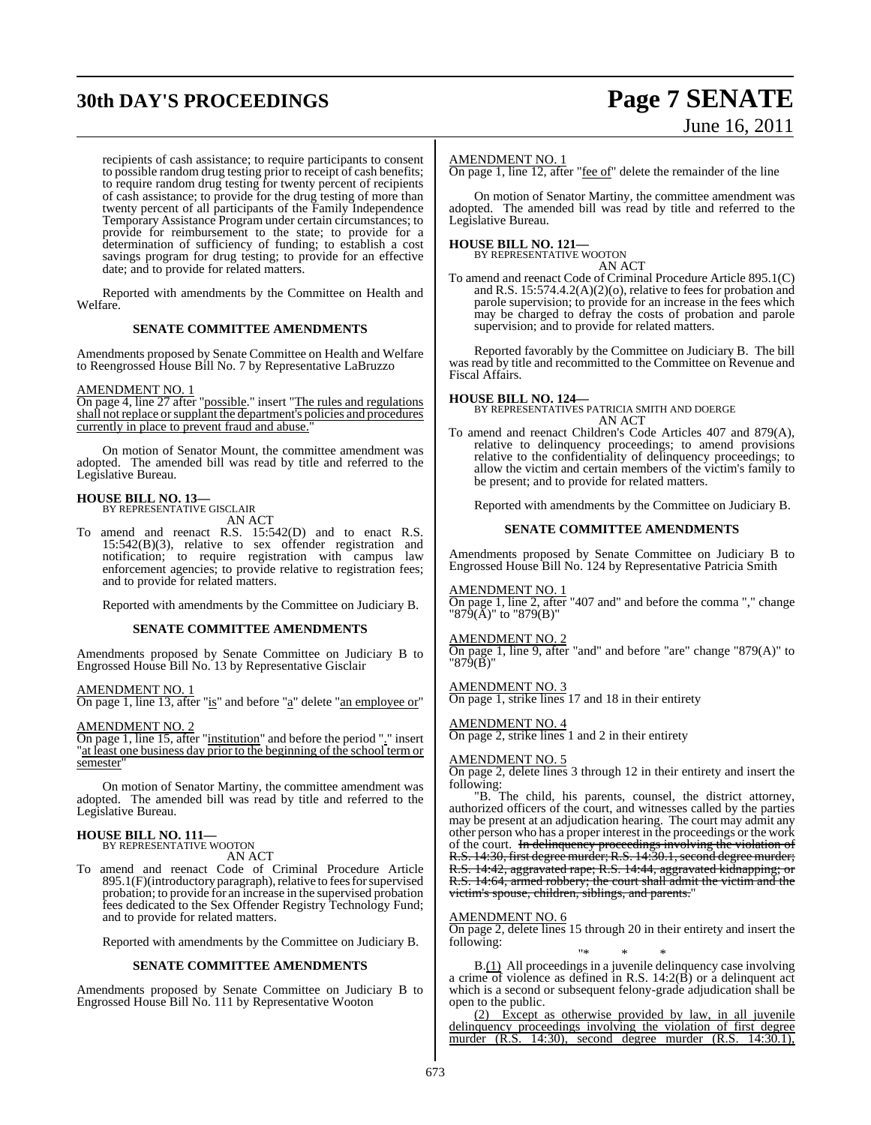## **30th DAY'S PROCEEDINGS Page 7 SENATE**

# June 16, 2011

recipients of cash assistance; to require participants to consent to possible random drug testing prior to receipt of cash benefits; to require random drug testing for twenty percent of recipients of cash assistance; to provide for the drug testing of more than twenty percent of all participants of the Family Independence Temporary Assistance Program under certain circumstances; to provide for reimbursement to the state; to provide for a determination of sufficiency of funding; to establish a cost savings program for drug testing; to provide for an effective date; and to provide for related matters.

Reported with amendments by the Committee on Health and Welfare.

## **SENATE COMMITTEE AMENDMENTS**

Amendments proposed by Senate Committee on Health and Welfare to Reengrossed House Bill No. 7 by Representative LaBruzzo

### AMENDMENT NO. 1

On page 4, line 27 after "possible." insert "The rules and regulations shall not replace or supplant the department's policies and procedures currently in place to prevent fraud and abuse.

On motion of Senator Mount, the committee amendment was adopted. The amended bill was read by title and referred to the Legislative Bureau.

#### **HOUSE BILL NO. 13—** BY REPRESENTATIVE GISCLAIR

AN ACT

To amend and reenact R.S. 15:542(D) and to enact R.S. 15:542(B)(3), relative to sex offender registration and notification; to require registration with campus law enforcement agencies; to provide relative to registration fees; and to provide for related matters.

Reported with amendments by the Committee on Judiciary B.

## **SENATE COMMITTEE AMENDMENTS**

Amendments proposed by Senate Committee on Judiciary B to Engrossed House Bill No. 13 by Representative Gisclair

AMENDMENT NO. 1

On page 1, line 13, after "is" and before "a" delete "an employee or"

AMENDMENT NO. 2

On page 1, line 15, after "institution" and before the period "." insert "at least one business day prior to the beginning of the school term or semester

On motion of Senator Martiny, the committee amendment was adopted. The amended bill was read by title and referred to the Legislative Bureau.

## **HOUSE BILL NO. 111—**

BY REPRESENTATIVE WOOTON AN ACT

To amend and reenact Code of Criminal Procedure Article  $895.1(F)$ (introductory paragraph), relative to fees for supervised probation; to provide for an increase in the supervised probation fees dedicated to the Sex Offender Registry Technology Fund; and to provide for related matters.

Reported with amendments by the Committee on Judiciary B.

## **SENATE COMMITTEE AMENDMENTS**

Amendments proposed by Senate Committee on Judiciary B to Engrossed House Bill No. 111 by Representative Wooton

## AMENDMENT NO. 1

On page 1, line 12, after "fee of" delete the remainder of the line

On motion of Senator Martiny, the committee amendment was adopted. The amended bill was read by title and referred to the Legislative Bureau.

#### **HOUSE BILL NO. 121—** BY REPRESENTATIVE WOOTON

AN ACT

To amend and reenact Code of Criminal Procedure Article 895.1(C) and R.S. 15:574.4.2(A)(2)(o), relative to fees for probation and parole supervision; to provide for an increase in the fees which may be charged to defray the costs of probation and parole supervision; and to provide for related matters.

Reported favorably by the Committee on Judiciary B. The bill was read by title and recommitted to the Committee on Revenue and Fiscal Affairs.

**HOUSE BILL NO. 124—** BY REPRESENTATIVES PATRICIA SMITH AND DOERGE AN ACT

To amend and reenact Children's Code Articles 407 and 879(A), relative to delinquency proceedings; to amend provisions relative to the confidentiality of delinquency proceedings; to allow the victim and certain members of the victim's family to be present; and to provide for related matters.

Reported with amendments by the Committee on Judiciary B.

## **SENATE COMMITTEE AMENDMENTS**

Amendments proposed by Senate Committee on Judiciary B to Engrossed House Bill No. 124 by Representative Patricia Smith

## AMENDMENT NO. 1

On page 1, line 2, after "407 and" and before the comma "," change "879(A)" to "879(B)"

## AMENDMENT NO. 2

On page 1, line 9, after "and" and before "are" change "879(A)" to "879(B)"

## AMENDMENT NO. 3

On page 1, strike lines 17 and 18 in their entirety

## AMENDMENT NO. 4

On page 2, strike lines 1 and 2 in their entirety

## AMENDMENT NO. 5

On page 2, delete lines 3 through 12 in their entirety and insert the following:

"B. The child, his parents, counsel, the district attorney, authorized officers of the court, and witnesses called by the parties may be present at an adjudication hearing. The court may admit any other person who has a proper interest in the proceedings or the work of the court. In delinquency proceedings involving the violation of R.S. 14:30, first degree murder; R.S. 14:30.1, second degree murder; R.S. 14:42, aggravated rape; R.S. 14:44, aggravated kidnapping; or R.S. 14:64, armed robbery; the court shall admit the victim and the victim's spouse, children, siblings, and parents."

## AMENDMENT NO. 6

On page 2, delete lines 15 through 20 in their entirety and insert the following:

"\* \* \* B.(1) All proceedings in a juvenile delinquency case involving a crime of violence as defined in R.S.  $14:2(\vec{B})$  or a delinquent act which is a second or subsequent felony-grade adjudication shall be open to the public.

(2) Except as otherwise provided by law, in all juvenile delinquency proceedings involving the violation of first degree<br>murder  $(RS_1/1430)$  second degree murder  $(RS_1/1430)$ murder (R.S. 14:30), second degree murder (R.S.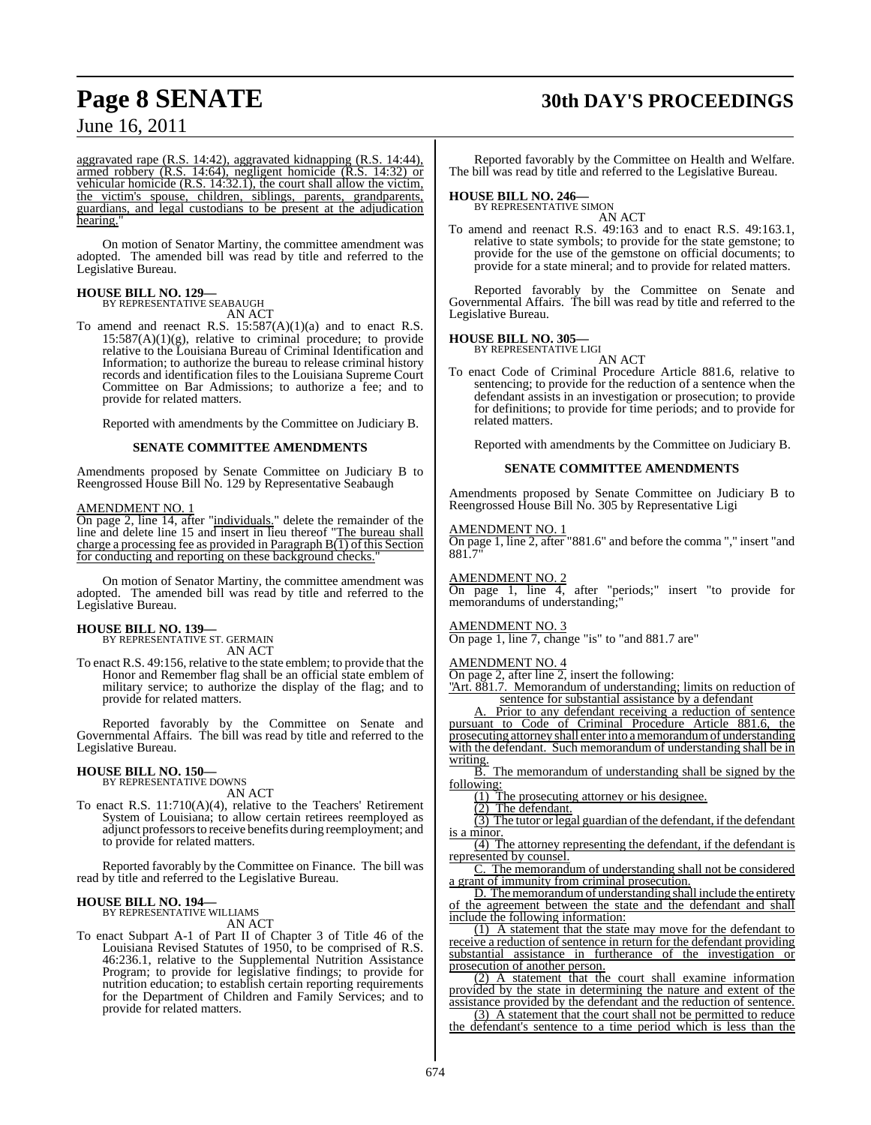## **Page 8 SENATE 30th DAY'S PROCEEDINGS**

June 16, 2011

aggravated rape (R.S. 14:42), aggravated kidnapping (R.S. 14:44), armed robbery (R.S. 14:64), negligent homicide (R.S. 14:32) or vehicular homicide (R.S. 14:32.1), the court shall allow the victim, the victim's spouse, children, siblings, parents, grandparents, guardians, and legal custodians to be present at the adjudication hearing.

On motion of Senator Martiny, the committee amendment was adopted. The amended bill was read by title and referred to the Legislative Bureau.

## **HOUSE BILL NO. 129—** BY REPRESENTATIVE SEABAUGH

AN ACT

To amend and reenact R.S.  $15:587(A)(1)(a)$  and to enact R.S.  $15:587(A)(1)(g)$ , relative to criminal procedure; to provide relative to the Louisiana Bureau of Criminal Identification and Information; to authorize the bureau to release criminal history records and identification files to the Louisiana Supreme Court Committee on Bar Admissions; to authorize a fee; and to provide for related matters.

Reported with amendments by the Committee on Judiciary B.

## **SENATE COMMITTEE AMENDMENTS**

Amendments proposed by Senate Committee on Judiciary B to Reengrossed House Bill No. 129 by Representative Seabaugh

### AMENDMENT NO. 1

On page 2, line 14, after "individuals." delete the remainder of the line and delete line 15 and insert in lieu thereof "The bureau shall charge a processing fee as provided in Paragraph B(1) of this Section for conducting and reporting on these background checks.

On motion of Senator Martiny, the committee amendment was adopted. The amended bill was read by title and referred to the Legislative Bureau.

## **HOUSE BILL NO. 139—**

BY REPRESENTATIVE ST. GERMAIN AN ACT

To enact R.S. 49:156, relative to the state emblem; to provide that the Honor and Remember flag shall be an official state emblem of military service; to authorize the display of the flag; and to provide for related matters.

Reported favorably by the Committee on Senate and Governmental Affairs. The bill was read by title and referred to the Legislative Bureau.

## **HOUSE BILL NO. 150—** BY REPRESENTATIVE DOWNS

AN ACT

To enact R.S. 11:710(A)(4), relative to the Teachers' Retirement System of Louisiana; to allow certain retirees reemployed as adjunct professors to receive benefits during reemployment; and to provide for related matters.

Reported favorably by the Committee on Finance. The bill was read by title and referred to the Legislative Bureau.

## **HOUSE BILL NO. 194—** BY REPRESENTATIVE WILLIAMS

AN ACT

To enact Subpart A-1 of Part II of Chapter 3 of Title 46 of the Louisiana Revised Statutes of 1950, to be comprised of R.S. 46:236.1, relative to the Supplemental Nutrition Assistance Program; to provide for legislative findings; to provide for nutrition education; to establish certain reporting requirements for the Department of Children and Family Services; and to provide for related matters.

Reported favorably by the Committee on Health and Welfare. The bill was read by title and referred to the Legislative Bureau.

## **HOUSE BILL NO. 246—** BY REPRESENTATIVE SIMON

AN ACT

To amend and reenact R.S. 49:163 and to enact R.S. 49:163.1, relative to state symbols; to provide for the state gemstone; to provide for the use of the gemstone on official documents; to provide for a state mineral; and to provide for related matters.

Reported favorably by the Committee on Senate and Governmental Affairs. The bill was read by title and referred to the Legislative Bureau.

## **HOUSE BILL NO. 305—**

BY REPRESENTATIVE LIGI AN ACT

To enact Code of Criminal Procedure Article 881.6, relative to sentencing; to provide for the reduction of a sentence when the defendant assists in an investigation or prosecution; to provide for definitions; to provide for time periods; and to provide for related matters.

Reported with amendments by the Committee on Judiciary B.

## **SENATE COMMITTEE AMENDMENTS**

Amendments proposed by Senate Committee on Judiciary B to Reengrossed House Bill No. 305 by Representative Ligi

## AMENDMENT NO. 1

On page 1, line 2, after "881.6" and before the comma "," insert "and 881.7

### AMENDMENT NO. 2

On page 1, line 4, after "periods;" insert "to provide for memorandums of understanding;

## AMENDMENT NO. 3

On page 1, line 7, change "is" to "and 881.7 are"

### AMENDMENT NO. 4

On page 2, after line 2, insert the following:

<u>"Art. 881.7.</u> Memorandum of understanding; limits on reduction of sentence for substantial assistance by a defendant

Prior to any defendant receiving a reduction of sentence pursuant to Code of Criminal Procedure Article 881.6, the prosecuting attorney shall enter into a memorandum of understanding with the defendant. Such memorandum of understanding shall be in  $\frac{\text{writing}}{\text{B}}$ .

The memorandum of understanding shall be signed by the following:

(1) The prosecuting attorney or his designee.

(2) The defendant.

(3) The tutor or legal guardian of the defendant, if the defendant is a minor.

(4) The attorney representing the defendant, if the defendant is represented by counsel.

C. The memorandum of understanding shall not be considered a grant of immunity from criminal prosecution.

D. The memorandum of understanding shall include the entirety of the agreement between the state and the defendant and shall include the following information:

(1) A statement that the state may move for the defendant to receive a reduction of sentence in return for the defendant providing substantial assistance in furtherance of the investigation or prosecution of another person.

(2) A statement that the court shall examine information provided by the state in determining the nature and extent of the assistance provided by the defendant and the reduction of sentence.

 $(3)$  A statement that the court shall not be permitted to reduce the defendant's sentence to a time period which is less than the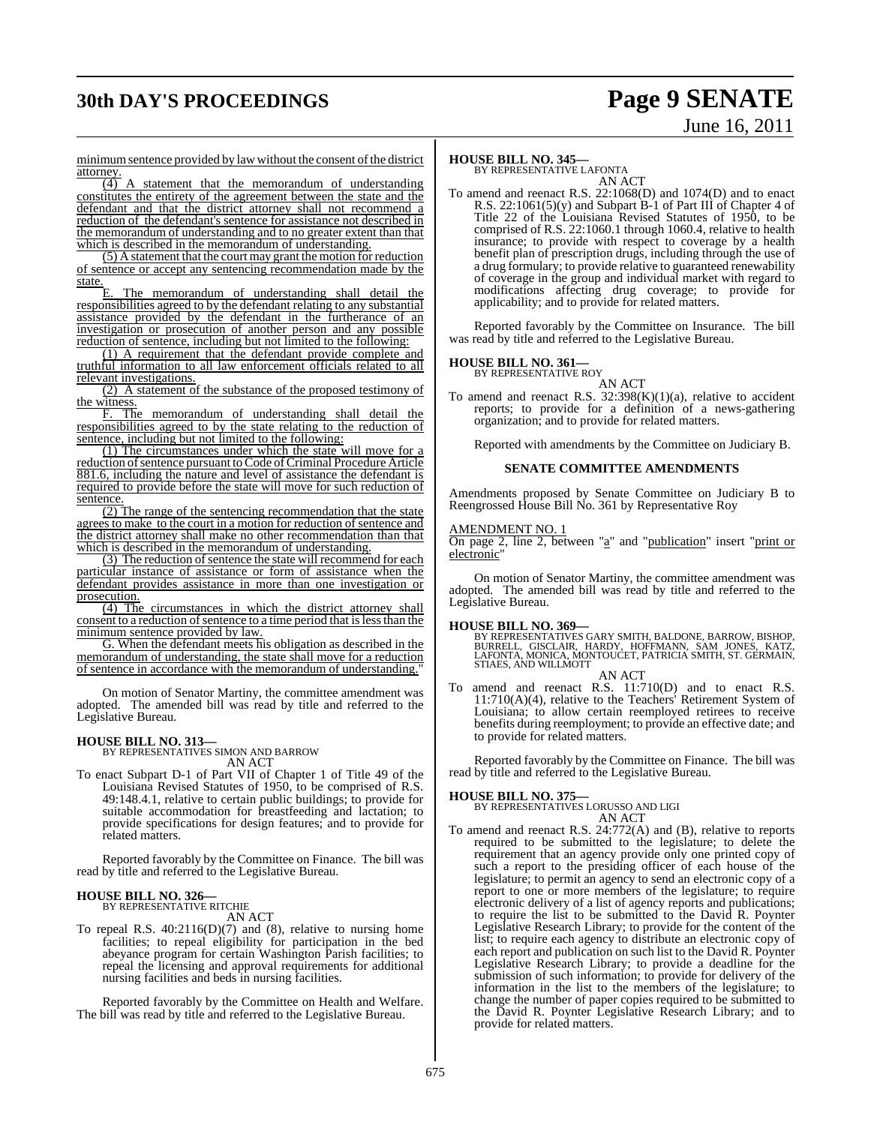## **30th DAY'S PROCEEDINGS Page 9 SENATE**

# June 16, 2011

minimum sentence provided by law without the consent of the district attorney.

 $\overline{(4)}$  A statement that the memorandum of understanding constitutes the entirety of the agreement between the state and the defendant and that the district attorney shall not recommend a reduction of the defendant's sentence for assistance not described in the memorandum of understanding and to no greater extent than that which is described in the memorandum of understanding.

(5) A statement that the court may grant the motion for reduction of sentence or accept any sentencing recommendation made by the state.

E. The memorandum of understanding shall detail the responsibilities agreed to by the defendant relating to any substantial assistance provided by the defendant in the furtherance of an investigation or prosecution of another person and any possible reduction of sentence, including but not limited to the following:

(1) A requirement that the defendant provide complete and truthful information to all law enforcement officials related to all relevant investigations.

(2) A statement of the substance of the proposed testimony of the witness.

F. The memorandum of understanding shall detail the responsibilities agreed to by the state relating to the reduction of sentence, including but not limited to the following:

(1) The circumstances under which the state will move for a reduction of sentence pursuant to Code of Criminal Procedure Article 881.6, including the nature and level of assistance the defendant is required to provide before the state will move for such reduction of sentence.

(2) The range of the sentencing recommendation that the state agrees to make to the court in a motion for reduction of sentence and the district attorney shall make no other recommendation than that which is described in the memorandum of understanding.

(3) The reduction of sentence the state will recommend for each particular instance of assistance or form of assistance when the defendant provides assistance in more than one investigation or prosecution.

(4) The circumstances in which the district attorney shall consent to a reduction of sentence to a time period that is less than the minimum sentence provided by law.

G. When the defendant meets his obligation as described in the memorandum of understanding, the state shall move for a reduction of sentence in accordance with the memorandum of understanding.

On motion of Senator Martiny, the committee amendment was adopted. The amended bill was read by title and referred to the Legislative Bureau.

## **HOUSE BILL NO. 313—** BY REPRESENTATIVES SIMON AND BARROW

AN ACT To enact Subpart D-1 of Part VII of Chapter 1 of Title 49 of the Louisiana Revised Statutes of 1950, to be comprised of R.S. 49:148.4.1, relative to certain public buildings; to provide for suitable accommodation for breastfeeding and lactation; to provide specifications for design features; and to provide for

Reported favorably by the Committee on Finance. The bill was read by title and referred to the Legislative Bureau.

## **HOUSE BILL NO. 326—** BY REPRESENTATIVE RITCHIE

related matters.

AN ACT

To repeal R.S. 40:2116(D)(7) and (8), relative to nursing home facilities; to repeal eligibility for participation in the bed abeyance program for certain Washington Parish facilities; to repeal the licensing and approval requirements for additional nursing facilities and beds in nursing facilities.

Reported favorably by the Committee on Health and Welfare. The bill was read by title and referred to the Legislative Bureau.

## **HOUSE BILL NO. 345—**

BY REPRESENTATIVE LAFONTA AN ACT

To amend and reenact R.S. 22:1068(D) and 1074(D) and to enact R.S.  $22:1061(5)(y)$  and Subpart B-1 of Part III of Chapter 4 of Title 22 of the Louisiana Revised Statutes of 1950, to be comprised of R.S. 22:1060.1 through 1060.4, relative to health insurance; to provide with respect to coverage by a health benefit plan of prescription drugs, including through the use of a drug formulary; to provide relative to guaranteed renewability of coverage in the group and individual market with regard to modifications affecting drug coverage; to provide for applicability; and to provide for related matters.

Reported favorably by the Committee on Insurance. The bill was read by title and referred to the Legislative Bureau.

## **HOUSE BILL NO. 361—**

BY REPRESENTATIVE ROY AN ACT

To amend and reenact R.S.  $32:398(K)(1)(a)$ , relative to accident reports; to provide for a definition of a news-gathering organization; and to provide for related matters.

Reported with amendments by the Committee on Judiciary B.

## **SENATE COMMITTEE AMENDMENTS**

Amendments proposed by Senate Committee on Judiciary B to Reengrossed House Bill No. 361 by Representative Roy

## AMENDMENT NO. 1

On page 2, line 2, between "a" and "publication" insert "print or electronic"

On motion of Senator Martiny, the committee amendment was adopted. The amended bill was read by title and referred to the Legislative Bureau.

## **HOUSE BILL NO. 369—**

BY REPRESENTATIVES GARY SMITH, BALDONE, BARROW, BISHOP,<br>BURRELL, GISCLAIR, HARDY, HOFFMANN, SAM JONES, KATZ,<br>LAFONTA, MONICA, MONTOUCET, PATRICIA SMITH, ST. GERMAIN, STIAES, AND WILLMOTT

AN ACT To amend and reenact R.S. 11:710(D) and to enact R.S. 11:710(A)(4), relative to the Teachers' Retirement System of Louisiana; to allow certain reemployed retirees to receive benefits during reemployment; to provide an effective date; and

Reported favorably by the Committee on Finance. The bill was read by title and referred to the Legislative Bureau.

**HOUSE BILL NO. 375—** BY REPRESENTATIVES LORUSSO AND LIGI

to provide for related matters.

## AN ACT

To amend and reenact R.S. 24:772(A) and (B), relative to reports required to be submitted to the legislature; to delete the requirement that an agency provide only one printed copy of such a report to the presiding officer of each house of the legislature; to permit an agency to send an electronic copy of a report to one or more members of the legislature; to require electronic delivery of a list of agency reports and publications; to require the list to be submitted to the David R. Poynter Legislative Research Library; to provide for the content of the list; to require each agency to distribute an electronic copy of each report and publication on such list to the David R. Poynter Legislative Research Library; to provide a deadline for the submission of such information; to provide for delivery of the information in the list to the members of the legislature; to change the number of paper copies required to be submitted to the David R. Poynter Legislative Research Library; and to provide for related matters.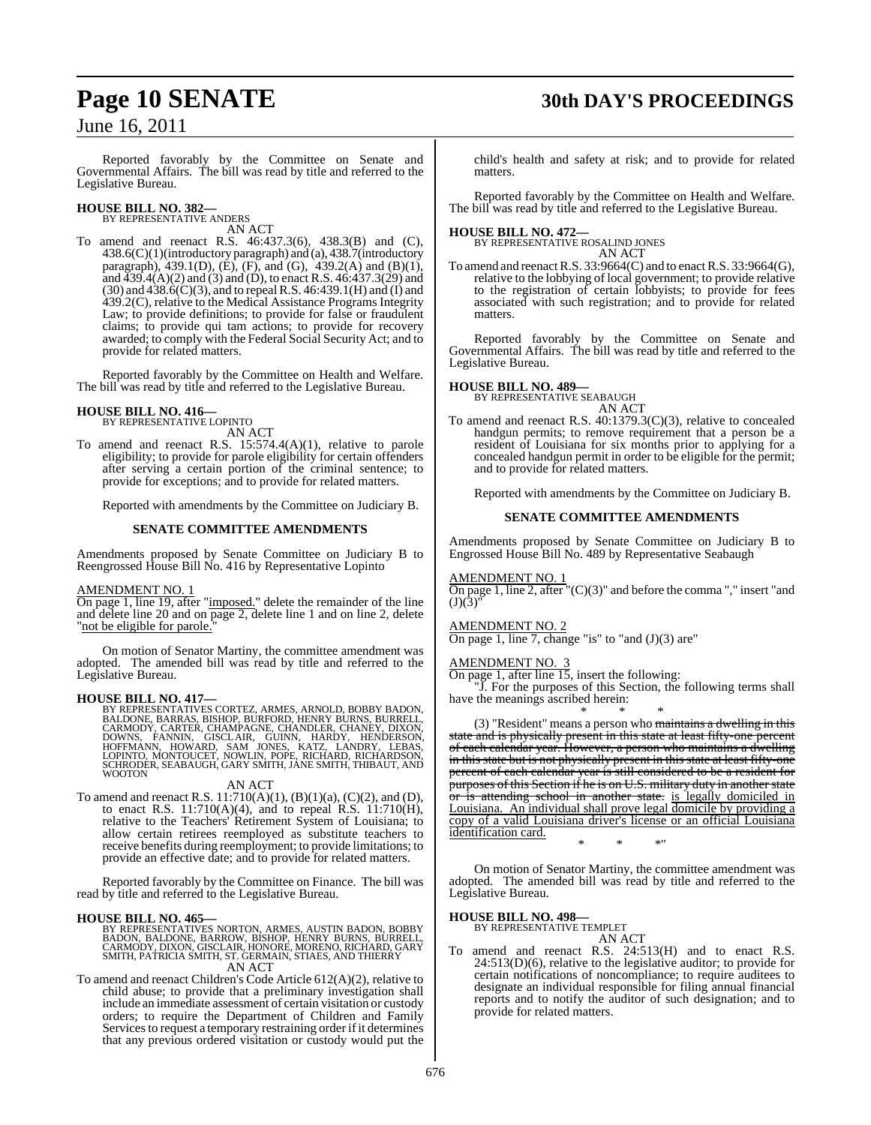## **Page 10 SENATE 30th DAY'S PROCEEDINGS**

June 16, 2011

Reported favorably by the Committee on Senate and Governmental Affairs. The bill was read by title and referred to the Legislative Bureau.

## **HOUSE BILL NO. 382—** BY REPRESENTATIVE ANDERS

AN ACT

To amend and reenact R.S. 46:437.3(6), 438.3(B) and (C), 438.6(C)(1)(introductory paragraph) and (a), 438.7(introductory paragraph), 439.1(D), (E), (F), and (G), 439.2(A) and (B)(1), and  $\overline{4}39.4(A)(2)$  and  $(3)$  and  $(D)$ , to enact R.S.  $46:437.3(29)$  and (30) and 438.6(C)(3), and to repealR.S. 46:439.1(H) and (I) and 439.2(C), relative to the Medical Assistance Programs Integrity Law; to provide definitions; to provide for false or fraudulent claims; to provide qui tam actions; to provide for recovery awarded; to comply with the Federal Social Security Act; and to provide for related matters.

Reported favorably by the Committee on Health and Welfare. The bill was read by title and referred to the Legislative Bureau.

## **HOUSE BILL NO. 416—** BY REPRESENTATIVE LOPINTO

AN ACT

To amend and reenact R.S. 15:574.4(A)(1), relative to parole eligibility; to provide for parole eligibility for certain offenders after serving a certain portion of the criminal sentence; to provide for exceptions; and to provide for related matters.

Reported with amendments by the Committee on Judiciary B.

## **SENATE COMMITTEE AMENDMENTS**

Amendments proposed by Senate Committee on Judiciary B to Reengrossed House Bill No. 416 by Representative Lopinto

## AMENDMENT NO. 1

On page 1, line 19, after "imposed." delete the remainder of the line and delete line 20 and on page 2, delete line 1 and on line 2, delete "not be eligible for parole.

On motion of Senator Martiny, the committee amendment was adopted. The amended bill was read by title and referred to the Legislative Bureau.

**HOUSE BILL NO. 417—**<br>BY REPRESENTATIVES CORTEZ, ARMES, ARNOLD, BOBBY BADON,<br>BALDONE, BARRAS, BISHOP, BURFORD, HENRY BURNS, BURRELL,<br>CARMODY, CARTER, CHAMPAGNE, CHANDLER, CHANEY, DIXON,<br>DOWNS, FANNIN, GISCLAIR, GUINN, HARD

## AN ACT

To amend and reenact R.S. 11:710(A)(1), (B)(1)(a), (C)(2), and (D), to enact R.S. 11:710(A)(4), and to repeal R.S. 11:710(H), relative to the Teachers' Retirement System of Louisiana; to allow certain retirees reemployed as substitute teachers to receive benefits during reemployment; to provide limitations; to provide an effective date; and to provide for related matters.

Reported favorably by the Committee on Finance. The bill was read by title and referred to the Legislative Bureau.

## **HOUSE BILL NO. 465—**

BY REPRESENTATIVES NORTON, ARMES, AUSTIN BADON, BOBBY<br>BADON, BALDONE, BARROW, BISHOP, HENRY BURNS, BURELL,<br>CARMODY, DIXON, GISCLAIR, HONORE, MORENO, RICHARD, GARY<br>SMITH, PATRICIA SMITH, ST. GERMAIN, STIAES, AND THIERRY AN ACT

To amend and reenact Children's Code Article 612(A)(2), relative to child abuse; to provide that a preliminary investigation shall include an immediate assessment of certain visitation or custody orders; to require the Department of Children and Family Services to request a temporary restraining order if it determines that any previous ordered visitation or custody would put the

child's health and safety at risk; and to provide for related matters.

Reported favorably by the Committee on Health and Welfare. The bill was read by title and referred to the Legislative Bureau.

## **HOUSE BILL NO. 472—** BY REPRESENTATIVE ROSALIND JONES AN ACT

To amend and reenactR.S. 33:9664(C) and to enactR.S. 33:9664(G), relative to the lobbying of local government; to provide relative to the registration of certain lobbyists; to provide for fees associated with such registration; and to provide for related matters.

Reported favorably by the Committee on Senate and Governmental Affairs. The bill was read by title and referred to the Legislative Bureau.

## **HOUSE BILL NO. 489—**

BY REPRESENTATIVE SEABAUGH AN ACT

To amend and reenact R.S. 40:1379.3(C)(3), relative to concealed handgun permits; to remove requirement that a person be a resident of Louisiana for six months prior to applying for a concealed handgun permit in order to be eligible for the permit; and to provide for related matters.

Reported with amendments by the Committee on Judiciary B.

## **SENATE COMMITTEE AMENDMENTS**

Amendments proposed by Senate Committee on Judiciary B to Engrossed House Bill No. 489 by Representative Seabaugh

## AMENDMENT NO. 1

On page 1, line 2, after  $(C)(3)$ " and before the comma "," insert "and  $(J)(3)$ "

## AMENDMENT NO. 2

On page 1, line 7, change "is" to "and  $(J)(3)$  are"

## AMENDMENT NO.

On page 1, after line 15, insert the following:

"J. For the purposes of this Section, the following terms shall have the meanings ascribed herein:

\* \* \* (3) "Resident" means a person who maintains a dwelling in this state and is physically present in this state at least fifty-one percent of each calendar year. However, a person who maintains a dwelling in this state but is not physically present in this state at least fifty-one percent of each calendar year is still considered to be a resident for purposes of this Section if he is on U.S. military duty in another state or is attending school in another state. is legally domiciled in Louisiana. An individual shall prove legal domicile by providing a copy of a valid Louisiana driver's license or an official Louisiana identification card. \* \* \*"

On motion of Senator Martiny, the committee amendment was adopted. The amended bill was read by title and referred to the Legislative Bureau.

## **HOUSE BILL NO. 498—** BY REPRESENTATIVE TEMPLET

AN ACT To amend and reenact R.S. 24:513(H) and to enact R.S.  $24:513(D)(6)$ , relative to the legislative auditor; to provide for certain notifications of noncompliance; to require auditees to designate an individual responsible for filing annual financial reports and to notify the auditor of such designation; and to provide for related matters.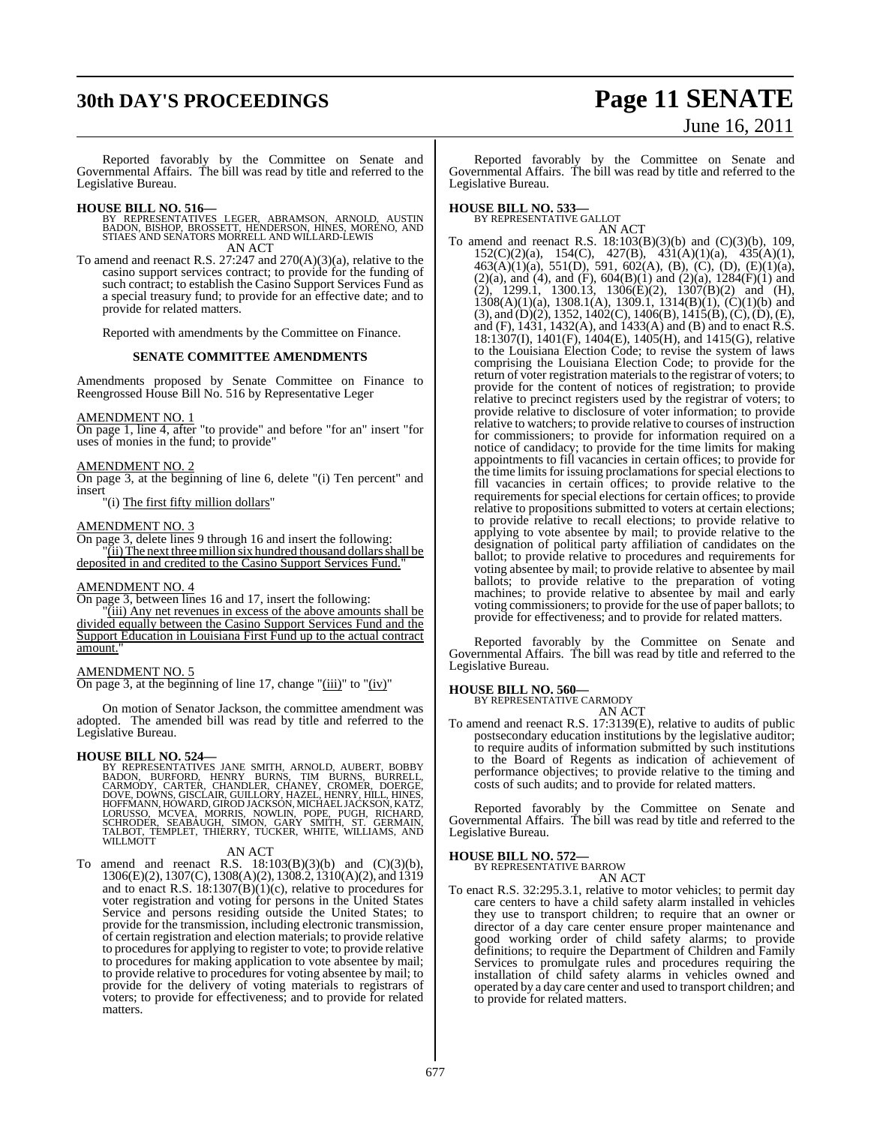## **30th DAY'S PROCEEDINGS Page 11 SENATE**

# June 16, 2011

Reported favorably by the Committee on Senate and Governmental Affairs. The bill was read by title and referred to the Legislative Bureau.

- **HOUSE BILL NO. 516—** BY REPRESENTATIVES LEGER, ABRAMSON, ARNOLD, AUSTIN BADON, BISHOP, BROSSETT, HENDERSON, HINES, MORENO, AND STIAES AND SENATORS MORRELL AND WILLARD-LEWIS AN ACT
- To amend and reenact R.S. 27:247 and 270(A)(3)(a), relative to the casino support services contract; to provide for the funding of such contract; to establish the Casino Support Services Fund as a special treasury fund; to provide for an effective date; and to provide for related matters.

Reported with amendments by the Committee on Finance.

## **SENATE COMMITTEE AMENDMENTS**

Amendments proposed by Senate Committee on Finance to Reengrossed House Bill No. 516 by Representative Leger

### AMENDMENT NO. 1

On page 1, line 4, after "to provide" and before "for an" insert "for uses of monies in the fund; to provide'

## AMENDMENT NO. 2

On page 3, at the beginning of line 6, delete "(i) Ten percent" and insert

"(i) The first fifty million dollars"

## AMENDMENT NO. 3

On page 3, delete lines 9 through 16 and insert the following: "(ii) The next three million six hundred thousand dollars shall be deposited in and credited to the Casino Support Services Fund."

## AMENDMENT NO. 4

On page 3, between lines 16 and 17, insert the following:

"(iii) Any net revenues in excess of the above amounts shall be divided equally between the Casino Support Services Fund and the Support Education in Louisiana First Fund up to the actual contract amount.

## AMENDMENT NO. 5

On page 3, at the beginning of line 17, change " $(iii)$ " to " $(iv)$ "

On motion of Senator Jackson, the committee amendment was adopted. The amended bill was read by title and referred to the Legislative Bureau.

**HOUSE BILL NO. 524—**<br>BY REPRESENTATIVES JANE SMITH, ARNOLD, AUBERT, BOBBY<br>BADON, BURFORD, HENRY BURNS, TIM BURNS, BURRELL,<br>CARMODY, CARTER, CHANDLER, CHANEY, CROMER, DOERGE,<br>DOVE, DOWNS, GISCLAIR, GUILLORY, HAZEL, HENRY,

## AN ACT

To amend and reenact R.S.  $18:103(B)(3)(b)$  and  $(C)(3)(b)$ , 1306(E)(2), 1307(C), 1308(A)(2), 1308.2, 1310(A)(2), and 1319 and to enact R.S. 18:1307(B)(1)(c), relative to procedures for voter registration and voting for persons in the United States Service and persons residing outside the United States; to provide for the transmission, including electronic transmission, of certain registration and election materials; to provide relative to procedures for applying to register to vote; to provide relative to procedures for making application to vote absentee by mail; to provide relative to procedures for voting absentee by mail; to provide for the delivery of voting materials to registrars of voters; to provide for effectiveness; and to provide for related matters.

Reported favorably by the Committee on Senate and Governmental Affairs. The bill was read by title and referred to the Legislative Bureau.

## **HOUSE BILL NO. 533—** BY REPRESENTATIVE GALLOT

AN ACT

To amend and reenact R.S. 18:103(B)(3)(b) and (C)(3)(b), 109, 152(C)(2)(a), 154(C), 427(B), 431(A)(1)(a), 435(A)(1), 463(A)(1)(a), 551(D), 591, 602(A), (B), (C), (D), (E)(1)(a),  $(2)(a)$ , and  $(4)$ , and  $(F)$ ,  $604(B)(1)$  and  $(2)(a)$ ,  $1284(F)(1)$  and (2), 1299.1, 1300.13, 1306(E)(2), 1307(B)(2) and (H),  $1308(A)(1)(a)$ ,  $1308.1(A)$ ,  $1309.1$ ,  $1314(B)(1)$ ,  $(C)(1)(b)$  and  $(3)$ , and  $(D)(2)$ , 1352, 1402 $(C)$ , 1406 $(B)$ , 1415 $(B)$ ,  $(C)$ ,  $(D)$ ,  $(E)$ , and (F), 1431, 1432(A), and 1433(A) and (B) and to enact R.S. 18:1307(I), 1401(F), 1404(E), 1405(H), and 1415(G), relative to the Louisiana Election Code; to revise the system of laws comprising the Louisiana Election Code; to provide for the return of voter registration materials to the registrar of voters; to provide for the content of notices of registration; to provide relative to precinct registers used by the registrar of voters; to provide relative to disclosure of voter information; to provide relative to watchers; to provide relative to courses of instruction for commissioners; to provide for information required on a notice of candidacy; to provide for the time limits for making appointments to fill vacancies in certain offices; to provide for the time limits for issuing proclamations for special elections to fill vacancies in certain offices; to provide relative to the requirements for special elections for certain offices; to provide relative to propositions submitted to voters at certain elections; to provide relative to recall elections; to provide relative to applying to vote absentee by mail; to provide relative to the designation of political party affiliation of candidates on the ballot; to provide relative to procedures and requirements for voting absentee by mail; to provide relative to absentee by mail ballots; to provide relative to the preparation of voting machines; to provide relative to absentee by mail and early voting commissioners; to provide for the use of paper ballots; to provide for effectiveness; and to provide for related matters.

Reported favorably by the Committee on Senate and Governmental Affairs. The bill was read by title and referred to the Legislative Bureau.

## **HOUSE BILL NO. 560—**

BY REPRESENTATIVE CARMODY AN ACT

To amend and reenact R.S. 17:3139(E), relative to audits of public postsecondary education institutions by the legislative auditor; to require audits of information submitted by such institutions to the Board of Regents as indication of achievement of performance objectives; to provide relative to the timing and costs of such audits; and to provide for related matters.

Reported favorably by the Committee on Senate and Governmental Affairs. The bill was read by title and referred to the Legislative Bureau.

## **HOUSE BILL NO. 572—**

BY REPRESENTATIVE BARROW AN ACT

To enact R.S. 32:295.3.1, relative to motor vehicles; to permit day care centers to have a child safety alarm installed in vehicles they use to transport children; to require that an owner or director of a day care center ensure proper maintenance and good working order of child safety alarms; to provide definitions; to require the Department of Children and Family Services to promulgate rules and procedures requiring the installation of child safety alarms in vehicles owned and operated by a day care center and used to transport children; and to provide for related matters.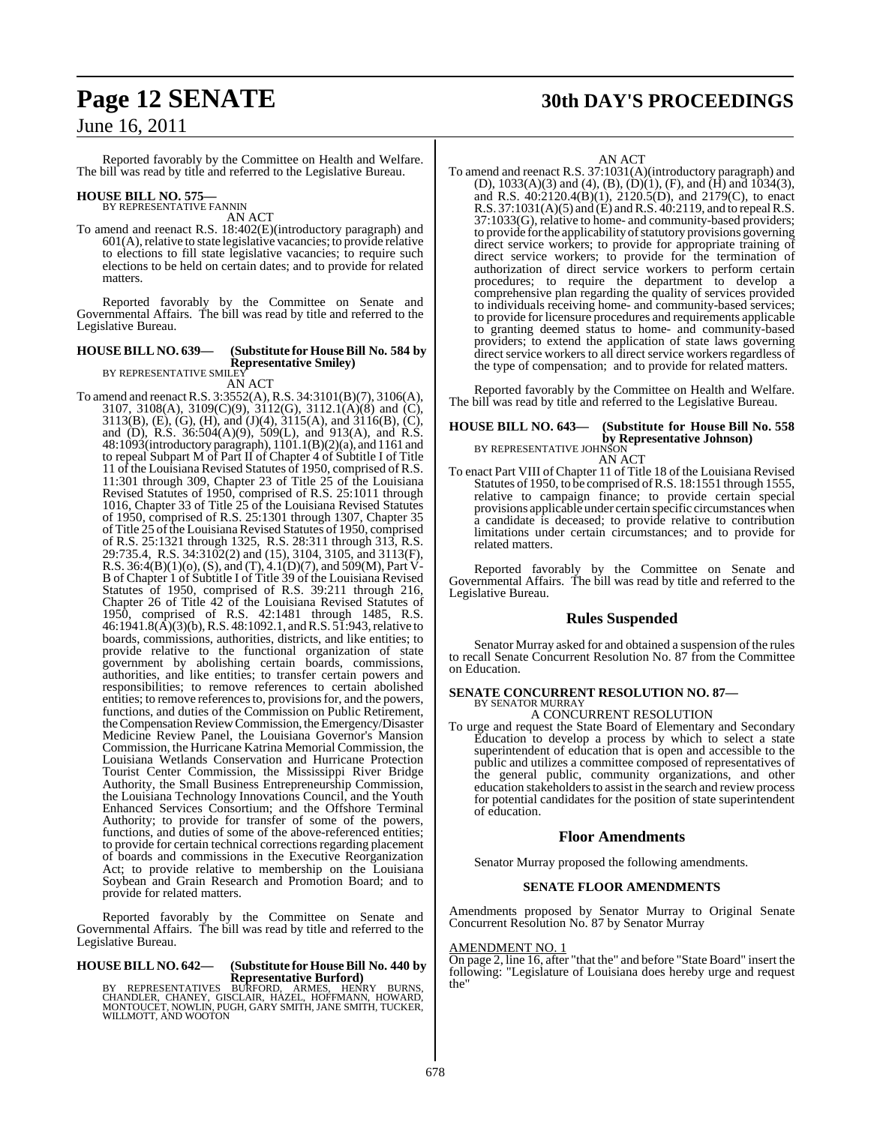## **Page 12 SENATE 30th DAY'S PROCEEDINGS**

## June 16, 2011

Reported favorably by the Committee on Health and Welfare. The bill was read by title and referred to the Legislative Bureau.

## **HOUSE BILL NO. 575—** BY REPRESENTATIVE FANNIN

AN ACT

To amend and reenact R.S. 18:402(E)(introductory paragraph) and  $601(A)$ , relative to state legislative vacancies; to provide relative to elections to fill state legislative vacancies; to require such elections to be held on certain dates; and to provide for related matters.

Reported favorably by the Committee on Senate and Governmental Affairs. The bill was read by title and referred to the Legislative Bureau.

#### **HOUSE BILL NO. 639— (Substitute for HouseBill No. 584 by Representative Smiley)** BY REPRESENTATIVE SMILEY

AN ACT

To amend and reenactR.S. 3:3552(A), R.S. 34:3101(B)(7), 3106(A), 3107, 3108(A), 3109(C)(9), 3112(G), 3112.1(A)(8) and (C), 3113(B), (E), (G), (H), and (J)(4), 3115(A), and 3116(B), (C), and (D), R.S. 36:504(A)(9), 509(L), and 913(A), and R.S. 48:1093(introductory paragraph), 1101.1(B)(2)(a), and 1161 and to repeal Subpart M of Part II of Chapter 4 of Subtitle I of Title 11 of the Louisiana Revised Statutes of 1950, comprised of R.S. 11:301 through 309, Chapter 23 of Title 25 of the Louisiana Revised Statutes of 1950, comprised of R.S. 25:1011 through 1016, Chapter 33 of Title 25 of the Louisiana Revised Statutes of 1950, comprised of R.S. 25:1301 through 1307, Chapter 35 of Title 25 of the Louisiana Revised Statutes of 1950, comprised of R.S. 25:1321 through 1325, R.S. 28:311 through 313, R.S. 29:735.4, R.S. 34:3102(2) and (15), 3104, 3105, and 3113(F), R.S.  $36:4(B)(1)(0)$ , (S), and (T),  $4.1(D)(7)$ , and  $509(M)$ , Part V-B of Chapter 1 of Subtitle I of Title 39 of the Louisiana Revised Statutes of 1950, comprised of R.S. 39:211 through 216, Chapter 26 of Title 42 of the Louisiana Revised Statutes of 1950, comprised of R.S. 42:1481 through 1485, R.S. 46:1941.8(A)(3)(b), R.S. 48:1092.1, and R.S. 51:943, relative to boards, commissions, authorities, districts, and like entities; to provide relative to the functional organization of state government by abolishing certain boards, commissions, authorities, and like entities; to transfer certain powers and responsibilities; to remove references to certain abolished entities; to remove references to, provisions for, and the powers, functions, and duties of the Commission on Public Retirement, the Compensation Review Commission, the Emergency/Disaster Medicine Review Panel, the Louisiana Governor's Mansion Commission, the Hurricane Katrina Memorial Commission, the Louisiana Wetlands Conservation and Hurricane Protection Tourist Center Commission, the Mississippi River Bridge Authority, the Small Business Entrepreneurship Commission, the Louisiana Technology Innovations Council, and the Youth Enhanced Services Consortium; and the Offshore Terminal Authority; to provide for transfer of some of the powers, functions, and duties of some of the above-referenced entities; to provide for certain technical corrections regarding placement of boards and commissions in the Executive Reorganization Act; to provide relative to membership on the Louisiana Soybean and Grain Research and Promotion Board; and to provide for related matters.

Reported favorably by the Committee on Senate and Governmental Affairs. The bill was read by title and referred to the Legislative Bureau.

## **HOUSE BILL NO. 642— (Substitute for HouseBill No. 440 by**

**REPRESENTATIVES REPRESENTATIVE REPRESENTATIVES BURFORD, ARMES, HENRY BURNS,**<br>CHANDLER, CHANEY, GISCLAIR, HAZEL, HOFFMANN, HOWARD,<br>MONTOUCET, NOWLIN, PUGH, GARY SMITH, JANE SMITH, TUCKER, WILLMOTT, AND WOOTON

## AN ACT

To amend and reenact R.S. 37:1031(A)(introductory paragraph) and (D), 1033(A)(3) and (4), (B), (D)(1), (F), and (H) and 1034(3), and R.S. 40:2120.4(B)(1), 2120.5(D), and 2179(C), to enact R.S. 37:1031(A)(5) and (E) and R.S. 40:2119, and to repeal R.S. 37:1033(G), relative to home- and community-based providers; to provide for the applicability of statutory provisions governing direct service workers; to provide for appropriate training of direct service workers; to provide for the termination of authorization of direct service workers to perform certain procedures; to require the department to develop a comprehensive plan regarding the quality of services provided to individuals receiving home- and community-based services; to provide for licensure procedures and requirements applicable to granting deemed status to home- and community-based providers; to extend the application of state laws governing direct service workers to all direct service workers regardless of the type of compensation; and to provide for related matters.

Reported favorably by the Committee on Health and Welfare. The bill was read by title and referred to the Legislative Bureau.

## **HOUSE BILL NO. 643— (Substitute for House Bill No. 558 by Representative Johnson)**<br>BY REPRESENTATIVE JOHNSON AN ACT

To enact Part VIII of Chapter 11 of Title 18 of the Louisiana Revised Statutes of 1950, to be comprised ofR.S. 18:1551 through 1555, relative to campaign finance; to provide certain special provisions applicable under certain specific circumstances when a candidate is deceased; to provide relative to contribution limitations under certain circumstances; and to provide for related matters.

Reported favorably by the Committee on Senate and Governmental Affairs. The bill was read by title and referred to the Legislative Bureau.

## **Rules Suspended**

Senator Murray asked for and obtained a suspension of the rules to recall Senate Concurrent Resolution No. 87 from the Committee on Education.

#### **SENATE CONCURRENT RESOLUTION NO. 87—** BY SENATOR MURRAY

A CONCURRENT RESOLUTION

To urge and request the State Board of Elementary and Secondary Education to develop a process by which to select a state superintendent of education that is open and accessible to the public and utilizes a committee composed of representatives of the general public, community organizations, and other education stakeholders to assist in the search and review process for potential candidates for the position of state superintendent of education.

## **Floor Amendments**

Senator Murray proposed the following amendments.

## **SENATE FLOOR AMENDMENTS**

Amendments proposed by Senator Murray to Original Senate Concurrent Resolution No. 87 by Senator Murray

## AMENDMENT NO. 1

On page 2, line 16, after "that the" and before "State Board" insert the following: "Legislature of Louisiana does hereby urge and request the"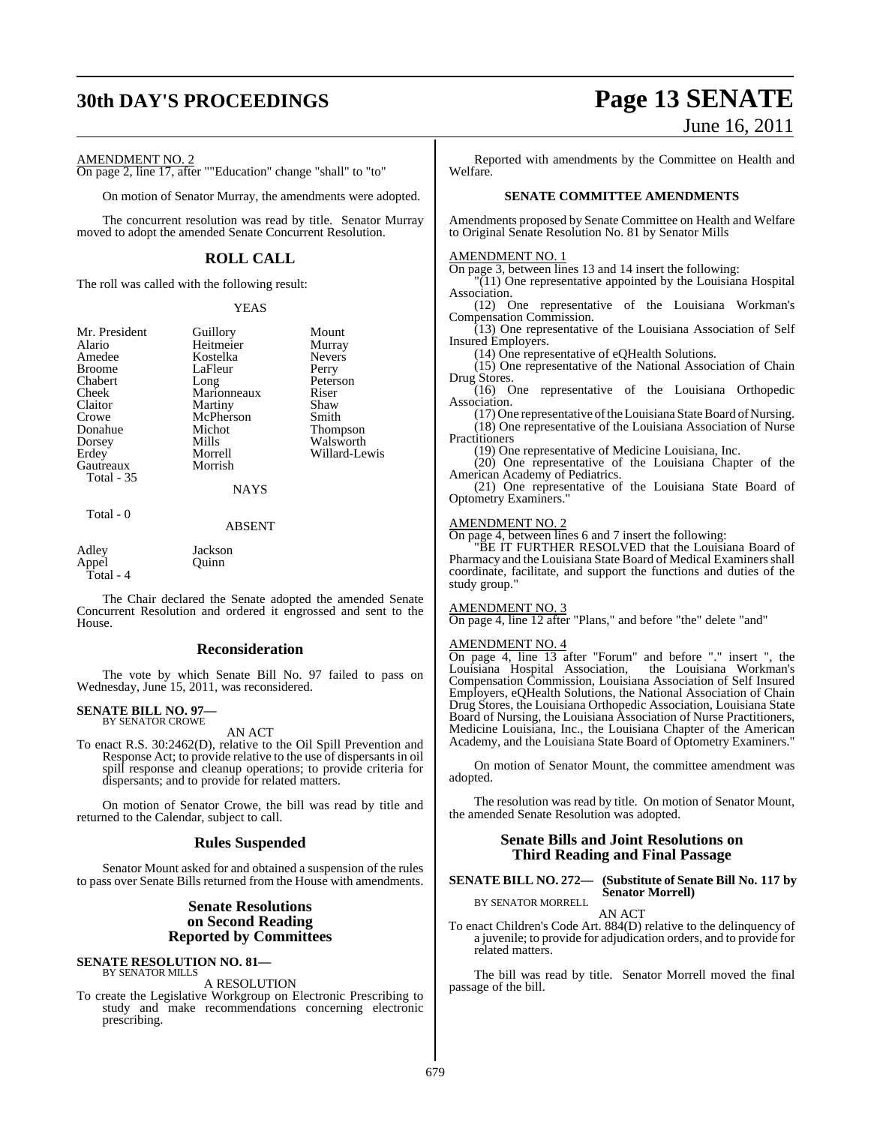## AMENDMENT NO. 2

On page 2, line 17, after ""Education" change "shall" to "to"

On motion of Senator Murray, the amendments were adopted.

The concurrent resolution was read by title. Senator Murray moved to adopt the amended Senate Concurrent Resolution.

## **ROLL CALL**

The roll was called with the following result:

#### YEAS

| Mr. President | Guillory    | Mount           |
|---------------|-------------|-----------------|
| Alario        | Heitmeier   | Murray          |
| Amedee        | Kostelka    | <b>Nevers</b>   |
| <b>Broome</b> | LaFleur     | Perry           |
| Chabert       | Long        | Peterson        |
| Cheek         | Marionneaux | Riser           |
| Claitor       | Martiny     | Shaw            |
| Crowe         | McPherson   | Smith           |
| Donahue       | Michot      | <b>Thompson</b> |
| Dorsey        | Mills       | Walsworth       |
| Erdey         | Morrell     | Willard-Lewis   |
| Gautreaux     | Morrish     |                 |
| Total - 35    |             |                 |
|               | <b>NAYS</b> |                 |
| Total - 0     |             |                 |

#### ABSENT

## Adley Jackson<br>Annel Ouinn Appel Quinn Total - 4

The Chair declared the Senate adopted the amended Senate Concurrent Resolution and ordered it engrossed and sent to the House.

## **Reconsideration**

The vote by which Senate Bill No. 97 failed to pass on Wednesday, June 15, 2011, was reconsidered.

#### **SENATE BILL NO. 97—** BY SENATOR CROWE

AN ACT

To enact R.S. 30:2462(D), relative to the Oil Spill Prevention and Response Act; to provide relative to the use of dispersants in oil spill response and cleanup operations; to provide criteria for dispersants; and to provide for related matters.

On motion of Senator Crowe, the bill was read by title and returned to the Calendar, subject to call.

## **Rules Suspended**

Senator Mount asked for and obtained a suspension of the rules to pass over Senate Bills returned from the House with amendments.

## **Senate Resolutions on Second Reading Reported by Committees**

#### **SENATE RESOLUTION NO. 81—** BY SENATOR MILLS

#### A RESOLUTION

To create the Legislative Workgroup on Electronic Prescribing to study and make recommendations concerning electronic prescribing.

## **30th DAY'S PROCEEDINGS Page 13 SENATE** June 16, 2011

Reported with amendments by the Committee on Health and Welfare.

## **SENATE COMMITTEE AMENDMENTS**

Amendments proposed by Senate Committee on Health and Welfare to Original Senate Resolution No. 81 by Senator Mills

### AMENDMENT NO. 1

On page 3, between lines 13 and 14 insert the following:

"(11) One representative appointed by the Louisiana Hospital Association.

(12) One representative of the Louisiana Workman's Compensation Commission.

(13) One representative of the Louisiana Association of Self Insured Employers.

(14) One representative of eQHealth Solutions.

(15) One representative of the National Association of Chain Drug Stores.

(16) One representative of the Louisiana Orthopedic Association.

 $(17)$  One representative of the Louisiana State Board of Nursing. (18) One representative of the Louisiana Association of Nurse **Practitioners** 

(19) One representative of Medicine Louisiana, Inc.

(20) One representative of the Louisiana Chapter of the American Academy of Pediatrics.

(21) One representative of the Louisiana State Board of Optometry Examiners."

#### AMENDMENT NO. 2

On page 4, between lines 6 and 7 insert the following:

"BE IT FURTHER RESOLVED that the Louisiana Board of Pharmacy and the Louisiana State Board of Medical Examiners shall coordinate, facilitate, and support the functions and duties of the study group."

## AMENDMENT NO. 3

On page 4, line 12 after "Plans," and before "the" delete "and"

### AMENDMENT NO. 4

On page 4, line 13 after "Forum" and before "." insert ", the Louisiana Hospital Association, Compensation Commission, Louisiana Association of Self Insured Employers, eQHealth Solutions, the National Association of Chain Drug Stores, the Louisiana Orthopedic Association, Louisiana State Board of Nursing, the Louisiana Association of Nurse Practitioners, Medicine Louisiana, Inc., the Louisiana Chapter of the American Academy, and the Louisiana State Board of Optometry Examiners."

On motion of Senator Mount, the committee amendment was adopted.

The resolution was read by title. On motion of Senator Mount, the amended Senate Resolution was adopted.

## **Senate Bills and Joint Resolutions on Third Reading and Final Passage**

#### **SENATE BILL NO. 272— (Substitute of Senate Bill No. 117 by Senator Morrell)** BY SENATOR MORRELL

AN ACT

To enact Children's Code Art. 884(D) relative to the delinquency of a juvenile; to provide for adjudication orders, and to provide for related matters.

The bill was read by title. Senator Morrell moved the final passage of the bill.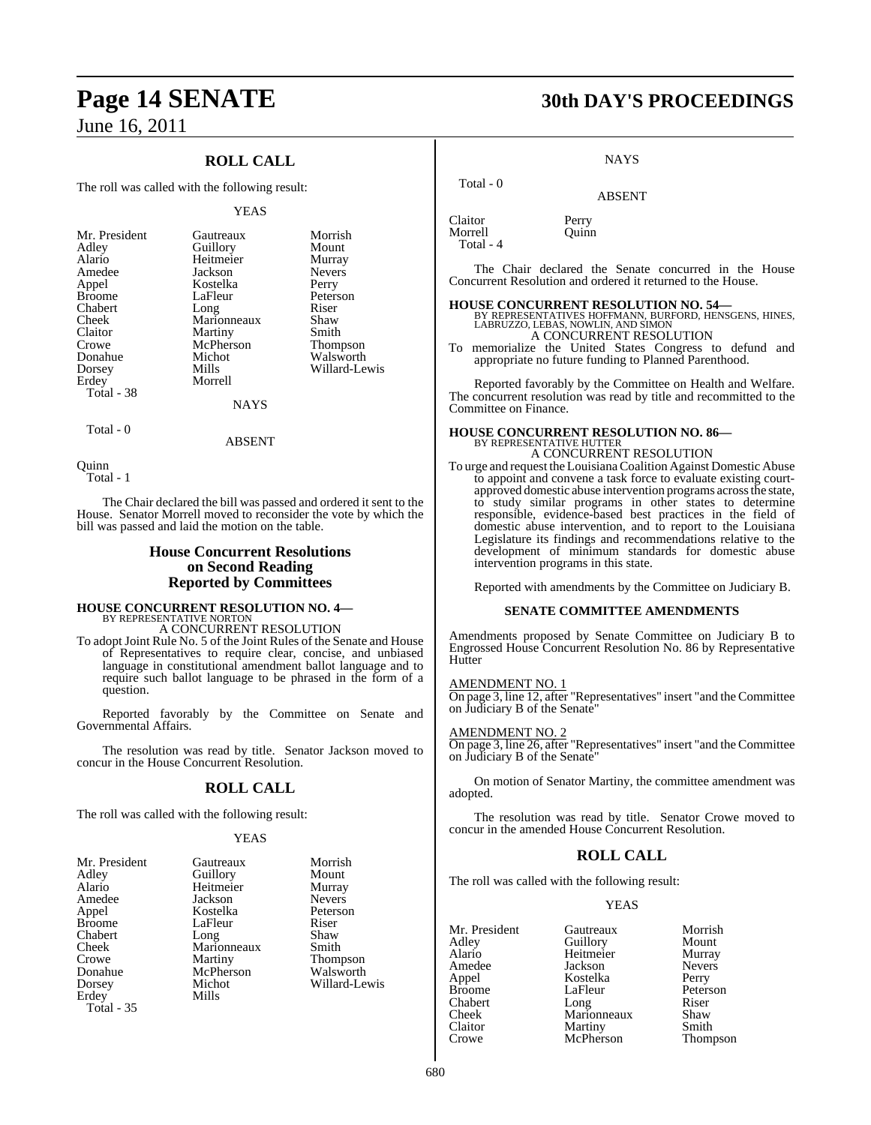## **ROLL CALL**

The roll was called with the following result:

#### YEAS

|             | Morrish               |
|-------------|-----------------------|
|             | Mount                 |
| Heitmeier   | Murray                |
| Jackson     | <b>Nevers</b>         |
| Kostelka    | Perry                 |
| LaFleur     | Peterson              |
| Long        | Riser                 |
| Marionneaux | Shaw                  |
| Martiny     | Smith                 |
| McPherson   | Thompson              |
| Michot      | Walsworth             |
| Mills       | Willard-Lewis         |
| Morrell     |                       |
|             |                       |
| NAYS        |                       |
|             | Gautreaux<br>Guillory |

Total - 0

Quinn Total - 1

The Chair declared the bill was passed and ordered it sent to the House. Senator Morrell moved to reconsider the vote by which the bill was passed and laid the motion on the table.

ABSENT

## **House Concurrent Resolutions on Second Reading Reported by Committees**

## **HOUSE CONCURRENT RESOLUTION NO. 4—** BY REPRESENTATIVE NORTON

A CONCURRENT RESOLUTION

To adopt Joint Rule No. 5 of the Joint Rules of the Senate and House of Representatives to require clear, concise, and unbiased language in constitutional amendment ballot language and to require such ballot language to be phrased in the form of a question.

Reported favorably by the Committee on Senate and Governmental Affairs.

The resolution was read by title. Senator Jackson moved to concur in the House Concurrent Resolution.

## **ROLL CALL**

The roll was called with the following result:

## YEAS

| Gautreaux   | Morrish       |
|-------------|---------------|
| Guillory    | Mount         |
| Heitmeier   | Murray        |
| Jackson     | <b>Nevers</b> |
| Kostelka    | Peterson      |
| LaFleur     | Riser         |
| Long        | Shaw          |
| Marionneaux | Smith         |
|             | Thompson      |
| McPherson   | Walsworth     |
| Michot      | Willard-Lewis |
| Mills       |               |
|             |               |
|             | Martiny       |

## **Page 14 SENATE 30th DAY'S PROCEEDINGS**

**NAYS** 

ABSENT

Claitor Perry<br>Morrell Ouinn Morrell Total - 4

Total - 0

The Chair declared the Senate concurred in the House Concurrent Resolution and ordered it returned to the House.

**HOUSE CONCURRENT RESOLUTION NO. 54—** BY REPRESENTATIVES HOFFMANN, BURFORD, HENSGENS, HINES, LABRUZZO, LEBAS, NOWLIN, AND SIMON A CONCURRENT RESOLUTION

To memorialize the United States Congress to defund and appropriate no future funding to Planned Parenthood.

Reported favorably by the Committee on Health and Welfare. The concurrent resolution was read by title and recommitted to the Committee on Finance.

## **HOUSE CONCURRENT RESOLUTION NO. 86—** BY REPRESENTATIVE HUTTER A CONCURRENT RESOLUTION

To urge and request the LouisianaCoalition Against Domestic Abuse to appoint and convene a task force to evaluate existing courtapproved domestic abuse intervention programs across the state, to study similar programs in other states to determine responsible, evidence-based best practices in the field of domestic abuse intervention, and to report to the Louisiana Legislature its findings and recommendations relative to the development of minimum standards for domestic abuse intervention programs in this state.

Reported with amendments by the Committee on Judiciary B.

## **SENATE COMMITTEE AMENDMENTS**

Amendments proposed by Senate Committee on Judiciary B to Engrossed House Concurrent Resolution No. 86 by Representative **Hutter** 

## AMENDMENT NO. 1

On page 3, line 12, after "Representatives" insert "and the Committee on Judiciary B of the Senate"

## AMENDMENT NO. 2

On page 3, line 26, after "Representatives" insert "and the Committee on Judiciary B of the Senate"

On motion of Senator Martiny, the committee amendment was adopted.

The resolution was read by title. Senator Crowe moved to concur in the amended House Concurrent Resolution.

## **ROLL CALL**

The roll was called with the following result:

## YEAS

| Mr. President | Gautreaux   | Morrish       |
|---------------|-------------|---------------|
| Adley         | Guillory    | Mount         |
| Alario        | Heitmeier   | Murray        |
| Amedee        | Jackson     | <b>Nevers</b> |
| Appel         | Kostelka    | Perry         |
| <b>Broome</b> | LaFleur     | Peterson      |
| Chabert       | Long        | Riser         |
| Cheek         | Marionneaux | Shaw          |
| Claitor       | Martiny     | Smith         |
| Crowe         | McPherson   | Thompson      |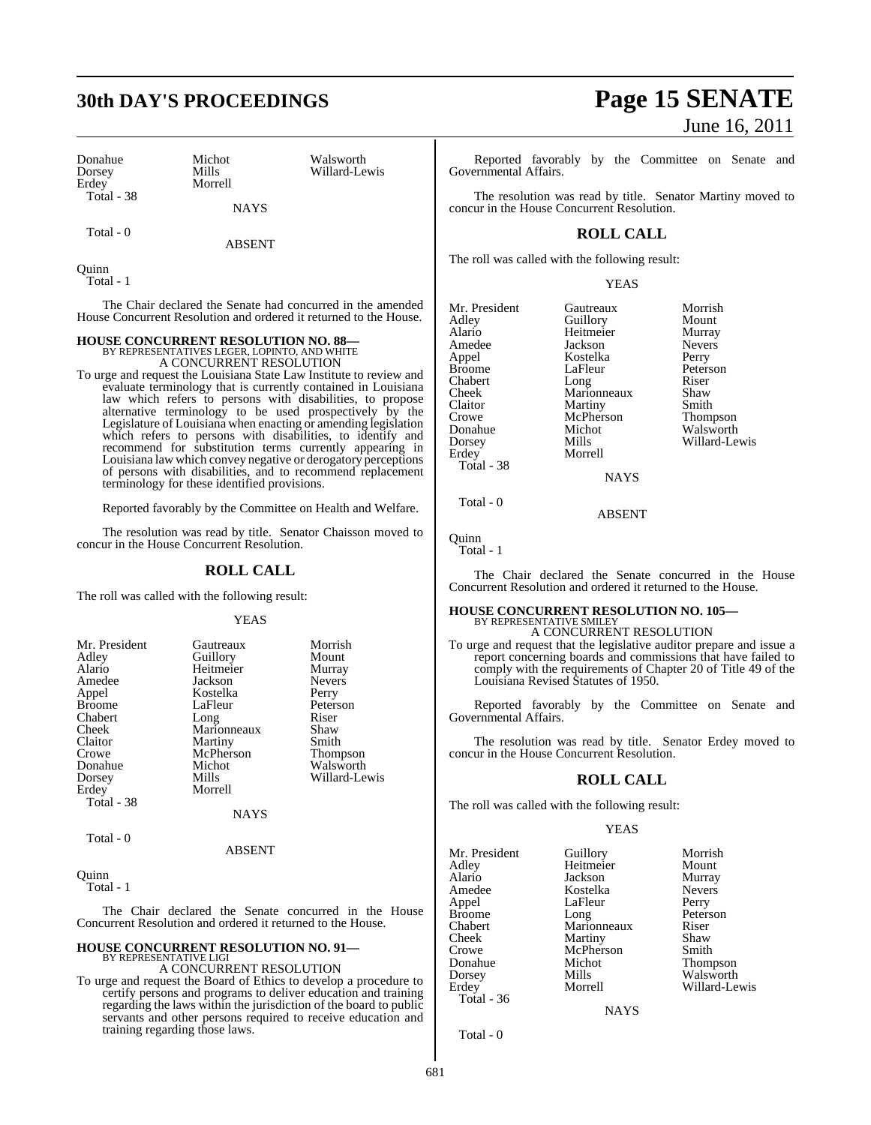| Donahue    | <b>Michot</b> |
|------------|---------------|
| Dorsey     | Mills         |
| Erdev      | Morrell       |
| Total - 38 |               |

Michot Walsworth<br>Mills Willard-Le

Willard-Lewis

**NAYS** 

Total - 0

ABSENT

Quinn Total - 1

The Chair declared the Senate had concurred in the amended House Concurrent Resolution and ordered it returned to the House.

## **HOUSE CONCURRENT RESOLUTION NO. 88—**

BY REPRESENTATIVES LEGER, LOPINTO, AND WHITE A CONCURRENT RESOLUTION

To urge and request the Louisiana State Law Institute to review and evaluate terminology that is currently contained in Louisiana law which refers to persons with disabilities, to propose alternative terminology to be used prospectively by the Legislature of Louisiana when enacting or amending legislation which refers to persons with disabilities, to identify and recommend for substitution terms currently appearing in Louisiana law which convey negative or derogatory perceptions of persons with disabilities, and to recommend replacement terminology for these identified provisions.

Reported favorably by the Committee on Health and Welfare.

The resolution was read by title. Senator Chaisson moved to concur in the House Concurrent Resolution.

## **ROLL CALL**

The roll was called with the following result:

### YEAS

| Mr. President | Gautreaux   | Morrish         |
|---------------|-------------|-----------------|
| Adley         | Guillory    | Mount           |
| Alario        | Heitmeier   | Murray          |
| Amedee        | Jackson     | <b>Nevers</b>   |
| Appel         | Kostelka    | Perry           |
| <b>Broome</b> | LaFleur     | Peterson        |
| Chabert       | Long        | Riser           |
| Cheek         | Marionneaux | Shaw            |
| Claitor       | Martiny     | Smith           |
| Crowe         | McPherson   | <b>Thompson</b> |
| Donahue       | Michot      | Walsworth       |
| Dorsey        | Mills       | Willard-Lewis   |
| Erdey         | Morrell     |                 |
| Total - 38    |             |                 |
|               | NAYS        |                 |

Total - 0

#### ABSENT

**Ouinn** 

Total - 1

The Chair declared the Senate concurred in the House Concurrent Resolution and ordered it returned to the House.

#### **HOUSE CONCURRENT RESOLUTION NO. 91—** BY REPRESENTATIVE LIGI

A CONCURRENT RESOLUTION

To urge and request the Board of Ethics to develop a procedure to certify persons and programs to deliver education and training regarding the laws within the jurisdiction of the board to public servants and other persons required to receive education and training regarding those laws.

## **30th DAY'S PROCEEDINGS Page 15 SENATE** June 16, 2011

Reported favorably by the Committee on Senate and Governmental Affairs.

The resolution was read by title. Senator Martiny moved to concur in the House Concurrent Resolution.

## **ROLL CALL**

The roll was called with the following result:

YEAS

Mr. President Gautreaux Morrish<br>
Adley Guillory Mount Adley Guillory Mount Alario Heitmeier Murray Amedee Jackson Nevers Broome LaFleur Peters<br>
Chabert Long Riser Chabert Long Riser<br>Cheek Marionneaux Shaw Cheek Marionneaux Shaw<br>Claitor Martiny Smith Claitor Martiny<br>Crowe McPherson Crowe McPherson Thompson<br>
Donahue Michot Walsworth Donahue Michot Walsworth<br>Dorsey Mills Willard-Le Dorsey Mills Willard-Lewis Total - 38

Kostelka Perry<br>LaFleur Peterson **Morrell NAYS** 

Total - 0

Quinn

Total - 1

The Chair declared the Senate concurred in the House Concurrent Resolution and ordered it returned to the House.

ABSENT

# **HOUSE CONCURRENT RESOLUTION NO. 105—** BY REPRESENTATIVE SMILEY A CONCURRENT RESOLUTION

To urge and request that the legislative auditor prepare and issue a report concerning boards and commissions that have failed to comply with the requirements of Chapter 20 of Title 49 of the Louisiana Revised Statutes of 1950.

Reported favorably by the Committee on Senate and Governmental Affairs.

The resolution was read by title. Senator Erdey moved to concur in the House Concurrent Resolution.

## **ROLL CALL**

The roll was called with the following result:

## YEAS

Mr. President Guillory Morrish<br>Adley Heitmeier Mount Adley Heitmeier Mount Alario Jackson Murray Kostelka Appel LaFleur Perry<br>Broome Long Peters Broome Long Peterson<br>
Chabert Marionneaux Riser Chabert Marionneaux Riser<br>Cheek Martiny Shaw Cheek Martiny Shaw<br>Crowe McPherson Smith Crowe McPherson<br>
Donahue Michot Donahue Michot Thompson Dorsey Mills Walsworth Total - 36

Willard-Lewis

**NAYS** 

Total - 0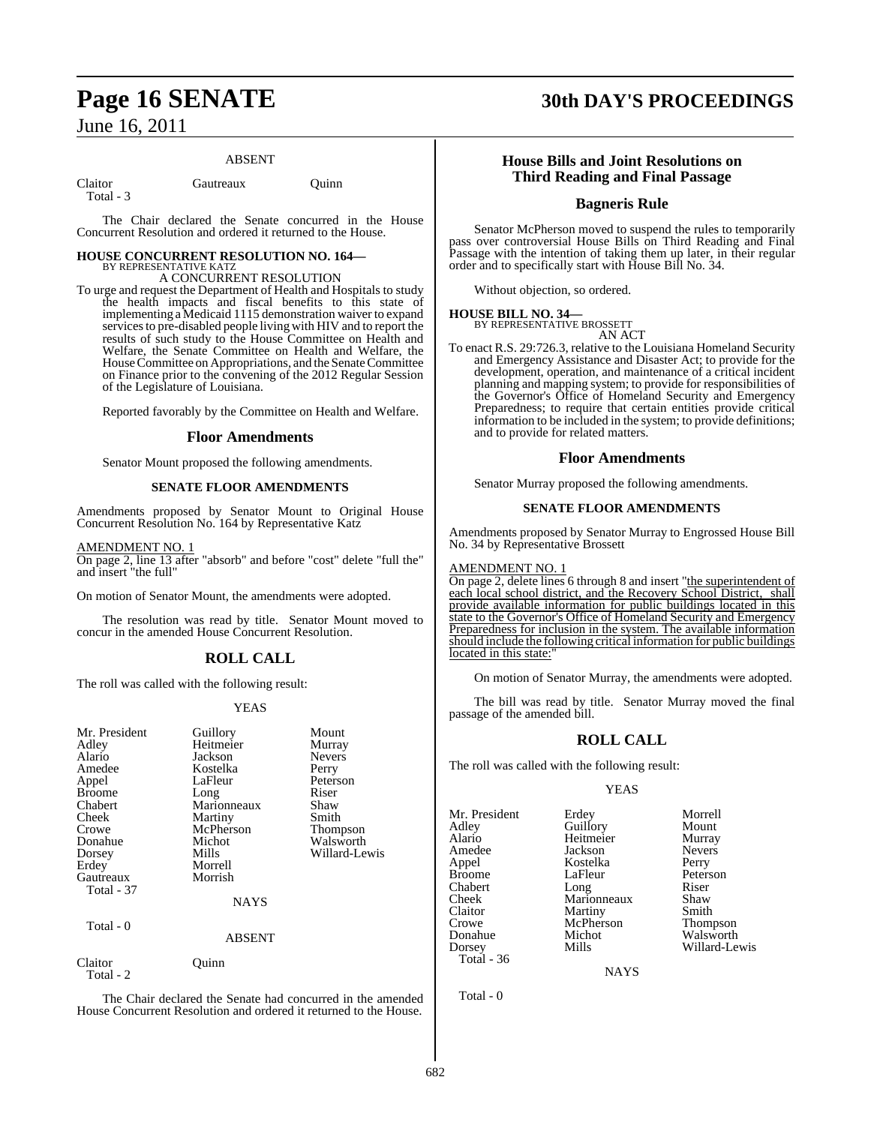## ABSENT

Total - 3

Claitor Gautreaux Ouinn

The Chair declared the Senate concurred in the House Concurrent Resolution and ordered it returned to the House.

## **HOUSE CONCURRENT RESOLUTION NO. 164—** BY REPRESENTATIVE KATZ

## A CONCURRENT RESOLUTION

To urge and request the Department of Health and Hospitals to study the health impacts and fiscal benefits to this state of implementing a Medicaid 1115 demonstration waiver to expand services to pre-disabled people living with HIV and to report the results of such study to the House Committee on Health and Welfare, the Senate Committee on Health and Welfare, the House Committee on Appropriations, and the Senate Committee on Finance prior to the convening of the 2012 Regular Session of the Legislature of Louisiana.

Reported favorably by the Committee on Health and Welfare.

## **Floor Amendments**

Senator Mount proposed the following amendments.

## **SENATE FLOOR AMENDMENTS**

Amendments proposed by Senator Mount to Original House Concurrent Resolution No. 164 by Representative Katz

AMENDMENT NO. 1

On page 2, line 13 after "absorb" and before "cost" delete "full the" and insert "the full"

On motion of Senator Mount, the amendments were adopted.

The resolution was read by title. Senator Mount moved to concur in the amended House Concurrent Resolution.

## **ROLL CALL**

The roll was called with the following result:

## YEAS

| Mr. President<br>Adley<br>Alario<br>Amedee<br>Appel<br><b>Broome</b><br>Chabert<br>Cheek<br>Crowe<br>Donahue<br>Dorsey<br>Erdey<br>Gautreaux<br><b>Total</b> - 37<br>Total - 0 | Guillory<br>Heitmeier<br>Jackson<br>Kostelka<br>LaFleur<br>Long<br>Marionneaux<br>Martiny<br>McPherson<br>Michot<br>Mills<br>Morrell<br>Morrish<br>NAYS<br><b>ABSENT</b> | Mount<br>Murray<br><b>Nevers</b><br>Perry<br>Peterson<br>Riser<br>Shaw<br>Smith<br><b>Thompson</b><br>Walsworth<br>Willard-Lewis |
|--------------------------------------------------------------------------------------------------------------------------------------------------------------------------------|--------------------------------------------------------------------------------------------------------------------------------------------------------------------------|----------------------------------------------------------------------------------------------------------------------------------|
| Claitor<br>Total - 2                                                                                                                                                           | Ouinn                                                                                                                                                                    |                                                                                                                                  |
|                                                                                                                                                                                |                                                                                                                                                                          |                                                                                                                                  |

The Chair declared the Senate had concurred in the amended House Concurrent Resolution and ordered it returned to the House.

## **Page 16 SENATE 30th DAY'S PROCEEDINGS**

## **House Bills and Joint Resolutions on Third Reading and Final Passage**

## **Bagneris Rule**

Senator McPherson moved to suspend the rules to temporarily pass over controversial House Bills on Third Reading and Final Passage with the intention of taking them up later, in their regular order and to specifically start with House Bill No. 34.

Without objection, so ordered.

## **HOUSE BILL NO. 34—**

BY REPRESENTATIVE BROSSETT AN ACT

To enact R.S. 29:726.3, relative to the Louisiana Homeland Security and Emergency Assistance and Disaster Act; to provide for the development, operation, and maintenance of a critical incident planning and mapping system; to provide for responsibilities of the Governor's Office of Homeland Security and Emergency Preparedness; to require that certain entities provide critical information to be included in the system; to provide definitions; and to provide for related matters.

## **Floor Amendments**

Senator Murray proposed the following amendments.

## **SENATE FLOOR AMENDMENTS**

Amendments proposed by Senator Murray to Engrossed House Bill No. 34 by Representative Brossett

## AMENDMENT NO. 1

On page 2, delete lines 6 through 8 and insert "the superintendent of each local school district, and the Recovery School District, shall provide available information for public buildings located in this state to the Governor's Office of Homeland Security and Emergency Preparedness for inclusion in the system. The available information should include the following critical information for public buildings located in this state:

On motion of Senator Murray, the amendments were adopted.

The bill was read by title. Senator Murray moved the final passage of the amended bill.

## **ROLL CALL**

The roll was called with the following result:

## YEAS

Mr. President Erdey Morrell<br>Adley Guillory Mount Adley Guillory Mount Alario Heitmeier Murray Amedee Jackson Never<br>Appel Kostelka Perry Appel Kostelka Perry Chabert Long Riser<br>Cheek Marionneaux Shaw Cheek Marionneaux Shaw Claitor Martiny Smith<br>Crowe McPherson Thompson Crowe McPherson<br>
Donahue Michot Donahue Michot Walsworth<br>
Dorsey Mills Willard-Le Total - 36

LaFleur

Willard-Lewis

NAYS

Total - 0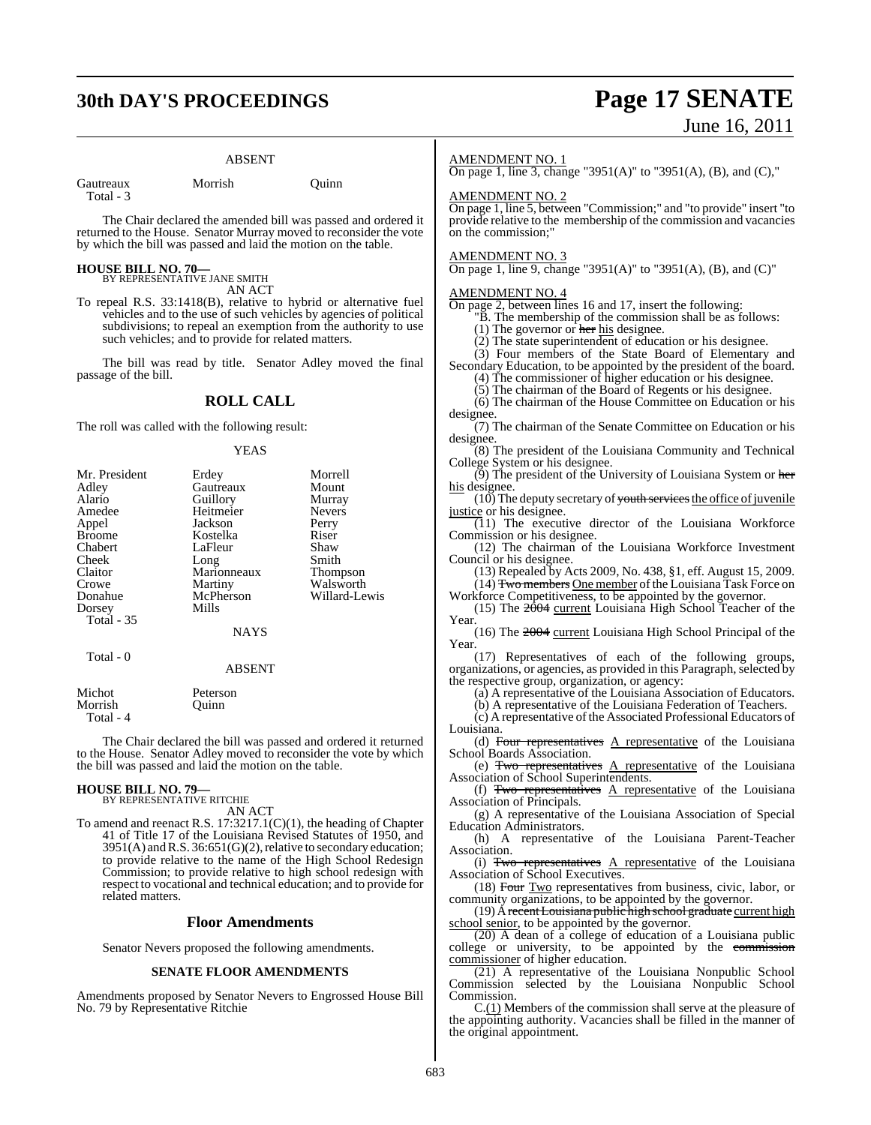## **30th DAY'S PROCEEDINGS Page 17 SENATE**

## ABSENT

Gautreaux Morrish Quinn Total - 3

The Chair declared the amended bill was passed and ordered it returned to the House. Senator Murray moved to reconsider the vote by which the bill was passed and laid the motion on the table.

## **HOUSE BILL NO. 70—**

BY REPRESENTATIVE JANE SMITH AN ACT

To repeal R.S. 33:1418(B), relative to hybrid or alternative fuel vehicles and to the use of such vehicles by agencies of political subdivisions; to repeal an exemption from the authority to use such vehicles; and to provide for related matters.

The bill was read by title. Senator Adley moved the final passage of the bill.

## **ROLL CALL**

The roll was called with the following result:

### YEAS

| Mr. President<br>Adley<br>Alario<br>Amedee<br>Appel<br><b>Broome</b><br>Chabert<br>Cheek<br>Claitor<br>Crowe<br>Donahue<br>Dorsey | Erdey<br>Gautreaux<br>Guillory<br>Heitmeier<br>Jackson<br>Kostelka<br>LaFleur<br>Long<br>Marionneaux<br>Martiny<br>McPherson<br>Mills | Morrell<br>Mount<br>Murray<br><b>Nevers</b><br>Perry<br>Riser<br>Shaw<br>Smith<br>Thompson<br>Walsworth<br>Willard-Lewis |
|-----------------------------------------------------------------------------------------------------------------------------------|---------------------------------------------------------------------------------------------------------------------------------------|--------------------------------------------------------------------------------------------------------------------------|
| Total - 35                                                                                                                        | <b>NAYS</b>                                                                                                                           |                                                                                                                          |
| Total - 0                                                                                                                         | <b>ABSENT</b>                                                                                                                         |                                                                                                                          |
| Michot<br>Morrish                                                                                                                 | Peterson<br>Ouinn                                                                                                                     |                                                                                                                          |

Total - 4

The Chair declared the bill was passed and ordered it returned to the House. Senator Adley moved to reconsider the vote by which the bill was passed and laid the motion on the table.

## **HOUSE BILL NO. 79—** BY REPRESENTATIVE RITCHIE

related matters.

AN ACT To amend and reenact R.S. 17:3217.1(C)(1), the heading of Chapter 41 of Title 17 of the Louisiana Revised Statutes of 1950, and 3951(A) and R.S. 36:651(G)(2), relative to secondary education; to provide relative to the name of the High School Redesign Commission; to provide relative to high school redesign with respect to vocational and technical education; and to provide for

## **Floor Amendments**

Senator Nevers proposed the following amendments.

## **SENATE FLOOR AMENDMENTS**

Amendments proposed by Senator Nevers to Engrossed House Bill No. 79 by Representative Ritchie

# June 16, 2011

### AMENDMENT NO. 1

On page 1, line 3, change "3951(A)" to "3951(A), (B), and (C),"

### AMENDMENT NO. 2

On page 1, line 5, between "Commission;" and "to provide" insert "to provide relative to the membership of the commission and vacancies on the commission;"

### AMENDMENT NO. 3

On page 1, line 9, change "3951(A)" to "3951(A), (B), and (C)"

### AMENDMENT NO. 4

On page 2, between lines 16 and 17, insert the following:

"B. The membership of the commission shall be as follows:

(1) The governor or her his designee.

(2) The state superintendent of education or his designee.

(3) Four members of the State Board of Elementary and Secondary Education, to be appointed by the president of the board.

(4) The commissioner of higher education or his designee.

(5) The chairman of the Board of Regents or his designee.

(6) The chairman of the House Committee on Education or his designee.

(7) The chairman of the Senate Committee on Education or his designee.

(8) The president of the Louisiana Community and Technical College System or his designee.

 $(9)$  The president of the University of Louisiana System or her his designee.

 $(10)$  The deputy secretary of youth services the office of juvenile justice or his designee.

 $(11)$  The executive director of the Louisiana Workforce Commission or his designee.

(12) The chairman of the Louisiana Workforce Investment Council or his designee.

(13) Repealed by Acts 2009, No. 438, §1, eff. August 15, 2009. (14) Two members One member of the Louisiana Task Force on

Workforce Competitiveness, to be appointed by the governor. (15) The  $2004$  current Louisiana High School Teacher of the Year.

(16) The 2004 current Louisiana High School Principal of the Year.

(17) Representatives of each of the following groups, organizations, or agencies, as provided in this Paragraph, selected by the respective group, organization, or agency:

(a) A representative of the Louisiana Association of Educators.

(b) A representative of the Louisiana Federation of Teachers.

 $(c)$  A representative of the Associated Professional Educators of

Louisiana. (d) Four representatives  $A$  representative of the Louisiana School Boards Association.

(e) Two representatives A representative of the Louisiana Association of School Superintendents.

(f) Two representatives  $A$  representative of the Louisiana Association of Principals.

(g) A representative of the Louisiana Association of Special Education Administrators.

(h) A representative of the Louisiana Parent-Teacher Association.

(i) Two representatives A representative of the Louisiana Association of School Executives.

(18) Four Two representatives from business, civic, labor, or community organizations, to be appointed by the governor.

(19) A recent Louisiana public high school graduate current high school senior, to be appointed by the governor.

(20) A dean of a college of education of a Louisiana public college or university, to be appointed by the commission commissioner of higher education.

(21) A representative of the Louisiana Nonpublic School Commission selected by the Louisiana Nonpublic School Commission.

 $C.(1)$  Members of the commission shall serve at the pleasure of the appointing authority. Vacancies shall be filled in the manner of the original appointment.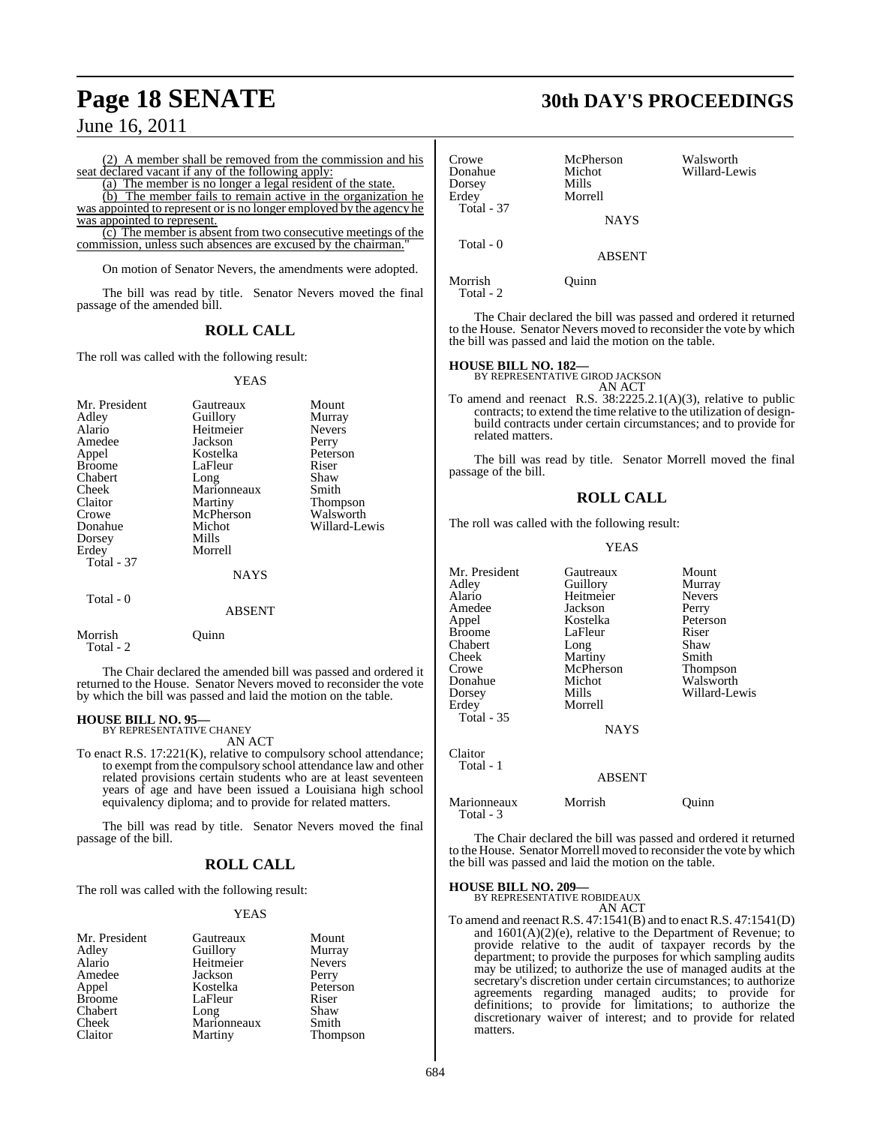(2) A member shall be removed from the commission and his seat declared vacant if any of the following apply:

(a) The member is no longer a legal resident of the state.

(b) The member fails to remain active in the organization he was appointed to represent or is no longer employed by the agency he was appointed to represent.

(c) The member is absent from two consecutive meetings of the commission, unless such absences are excused by the chairman."

On motion of Senator Nevers, the amendments were adopted.

The bill was read by title. Senator Nevers moved the final passage of the amended bill.

## **ROLL CALL**

The roll was called with the following result:

## YEAS

| Mr. President<br>Adley<br>Alario<br>Amedee<br>Appel<br><b>Broome</b><br>Chabert<br>Cheek<br>Claitor<br>Crowe<br>Donahue<br>Dorsey<br>Erdey<br>Total - 37 | Gautreaux<br>Guillory<br>Heitmeier<br>Jackson<br>Kostelka<br>LaFleur<br>Long<br>Marionneaux<br>Martiny<br>McPherson<br>Michot<br>Mills<br>Morrell | Mount<br>Murray<br><b>Nevers</b><br>Perry<br>Peterson<br>Riser<br>Shaw<br>Smith<br>Thompson<br>Walsworth<br>Willard-Lewis |
|----------------------------------------------------------------------------------------------------------------------------------------------------------|---------------------------------------------------------------------------------------------------------------------------------------------------|---------------------------------------------------------------------------------------------------------------------------|
|                                                                                                                                                          | <b>NAYS</b>                                                                                                                                       |                                                                                                                           |
| Total - 0                                                                                                                                                | <b>ABSENT</b>                                                                                                                                     |                                                                                                                           |
| Morrish                                                                                                                                                  | <b>Duinn</b>                                                                                                                                      |                                                                                                                           |

Total - 2

The Chair declared the amended bill was passed and ordered it returned to the House. Senator Nevers moved to reconsider the vote by which the bill was passed and laid the motion on the table.

#### **HOUSE BILL NO. 95** BY REPRESENTATIVE CHANEY

AN ACT

To enact R.S. 17:221(K), relative to compulsory school attendance; to exempt from the compulsory school attendance law and other related provisions certain students who are at least seventeen years of age and have been issued a Louisiana high school equivalency diploma; and to provide for related matters.

The bill was read by title. Senator Nevers moved the final passage of the bill.

## **ROLL CALL**

The roll was called with the following result:

## YEAS

| Mr. President | Gautreaux   | Mount         |
|---------------|-------------|---------------|
| Adley         | Guillory    | Murray        |
| Alario        | Heitmeier   | <b>Nevers</b> |
| Amedee        | Jackson     | Perry         |
| Appel         | Kostelka    | Peterson      |
| <b>Broome</b> | LaFleur     | Riser         |
| Chabert       | Long        | Shaw          |
| Cheek         | Marionneaux | Smith         |
| Claitor       | Martiny     | Thompson      |

## **Page 18 SENATE 30th DAY'S PROCEEDINGS**

| Crowe<br>Donahue<br>Dorsey<br>Erdey | McPherson<br>Michot<br>Mills<br>Morrell | Walsworth<br>Willard-Lewis |
|-------------------------------------|-----------------------------------------|----------------------------|
| <b>Total - 37</b>                   | <b>NAYS</b>                             |                            |
| Total - 0                           | <b>ABSENT</b>                           |                            |
| Morrish                             | )uinn                                   |                            |

Total - 2

The Chair declared the bill was passed and ordered it returned to the House. Senator Nevers moved to reconsider the vote by which the bill was passed and laid the motion on the table.

## **HOUSE BILL NO. 182—**

BY REPRESENTATIVE GIROD JACKSON

AN ACT To amend and reenact R.S. 38:2225.2.1(A)(3), relative to public contracts; to extend the time relative to the utilization of designbuild contracts under certain circumstances; and to provide for related matters.

The bill was read by title. Senator Morrell moved the final passage of the bill.

## **ROLL CALL**

The roll was called with the following result:

## YEAS

| Mr. President<br>Adley<br>Alario<br>Amedee<br>Appel<br><b>Broome</b><br>Chabert<br>Cheek<br>Crowe<br>Donahue<br>Dorsey<br>Erdey<br><b>Total - 35</b> | Gautreaux<br>Guillory<br>Heitmeier<br>Jackson<br>Kostelka<br>LaFleur<br>Long<br>Martiny<br>McPherson<br>Michot<br>Mills<br>Morrell<br><b>NAYS</b> | Mount<br>Murray<br><b>Nevers</b><br>Perry<br>Peterson<br>Riser<br>Shaw<br>Smith<br>Thompson<br>Walsworth<br>Willard-Lewis |
|------------------------------------------------------------------------------------------------------------------------------------------------------|---------------------------------------------------------------------------------------------------------------------------------------------------|---------------------------------------------------------------------------------------------------------------------------|
| Claitor<br>Total - 1                                                                                                                                 | <b>ABSENT</b>                                                                                                                                     |                                                                                                                           |
| Marionneaux                                                                                                                                          | Morrish                                                                                                                                           | Ouinn                                                                                                                     |

The Chair declared the bill was passed and ordered it returned to the House. Senator Morrell moved to reconsider the vote by which the bill was passed and laid the motion on the table.

## **HOUSE BILL NO. 209—** BY REPRESENTATIVE ROBIDEAUX

Total - 3

AN ACT

To amend and reenact R.S. 47:1541(B) and to enact R.S. 47:1541(D) and  $1601(A)(2)(e)$ , relative to the Department of Revenue; to provide relative to the audit of taxpayer records by the department; to provide the purposes for which sampling audits may be utilized; to authorize the use of managed audits at the secretary's discretion under certain circumstances; to authorize agreements regarding managed audits; to provide for definitions; to provide for limitations; to authorize the discretionary waiver of interest; and to provide for related matters.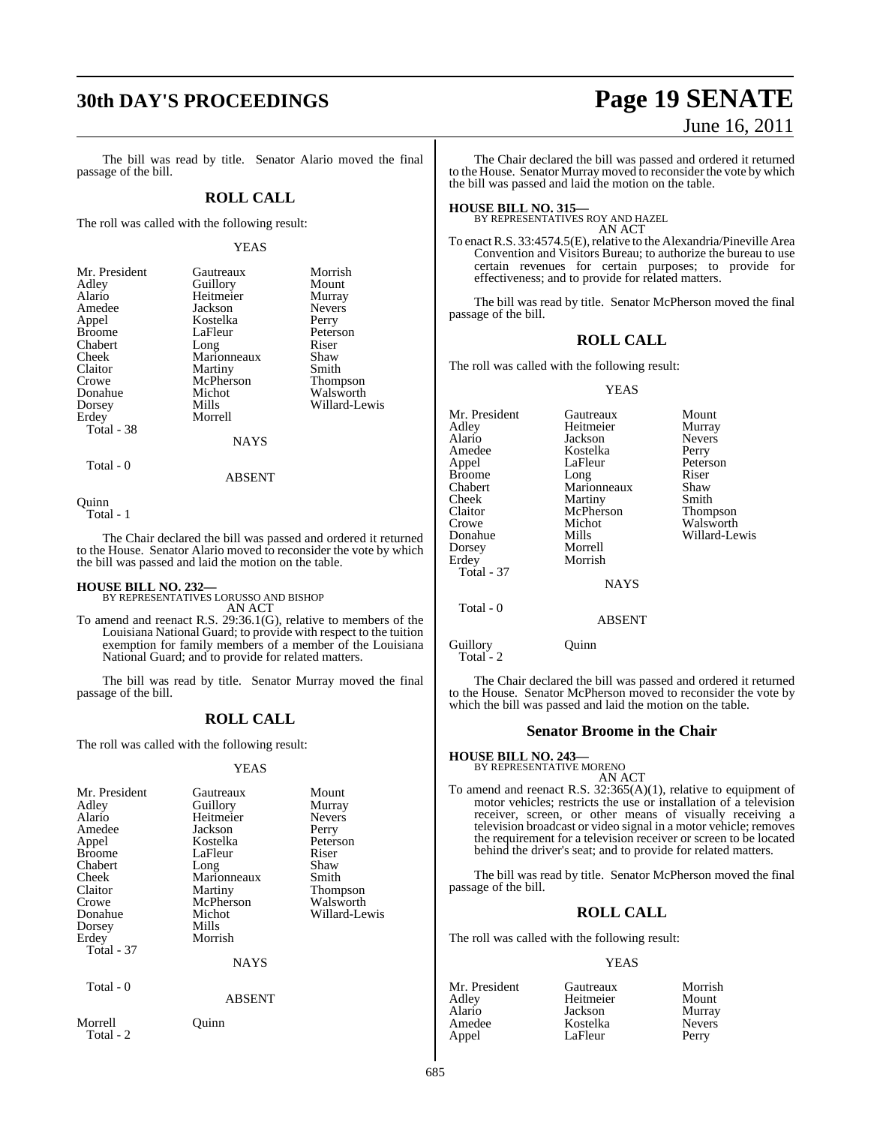## **30th DAY'S PROCEEDINGS Page 19 SENATE**

## The bill was read by title. Senator Alario moved the final passage of the bill.

## **ROLL CALL**

The roll was called with the following result:

## YEAS

| Gautreaux   | Morrish         |
|-------------|-----------------|
|             | Mount           |
| Heitmeier   | Murray          |
| Jackson     | <b>Nevers</b>   |
| Kostelka    | Perry           |
| LaFleur     | Peterson        |
| Long        | Riser           |
| Marionneaux | Shaw            |
| Martiny     | Smith           |
| McPherson   | <b>Thompson</b> |
| Michot      | Walsworth       |
| Mills       | Willard-Lewis   |
| Morrell     |                 |
|             |                 |
| NAYS        |                 |
|             | Guillory        |

Total - 0

ABSENT

**Ouinn** 

Total - 1

The Chair declared the bill was passed and ordered it returned to the House. Senator Alario moved to reconsider the vote by which the bill was passed and laid the motion on the table.

**HOUSE BILL NO. 232—** BY REPRESENTATIVES LORUSSO AND BISHOP AN ACT

To amend and reenact R.S. 29:36.1(G), relative to members of the Louisiana National Guard; to provide with respect to the tuition exemption for family members of a member of the Louisiana National Guard; and to provide for related matters.

The bill was read by title. Senator Murray moved the final passage of the bill.

## **ROLL CALL**

The roll was called with the following result:

## YEAS

| Mr. President        | Gautreaux     | Mount         |
|----------------------|---------------|---------------|
| Adley                | Guillory      | Murray        |
| Alario               | Heitmeier     | <b>Nevers</b> |
| Amedee               | Jackson       | Perry         |
| Appel                | Kostelka      | Peterson      |
| <b>Broome</b>        | LaFleur       | Riser         |
| Chabert              | Long          | Shaw          |
| Cheek                | Marionneaux   | Smith         |
| Claitor              | Martiny       | Thompson      |
| Crowe                | McPherson     | Walsworth     |
| Donahue              | Michot        | Willard-Lewis |
| Dorsey               | Mills         |               |
| Erdey                | Morrish       |               |
| Total - 37           |               |               |
|                      | <b>NAYS</b>   |               |
| Total - 0            |               |               |
|                      | <b>ABSENT</b> |               |
| Morrell<br>Total - 2 | Ouınn         |               |

# June 16, 2011

The Chair declared the bill was passed and ordered it returned to the House. Senator Murray moved to reconsider the vote by which the bill was passed and laid the motion on the table.

**HOUSE BILL NO. 315—** BY REPRESENTATIVES ROY AND HAZEL AN ACT

To enact R.S. 33:4574.5(E), relative to the Alexandria/Pineville Area Convention and Visitors Bureau; to authorize the bureau to use certain revenues for certain purposes; to provide for effectiveness; and to provide for related matters.

The bill was read by title. Senator McPherson moved the final passage of the bill.

## **ROLL CALL**

The roll was called with the following result:

### YEAS

| Mr. President     | Gautreaux     | Mount           |
|-------------------|---------------|-----------------|
| Adley             | Heitmeier     | Murray          |
| Alario            | Jackson       | <b>Nevers</b>   |
| Amedee            | Kostelka      | Perry           |
| Appel             | LaFleur       | Peterson        |
| Broome            | Long          | Riser           |
| Chabert           | Marionneaux   | Shaw            |
| Cheek             | Martiny       | Smith           |
| Claitor           | McPherson     | <b>Thompson</b> |
| Crowe             | Michot        | Walsworth       |
| Donahue           | Mills         | Willard-Lewis   |
| Dorsey            | Morrell       |                 |
| Erdey             | Morrish       |                 |
| <b>Total - 37</b> |               |                 |
|                   | <b>NAYS</b>   |                 |
| Total - 0         |               |                 |
|                   | <b>ABSENT</b> |                 |
|                   |               |                 |

Guillory Quinn

Total - 2

The Chair declared the bill was passed and ordered it returned to the House. Senator McPherson moved to reconsider the vote by which the bill was passed and laid the motion on the table.

## **Senator Broome in the Chair**

**HOUSE BILL NO. 243—**

- BY REPRESENTATIVE MORENO AN ACT
- To amend and reenact R.S. 32:365(A)(1), relative to equipment of motor vehicles; restricts the use or installation of a television receiver, screen, or other means of visually receiving a television broadcast or video signal in a motor vehicle; removes the requirement for a television receiver or screen to be located behind the driver's seat; and to provide for related matters.

The bill was read by title. Senator McPherson moved the final passage of the bill.

## **ROLL CALL**

The roll was called with the following result:

LaFleur

## YEAS

Mr. President Gautreaux Morrish<br>
Adley Heitmeier Mount Adley Heitmeier Mount Alario Jackson Murray Amedee Kostelka Never<br>Appel LaFleur Perry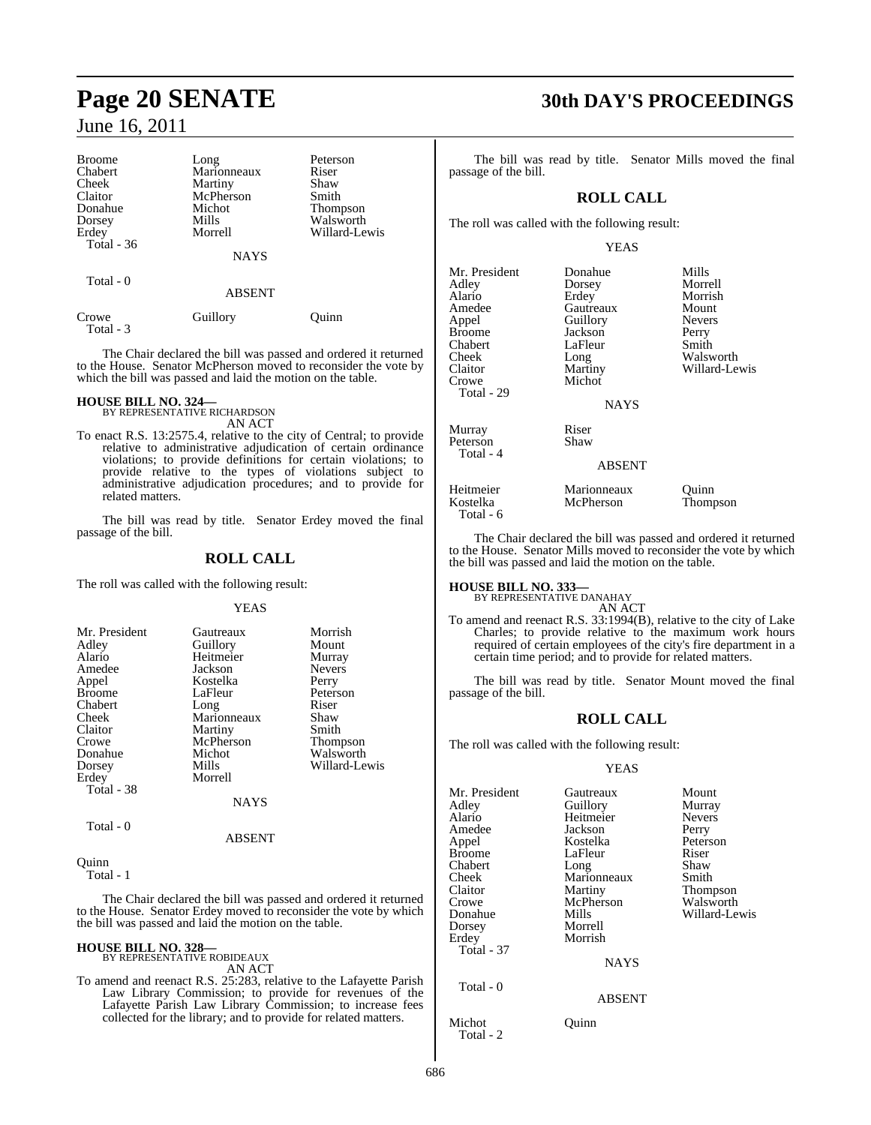| <b>Broome</b> | Long          | Peterson        |
|---------------|---------------|-----------------|
| Chabert       | Marionneaux   | Riser           |
| Cheek         | Martiny       | Shaw            |
| Claitor       | McPherson     | Smith           |
| Donahue       | Michot        | <b>Thompson</b> |
| Dorsey        | Mills         | Walsworth       |
| Erdey         | Morrell       | Willard-Lewis   |
| Total - 36    |               |                 |
|               | <b>NAYS</b>   |                 |
| Total - 0     |               |                 |
|               | <b>ABSENT</b> |                 |
| Crowe         | Guillory      | uinn            |

The Chair declared the bill was passed and ordered it returned to the House. Senator McPherson moved to reconsider the vote by which the bill was passed and laid the motion on the table.

## **HOUSE BILL NO. 324—** BY REPRESENTATIVE RICHARDSON

Total - 3

AN ACT

To enact R.S. 13:2575.4, relative to the city of Central; to provide relative to administrative adjudication of certain ordinance violations; to provide definitions for certain violations; to provide relative to the types of violations subject to administrative adjudication procedures; and to provide for related matters.

The bill was read by title. Senator Erdey moved the final passage of the bill.

## **ROLL CALL**

The roll was called with the following result:

YEAS

| Mr. President | Gautreaux   | Morrish         |
|---------------|-------------|-----------------|
| Adley         | Guillory    | Mount           |
| Alario        | Heitmeier   | Murray          |
| Amedee        | Jackson     | <b>Nevers</b>   |
| Appel         | Kostelka    | Perry           |
| <b>Broome</b> | LaFleur     | Peterson        |
| Chabert       | Long        | Riser           |
| Cheek         | Marionneaux | Shaw            |
| Claitor       | Martiny     | Smith           |
| Crowe         | McPherson   | <b>Thompson</b> |
| Donahue       | Michot      | Walsworth       |
| Dorsey        | Mills       | Willard-Lewis   |
| Erdey         | Morrell     |                 |
| Total - 38    |             |                 |
|               | <b>NAYS</b> |                 |
| Total - 0     |             |                 |

Quinn  $\overline{\text{Total}}$  - 1

The Chair declared the bill was passed and ordered it returned to the House. Senator Erdey moved to reconsider the vote by which the bill was passed and laid the motion on the table.

ABSENT

## **HOUSE BILL NO. 328—**

BY REPRESENTATIVE ROBIDEAUX AN ACT

To amend and reenact R.S. 25:283, relative to the Lafayette Parish Law Library Commission; to provide for revenues of the Lafayette Parish Law Library Commission; to increase fees collected for the library; and to provide for related matters.

## **Page 20 SENATE 30th DAY'S PROCEEDINGS**

The bill was read by title. Senator Mills moved the final passage of the bill.

## **ROLL CALL**

The roll was called with the following result:

## YEAS

| Mr. President<br>Adley<br>Alario<br>Amedee<br>Appel<br><b>Broome</b><br>Chabert<br>Cheek<br>Claitor<br>Crowe<br>Total - 29 | Donahue<br>Dorsey<br>Erdey<br>Gautreaux<br>Guillory<br>Jackson<br>LaFleur<br>Long<br>Martiny<br>Michot<br><b>NAYS</b> | Mills<br>Morrell<br>Morrish<br>Mount<br><b>Nevers</b><br>Perry<br>Smith<br>Walsworth<br>Willard-Lewis |
|----------------------------------------------------------------------------------------------------------------------------|-----------------------------------------------------------------------------------------------------------------------|-------------------------------------------------------------------------------------------------------|
| Murray<br>Peterson<br>Total - 4                                                                                            | Riser<br>Shaw                                                                                                         |                                                                                                       |
|                                                                                                                            | <b>ABSENT</b>                                                                                                         |                                                                                                       |
| Heitmeier<br>Kostelka                                                                                                      | Marionneaux<br>McPherson                                                                                              | Ouinn<br><b>Thompson</b>                                                                              |

The Chair declared the bill was passed and ordered it returned to the House. Senator Mills moved to reconsider the vote by which the bill was passed and laid the motion on the table.

**HOUSE BILL NO. 333—** BY REPRESENTATIVE DANAHAY

Total - 6

AN ACT

To amend and reenact R.S. 33:1994(B), relative to the city of Lake Charles; to provide relative to the maximum work hours required of certain employees of the city's fire department in a certain time period; and to provide for related matters.

The bill was read by title. Senator Mount moved the final passage of the bill.

## **ROLL CALL**

The roll was called with the following result:

## YEAS

| Mr. President       | Gautreaux     | Mount         |
|---------------------|---------------|---------------|
| Adlev               | Guillory      | Murray        |
| Alario              | Heitmeier     | <b>Nevers</b> |
| Amedee              | Jackson       | Perry         |
| Appel               | Kostelka      | Peterson      |
| Broome              | LaFleur       | Riser         |
| Chabert             | Long          | Shaw          |
| Cheek               | Marionneaux   | Smith         |
| Claitor             | Martiny       | Thompson      |
| Crowe               | McPherson     | Walsworth     |
| Donahue             | Mills         | Willard-Lewis |
| Dorsey              | Morrell       |               |
| Erdey               | Morrish       |               |
| Total - 37          |               |               |
|                     | <b>NAYS</b>   |               |
| Total - 0           |               |               |
|                     | <b>ABSENT</b> |               |
| Michot<br>Total - 2 | Ouinn         |               |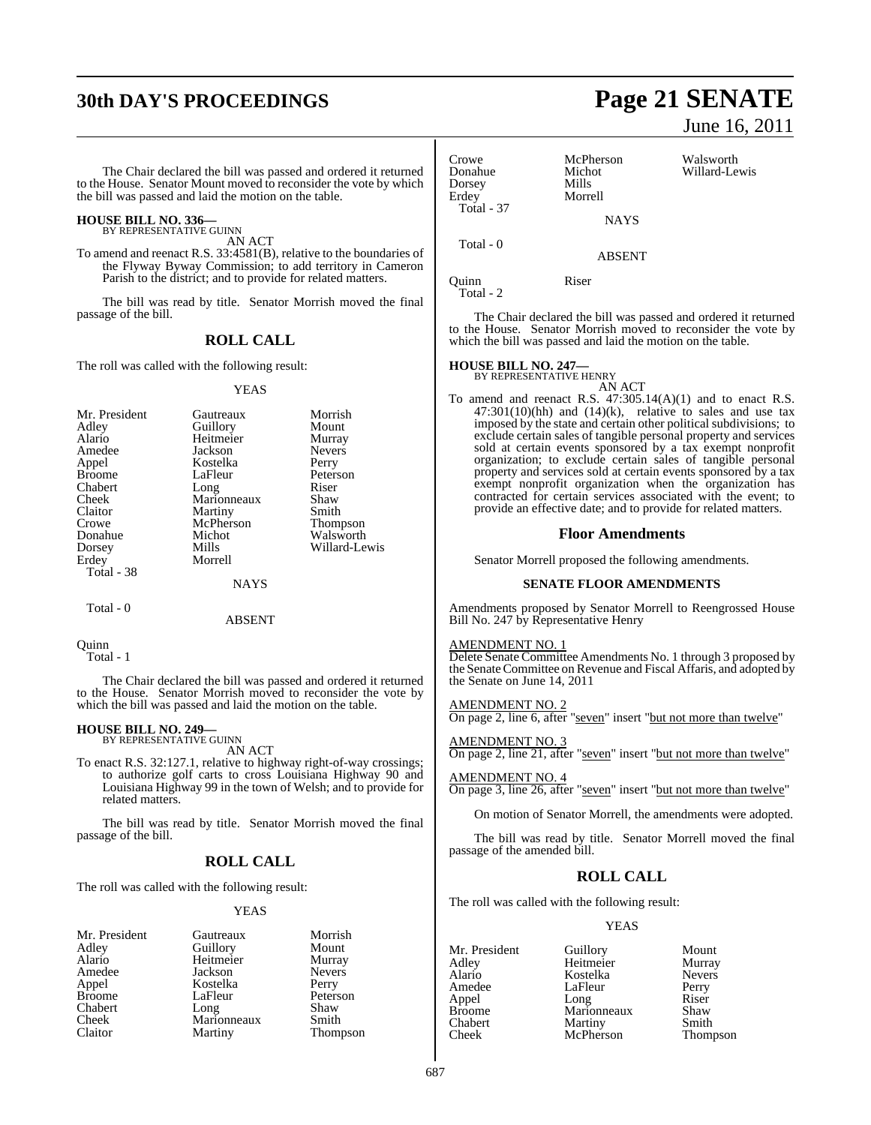## **30th DAY'S PROCEEDINGS**

The Chair declared the bill was passed and ordered it returned to the House. Senator Mount moved to reconsider the vote by which the bill was passed and laid the motion on the table.

## **HOUSE BILL NO. 336—** BY REPRESENTATIVE GUINN

AN ACT

To amend and reenact R.S. 33:4581(B), relative to the boundaries of the Flyway Byway Commission; to add territory in Cameron Parish to the district; and to provide for related matters.

The bill was read by title. Senator Morrish moved the final passage of the bill.

## **ROLL CALL**

The roll was called with the following result:

#### YEAS

| Mr. President | Gautreaux   | Morrish       |
|---------------|-------------|---------------|
| Adley         | Guillory    | Mount         |
| Alario        | Heitmeier   | Murray        |
| Amedee        | Jackson     | <b>Nevers</b> |
| Appel         | Kostelka    | Perry         |
| <b>Broome</b> | LaFleur     | Peterson      |
| Chabert       | Long        | Riser         |
| Cheek         | Marionneaux | Shaw          |
| Claitor       | Martiny     | Smith         |
| Crowe         | McPherson   | Thompson      |
| Donahue       | Michot      | Walsworth     |
| Dorsey        | Mills       | Willard-Lewis |
| Erdey         | Morrell     |               |
| Total - 38    |             |               |
|               | NAYS        |               |

Total - 0

ABSENT

**Ouinn** 

Total - 1

The Chair declared the bill was passed and ordered it returned to the House. Senator Morrish moved to reconsider the vote by which the bill was passed and laid the motion on the table.

## **HOUSE BILL NO. 249—** BY REPRESENTATIVE GUINN

AN ACT

To enact R.S. 32:127.1, relative to highway right-of-way crossings; to authorize golf carts to cross Louisiana Highway 90 and Louisiana Highway 99 in the town of Welsh; and to provide for related matters.

The bill was read by title. Senator Morrish moved the final passage of the bill.

## **ROLL CALL**

The roll was called with the following result:

## YEAS

| Mr. President | Gautreaux   | Morri             |
|---------------|-------------|-------------------|
| Adley         | Guillory    | Mour              |
| Alario        | Heitmeier   | Murra             |
| Amedee        | Jackson     | Neve <sub>1</sub> |
| Appel         | Kostelka    | Perry             |
| Broome        | LaFleur     | Peter:            |
| Chabert       | Long        | Shaw              |
| Cheek         | Marionneaux | Smith             |
| Claitor       | Martiny     | Thom              |

Exautreaux Morrish<br>Guillory Mount uillory Mount<br>
eitmeier Murray eitmeier<br>ackson Nevers<sup>2</sup> ostelka Perry<br>aFleur Peters aFleur Peterson<br>
ong Shaw larionneaux Smith Lartiny Thompson

| Page 21 SENATE |  |  |  |  |
|----------------|--|--|--|--|
|                |  |  |  |  |

June 16, 2011

| Crowe<br>Donahue<br>Dorsey<br>Erdey<br>Total - 37 | McPherson<br>Michot<br>Mills<br>Morrell | Walsworth<br>Willard-Lewis |
|---------------------------------------------------|-----------------------------------------|----------------------------|
|                                                   | <b>NAYS</b>                             |                            |
| Total $-0$                                        | <b>ABSENT</b>                           |                            |
| unn                                               | Riser                                   |                            |

Total - 2

The Chair declared the bill was passed and ordered it returned to the House. Senator Morrish moved to reconsider the vote by which the bill was passed and laid the motion on the table.

## **HOUSE BILL NO. 247—** BY REPRESENTATIVE HENRY



AN ACT To amend and reenact R.S.  $47:305.14(A)(1)$  and to enact R.S.  $47:301(10)(hh)$  and  $(14)(k)$ , relative to sales and use tax imposed by the state and certain other political subdivisions; to exclude certain sales of tangible personal property and services sold at certain events sponsored by a tax exempt nonprofit organization; to exclude certain sales of tangible personal property and services sold at certain events sponsored by a tax exempt nonprofit organization when the organization has contracted for certain services associated with the event; to provide an effective date; and to provide for related matters.

## **Floor Amendments**

Senator Morrell proposed the following amendments.

## **SENATE FLOOR AMENDMENTS**

Amendments proposed by Senator Morrell to Reengrossed House Bill No. 247 by Representative Henry

## AMENDMENT NO. 1

Delete Senate Committee Amendments No. 1 through 3 proposed by the Senate Committee on Revenue and Fiscal Affaris, and adopted by the Senate on June 14, 2011

#### AMENDMENT NO. 2

On page 2, line 6, after "seven" insert "but not more than twelve"

#### AMENDMENT NO. 3

On page 2, line 21, after "seven" insert "but not more than twelve"

## AMENDMENT NO. 4

On page 3, line 26, after "seven" insert "but not more than twelve"

On motion of Senator Morrell, the amendments were adopted.

The bill was read by title. Senator Morrell moved the final passage of the amended bill.

## **ROLL CALL**

The roll was called with the following result:

LaFleur

## YEAS

Mr. President Guillory Mount<br>Adley Heitmeier Murray Adley Heitmeier Murray Alario Kostelka Never<br>Amedee LaFleur Perry Appel Long Riser<br>Broome Marionneaux Shaw Broome Marionneaux Shaw<br>Chabert Martiny Smith Chabert Martiny<br>Cheek McPherson

**Thompson**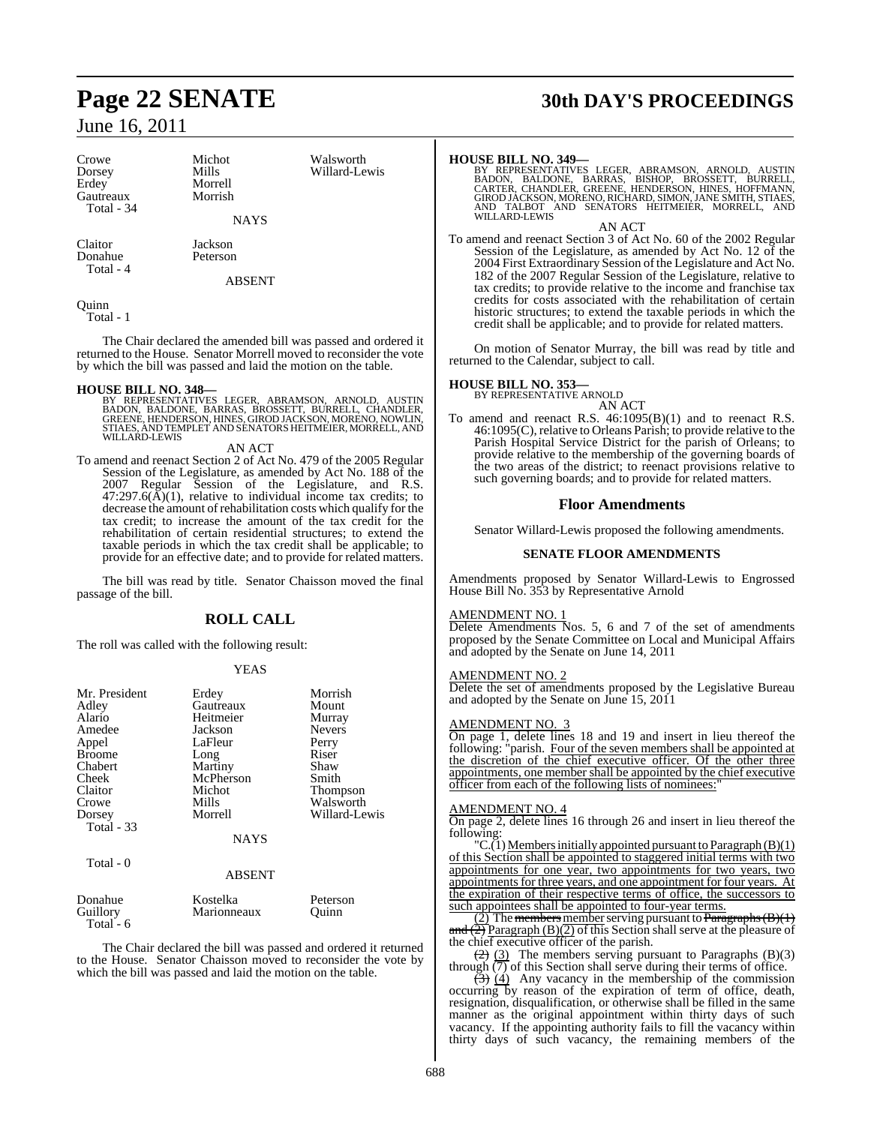| Crowe<br>Dorsey<br>Erdey<br>Gautreaux | Michot<br>Mills<br>Morrell<br>Morrish | Walsworth<br>Willard-Lewis |
|---------------------------------------|---------------------------------------|----------------------------|
| Total - 34                            | <b>NAYS</b>                           |                            |
| Claitor                               | Jackson                               |                            |

Donahue Peterson Total - 4

ABSENT

Quinn Total - 1

The Chair declared the amended bill was passed and ordered it returned to the House. Senator Morrell moved to reconsider the vote by which the bill was passed and laid the motion on the table.

## **HOUSE BILL NO. 348—**

BY REPRESENTATIVES LEGER, ABRAMSON, ARNOLD, AUSTIN<br>BADON, BALDONE, BARRAS, BROSSETT, BURRELL, CHANDLER,<br>GREENE,HENDERSON,HINES,GIRODJACKSON,MORENO,NOWLIN,<br>STIAES,ANDTEMPLET AND SENATORSHEITMEIER,MORRELL,AND<br>WILLARD-LEWIS

## AN ACT

To amend and reenact Section 2 of Act No. 479 of the 2005 Regular Session of the Legislature, as amended by Act No. 188 of the 2007 Regular Session of the Legislature, and R.S.  $47:297.6(\text{\AA})(1)$ , relative to individual income tax credits; to decrease the amount of rehabilitation costs which qualify for the tax credit; to increase the amount of the tax credit for the rehabilitation of certain residential structures; to extend the taxable periods in which the tax credit shall be applicable; to provide for an effective date; and to provide for related matters.

The bill was read by title. Senator Chaisson moved the final passage of the bill.

## **ROLL CALL**

The roll was called with the following result:

## YEAS

| Mr. President<br>Adley<br>Alario<br>Amedee<br>Appel<br><b>Broome</b><br>Chabert<br>Cheek<br>Claitor<br>Crowe<br>Dorsey<br><b>Total - 33</b> | Erdey<br>Gautreaux<br>Heitmeier<br>Jackson<br>LaFleur<br>Long<br>Martiny<br>McPherson<br>Michot<br>Mills<br>Morrell | Morrish<br>Mount<br>Murray<br><b>Nevers</b><br>Perry<br>Riser<br>Shaw<br>Smith<br>Thompson<br>Walsworth<br>Willard-Lewis |
|---------------------------------------------------------------------------------------------------------------------------------------------|---------------------------------------------------------------------------------------------------------------------|--------------------------------------------------------------------------------------------------------------------------|
|                                                                                                                                             | <b>NAYS</b>                                                                                                         |                                                                                                                          |
| Total - 0                                                                                                                                   | <b>ABSENT</b>                                                                                                       |                                                                                                                          |
| Donahue                                                                                                                                     | Kostelka                                                                                                            | Peterson                                                                                                                 |

Total - 6

Guillory Marionneaux Ouinn

The Chair declared the bill was passed and ordered it returned to the House. Senator Chaisson moved to reconsider the vote by which the bill was passed and laid the motion on the table.

## **Page 22 SENATE 30th DAY'S PROCEEDINGS**

## **HOUSE BILL NO. 349—**

BY REPRESENTATIVES LEGER, ABRAMSON, ARNOLD, AUSTIN<br>BADON, BALDONE, BARRAS, BISHOP, BROSSETT, BURRELL,<br>CARTER, CHANDLER, GREENE, HENDERSON, HINES, HOFMANN,<br>GIRODJACKSON,MORENO,RICHARD,SIMON,JANESMITH,STIAES,<br>AND TALBOT AND WILLARD-LEWIS

AN ACT

To amend and reenact Section 3 of Act No. 60 of the 2002 Regular Session of the Legislature, as amended by Act No. 12 of the 2004 First Extraordinary Session ofthe Legislature and Act No. 182 of the 2007 Regular Session of the Legislature, relative to tax credits; to provide relative to the income and franchise tax credits for costs associated with the rehabilitation of certain historic structures; to extend the taxable periods in which the credit shall be applicable; and to provide for related matters.

On motion of Senator Murray, the bill was read by title and returned to the Calendar, subject to call.

## **HOUSE BILL NO. 353—**

BY REPRESENTATIVE ARNOLD AN ACT

To amend and reenact R.S. 46:1095(B)(1) and to reenact R.S. 46:1095(C), relative to Orleans Parish; to provide relative to the Parish Hospital Service District for the parish of Orleans; to provide relative to the membership of the governing boards of the two areas of the district; to reenact provisions relative to such governing boards; and to provide for related matters.

## **Floor Amendments**

Senator Willard-Lewis proposed the following amendments.

## **SENATE FLOOR AMENDMENTS**

Amendments proposed by Senator Willard-Lewis to Engrossed House Bill No. 353 by Representative Arnold

## AMENDMENT NO. 1

Delete Amendments Nos. 5, 6 and 7 of the set of amendments proposed by the Senate Committee on Local and Municipal Affairs and adopted by the Senate on June 14, 2011

## AMENDMENT NO. 2

Delete the set of amendments proposed by the Legislative Bureau and adopted by the Senate on June 15, 2011

## AMENDMENT NO. 3

On page 1, delete lines 18 and 19 and insert in lieu thereof the following: "parish. Four of the seven members shall be appointed at the discretion of the chief executive officer. Of the other three appointments, one member shall be appointed by the chief executive officer from each of the following lists of nominees:"

## AMENDMENT NO. 4

On page 2, delete lines 16 through 26 and insert in lieu thereof the following:

"C.(1) Members initially appointed pursuant to Paragraph (B)(1) of this Section shall be appointed to staggered initial terms with two appointments for one year, two appointments for two years, two appointments for three years, and one appointment for four years. At the expiration of their respective terms of office, the successors to such appointees shall be appointed to four-year terms.

 $(2)$  The members member serving pursuant to Paragraphs (B)(1) and  $\left(\frac{2}{2}\right)$  Paragraph  $\left(\frac{B}{2}\right)$  of this Section shall serve at the pleasure of the chief executive officer of the parish.

 $(2)$   $(3)$  The members serving pursuant to Paragraphs (B)(3) through  $\overline{(7)}$  of this Section shall serve during their terms of office.

 $\left(\frac{3}{2}\right)$  (4) Any vacancy in the membership of the commission occurring by reason of the expiration of term of office, death, resignation, disqualification, or otherwise shall be filled in the same manner as the original appointment within thirty days of such vacancy. If the appointing authority fails to fill the vacancy within thirty days of such vacancy, the remaining members of the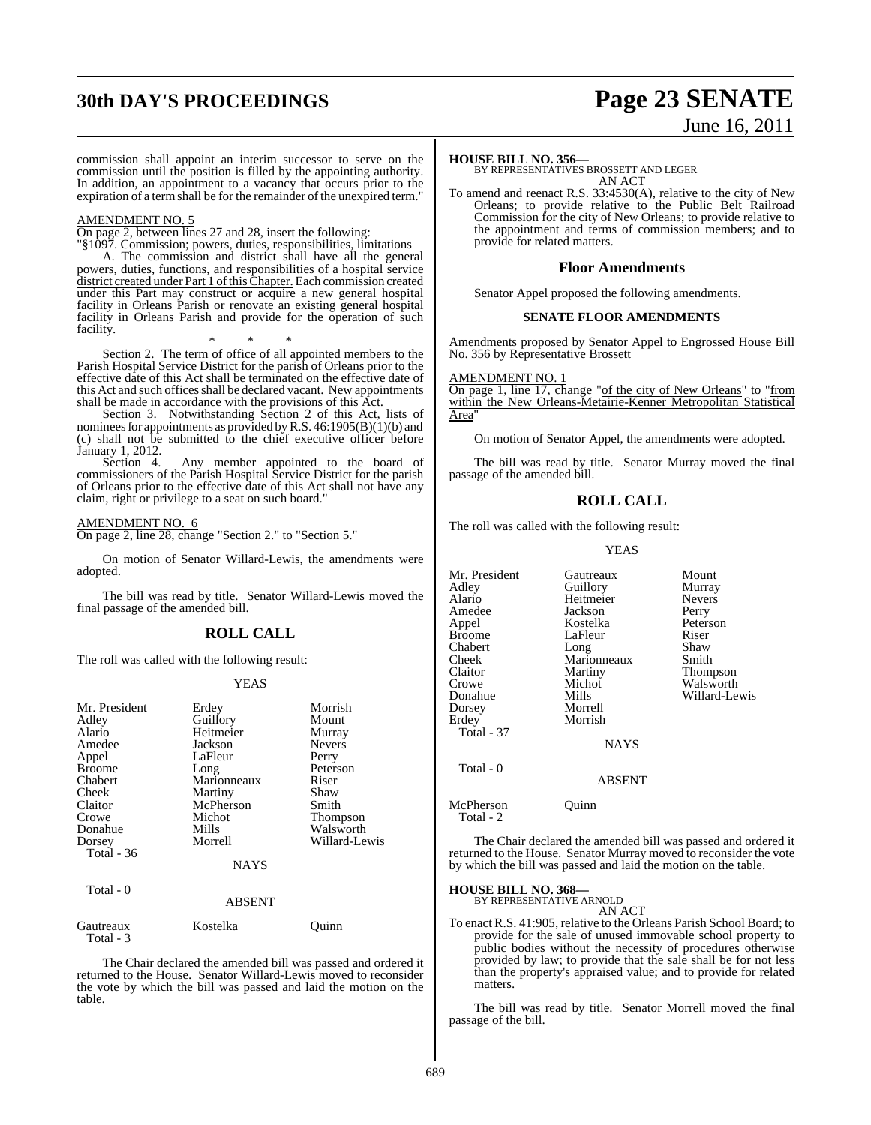## **30th DAY'S PROCEEDINGS Page 23 SENATE**

# June 16, 2011

commission shall appoint an interim successor to serve on the commission until the position is filled by the appointing authority. In addition, an appointment to a vacancy that occurs prior to the expiration of a term shall be for the remainder of the unexpired term."

#### AMENDMENT NO. 5

On page 2, between lines 27 and 28, insert the following:

"§1097. Commission; powers, duties, responsibilities, limitations A. The commission and district shall have all the general powers, duties, functions, and responsibilities of a hospital service district created under Part 1 of this Chapter. Each commission created under this Part may construct or acquire a new general hospital facility in Orleans Parish or renovate an existing general hospital facility in Orleans Parish and provide for the operation of such facility.

\* \* \* Section 2. The term of office of all appointed members to the Parish Hospital Service District for the parish of Orleans prior to the effective date of this Act shall be terminated on the effective date of this Act and such offices shall be declared vacant. New appointments shall be made in accordance with the provisions of this Act.

Section 3. Notwithstanding Section 2 of this Act, lists of nominees for appointments as provided by R.S. 46:1905(B)(1)(b) and (c) shall not be submitted to the chief executive officer before January 1, 2012.

Section 4. Any member appointed to the board of commissioners of the Parish Hospital Service District for the parish of Orleans prior to the effective date of this Act shall not have any claim, right or privilege to a seat on such board."

### AMENDMENT NO. 6

On page 2, line 28, change "Section 2." to "Section 5."

On motion of Senator Willard-Lewis, the amendments were adopted.

The bill was read by title. Senator Willard-Lewis moved the final passage of the amended bill.

## **ROLL CALL**

The roll was called with the following result:

#### YEAS

| Mr. President |             | Morrish       |
|---------------|-------------|---------------|
|               | Erdey       |               |
| Adley         | Guillory    | Mount         |
| Alario        | Heitmeier   | Murray        |
| Amedee        | Jackson     | <b>Nevers</b> |
| Appel         | LaFleur     | Perry         |
| <b>Broome</b> | Long        | Peterson      |
| Chabert       | Marionneaux | Riser         |
| Cheek         | Martiny     | Shaw          |
| Claitor       | McPherson   | Smith         |
| Crowe         | Michot      | Thompson      |
| Donahue       | Mills       | Walsworth     |
| Dorsey        | Morrell     | Willard-Lewis |
| Total $-36$   |             |               |
|               | <b>NAYS</b> |               |
| Total - 0     |             |               |
|               | ABSENT      |               |

| Gautreaux<br>Total - 3 | Kostelka | Ouinn |
|------------------------|----------|-------|
|                        |          |       |

The Chair declared the amended bill was passed and ordered it returned to the House. Senator Willard-Lewis moved to reconsider the vote by which the bill was passed and laid the motion on the table.

### **HOUSE BILL NO. 356—**

BY REPRESENTATIVES BROSSETT AND LEGER AN ACT

To amend and reenact R.S. 33:4530(A), relative to the city of New Orleans; to provide relative to the Public Belt Railroad Commission for the city of New Orleans; to provide relative to the appointment and terms of commission members; and to provide for related matters.

### **Floor Amendments**

Senator Appel proposed the following amendments.

## **SENATE FLOOR AMENDMENTS**

Amendments proposed by Senator Appel to Engrossed House Bill No. 356 by Representative Brossett

AMENDMENT NO. 1

On page 1, line 17, change "of the city of New Orleans" to "from within the New Orleans-Metairie-Kenner Metropolitan Statistical Area"

On motion of Senator Appel, the amendments were adopted.

The bill was read by title. Senator Murray moved the final passage of the amended bill.

## **ROLL CALL**

The roll was called with the following result:

YEAS

| Mr. President<br>Adley<br>Alario<br>Amedee<br>Appel<br><b>Broome</b><br>Chabert<br>Cheek<br>Claitor<br>Crowe<br>Donahue<br>Dorsey<br>Erdey | Gautreaux<br>Guillory<br>Heitmeier<br>Jackson<br>Kostelka<br>LaFleur<br>Long<br>Marionneaux<br>Martiny<br>Michot<br>Mills<br>Morrell<br>Morrish | Mount<br>Murray<br><b>Nevers</b><br>Perry<br>Peterson<br>Riser<br>Shaw<br>Smith<br>Thompson<br>Walsworth<br>Willard-Lewis |
|--------------------------------------------------------------------------------------------------------------------------------------------|-------------------------------------------------------------------------------------------------------------------------------------------------|---------------------------------------------------------------------------------------------------------------------------|
| Total - 37<br>Total - 0                                                                                                                    | <b>NAYS</b>                                                                                                                                     |                                                                                                                           |
| McPherson<br>Total - 2                                                                                                                     | ABSENT<br>Ouınn                                                                                                                                 |                                                                                                                           |

The Chair declared the amended bill was passed and ordered it returned to the House. Senator Murray moved to reconsider the vote by which the bill was passed and laid the motion on the table.

#### **HOUSE BILL NO. 368—**

BY REPRESENTATIVE ARNOLD AN ACT

To enact R.S. 41:905, relative to the Orleans Parish School Board; to provide for the sale of unused immovable school property to public bodies without the necessity of procedures otherwise provided by law; to provide that the sale shall be for not less than the property's appraised value; and to provide for related matters.

The bill was read by title. Senator Morrell moved the final passage of the bill.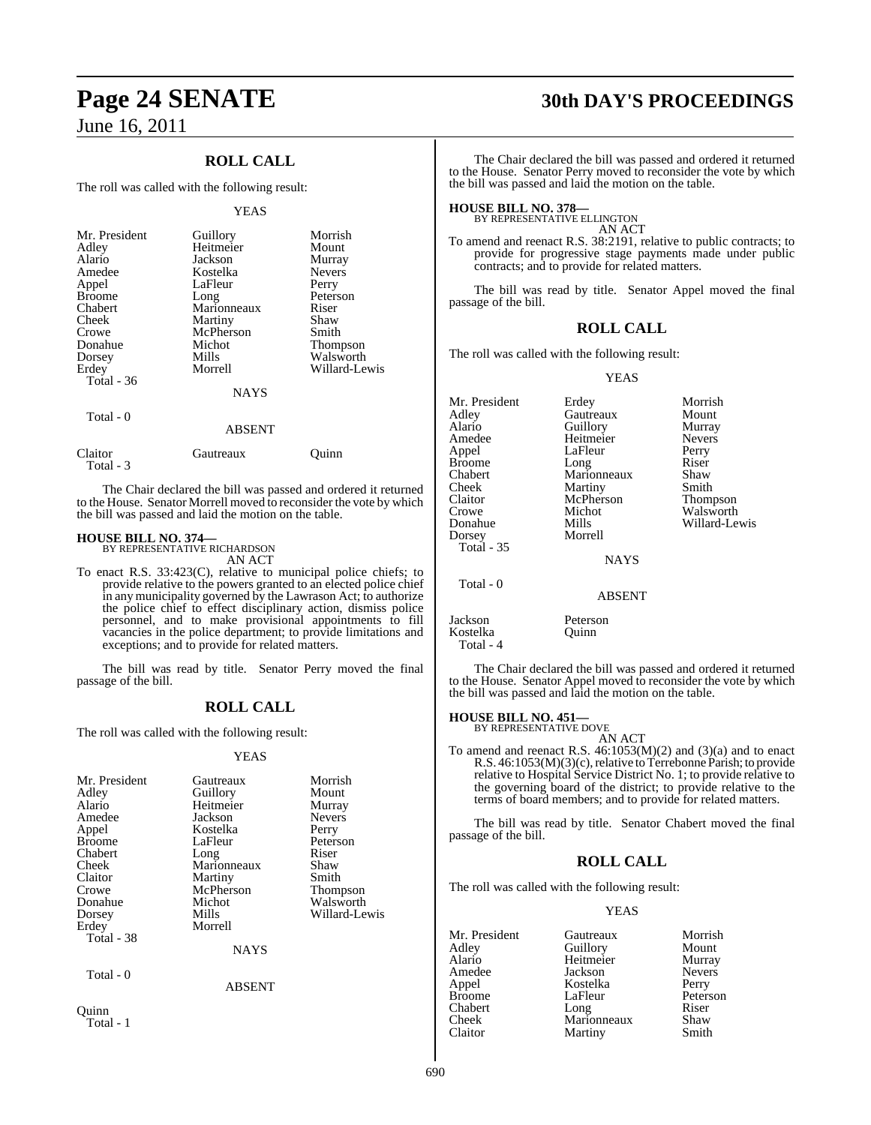## **ROLL CALL**

The roll was called with the following result:

#### YEAS

| Mr. President | Guillory    | Morrish         |
|---------------|-------------|-----------------|
| Adley         | Heitmeier   | Mount           |
| Alario        | Jackson     | Murray          |
| Amedee        | Kostelka    | <b>Nevers</b>   |
| Appel         | LaFleur     | Perry           |
| <b>Broome</b> | Long        | Peterson        |
| Chabert       | Marionneaux | Riser           |
| Cheek         | Martiny     | Shaw            |
| Crowe         | McPherson   | Smith           |
| Donahue       | Michot      | <b>Thompson</b> |
| Dorsey        | Mills       | Walsworth       |
| Erdey         | Morrell     | Willard-Lewis   |
| Total - 36    |             |                 |
|               | <b>NAYS</b> |                 |
| Total - 0     |             |                 |

## ABSENT Claitor Gautreaux Quinn Total - 3

The Chair declared the bill was passed and ordered it returned to the House. Senator Morrell moved to reconsider the vote by which the bill was passed and laid the motion on the table.

## **HOUSE BILL NO. 374—** BY REPRESENTATIVE RICHARDSON

AN ACT

To enact R.S. 33:423(C), relative to municipal police chiefs; to provide relative to the powers granted to an elected police chief in any municipality governed by the Lawrason Act; to authorize the police chief to effect disciplinary action, dismiss police personnel, and to make provisional appointments to fill vacancies in the police department; to provide limitations and exceptions; and to provide for related matters.

The bill was read by title. Senator Perry moved the final passage of the bill.

## **ROLL CALL**

The roll was called with the following result:

## YEAS

| Mr. President<br>Adley<br>Alario<br>Amedee<br>Appel<br><b>Broome</b><br>Chabert<br>Cheek<br>Claitor<br>Crowe<br>Donahue<br>Dorsey<br>Erdey | Gautreaux<br>Guillory<br>Heitmeier<br>Jackson<br>Kostelka<br>LaFleur<br>Long<br>Marionneaux<br>Martiny<br>McPherson<br>Michot<br>Mills<br>Morrell | Morrish<br>Mount<br>Murray<br><b>Nevers</b><br>Perry<br>Peterson<br>Riser<br>Shaw<br>Smith<br>Thompson<br>Walsworth<br>Willard-Lewis |
|--------------------------------------------------------------------------------------------------------------------------------------------|---------------------------------------------------------------------------------------------------------------------------------------------------|--------------------------------------------------------------------------------------------------------------------------------------|
| Total - 38                                                                                                                                 | <b>NAYS</b>                                                                                                                                       |                                                                                                                                      |
| Total - 0                                                                                                                                  | <b>ABSENT</b>                                                                                                                                     |                                                                                                                                      |
| uınn                                                                                                                                       |                                                                                                                                                   |                                                                                                                                      |

Total - 1

## **Page 24 SENATE 30th DAY'S PROCEEDINGS**

The Chair declared the bill was passed and ordered it returned to the House. Senator Perry moved to reconsider the vote by which the bill was passed and laid the motion on the table.

## **HOUSE BILL NO. 378—** BY REPRESENTATIVE ELLINGTON

AN ACT

To amend and reenact R.S. 38:2191, relative to public contracts; to provide for progressive stage payments made under public contracts; and to provide for related matters.

The bill was read by title. Senator Appel moved the final passage of the bill.

## **ROLL CALL**

The roll was called with the following result:

YEAS

| Mr. President<br>Adlev<br>Alario<br>Amedee<br>Appel<br>Broome<br>Chabert<br>Cheek<br>Claitor<br>Crowe<br>Donahue<br>Dorsey<br><b>Total - 35</b> | Erdey<br>Gautreaux<br>Guillory<br>Heitmeier<br>LaFleur<br>Long<br>Marionneaux<br>Martiny<br>McPherson<br>Michot<br>Mills<br>Morrell<br><b>NAYS</b> | Morrish<br>Mount<br>Murray<br><b>Nevers</b><br>Perry<br>Riser<br>Shaw<br>Smith<br>Thompson<br>Walsworth<br>Willard-Lewis |
|-------------------------------------------------------------------------------------------------------------------------------------------------|----------------------------------------------------------------------------------------------------------------------------------------------------|--------------------------------------------------------------------------------------------------------------------------|
| Total - 0                                                                                                                                       | <b>ABSENT</b>                                                                                                                                      |                                                                                                                          |
| Jackson                                                                                                                                         | Peterson                                                                                                                                           |                                                                                                                          |

The Chair declared the bill was passed and ordered it returned to the House. Senator Appel moved to reconsider the vote by which the bill was passed and laid the motion on the table.

## **HOUSE BILL NO. 451—** BY REPRESENTATIVE DOVE

Kostelka Quinn

Total - 4

AN ACT

To amend and reenact R.S. 46:1053(M)(2) and (3)(a) and to enact R.S. 46:1053(M)(3)(c), relative to Terrebonne Parish; to provide relative to Hospital Service District No. 1; to provide relative to the governing board of the district; to provide relative to the terms of board members; and to provide for related matters.

The bill was read by title. Senator Chabert moved the final passage of the bill.

## **ROLL CALL**

The roll was called with the following result:

## YEAS

| Mr. President | Gautreaux   | Morrish       |
|---------------|-------------|---------------|
| Adley         | Guillory    | Mount         |
| Alario        | Heitmeier   | Murray        |
| Amedee        | Jackson     | <b>Nevers</b> |
| Appel         | Kostelka    | Perry         |
| <b>Broome</b> | LaFleur     | Peterson      |
| Chabert       | Long        | Riser         |
| Cheek         | Marionneaux | Shaw          |
| Claitor       | Martiny     | Smith         |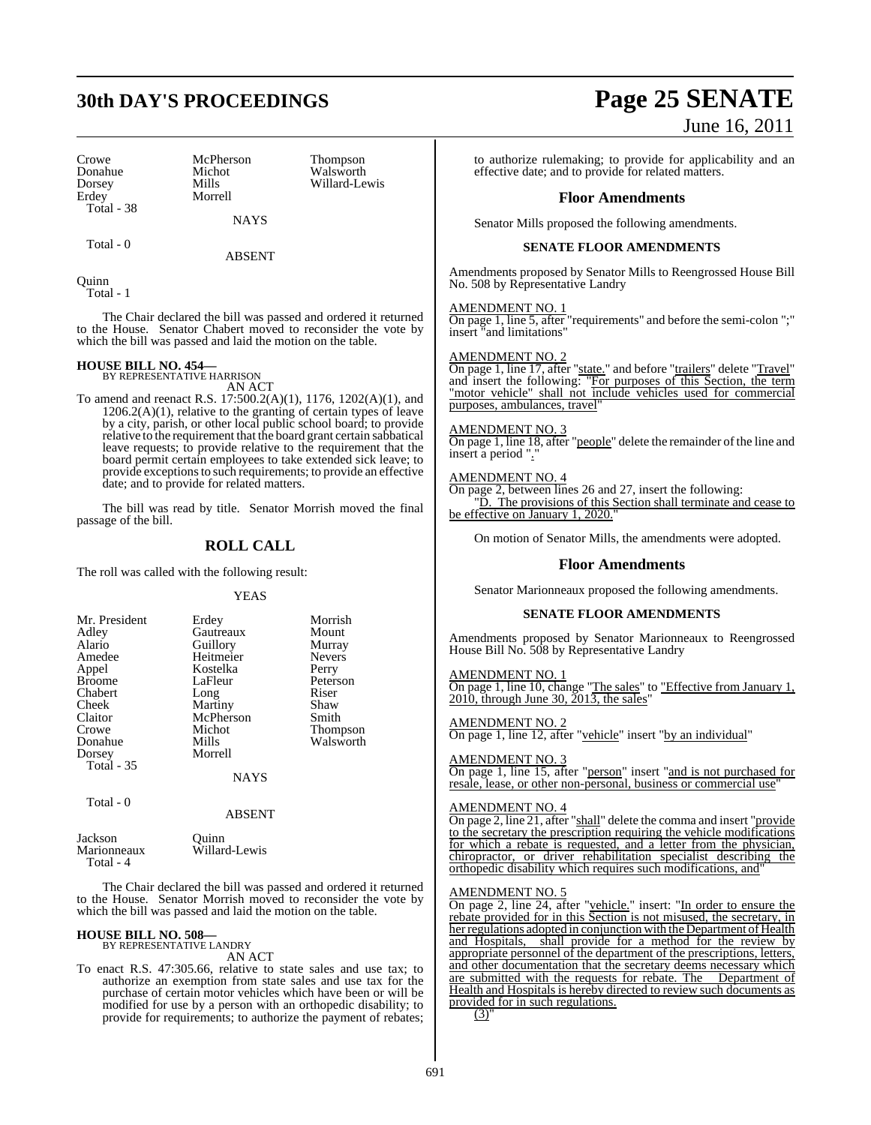Crowe McPherson Thompson<br>
Donahue Michot Walsworth Donahue Michot Walsworth<br>Dorsey Mills Willard-Le Dorsey Mills Willard-Lewis Total - 38

Morrell

NAYS

Total - 0

ABSENT

Quinn Total - 1

The Chair declared the bill was passed and ordered it returned to the House. Senator Chabert moved to reconsider the vote by which the bill was passed and laid the motion on the table.

## **HOUSE BILL NO. 454—** BY REPRESENTATIVE HARRISON

AN ACT

To amend and reenact R.S. 17:500.2(A)(1), 1176, 1202(A)(1), and  $1206.2(A)(1)$ , relative to the granting of certain types of leave by a city, parish, or other local public school board; to provide relative to the requirement that the board grant certain sabbatical leave requests; to provide relative to the requirement that the board permit certain employees to take extended sick leave; to provide exceptionsto such requirements; to provide an effective date; and to provide for related matters.

The bill was read by title. Senator Morrish moved the final passage of the bill.

## **ROLL CALL**

The roll was called with the following result:

## YEAS

| Mr. President<br>Adley<br>Alario<br>Amedee<br>Appel<br><b>Broome</b><br>Chabert<br>Cheek<br>Claitor | Erdey<br>Gautreaux<br>Guillory<br>Heitmeier<br>Kostelka<br>LaFleur<br>Long<br>Martiny<br>McPherson | Morrish<br>Mount<br>Murray<br><b>Nevers</b><br>Perry<br>Peterson<br>Riser<br>Shaw<br>Smith |
|-----------------------------------------------------------------------------------------------------|----------------------------------------------------------------------------------------------------|--------------------------------------------------------------------------------------------|
|                                                                                                     |                                                                                                    |                                                                                            |
| Crowe                                                                                               | Michot                                                                                             | <b>Thompson</b>                                                                            |
| Donahue<br>Dorsey<br><b>Total - 35</b>                                                              | Mills<br>Morrell                                                                                   | Walsworth                                                                                  |
|                                                                                                     | <b>NAYS</b>                                                                                        |                                                                                            |

Total - 0

ABSENT

| Jackson     | Ouinn         |
|-------------|---------------|
| Marionneaux | Willard-Lewis |
| Total - 4   |               |

The Chair declared the bill was passed and ordered it returned to the House. Senator Morrish moved to reconsider the vote by which the bill was passed and laid the motion on the table.

## **HOUSE BILL NO. 508—** BY REPRESENTATIVE LANDRY

AN ACT

To enact R.S. 47:305.66, relative to state sales and use tax; to authorize an exemption from state sales and use tax for the purchase of certain motor vehicles which have been or will be modified for use by a person with an orthopedic disability; to provide for requirements; to authorize the payment of rebates;

## **30th DAY'S PROCEEDINGS Page 25 SENATE** June 16, 2011

to authorize rulemaking; to provide for applicability and an effective date; and to provide for related matters.

## **Floor Amendments**

Senator Mills proposed the following amendments.

## **SENATE FLOOR AMENDMENTS**

Amendments proposed by Senator Mills to Reengrossed House Bill No. 508 by Representative Landry

## AMENDMENT NO. 1

On page 1, line 5, after "requirements" and before the semi-colon ";" insert "and limitations"

## AMENDMENT NO. 2

On page 1, line 17, after "state." and before "trailers" delete "Travel" and insert the following: "For purposes of this Section, the term "motor vehicle" shall not include vehicles used for commercial purposes, ambulances, travel"

## AMENDMENT NO. 3

On page 1, line 18, after "people" delete the remainder of the line and insert a period ".

## AMENDMENT NO. 4

On page 2, between lines 26 and 27, insert the following: D. The provisions of this Section shall terminate and cease to be effective on January 1, 2020.

On motion of Senator Mills, the amendments were adopted.

## **Floor Amendments**

Senator Marionneaux proposed the following amendments.

## **SENATE FLOOR AMENDMENTS**

Amendments proposed by Senator Marionneaux to Reengrossed House Bill No. 508 by Representative Landry

AMENDMENT NO. 1 On page 1, line 10, change "The sales" to "Effective from January 1,  $2010$ , through June 30,  $2013$ , the sales"

AMENDMENT NO. 2 On page 1, line 12, after "vehicle" insert "by an individual"

#### AMENDMENT NO. 3

On page 1, line 15, after "person" insert "and is not purchased for resale, lease, or other non-personal, business or commercial use

### AMENDMENT NO. 4

On page 2, line 21, after "shall" delete the comma and insert "provide to the secretary the prescription requiring the vehicle modifications for which a rebate is requested, and a letter from the physician, chiropractor, or driver rehabilitation specialist describing the orthopedic disability which requires such modifications, and"

### AMENDMENT NO. 5

On page 2, line 24, after "vehicle." insert: "In order to ensure the rebate provided for in this Section is not misused, the secretary, in her regulations adopted in conjunction with the Department of Health and Hospitals, shall provide for a method for the review by appropriate personnel of the department of the prescriptions, letters, and other documentation that the secretary deems necessary which are submitted with the requests for rebate. The Department of Health and Hospitals is hereby directed to review such documents as provided for in such regulations.  $(3)'$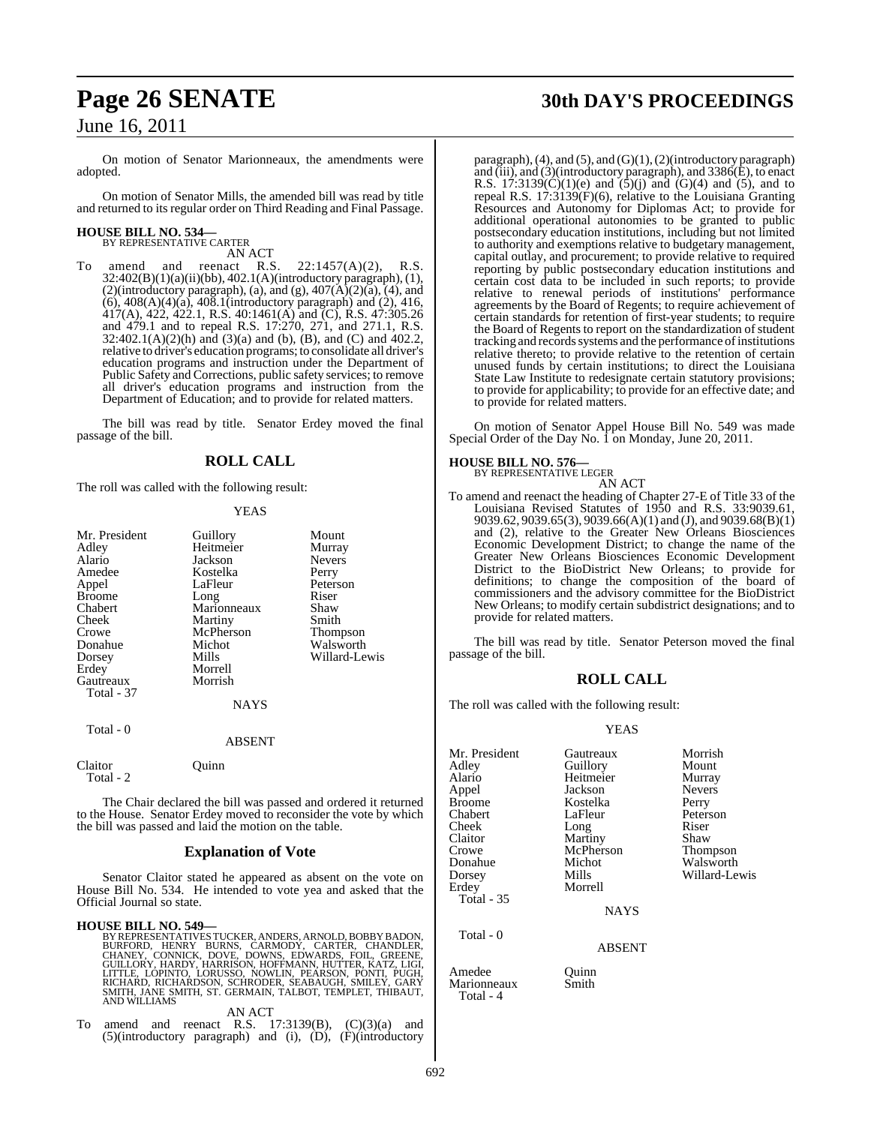On motion of Senator Marionneaux, the amendments were adopted.

On motion of Senator Mills, the amended bill was read by title and returned to its regular order on Third Reading and Final Passage.

#### **HOUSE BILL NO. 534—** BY REPRESENTATIVE CARTER

AN ACT<br>reenact R.S.

amend and reenact R.S.  $22:1457(A)(2)$ , R.S. 32:402(B)(1)(a)(ii)(bb), 402.1(A)(introductory paragraph), (1), (2)(introductory paragraph), (a), and (g),  $407(A)(2)(a)$ ,  $(4)$ , and (6), 408(A)(4)(a), 408.1(introductory paragraph) and (2), 416,  $417(A)$ ,  $422$ ,  $422.1$ , R.S.  $40:1461(A)$  and (C), R.S.  $47:305.26$ and 479.1 and to repeal R.S. 17:270, 271, and 271.1, R.S. 32:402.1(A)(2)(h) and (3)(a) and (b), (B), and (C) and 402.2, relative to driver's education programs; to consolidate all driver's education programs and instruction under the Department of Public Safety and Corrections, public safety services; to remove all driver's education programs and instruction from the Department of Education; and to provide for related matters.

The bill was read by title. Senator Erdey moved the final passage of the bill.

## **ROLL CALL**

The roll was called with the following result:

## **YEAS**

| Mr. President<br>Adley<br>Alario<br>Amedee<br>Appel<br><b>Broome</b><br>Chabert<br>Cheek | Guillory<br>Heitmeier<br>Jackson<br>Kostelka<br>LaFleur<br>Long<br>Marionneaux<br>Martiny | Mount<br>Murray<br><b>Nevers</b><br>Perry<br>Peterson<br>Riser<br>Shaw<br>Smith |
|------------------------------------------------------------------------------------------|-------------------------------------------------------------------------------------------|---------------------------------------------------------------------------------|
| Crowe<br>Donahue                                                                         | McPherson<br>Michot                                                                       | Thompson<br>Walsworth                                                           |
| Dorsey                                                                                   | Mills                                                                                     | Willard-Lewis                                                                   |
| Erdey                                                                                    | Morrell                                                                                   |                                                                                 |
| Gautreaux<br>Total - 37                                                                  | Morrish                                                                                   |                                                                                 |
|                                                                                          | <b>NAYS</b>                                                                               |                                                                                 |
| Total - 0                                                                                | ABSENT                                                                                    |                                                                                 |
| ----                                                                                     |                                                                                           |                                                                                 |

Claitor Quinn Total  $-2$ 

The Chair declared the bill was passed and ordered it returned to the House. Senator Erdey moved to reconsider the vote by which the bill was passed and laid the motion on the table.

## **Explanation of Vote**

Senator Claitor stated he appeared as absent on the vote on House Bill No. 534. He intended to vote yea and asked that the Official Journal so state.

**HOUSE BILL NO. 549—**<br>BY REPRESENTATIVES TUCKER, ANDERS, ARNOLD, BOBBY BADON,<br>BURFORD, HENRY BURNS, CARMODY, CARTER, CHANDLER,<br>CHANEY, CONNICK, DOVE, DOWNS, EDWARDS, FOIL, GREENE,<br>GUILLORY, HARDY, HARRISON, HOFFMANN, HUTTE

AN ACT

To amend and reenact R.S.  $17:3139(B)$ ,  $(C)(3)(a)$  and (5)(introductory paragraph) and (i), (D), (F)(introductory

## **Page 26 SENATE 30th DAY'S PROCEEDINGS**

paragraph), (4), and (5), and (G)(1), (2)(introductory paragraph) and (iii), and (3)(introductory paragraph), and 3386(E), to enact R.S. 17:3139(C)(1)(e) and  $(5)(j)$  and  $(6)(4)$  and  $(5)$ , and to repeal R.S.  $17:3139(F)(6)$ , relative to the Louisiana Granting Resources and Autonomy for Diplomas Act; to provide for additional operational autonomies to be granted to public postsecondary education institutions, including but not limited to authority and exemptions relative to budgetary management, capital outlay, and procurement; to provide relative to required reporting by public postsecondary education institutions and certain cost data to be included in such reports; to provide relative to renewal periods of institutions' performance agreements by the Board of Regents; to require achievement of certain standards for retention of first-year students; to require the Board of Regents to report on the standardization of student tracking and records systems and the performance of institutions relative thereto; to provide relative to the retention of certain unused funds by certain institutions; to direct the Louisiana State Law Institute to redesignate certain statutory provisions; to provide for applicability; to provide for an effective date; and to provide for related matters.

On motion of Senator Appel House Bill No. 549 was made Special Order of the Day No.  $\hat{1}$  on Monday, June 20, 2011.

## **HOUSE BILL NO. 576—** BY REPRESENTATIVE LEGER

AN ACT

To amend and reenact the heading of Chapter 27-E of Title 33 of the Louisiana Revised Statutes of 1950 and R.S. 33:9039.61, 9039.62, 9039.65(3), 9039.66(A)(1) and (J), and 9039.68(B)(1) and (2), relative to the Greater New Orleans Biosciences Economic Development District; to change the name of the Greater New Orleans Biosciences Economic Development District to the BioDistrict New Orleans; to provide for definitions; to change the composition of the board of commissioners and the advisory committee for the BioDistrict New Orleans; to modify certain subdistrict designations; and to provide for related matters.

The bill was read by title. Senator Peterson moved the final passage of the bill.

## **ROLL CALL**

The roll was called with the following result:

Marionneaux Smith

Total - 4

## YEAS

| Mr. President<br>Adley<br>Alario<br>Appel<br><b>Broome</b><br>Chabert<br>Cheek<br>Claitor<br>Crowe<br>Donahue<br>Dorsey<br>Erdey | Gautreaux<br>Guillory<br>Heitmeier<br>Jackson<br>Kostelka<br>LaFleur<br>Long<br>Martiny<br>McPherson<br>Michot<br>Mills<br>Morrell | Morrish<br>Mount<br>Murray<br><b>Nevers</b><br>Perry<br>Peterson<br>Riser<br>Shaw<br><b>Thompson</b><br>Walsworth<br>Willard-Lewis |
|----------------------------------------------------------------------------------------------------------------------------------|------------------------------------------------------------------------------------------------------------------------------------|------------------------------------------------------------------------------------------------------------------------------------|
| <b>Total - 35</b><br>Total - 0                                                                                                   | <b>NAYS</b><br><b>ABSENT</b>                                                                                                       |                                                                                                                                    |
| Amedee                                                                                                                           | Ouinn                                                                                                                              |                                                                                                                                    |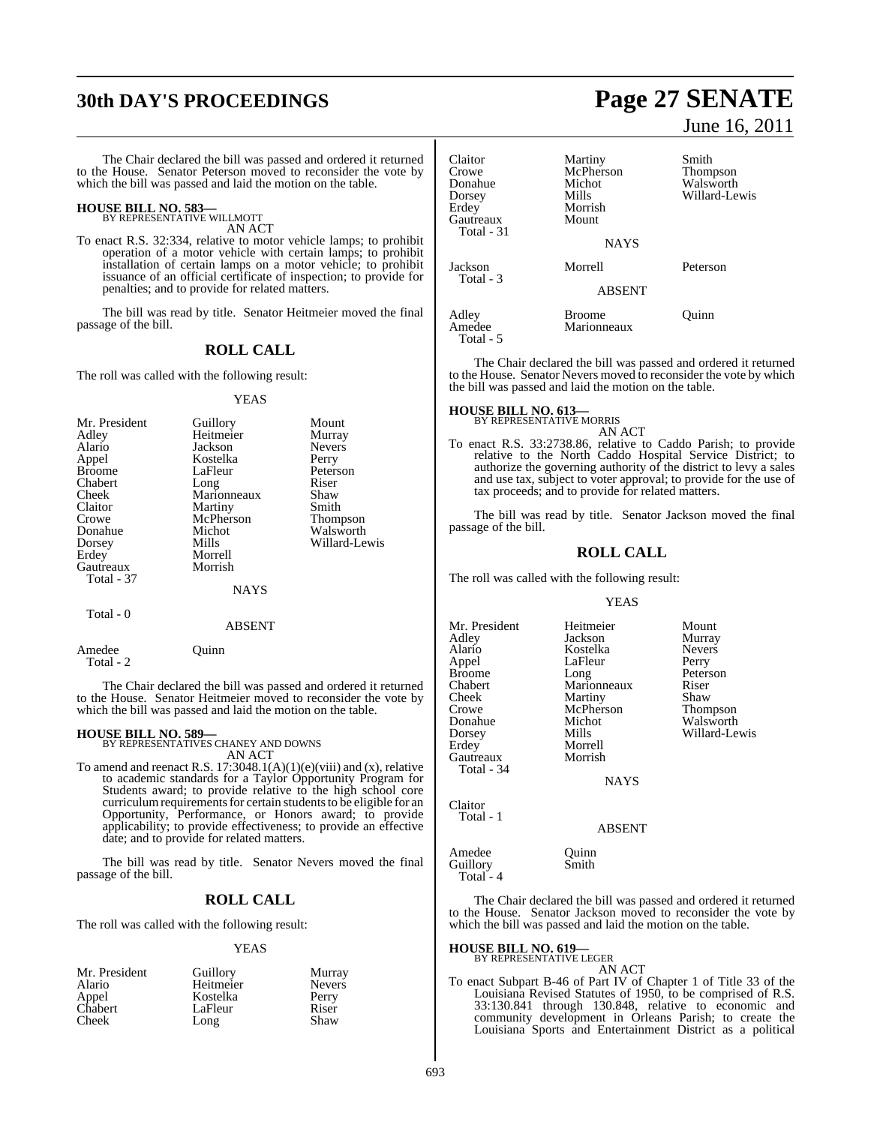## **30th DAY'S PROCEEDINGS Page 27 SENATE**

The Chair declared the bill was passed and ordered it returned to the House. Senator Peterson moved to reconsider the vote by which the bill was passed and laid the motion on the table.

## **HOUSE BILL NO. 583—** BY REPRESENTATIVE WILLMOTT

AN ACT

To enact R.S. 32:334, relative to motor vehicle lamps; to prohibit operation of a motor vehicle with certain lamps; to prohibit installation of certain lamps on a motor vehicle; to prohibit issuance of an official certificate of inspection; to provide for penalties; and to provide for related matters.

The bill was read by title. Senator Heitmeier moved the final passage of the bill.

## **ROLL CALL**

The roll was called with the following result:

#### YEAS

| Mr. President | Guillory    | Mount           |
|---------------|-------------|-----------------|
| Adley         | Heitmeier   | Murray          |
| Alario        | Jackson     | <b>Nevers</b>   |
| Appel         | Kostelka    | Perry           |
| <b>Broome</b> | LaFleur     | Peterson        |
| Chabert       | Long        | Riser           |
| Cheek         | Marionneaux | Shaw            |
| Claitor       | Martiny     | Smith           |
| Crowe         | McPherson   | <b>Thompson</b> |
| Donahue       | Michot      | Walsworth       |
| Dorsey        | Mills       | Willard-Lewis   |
| Erdey         | Morrell     |                 |
| Gautreaux     | Morrish     |                 |
| Total - 37    |             |                 |
|               | <b>NAYS</b> |                 |
|               |             |                 |

### ABSENT

Amedee Quinn Total - 2

Total - 0

The Chair declared the bill was passed and ordered it returned to the House. Senator Heitmeier moved to reconsider the vote by which the bill was passed and laid the motion on the table.

**HOUSE BILL NO. 589—** BY REPRESENTATIVES CHANEY AND DOWNS AN ACT

To amend and reenact R.S. 17:3048.1(A)(1)(e)(viii) and (x), relative to academic standards for a Taylor Opportunity Program for Students award; to provide relative to the high school core curriculum requirements for certain students to be eligible for an Opportunity, Performance, or Honors award; to provide applicability; to provide effectiveness; to provide an effective date; and to provide for related matters.

The bill was read by title. Senator Nevers moved the final passage of the bill.

## **ROLL CALL**

The roll was called with the following result:

#### YEAS

| Mr. President | Guillory  | Murray        |
|---------------|-----------|---------------|
| Alario        | Heitmeier | <b>Nevers</b> |
| Appel         | Kostelka  | Perry         |
| Chabert       | LaFleur   | Riser         |
| Cheek         | Long      | Shaw          |
|               |           |               |

June 16, 2011

| Claitor<br>Crowe<br>Donahue<br>Dorsey<br>Erdev<br>Gautreaux<br>Total - 31 | Martiny<br>McPherson<br>Michot<br>Mills<br>Morrish<br>Mount<br><b>NAYS</b> | Smith<br><b>Thompson</b><br>Walsworth<br>Willard-Lewis |
|---------------------------------------------------------------------------|----------------------------------------------------------------------------|--------------------------------------------------------|
| Jackson<br>Total - 3                                                      | Morrell                                                                    | Peterson                                               |
|                                                                           | <b>ABSENT</b>                                                              |                                                        |
| Adley<br>Amedee<br>Total - 5                                              | <b>Broome</b><br>Marionneaux                                               | Ouinn                                                  |

The Chair declared the bill was passed and ordered it returned to the House. Senator Nevers moved to reconsider the vote by which the bill was passed and laid the motion on the table.

## **HOUSE BILL NO. 613—** BY REPRESENTATIVE MORRIS

AN ACT

To enact R.S. 33:2738.86, relative to Caddo Parish; to provide relative to the North Caddo Hospital Service District; to authorize the governing authority of the district to levy a sales and use tax, subject to voter approval; to provide for the use of tax proceeds; and to provide for related matters.

The bill was read by title. Senator Jackson moved the final passage of the bill.

## **ROLL CALL**

The roll was called with the following result:

#### YEAS

Mr. President Heitmeier Mount<br>Adley Jackson Murray Adley Jackson Murray Kostelka Never<br>LaFleur Perry Appel LaFleur<br>Broome Long Broome Long Peterson<br>Chabert Marionneaux Riser Chabert Marionneaux Riser<br>Cheek Martiny Shaw Cheek Martiny<br>Crowe McPherson Crowe McPherson Thompson<br>
Donahue Michot Walsworth Donahue Michot Walsworth<br>
Donsey Mills Willard-Le Dorsey Mills Willard-Lewis Morrell<br>Morrish Gautreaux Total - 34 **NAYS** 

Claitor Total - 1

ABSENT

Amedee Quinn<br>
Guillory Smith Guillory Total<sup>-</sup>4

The Chair declared the bill was passed and ordered it returned to the House. Senator Jackson moved to reconsider the vote by which the bill was passed and laid the motion on the table.

**HOUSE BILL NO. 619—**

BY REPRESENTATIVE LEGER

AN ACT To enact Subpart B-46 of Part IV of Chapter 1 of Title 33 of the Louisiana Revised Statutes of 1950, to be comprised of R.S. 33:130.841 through 130.848, relative to economic and community development in Orleans Parish; to create the Louisiana Sports and Entertainment District as a political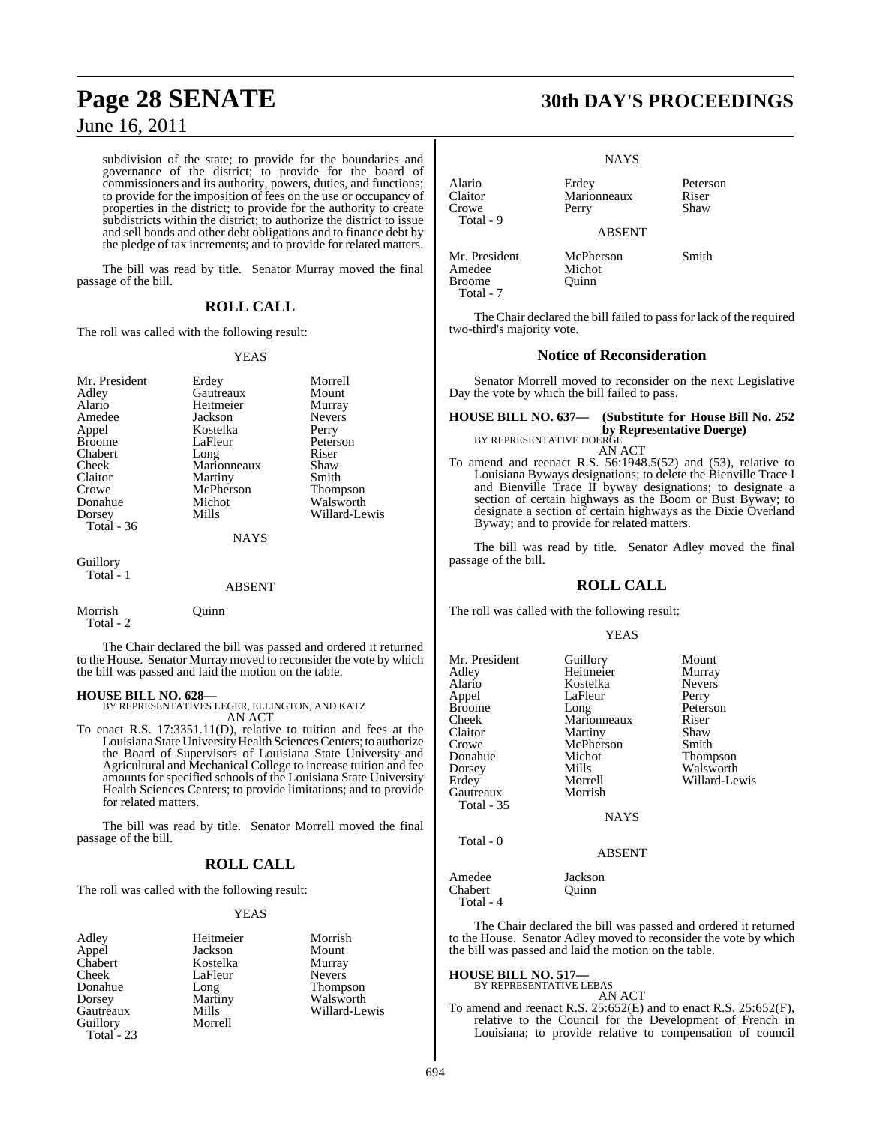subdivision of the state; to provide for the boundaries and governance of the district; to provide for the board of commissioners and its authority, powers, duties, and functions; to provide for the imposition of fees on the use or occupancy of properties in the district; to provide for the authority to create subdistricts within the district; to authorize the district to issue and sell bonds and other debt obligations and to finance debt by the pledge of tax increments; and to provide for related matters.

The bill was read by title. Senator Murray moved the final passage of the bill.

## **ROLL CALL**

The roll was called with the following result:

## YEAS

| Mr. President<br>Adley | Erdey<br>Gautreaux | Morrell<br>Mount |
|------------------------|--------------------|------------------|
| Alario                 | Heitmeier          | Murray           |
| Amedee                 | Jackson            | Nevers           |
| Appel                  | Kostelka           | Perry            |
| <b>Broome</b>          | LaFleur            | Peterson         |
| Chabert                | Long               | Riser            |
| Cheek                  | Marionneaux        | Shaw             |
| Claitor                | Martiny            | Smith            |
| Crowe                  | McPherson          | Thompson         |
| Donahue                | Michot             | Walsworth        |
| Dorsey                 | Mills              | Willard-Lewis    |
| Total $-36$            |                    |                  |
|                        | <b>NAYS</b>        |                  |
| Guillory               |                    |                  |
| Total - 1              | <b>ABSENT</b>      |                  |

The Chair declared the bill was passed and ordered it returned to the House. Senator Murray moved to reconsider the vote by which the bill was passed and laid the motion on the table.

Morrish Quinn

Total - 2

**HOUSE BILL NO. 628—** BY REPRESENTATIVES LEGER, ELLINGTON, AND KATZ AN ACT

To enact R.S. 17:3351.11(D), relative to tuition and fees at the Louisiana State University Health Sciences Centers; to authorize the Board of Supervisors of Louisiana State University and Agricultural and Mechanical College to increase tuition and fee amounts for specified schools of the Louisiana State University Health Sciences Centers; to provide limitations; and to provide for related matters.

The bill was read by title. Senator Morrell moved the final passage of the bill.

## **ROLL CALL**

The roll was called with the following result:

## YEAS

| Adlev            | Heitmeier | Morrish       |
|------------------|-----------|---------------|
| Appel<br>Chabert | Jackson   | Mount         |
|                  | Kostelka  | Murray        |
| Cheek            | LaFleur   | <b>Nevers</b> |
| Donahue          | Long      | Thompson      |
| Dorsey           | Martiny   | Walsworth     |
| Gautreaux        | Mills     | Willard-Lewis |
| Guillory         | Morrell   |               |
| Total - 23       |           |               |

| Morrish       |               |
|---------------|---------------|
| Mount         |               |
| Murray        |               |
| <b>Nevers</b> |               |
|               | Thompson      |
|               | Walsworth     |
|               | Willard-Lewis |
|               |               |

## **Page 28 SENATE 30th DAY'S PROCEEDINGS**

|                                          | NAYS.                         |                           |
|------------------------------------------|-------------------------------|---------------------------|
| Alario<br>Claitor<br>Crowe<br>Total - 9  | Erdey<br>Marionneaux<br>Perry | Peterson<br>Riser<br>Shaw |
|                                          | <b>ABSENT</b>                 |                           |
| Mr. President<br>Amedee<br><b>Broome</b> | McPherson<br>Michot<br>Juinn  | Smith                     |

Total - 7

NAYS

The Chair declared the bill failed to pass for lack of the required two-third's majority vote.

## **Notice of Reconsideration**

Senator Morrell moved to reconsider on the next Legislative Day the vote by which the bill failed to pass.

**HOUSE BILL NO. 637— (Substitute for House Bill No. 252 by Representative Doerge)**<br>BY REPRESENTATIVE DOERGE

## AN ACT

To amend and reenact R.S. 56:1948.5(52) and (53), relative to Louisiana Byways designations; to delete the Bienville Trace I and Bienville Trace II byway designations; to designate a section of certain highways as the Boom or Bust Byway; to designate a section of certain highways as the Dixie Overland Byway; and to provide for related matters.

The bill was read by title. Senator Adley moved the final passage of the bill.

## **ROLL CALL**

The roll was called with the following result:

## YEAS

| Mr. President<br>Adley<br>Alario<br>Appel<br><b>Broome</b><br>Cheek<br>Claitor<br>Crowe<br>Donahue | Guillory<br>Heitmeier<br>Kostelka<br>LaFleur<br>Long<br>Marionneaux<br>Martiny<br>McPherson<br>Michot<br>Mills | Mount<br>Murray<br><b>Nevers</b><br>Perry<br>Peterson<br>Riser<br>Shaw<br>Smith<br>Thompson<br>Walsworth |
|----------------------------------------------------------------------------------------------------|----------------------------------------------------------------------------------------------------------------|----------------------------------------------------------------------------------------------------------|
| Dorsey<br>Erdey<br>Gautreaux<br>Total - 35                                                         | Morrell<br>Morrish                                                                                             | Willard-Lewis                                                                                            |
| Total - 0                                                                                          | <b>NAYS</b><br>1.72.072.77                                                                                     |                                                                                                          |

ABSENT

Amedee Jackson<br>Chabert Ouinn Chabert Total - 4

The Chair declared the bill was passed and ordered it returned to the House. Senator Adley moved to reconsider the vote by which the bill was passed and laid the motion on the table.

#### **HOUSE BILL NO. 517—** BY REPRESENTATIVE LEBAS

AN ACT

To amend and reenact R.S. 25:652(E) and to enact R.S. 25:652(F), relative to the Council for the Development of French in Louisiana; to provide relative to compensation of council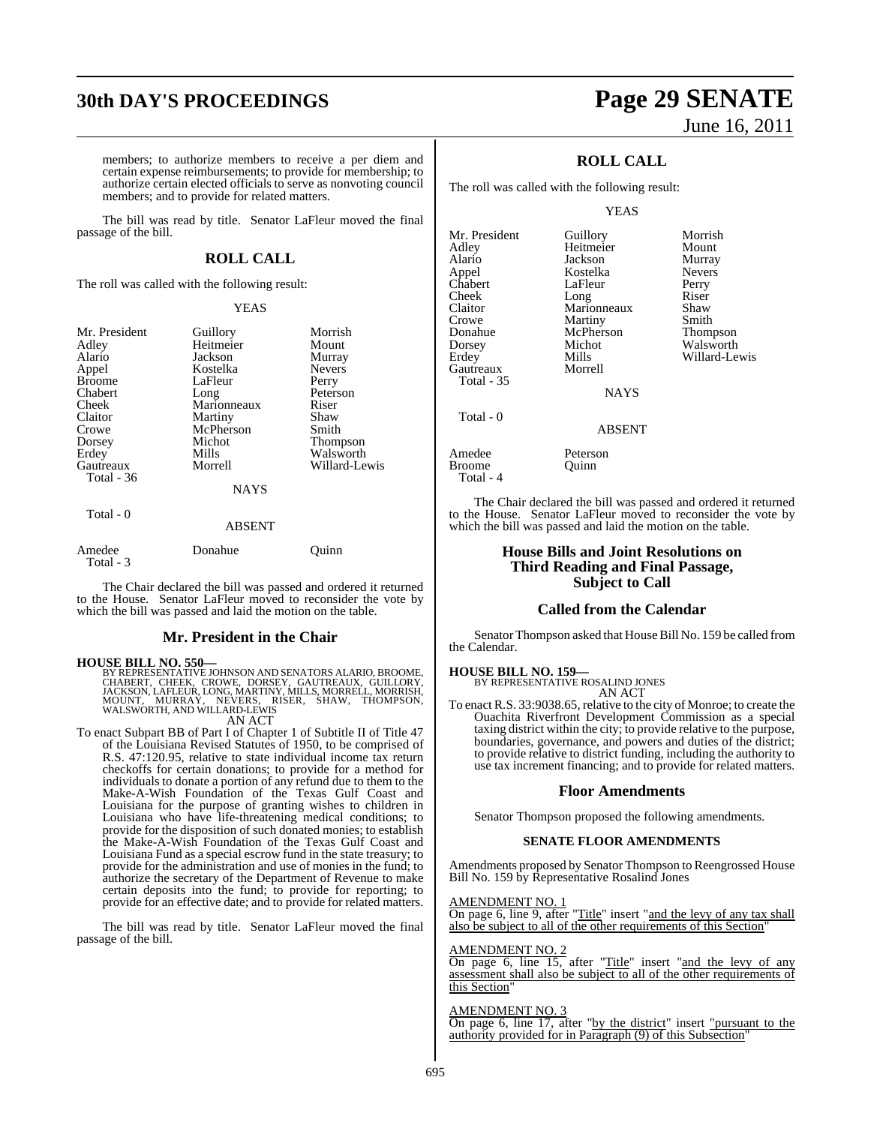## **30th DAY'S PROCEEDINGS Page 29 SENATE**

#### members; to authorize members to receive a per diem and certain expense reimbursements; to provide for membership; to authorize certain elected officials to serve as nonvoting council members; and to provide for related matters.

The bill was read by title. Senator LaFleur moved the final passage of the bill.

## **ROLL CALL**

The roll was called with the following result:

## YEAS

| Mr. President | Guillory    | Morrish       |
|---------------|-------------|---------------|
| Adley         | Heitmeier   | Mount         |
| Alario        | Jackson     |               |
|               |             | Murray        |
| Appel         | Kostelka    | <b>Nevers</b> |
| <b>Broome</b> | LaFleur     | Perry         |
| Chabert       | Long        | Peterson      |
| Cheek         | Marionneaux | Riser         |
| Claitor       | Martiny     | Shaw          |
| Crowe         | McPherson   | Smith         |
| Dorsey        | Michot      | Thompson      |
| Erdey         | Mills       | Walsworth     |
| Gautreaux     | Morrell     | Willard-Lewis |
| Total - 36    |             |               |
|               | <b>NAYS</b> |               |
| Total - 0     |             |               |

## ABSENT Amedee Donahue Quinn Total - 3

The Chair declared the bill was passed and ordered it returned to the House. Senator LaFleur moved to reconsider the vote by which the bill was passed and laid the motion on the table.

## **Mr. President in the Chair**

HOUSE BILL NO. 550—<br>
BY REPRESENTATIVE JOHNSON AND SENATORS ALARIO, BROOME,<br>
CHABERT, CHEEK, CROWE, DORSEY, GAUTREAUX, GUILLORY,<br>
JACKSON, LAFLEUR, LONG, MARTINY, MILLS, MORRELL, MORRISH,<br>
MOUNT, MURRAY, NEVERS, RISER, SHA

## AN ACT

To enact Subpart BB of Part I of Chapter 1 of Subtitle II of Title 47 of the Louisiana Revised Statutes of 1950, to be comprised of R.S. 47:120.95, relative to state individual income tax return checkoffs for certain donations; to provide for a method for individuals to donate a portion of any refund due to them to the Make-A-Wish Foundation of the Texas Gulf Coast and Louisiana for the purpose of granting wishes to children in Louisiana who have life-threatening medical conditions; to provide for the disposition of such donated monies; to establish the Make-A-Wish Foundation of the Texas Gulf Coast and Louisiana Fund as a special escrow fund in the state treasury; to provide for the administration and use of monies in the fund; to authorize the secretary of the Department of Revenue to make certain deposits into the fund; to provide for reporting; to provide for an effective date; and to provide for related matters.

The bill was read by title. Senator LaFleur moved the final passage of the bill.

# June 16, 2011

## **ROLL CALL**

The roll was called with the following result:

## YEAS

Mr. President Guillory Morrish<br>Adley Heitmeier Mount Alario Jackson Murray Appel Kostelka Nevers Chabert LaFleur Perry<br>Cheek Long Riser Cheek Long Riser Claitor Marionneaux Shaw Crowe Martiny Smith<br>
Donahue McPherson Thompson Donahue McPherson<br>Dorsey Michot Dorsey Michot Walsworth<br>
Erdey Mills Willard-Le Gautreaux Total - 35 Total - 0

Heitmeier<br>Jackson Mills Willard-Lewis<br>Morrell NAYS

Quinn

## ABSENT

Amedee Peterson<br>Broome Ouinn Total - 4

The Chair declared the bill was passed and ordered it returned to the House. Senator LaFleur moved to reconsider the vote by which the bill was passed and laid the motion on the table.

## **House Bills and Joint Resolutions on Third Reading and Final Passage, Subject to Call**

## **Called from the Calendar**

Senator Thompson asked that House Bill No. 159 be called from the Calendar.

## **HOUSE BILL NO. 159—**

BY REPRESENTATIVE ROSALIND JONES AN ACT

To enact R.S. 33:9038.65, relative to the city of Monroe; to create the Ouachita Riverfront Development Commission as a special taxing district within the city; to provide relative to the purpose, boundaries, governance, and powers and duties of the district; to provide relative to district funding, including the authority to use tax increment financing; and to provide for related matters.

## **Floor Amendments**

Senator Thompson proposed the following amendments.

## **SENATE FLOOR AMENDMENTS**

Amendments proposed by Senator Thompson to Reengrossed House Bill No. 159 by Representative Rosalind Jones

### AMENDMENT NO. 1

On page 6, line 9, after "Title" insert "and the levy of any tax shall also be subject to all of the other requirements of this Section"

#### AMENDMENT NO. 2

On page 6, line 15, after "Title" insert "and the levy of any assessment shall also be subject to all of the other requirements of this Section'

## AMENDMENT NO. 3

On page 6, line 17, after "by the district" insert "pursuant to the authority provided for in Paragraph (9) of this Subsection"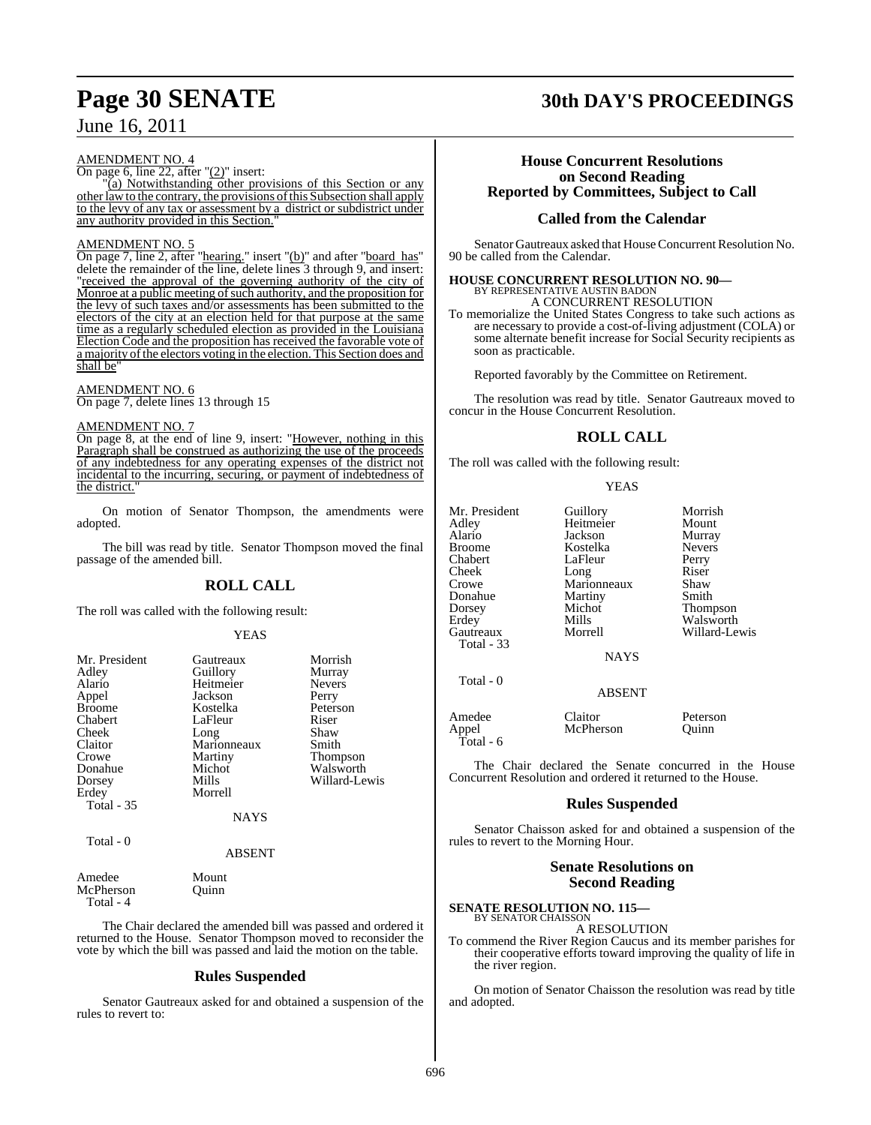## AMENDMENT NO. 4

On page 6, line 22, after "(2)" insert:

 $\overline{a}$  (a) Notwithstanding other provisions of this Section or any other law to the contrary, the provisions of this Subsection shall apply to the levy of any tax or assessment by a district or subdistrict under any authority provided in this Section."

## AMENDMENT NO. 5

On page 7, line 2, after "hearing." insert "(b)" and after "board has" delete the remainder of the line, delete lines 3 through 9, and insert: "received the approval of the governing authority of the city of Monroe at a public meeting of such authority, and the proposition for the levy of such taxes and/or assessments has been submitted to the electors of the city at an election held for that purpose at the same time as a regularly scheduled election as provided in the Louisiana Election Code and the proposition has received the favorable vote of a majority of the electors voting in the election. This Section does and shall be

### AMENDMENT NO. 6

On page 7, delete lines 13 through 15

### AMENDMENT NO. 7

On page 8, at the end of line 9, insert: "However, nothing in this Paragraph shall be construed as authorizing the use of the proceeds of any indebtedness for any operating expenses of the district not incidental to the incurring, securing, or payment of indebtedness of the district.

On motion of Senator Thompson, the amendments were adopted.

The bill was read by title. Senator Thompson moved the final passage of the amended bill.

## **ROLL CALL**

The roll was called with the following result:

## YEAS

| Mr. President     | Gautreaux   | Morrish         |
|-------------------|-------------|-----------------|
| Adley             | Guillory    | Murray          |
| Alario            | Heitmeier   | <b>Nevers</b>   |
|                   | Jackson     |                 |
| Appel             |             | Perry           |
| <b>Broome</b>     | Kostelka    | Peterson        |
| Chabert           | LaFleur     | Riser           |
| Cheek             | Long        | Shaw            |
| Claitor           | Marionneaux | Smith           |
| Crowe             | Martiny     | <b>Thompson</b> |
| Donahue           | Michot      | Walsworth       |
| Dorsey            | Mills       | Willard-Lewis   |
| Erdey             | Morrell     |                 |
| <b>Total - 35</b> |             |                 |
|                   | <b>NAYS</b> |                 |
| Total - 0         |             |                 |

#### ABSENT

Amedee Mount<br>McPherson Ouinn **McPherson** Total - 4

The Chair declared the amended bill was passed and ordered it returned to the House. Senator Thompson moved to reconsider the vote by which the bill was passed and laid the motion on the table.

## **Rules Suspended**

Senator Gautreaux asked for and obtained a suspension of the rules to revert to:

## **Page 30 SENATE 30th DAY'S PROCEEDINGS**

## **House Concurrent Resolutions on Second Reading Reported by Committees, Subject to Call**

## **Called from the Calendar**

Senator Gautreaux asked that House Concurrent Resolution No. 90 be called from the Calendar.

## **HOUSE CONCURRENT RESOLUTION NO. 90—** BY REPRESENTATIVE AUSTIN BADON A CONCURRENT RESOLUTION

To memorialize the United States Congress to take such actions as are necessary to provide a cost-of-living adjustment (COLA) or some alternate benefit increase for Social Security recipients as soon as practicable.

Reported favorably by the Committee on Retirement.

The resolution was read by title. Senator Gautreaux moved to concur in the House Concurrent Resolution.

## **ROLL CALL**

The roll was called with the following result:

### YEAS

| Mr. President | Guillory      | Morrish       |
|---------------|---------------|---------------|
| Adley         | Heitmeier     | Mount         |
| Alario        | Jackson       | Murray        |
| <b>Broome</b> | Kostelka      | <b>Nevers</b> |
| Chabert       | LaFleur       | Perry         |
| Cheek         | Long          | Riser         |
| Crowe         | Marionneaux   | Shaw          |
| Donahue       | Martiny       | Smith         |
| Dorsey        | Michot        | Thompson      |
| Erdey         | Mills         | Walsworth     |
| Gautreaux     | Morrell       | Willard-Lewis |
| Total - 33    |               |               |
|               | <b>NAYS</b>   |               |
|               |               |               |
| Total - 0     |               |               |
|               | <b>ABSENT</b> |               |
| Amedee        | Claitor       | Peterson      |
| Appel         | McPherson     | Juinn         |
| Total - 6     |               |               |
|               |               |               |

The Chair declared the Senate concurred in the House Concurrent Resolution and ordered it returned to the House.

## **Rules Suspended**

Senator Chaisson asked for and obtained a suspension of the rules to revert to the Morning Hour.

## **Senate Resolutions on Second Reading**

#### **SENATE RESOLUTION NO. 115—** BY SENATOR CHAISSON

A RESOLUTION

To commend the River Region Caucus and its member parishes for their cooperative efforts toward improving the quality of life in the river region.

On motion of Senator Chaisson the resolution was read by title and adopted.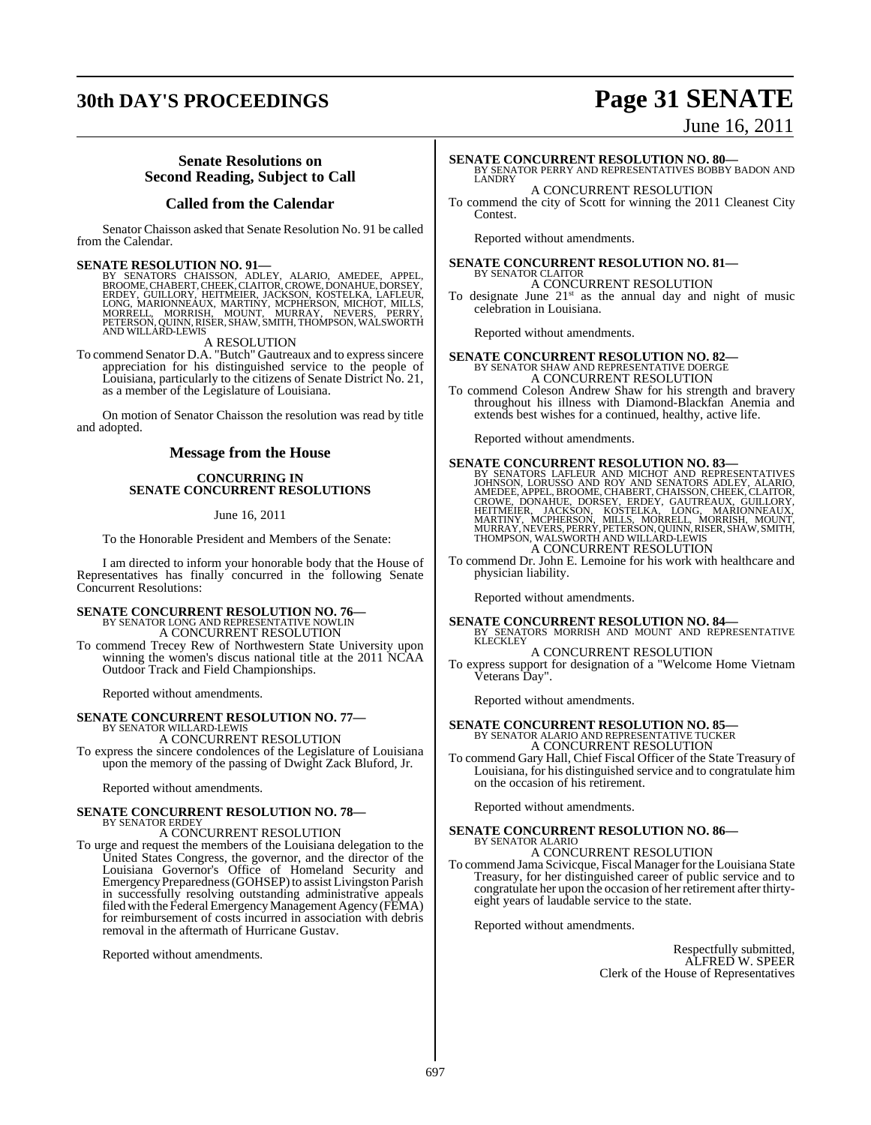## **30th DAY'S PROCEEDINGS Page 31 SENATE**

# June 16, 2011

## **Senate Resolutions on Second Reading, Subject to Call**

## **Called from the Calendar**

Senator Chaisson asked that Senate Resolution No. 91 be called from the Calendar.

SENATE RESOLUTION NO. 91—<br>BY SENATORS CHAISSON, ADLEY, ALARIO, AMEDEE, APPEL, BROOME, CHABERT, CHEEK, CLAITOR, CROWE, DONAHUE, DORSEY,<br>ERDEY, GUILLORY, HEITMEIER, JACKSON, KOSTELKA, LAFLEUR,<br>LONG, MARIONNEAUX, MARTINY, MCP

A RESOLUTION

To commend Senator D.A. "Butch" Gautreaux and to expresssincere appreciation for his distinguished service to the people of Louisiana, particularly to the citizens of Senate District No. 21, as a member of the Legislature of Louisiana.

On motion of Senator Chaisson the resolution was read by title and adopted.

## **Message from the House**

## **CONCURRING IN SENATE CONCURRENT RESOLUTIONS**

June 16, 2011

To the Honorable President and Members of the Senate:

I am directed to inform your honorable body that the House of Representatives has finally concurred in the following Senate Concurrent Resolutions:

## **SENATE CONCURRENT RESOLUTION NO. 76—** BY SENATOR LONG AND REPRESENTATIVE NOWLIN

A CONCURRENT RESOLUTION To commend Trecey Rew of Northwestern State University upon winning the women's discus national title at the 2011 NCAA Outdoor Track and Field Championships.

Reported without amendments.

## **SENATE CONCURRENT RESOLUTION NO. 77—** BY SENATOR WILLARD-LEWIS

A CONCURRENT RESOLUTION

To express the sincere condolences of the Legislature of Louisiana upon the memory of the passing of Dwight Zack Bluford, Jr.

Reported without amendments.

## **SENATE CONCURRENT RESOLUTION NO. 78—**

BY SENATOR ERDEY A CONCURRENT RESOLUTION

To urge and request the members of the Louisiana delegation to the United States Congress, the governor, and the director of the Louisiana Governor's Office of Homeland Security and Emergency Preparedness (GOHSEP) to assist Livingston Parish in successfully resolving outstanding administrative appeals filed with the Federal Emergency Management Agency (FEMA) for reimbursement of costs incurred in association with debris removal in the aftermath of Hurricane Gustav.

Reported without amendments.

**SENATE CONCURRENT RESOLUTION NO. 80—** BY SENATOR PERRY AND REPRESENTATIVES BOBBY BADON AND **LANDRY** 

A CONCURRENT RESOLUTION To commend the city of Scott for winning the 2011 Cleanest City **Contest**.

Reported without amendments.

## **SENATE CONCURRENT RESOLUTION NO. 81—** BY SENATOR CLAITOR

A CONCURRENT RESOLUTION<br>To designate June 21<sup>st</sup> as the annual day and night of music celebration in Louisiana.

Reported without amendments.

**SENATE CONCURRENT RESOLUTION NO. 82—**<br>BY SENATOR SHAW AND REPRESENTATIVE DOERGE<br>A CONCURRENT RESOLUTION

To commend Coleson Andrew Shaw for his strength and bravery throughout his illness with Diamond-Blackfan Anemia and extends best wishes for a continued, healthy, active life.

Reported without amendments.

**SENATE CONCURRENT RESOLUTION NO. 83**-BY SENATORS LAFLEUR AND MICHOT AND REPRESENTATIVES UGHNSON, LORUSSO AND ROY AND SENATORS ADLEY, ALARIO, AMEDEE, APPEL, BROOME, CHABERT, CHAISSON, CHEEK, CLAITOR, CROWE, DONAHUE, DORSEY A CONCURRENT RESOLUTION

To commend Dr. John E. Lemoine for his work with healthcare and physician liability.

Reported without amendments.

**SENATE CONCURRENT RESOLUTION NO. 84—**<br>BY SENATORS MORRISH AND MOUNT AND REPRESENTATIVE **KLECKLEY** 

A CONCURRENT RESOLUTION To express support for designation of a "Welcome Home Vietnam Veterans Day".

Reported without amendments.

## **SENATE CONCURRENT RESOLUTION NO. 85—** BY SENATOR ALARIO AND REPRESENTATIVE TUCKER A CONCURRENT RESOLUTION

To commend Gary Hall, Chief Fiscal Officer of the State Treasury of Louisiana, for his distinguished service and to congratulate him on the occasion of his retirement.

Reported without amendments.

## **SENATE CONCURRENT RESOLUTION NO. 86—**

BY SENATOR ALARIO A CONCURRENT RESOLUTION

To commend Jama Scivicque, Fiscal Manager for the Louisiana State Treasury, for her distinguished career of public service and to congratulate her upon the occasion of her retirement after thirtyeight years of laudable service to the state.

Reported without amendments.

Respectfully submitted, ALFRED W. SPEER Clerk of the House of Representatives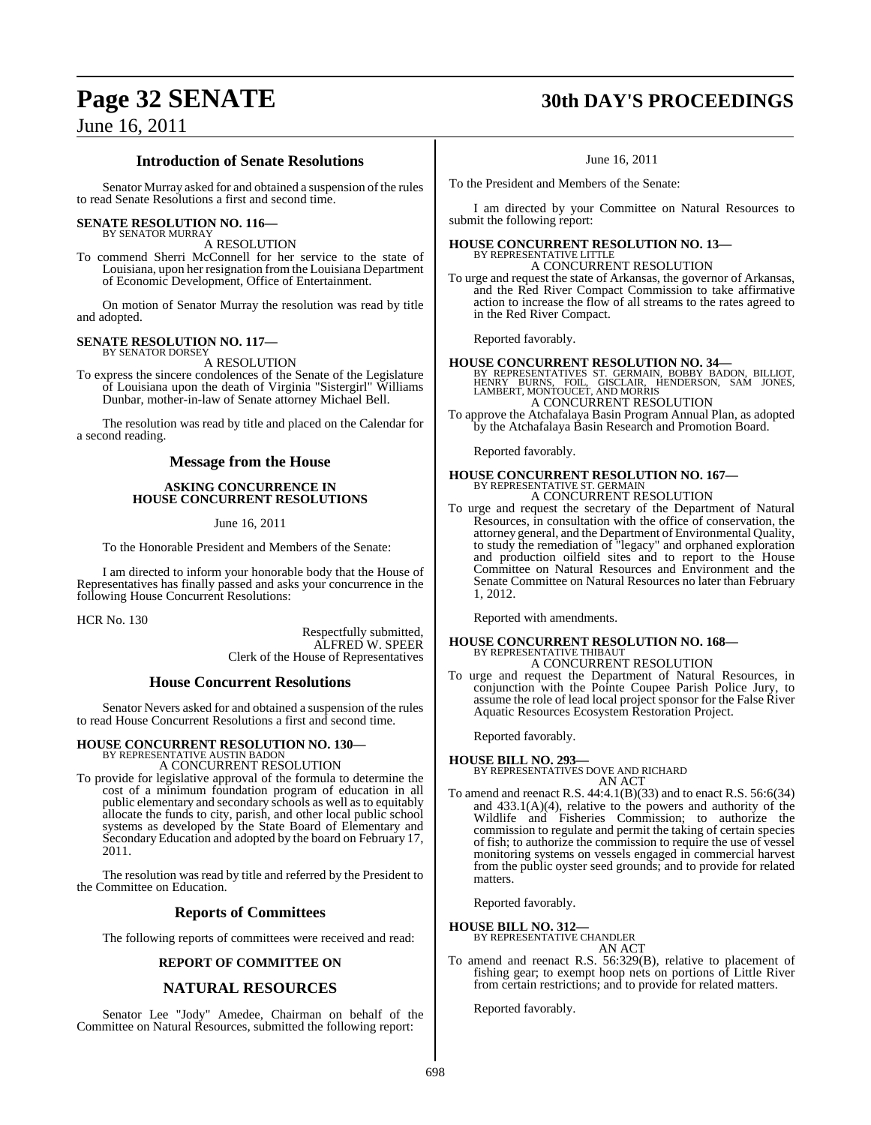## **Page 32 SENATE 30th DAY'S PROCEEDINGS**

## June 16, 2011

## **Introduction of Senate Resolutions**

Senator Murray asked for and obtained a suspension of the rules to read Senate Resolutions a first and second time.

## **SENATE RESOLUTION NO. 116—**

BY SENATOR MURRAY A RESOLUTION

To commend Sherri McConnell for her service to the state of Louisiana, upon her resignation from the Louisiana Department of Economic Development, Office of Entertainment.

On motion of Senator Murray the resolution was read by title and adopted.

#### **SENATE RESOLUTION NO. 117—** BY SENATOR DORSEY

A RESOLUTION

To express the sincere condolences of the Senate of the Legislature of Louisiana upon the death of Virginia "Sistergirl" Williams Dunbar, mother-in-law of Senate attorney Michael Bell.

The resolution was read by title and placed on the Calendar for a second reading.

## **Message from the House**

## **ASKING CONCURRENCE IN HOUSE CONCURRENT RESOLUTIONS**

## June 16, 2011

To the Honorable President and Members of the Senate:

I am directed to inform your honorable body that the House of Representatives has finally passed and asks your concurrence in the following House Concurrent Resolutions:

HCR No. 130

Respectfully submitted, ALFRED W. SPEER Clerk of the House of Representatives

## **House Concurrent Resolutions**

Senator Nevers asked for and obtained a suspension of the rules to read House Concurrent Resolutions a first and second time.

## **HOUSE CONCURRENT RESOLUTION NO. 130—** BY REPRESENTATIVE AUSTIN BADON

A CONCURRENT RESOLUTION

To provide for legislative approval of the formula to determine the cost of a minimum foundation program of education in all public elementary and secondary schools as well as to equitably allocate the funds to city, parish, and other local public school systems as developed by the State Board of Elementary and Secondary Education and adopted by the board on February 17, 2011.

The resolution was read by title and referred by the President to the Committee on Education.

## **Reports of Committees**

The following reports of committees were received and read:

## **REPORT OF COMMITTEE ON**

## **NATURAL RESOURCES**

Senator Lee "Jody" Amedee, Chairman on behalf of the Committee on Natural Resources, submitted the following report:

June 16, 2011

To the President and Members of the Senate:

I am directed by your Committee on Natural Resources to submit the following report:

## **HOUSE CONCURRENT RESOLUTION NO. 13—** BY REPRESENTATIVE LITTLE

A CONCURRENT RESOLUTION

To urge and request the state of Arkansas, the governor of Arkansas, and the Red River Compact Commission to take affirmative action to increase the flow of all streams to the rates agreed to in the Red River Compact.

Reported favorably.

**HOUSE CONCURRENT RESOLUTION NO. 34—**<br>
BY REPRESENTATIVES ST. GERMAIN, BOBBY BADON, BILLIOT,<br>
HENRY BURNS, FOIL, GISCLAIR, HENDERSON, SAM JONES,<br>
LAMBERT, MONTOUCET, AND MORRIS<br>
A CONCURRENT RESOLUTION

To approve the Atchafalaya Basin Program Annual Plan, as adopted by the Atchafalaya Basin Research and Promotion Board.

Reported favorably.

## **HOUSE CONCURRENT RESOLUTION NO. 167—** BY REPRESENTATIVE ST. GERMAIN A CONCURRENT RESOLUTION

To urge and request the secretary of the Department of Natural Resources, in consultation with the office of conservation, the attorney general, and the Department of Environmental Quality, to study the remediation of "legacy" and orphaned exploration and production oilfield sites and to report to the House Committee on Natural Resources and Environment and the Senate Committee on Natural Resources no later than February 1, 2012.

Reported with amendments.

## **HOUSE CONCURRENT RESOLUTION NO. 168—** BY REPRESENTATIVE THIBAUT A CONCURRENT RESOLUTION

To urge and request the Department of Natural Resources, in conjunction with the Pointe Coupee Parish Police Jury, to assume the role of lead local project sponsor for the False River Aquatic Resources Ecosystem Restoration Project.

Reported favorably.

## **HOUSE BILL NO. 293—**

BY REPRESENTATIVES DOVE AND RICHARD AN ACT

To amend and reenact R.S. 44:4.1(B)(33) and to enact R.S. 56:6(34) and 433.1(A)(4), relative to the powers and authority of the Wildlife and Fisheries Commission; to authorize the commission to regulate and permit the taking of certain species of fish; to authorize the commission to require the use of vessel monitoring systems on vessels engaged in commercial harvest from the public oyster seed grounds; and to provide for related matters.

Reported favorably.

## **HOUSE BILL NO. 312—**

BY REPRESENTATIVE CHANDLER AN ACT

To amend and reenact R.S. 56:329(B), relative to placement of fishing gear; to exempt hoop nets on portions of Little River from certain restrictions; and to provide for related matters.

Reported favorably.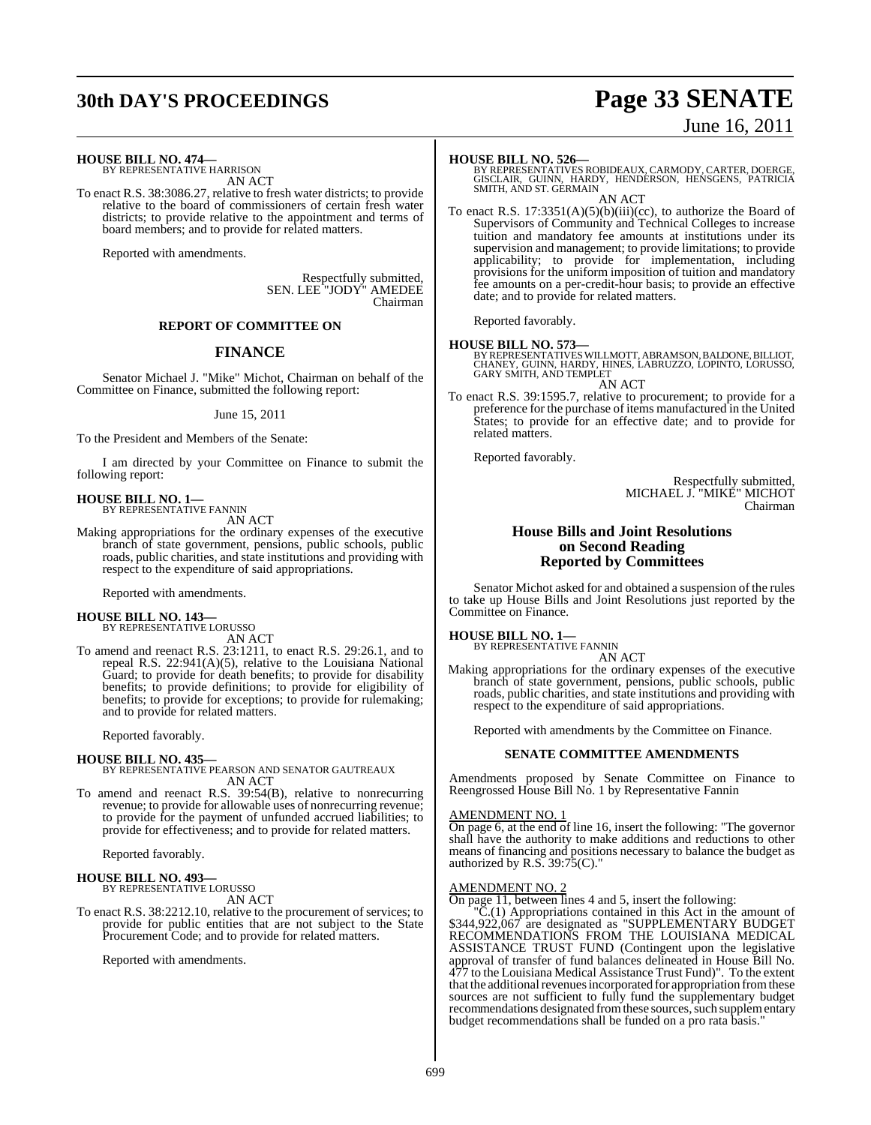## **30th DAY'S PROCEEDINGS Page 33 SENATE**

# June 16, 2011

**HOUSE BILL NO. 474—** BY REPRESENTATIVE HARRISON

AN ACT

To enact R.S. 38:3086.27, relative to fresh water districts; to provide relative to the board of commissioners of certain fresh water districts; to provide relative to the appointment and terms of board members; and to provide for related matters.

Reported with amendments.

Respectfully submitted, SEN. LEE "JODY" AMEDEE Chairman

## **REPORT OF COMMITTEE ON**

## **FINANCE**

Senator Michael J. "Mike" Michot, Chairman on behalf of the Committee on Finance, submitted the following report:

June 15, 2011

To the President and Members of the Senate:

I am directed by your Committee on Finance to submit the following report:

**HOUSE BILL NO. 1—** BY REPRESENTATIVE FANNIN

AN ACT

Making appropriations for the ordinary expenses of the executive branch of state government, pensions, public schools, public roads, public charities, and state institutions and providing with respect to the expenditure of said appropriations.

Reported with amendments.

## **HOUSE BILL NO. 143—** BY REPRESENTATIVE LORUSSO

AN ACT

To amend and reenact R.S. 23:1211, to enact R.S. 29:26.1, and to repeal R.S. 22:941(A)(5), relative to the Louisiana National Guard; to provide for death benefits; to provide for disability benefits; to provide definitions; to provide for eligibility of benefits; to provide for exceptions; to provide for rulemaking; and to provide for related matters.

Reported favorably.

## **HOUSE BILL NO. 435—**

BY REPRESENTATIVE PEARSON AND SENATOR GAUTREAUX AN ACT

To amend and reenact R.S. 39:54(B), relative to nonrecurring revenue; to provide for allowable uses of nonrecurring revenue; to provide for the payment of unfunded accrued liabilities; to provide for effectiveness; and to provide for related matters.

Reported favorably.

## **HOUSE BILL NO. 493—** BY REPRESENTATIVE LORUSSO

AN ACT

To enact R.S. 38:2212.10, relative to the procurement of services; to provide for public entities that are not subject to the State Procurement Code; and to provide for related matters.

Reported with amendments.

**HOUSE BILL NO. 526—**<br>BY REPRESENTATIVES ROBIDEAUX, CARMODY, CARTER, DOERGE,<br>GISCLAIR, GUINN, HARDY, HENDERSON, HENSGENS, PATRICIA<br>SMITH, AND ST. GERMAIN AN ACT

To enact R.S. 17:3351(A)(5)(b)(iii)(cc), to authorize the Board of Supervisors of Community and Technical Colleges to increase tuition and mandatory fee amounts at institutions under its supervision and management; to provide limitations; to provide applicability; to provide for implementation, including provisions for the uniform imposition of tuition and mandatory fee amounts on a per-credit-hour basis; to provide an effective date; and to provide for related matters.

Reported favorably.

## **HOUSE BILL NO. 573—**

BY REPRESENTATIVES WILLMOTT, ABRAMSON, BALDONE, BILLIOT,<br>CHANEY, GUINN, HARDY, HINES, LABRUZZO, LOPINTO, LORUSSO, GARY SMITH, AND TEMPLET

AN ACT

To enact R.S. 39:1595.7, relative to procurement; to provide for a preference for the purchase of items manufactured in the United States; to provide for an effective date; and to provide for related matters.

Reported favorably.

Respectfully submitted, MICHAEL J. "MIKE" MICHOT Chairman

## **House Bills and Joint Resolutions on Second Reading Reported by Committees**

Senator Michot asked for and obtained a suspension of the rules to take up House Bills and Joint Resolutions just reported by the Committee on Finance.

**HOUSE BILL NO. 1—** BY REPRESENTATIVE FANNIN

AN ACT

Making appropriations for the ordinary expenses of the executive branch of state government, pensions, public schools, public roads, public charities, and state institutions and providing with respect to the expenditure of said appropriations.

Reported with amendments by the Committee on Finance.

## **SENATE COMMITTEE AMENDMENTS**

Amendments proposed by Senate Committee on Finance to Reengrossed House Bill No. 1 by Representative Fannin

## AMENDMENT NO. 1

On page 6, at the end of line 16, insert the following: "The governor shall have the authority to make additions and reductions to other means of financing and positions necessary to balance the budget as authorized by  $R.S. 39:75(C)$ ."

#### AMENDMENT NO. 2

On page 11, between lines 4 and 5, insert the following:

"C.(1) Appropriations contained in this Act in the amount of \$344,922,067 are designated as "SUPPLEMENTARY BUDGET RECOMMENDATIONS FROM THE LOUISIANA MEDICAL ASSISTANCE TRUST FUND (Contingent upon the legislative approval of transfer of fund balances delineated in House Bill No. 477 to the Louisiana Medical Assistance Trust Fund)". To the extent that the additional revenues incorporated for appropriation from these sources are not sufficient to fully fund the supplementary budget recommendations designated from these sources, such supplementary budget recommendations shall be funded on a pro rata basis."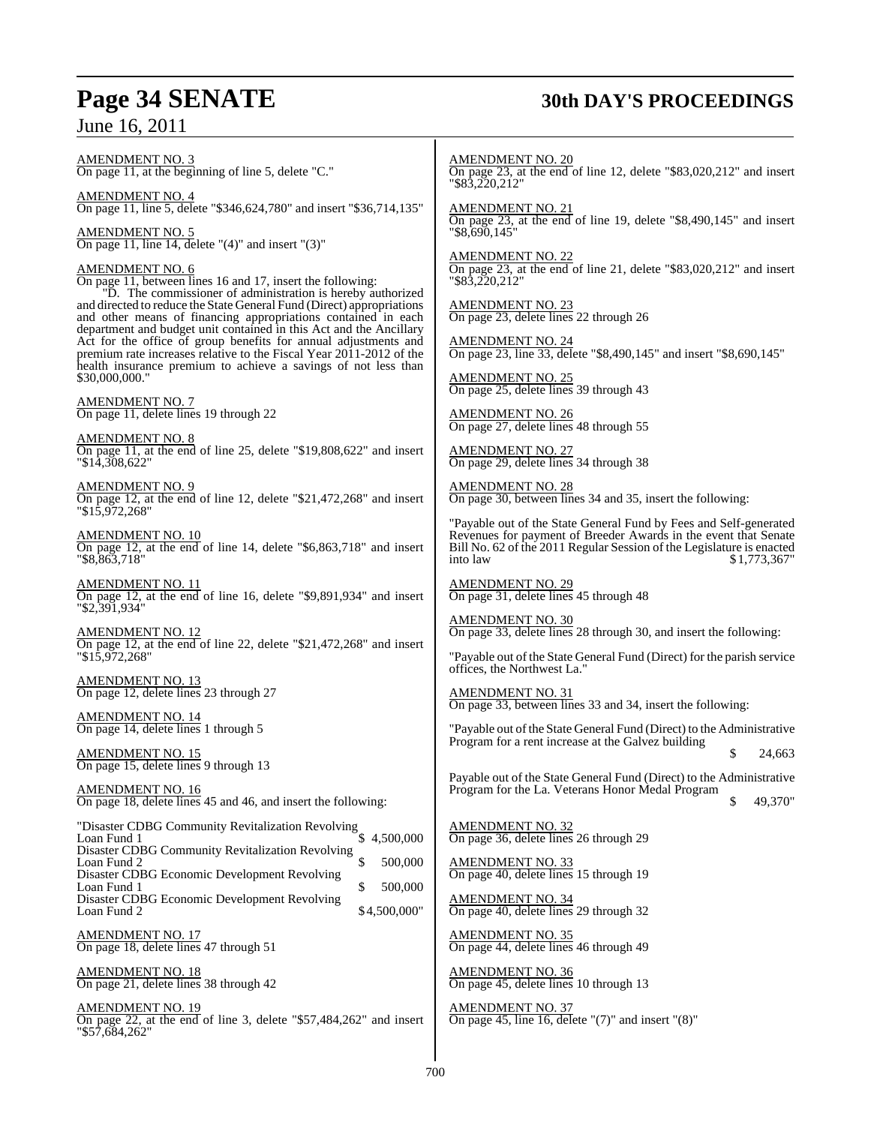## **Page 34 SENATE 30th DAY'S PROCEEDINGS**

June 16, 2011

AMENDMENT NO. 3 On page 11, at the beginning of line 5, delete "C."

AMENDMENT NO. 4 On page 11, line 5, delete "\$346,624,780" and insert "\$36,714,135"

AMENDMENT NO. 5 On page 11, line 14, delete " $(4)$ " and insert " $(3)$ "

AMENDMENT NO. 6 On page 11, between lines 16 and 17, insert the following: "D. The commissioner of administration is hereby authorized and directed to reduce the State General Fund (Direct) appropriations and other means of financing appropriations contained in each department and budget unit contained in this Act and the Ancillary Act for the office of group benefits for annual adjustments and

\$30,000,000." AMENDMENT NO. 7

On page 11, delete lines 19 through 22

AMENDMENT NO. 8 On page 11, at the end of line 25, delete "\$19,808,622" and insert "\$14,308,622"

premium rate increases relative to the Fiscal Year 2011-2012 of the health insurance premium to achieve a savings of not less than

AMENDMENT NO. 9 On page 12, at the end of line 12, delete "\$21,472,268" and insert "\$15,972,268"

AMENDMENT NO. 10 On page 12, at the end of line 14, delete "\$6,863,718" and insert "\$8,863,718"

AMENDMENT NO. 11 On page 12, at the end of line 16, delete "\$9,891,934" and insert "\$2,391,934"

AMENDMENT NO. 12 On page 12, at the end of line 22, delete "\$21,472,268" and insert "\$15,972,268"

AMENDMENT NO. 13 On page 12, delete lines 23 through 27

AMENDMENT NO. 14 On page 14, delete lines 1 through 5

AMENDMENT NO. 15 On page 15, delete lines 9 through 13

AMENDMENT NO. 16 On page 18, delete lines 45 and 46, and insert the following:

| "Disaster CDBG Community Revitalization Revolving |              |
|---------------------------------------------------|--------------|
| Loan Fund 1                                       | 4,500,000    |
| Disaster CDBG Community Revitalization Revolving  |              |
| Loan Fund 2                                       | 500,000      |
| Disaster CDBG Economic Development Revolving      |              |
| Loan Fund 1                                       | 500,000      |
| Disaster CDBG Economic Development Revolving      |              |
| Loan Fund 2                                       | \$4,500,000" |
|                                                   |              |

AMENDMENT NO. 17 On page 18, delete lines 47 through 51

AMENDMENT NO. 18 On page 21, delete lines 38 through 42

AMENDMENT NO. 19 On page 22, at the end of line 3, delete "\$57,484,262" and insert "\$57,684,262"

AMENDMENT NO. 20 On page 23, at the end of line 12, delete "\$83,020,212" and insert "\$83,220,212"

AMENDMENT NO. 21 On page 23, at the end of line 19, delete "\$8,490,145" and insert "\$8,690,145"

AMENDMENT NO. 22 On page 23, at the end of line 21, delete "\$83,020,212" and insert "\$83,220,212"

AMENDMENT NO. 23 On page 23, delete lines 22 through 26

AMENDMENT NO. 24 On page 23, line 33, delete "\$8,490,145" and insert "\$8,690,145"

AMENDMENT NO. 25 On page 25, delete lines 39 through 43

AMENDMENT NO. 26 On page 27, delete lines 48 through 55

AMENDMENT NO. 27 On page 29, delete lines 34 through 38

AMENDMENT NO. 28 On page 30, between lines 34 and 35, insert the following:

"Payable out of the State General Fund by Fees and Self-generated Revenues for payment of Breeder Awards in the event that Senate Bill No. 62 of the 2011 Regular Session of the Legislature is enacted into law \$1,773,367"

AMENDMENT NO. 29 On page 31, delete lines 45 through 48

<u>MENDMENT NO. 30</u> On page 33, delete lines 28 through 30, and insert the following:

"Payable out of the State General Fund (Direct) for the parish service offices, the Northwest La."

AMENDMENT NO. 31 On page 33, between lines 33 and 34, insert the following:

"Payable out of the State General Fund (Direct) to the Administrative Program for a rent increase at the Galvez building 24,663

Payable out of the State General Fund (Direct) to the Administrative Program for the La. Veterans Honor Medal Program

49,370"

AMENDMENT NO. 32 On page 36, delete lines 26 through 29

AMENDMENT NO. 33 On page 40, delete lines 15 through 19

AMENDMENT NO. 34 On page 40, delete lines 29 through 32

AMENDMENT NO. 35 On page 44, delete lines 46 through 49

AMENDMENT NO. 36 On page 45, delete lines 10 through 13

AMENDMENT NO. 37 On page 45, line 16, delete "(7)" and insert "(8)"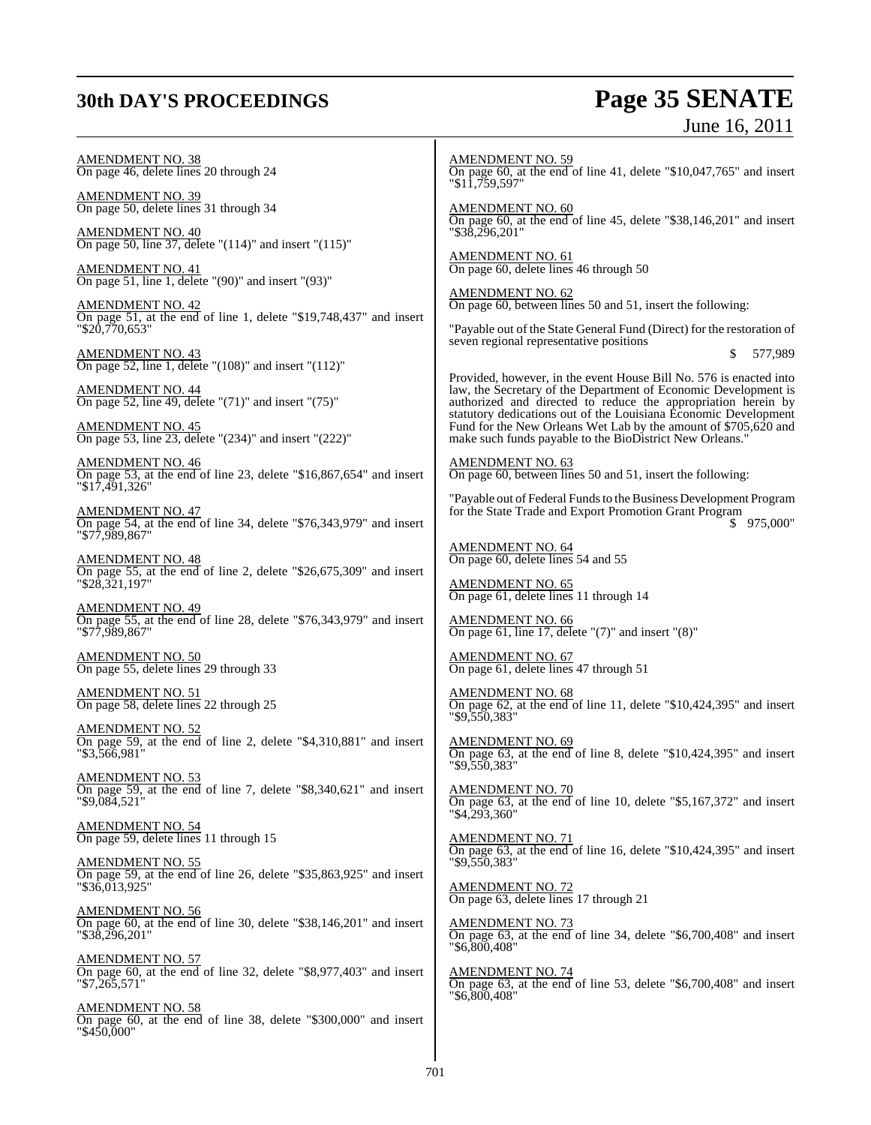## **30th DAY'S PROCEEDINGS**

# **Page 35 SENATE**<br>June 16, 2011

| <u>AMENDMENT NO. 38</u><br>On page 46, delete lines 20 through 24                                                | <b>AMENDMENT NO. 59</b><br>On page 60, at the end of line 41, delete "\$10,047,765" and insert<br>"\$11,759,597"                        |
|------------------------------------------------------------------------------------------------------------------|-----------------------------------------------------------------------------------------------------------------------------------------|
| AMENDMENT NO. 39<br>On page 50, delete lines 31 through 34                                                       | $\frac{\text{AMENDMENT NO. 60}}{\text{On page 60}}$ , at the end of line 45, delete "\$38,146,201" and insert                           |
| <b>AMENDMENT NO. 40</b><br>On page 50, line 37, delete " $(114)$ " and insert " $(115)$ "                        | "\$38,296,201"<br><b>AMENDMENT NO. 61</b>                                                                                               |
| AMENDMENT NO. 41<br>On page 51, line 1, delete "(90)" and insert "(93)"                                          | On page 60, delete lines 46 through 50                                                                                                  |
| <u>AMENDMENT NO. 42</u><br>On page 51, at the end of line 1, delete "\$19,748,437" and insert                    | $\frac{\text{AMENDMENT NO. 62}}{\text{On page 60, between lines 50 and 51, insert the following:}}$                                     |
| "\$20.770.653"                                                                                                   | "Payable out of the State General Fund (Direct) for the restoration of<br>seven regional representative positions<br>577,989<br>S       |
| AMENDMENT NO. 43<br>On page 52, line 1, delete "(108)" and insert "(112)"<br><u>AMENDMENT NO. 44</u>             | Provided, however, in the event House Bill No. 576 is enacted into<br>law, the Secretary of the Department of Economic Development is   |
| On page 52, line 49, delete " $(71)$ " and insert " $(75)$ "                                                     | authorized and directed to reduce the appropriation herein by<br>statutory dedications out of the Louisiana Economic Development        |
| AMENDMENT NO. 45<br>On page 53, line 23, delete "(234)" and insert "(222)"                                       | Fund for the New Orleans Wet Lab by the amount of \$705,620 and<br>make such funds payable to the BioDistrict New Orleans."             |
| AMENDMENT NO. 46<br>On page 53, at the end of line 23, delete "\$16,867,654" and insert<br>"\$17,491,326"        | AMENDMENT NO. 63<br>On page 60, between lines 50 and 51, insert the following:                                                          |
| AMENDMENT NO. 47<br>On page 54, at the end of line 34, delete "\$76,343,979" and insert<br>"\$77,989,867"        | "Payable out of Federal Funds to the Business Development Program<br>for the State Trade and Export Promotion Grant Program<br>975,000" |
| AMENDMENT NO. 48<br>On page 55, at the end of line 2, delete "\$26,675,309" and insert<br>"\$28,321,197"         | <b>AMENDMENT NO. 64</b><br>On page 60, delete lines 54 and 55                                                                           |
| <u>AMENDMENT NO. 49</u>                                                                                          | <b>AMENDMENT NO. 65</b><br>On page 61, delete lines 11 through 14                                                                       |
| On page 55, at the end of line 28, delete "\$76,343,979" and insert<br>"\$77,989,867"                            | <b>AMENDMENT NO. 66</b><br>On page 61, line 17, delete " $(7)$ " and insert " $(8)$ "                                                   |
| <u>AMENDMENT NO. 50</u><br>On page 55, delete lines 29 through 33                                                | <b>AMENDMENT NO. 67</b><br>On page 61, delete lines 47 through 51                                                                       |
| <u>AMENDMENT NO. 51</u><br>On page 58, delete lines 22 through 25                                                | <b>AMENDMENT NO. 68</b><br>On page 62, at the end of line 11, delete "\$10,424,395" and insert<br>"\$9,550,383"                         |
| AMENDMENT NO. 52<br>On page 59, at the end of line 2, delete "\$4,310,881" and insert<br>"\$3,566,981"           | <b>AMENDMENT NO. 69</b><br>On page 63, at the end of line 8, delete " $$10,424,395$ " and insert<br>"\$9,550,383"                       |
| <b>AMENDMENT NO. 53</b><br>On page 59, at the end of line 7, delete "\$8,340,621" and insert<br>"\$9,084,521"    | <b>AMENDMENT NO. 70</b><br>On page $63$ , at the end of line 10, delete "\$5,167,372" and insert<br>"\$4,293,360"                       |
| <u>AMENDMENT NO. 54</u><br>On page 59, delete lines 11 through 15                                                | <b>AMENDMENT NO. 71</b><br>On page 63, at the end of line 16, delete " $$10,424,395$ " and insert                                       |
| AMENDMENT NO. 55<br>On page 59, at the end of line 26, delete "\$35,863,925" and insert<br>"\$36,013,925"        | "\$9,550,383"<br><b>AMENDMENT NO. 72</b><br>On page 63, delete lines 17 through 21                                                      |
| <u>AMENDMENT NO. 56</u><br>On page 60, at the end of line 30, delete "\$38,146,201" and insert<br>"\$38,296,201" | <b>AMENDMENT NO. 73</b><br>On page 63, at the end of line 34, delete "\$6,700,408" and insert<br>"\$6,800,408"                          |
| <b>AMENDMENT NO. 57</b><br>On page 60, at the end of line 32, delete "\$8,977,403" and insert<br>"\$7,265,571"   | <b>AMENDMENT NO. 74</b><br>On page 63, at the end of line 53, delete "\$6,700,408" and insert<br>"\$6,800,408"                          |
| AMENDMENT NO. 58<br>On page 60, at the end of line 38, delete "\$300,000" and insert<br>"\$450,000"              |                                                                                                                                         |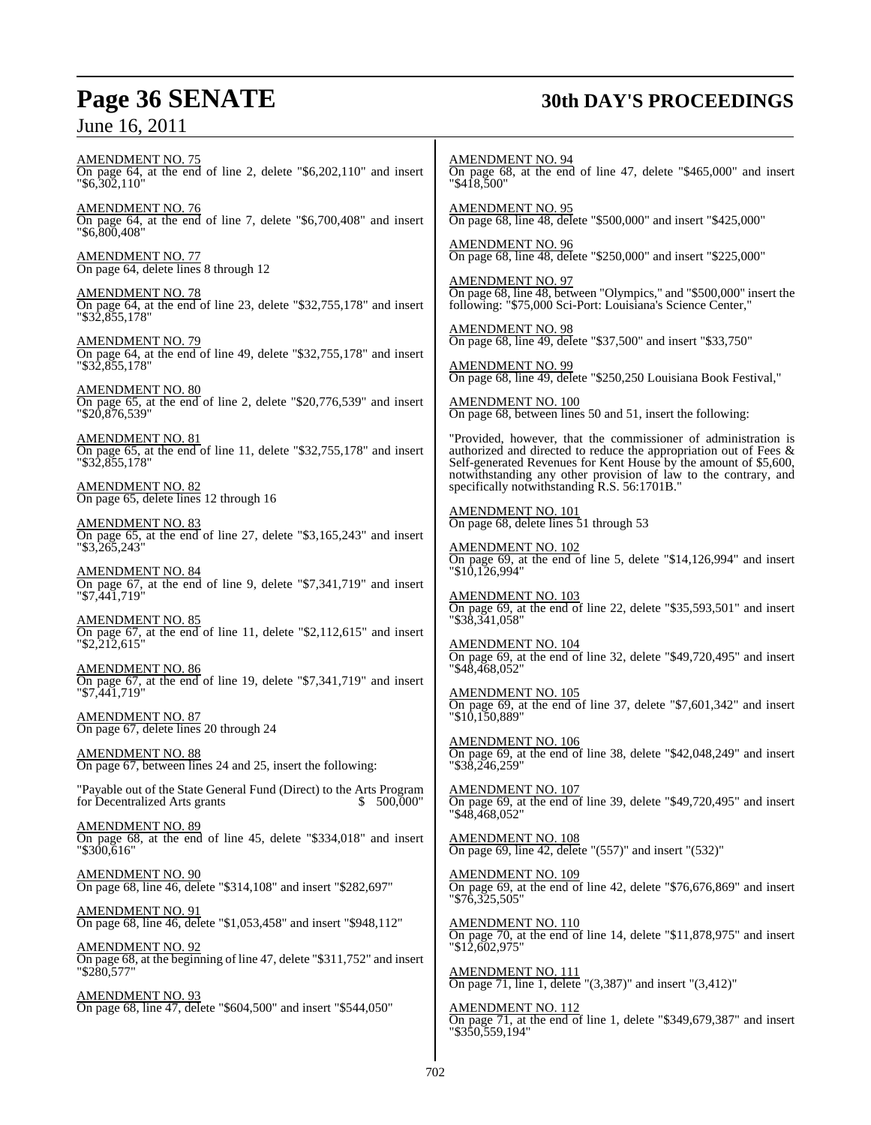## **Page 36 SENATE 30th DAY'S PROCEEDINGS**

AMENDMENT NO. 75 On page 64, at the end of line 2, delete "\$6,202,110" and insert "\$6,302,110" AMENDMENT NO. 76 On page 64, at the end of line 7, delete "\$6,700,408" and insert "\$6,800,408" AMENDMENT NO. 77 On page 64, delete lines 8 through 12 AMENDMENT NO. 78 On page 64, at the end of line 23, delete "\$32,755,178" and insert "\$32,855,178" AMENDMENT NO. 79 On page 64, at the end of line 49, delete "\$32,755,178" and insert "\$32,855,178" AMENDMENT NO. 80 On page 65, at the end of line 2, delete "\$20,776,539" and insert "\$20,876,539" AMENDMENT NO. 81 On page 65, at the end of line 11, delete "\$32,755,178" and insert "\$32,855,178" AMENDMENT NO. 82 On page 65, delete lines 12 through 16 AMENDMENT NO. 83 On page 65, at the end of line 27, delete "\$3,165,243" and insert "\$3,265,243" AMENDMENT NO. 84 On page 67, at the end of line 9, delete "\$7,341,719" and insert "\$7,441,719" AMENDMENT NO. 85 On page 67, at the end of line 11, delete "\$2,112,615" and insert "\$2,212,615" AMENDMENT NO. 86 On page 67, at the end of line 19, delete "\$7,341,719" and insert "\$7,441,719" AMENDMENT NO. 87 On page 67, delete lines 20 through 24 AMENDMENT NO. 88 On page 67, between lines 24 and 25, insert the following: "Payable out of the State General Fund (Direct) to the Arts Program for Decentralized Arts grants AMENDMENT NO. 89 On page 68, at the end of line 45, delete "\$334,018" and insert "\$300,616" AMENDMENT NO. 90 On page 68, line 46, delete "\$314,108" and insert "\$282,697" AMENDMENT NO. 91 On page 68, line 46, delete "\$1,053,458" and insert "\$948,112" AMENDMENT NO. 92 On page 68, at the beginning of line 47, delete "\$311,752" and insert "\$280,577" AMENDMENT NO. 93 On page 68, line 47, delete "\$604,500" and insert "\$544,050" "\$418,500" "\$10,126,994" "\$38,341,058" "\$48,468,052" "\$10,150,889" "\$38,246,259" "\$48,468,052" "\$76,325,505" "\$12,602,975" AMENDMENT NO. 112 "\$350,559,194"

AMENDMENT NO. 94 On page 68, at the end of line 47, delete "\$465,000" and insert

AMENDMENT NO. 95 On page 68, line 48, delete "\$500,000" and insert "\$425,000"

AMENDMENT NO. 96 On page 68, line 48, delete "\$250,000" and insert "\$225,000"

AMENDMENT NO. 97 On page 68, line 48, between "Olympics," and "\$500,000" insert the following: "\$75,000 Sci-Port: Louisiana's Science Center,"

AMENDMENT NO. 98 On page 68, line 49, delete "\$37,500" and insert "\$33,750"

AMENDMENT NO. 99 On page 68, line 49, delete "\$250,250 Louisiana Book Festival,"

AMENDMENT NO. 100 On page 68, between lines 50 and 51, insert the following:

"Provided, however, that the commissioner of administration is authorized and directed to reduce the appropriation out of Fees & Self-generated Revenues for Kent House by the amount of \$5,600, notwithstanding any other provision of law to the contrary, and specifically notwithstanding R.S. 56:1701B."

AMENDMENT NO. 101 On page 68, delete lines 51 through 53

AMENDMENT NO. 102 On page 69, at the end of line 5, delete "\$14,126,994" and insert

AMENDMENT NO. 103 On page 69, at the end of line 22, delete "\$35,593,501" and insert

AMENDMENT NO. 104 On page 69, at the end of line 32, delete "\$49,720,495" and insert

AMENDMENT NO. 105 On page 69, at the end of line 37, delete "\$7,601,342" and insert

AMENDMENT NO. 106 On page 69, at the end of line 38, delete "\$42,048,249" and insert

AMENDMENT NO. 107 On page 69, at the end of line 39, delete "\$49,720,495" and insert

AMENDMENT NO. 108 On page 69, line 42, delete "(557)" and insert "(532)"

AMENDMENT NO. 109 On page 69, at the end of line 42, delete "\$76,676,869" and insert

AMENDMENT NO. 110 On page 70, at the end of line 14, delete "\$11,878,975" and insert

AMENDMENT NO. 111 On page 71, line 1, delete "(3,387)" and insert "(3,412)"

On page 71, at the end of line 1, delete "\$349,679,387" and insert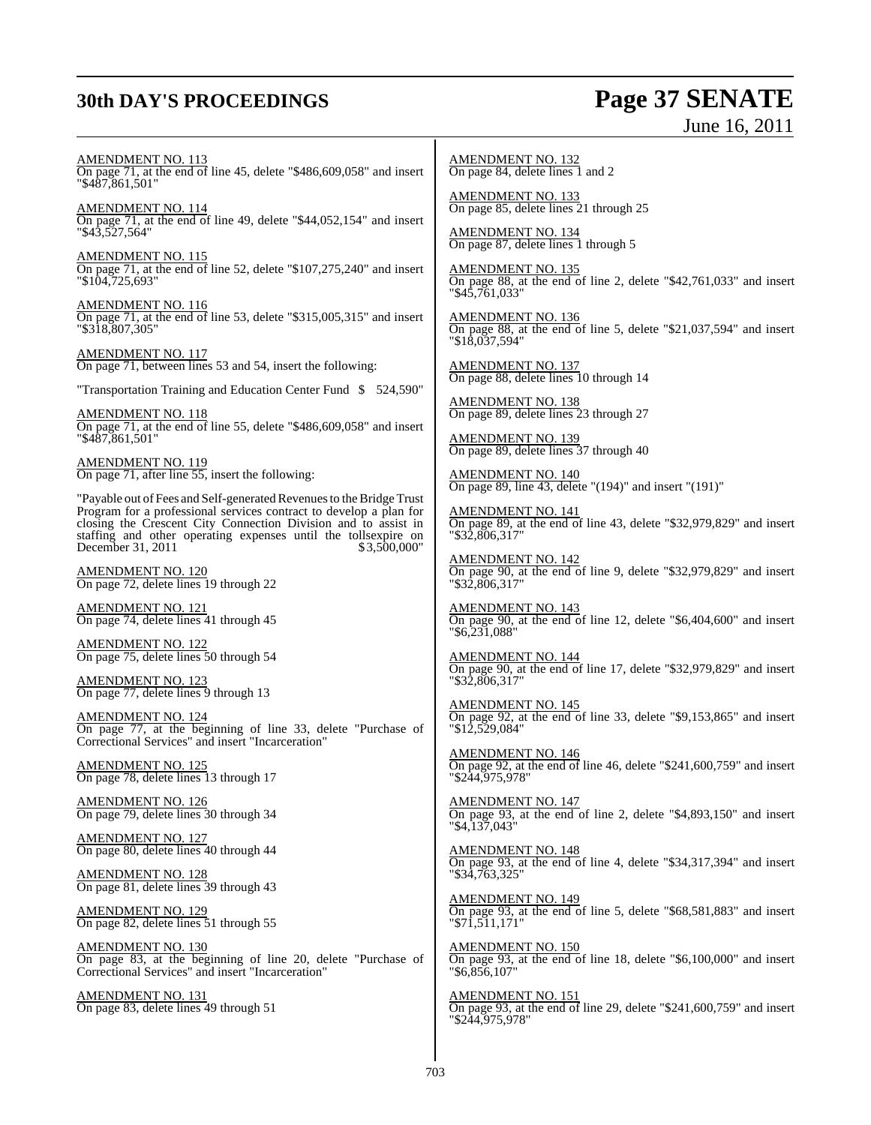## **30th DAY'S PROCEEDINGS Page 37 SENATE**

June 16, 2011

AMENDMENT NO. 113 On page 71, at the end of line 45, delete "\$486,609,058" and insert "\$487,861,501"

AMENDMENT NO. 114 On page 71, at the end of line 49, delete "\$44,052,154" and insert "\$43,527,564"

AMENDMENT NO. 115 On page 71, at the end of line 52, delete "\$107,275,240" and insert "\$104,725,693"

AMENDMENT NO. 116 On page 71, at the end of line 53, delete "\$315,005,315" and insert "\$318,807,305"

AMENDMENT NO. 117 On page 71, between lines 53 and 54, insert the following:

"Transportation Training and Education Center Fund \$ 524,590"

AMENDMENT NO. 118 On page 71, at the end of line 55, delete "\$486,609,058" and insert "\$487,861,501"

AMENDMENT NO. 119 On page 71, after line 55, insert the following:

"Payable out of Fees and Self-generated Revenues to the Bridge Trust Program for a professional services contract to develop a plan for closing the Crescent City Connection Division and to assist in staffing and other operating expenses until the tollsexpire on December 31, 2011 \$ 3,500,000"

AMENDMENT NO. 120 On page 72, delete lines 19 through 22

AMENDMENT NO. 121 On page 74, delete lines 41 through 45

AMENDMENT NO. 122 On page 75, delete lines 50 through 54

AMENDMENT NO. 123 On page 77, delete lines 9 through 13

AMENDMENT NO. 124 On page 77, at the beginning of line 33, delete "Purchase of Correctional Services" and insert "Incarceration"

AMENDMENT NO. 125 On page 78, delete lines 13 through 17

AMENDMENT NO. 126 On page 79, delete lines 30 through 34

AMENDMENT NO. 127 On page 80, delete lines 40 through 44

AMENDMENT NO. 128 On page 81, delete lines 39 through 43

AMENDMENT NO. 129 On page 82, delete lines 51 through 55

AMENDMENT NO. 130 On page 83, at the beginning of line 20, delete "Purchase of Correctional Services" and insert "Incarceration"

AMENDMENT NO. 131 On page 83, delete lines 49 through 51

AMENDMENT NO. 132 On page 84, delete lines 1 and 2

AMENDMENT NO. 133 On page 85, delete lines 21 through 25

AMENDMENT NO. 134 On page 87, delete lines 1 through 5

AMENDMENT NO. 135 On page 88, at the end of line 2, delete "\$42,761,033" and insert "\$45,761,033"

AMENDMENT NO. 136 On page 88, at the end of line 5, delete "\$21,037,594" and insert "\$18,037,594"

AMENDMENT NO. 137 On page 88, delete lines 10 through 14

AMENDMENT NO. 138 On page 89, delete lines 23 through 27

AMENDMENT NO. 139 On page 89, delete lines 37 through 40

AMENDMENT NO. 140 On page 89, line 43, delete "(194)" and insert "(191)"

AMENDMENT NO. 141 On page 89, at the end of line 43, delete "\$32,979,829" and insert "\$32,806,317"

AMENDMENT NO. 142 On page 90, at the end of line 9, delete "\$32,979,829" and insert "\$32,806,317"

AMENDMENT NO. 143 On page 90, at the end of line 12, delete "\$6,404,600" and insert "\$6,231,088"

AMENDMENT NO. 144 On page 90, at the end of line 17, delete "\$32,979,829" and insert "\$32,806,317"

AMENDMENT NO. 145 On page 92, at the end of line 33, delete "\$9,153,865" and insert "\$12,529,084"

AMENDMENT NO. 146 On page 92, at the end of line 46, delete "\$241,600,759" and insert "\$244,975,978"

AMENDMENT NO. 147 On page 93, at the end of line 2, delete "\$4,893,150" and insert "\$4,137,043"

AMENDMENT NO. 148 On page 93, at the end of line 4, delete "\$34,317,394" and insert "\$34,763,325"

AMENDMENT NO. 149 On page 93, at the end of line 5, delete "\$68,581,883" and insert "\$71,511,171"

AMENDMENT NO. 150 On page 93, at the end of line 18, delete "\$6,100,000" and insert "\$6,856,107"

AMENDMENT NO. 151 On page 93, at the end of line 29, delete "\$241,600,759" and insert "\$244,975,978"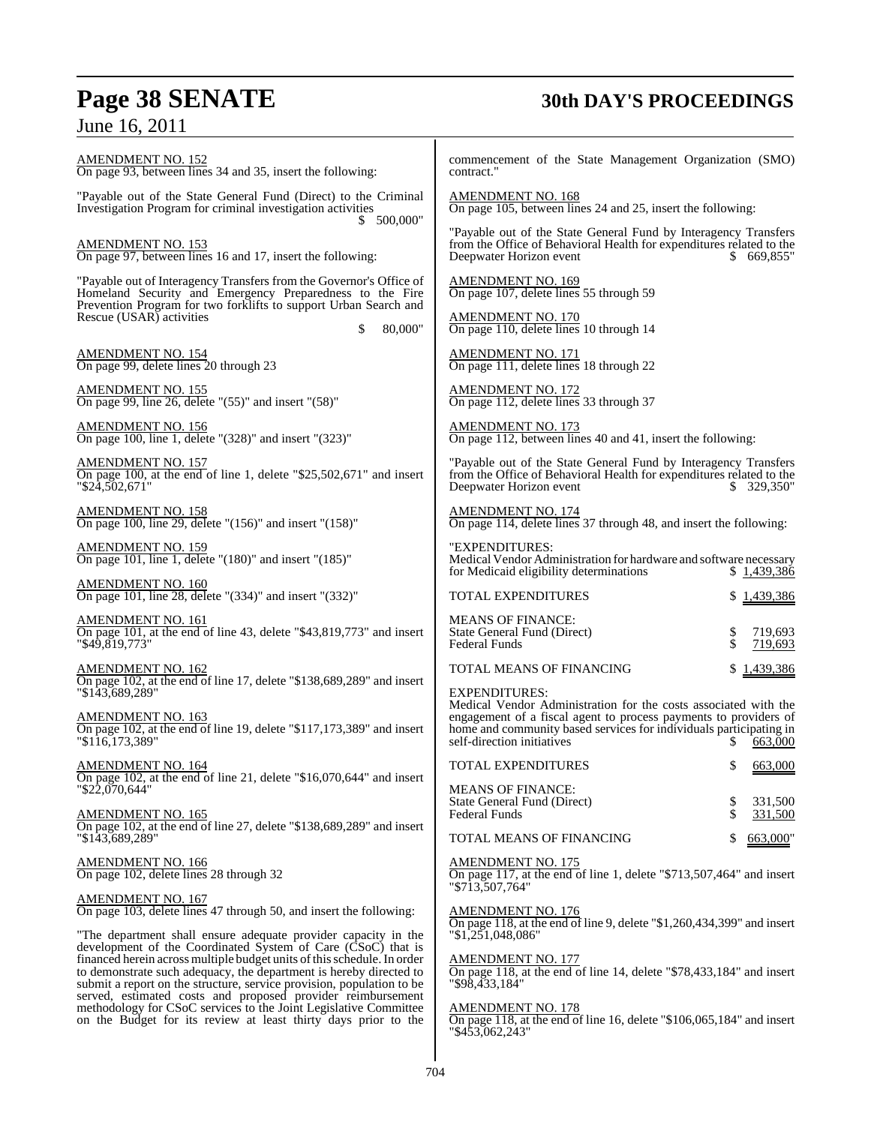## **Page 38 SENATE 30th DAY'S PROCEEDINGS**

AMENDMENT NO. 152 On page 93, between lines 34 and 35, insert the following: "Payable out of the State General Fund (Direct) to the Criminal Investigation Program for criminal investigation activities \$ 500,000" AMENDMENT NO. 153 On page 97, between lines 16 and 17, insert the following: "Payable out of Interagency Transfers from the Governor's Office of Homeland Security and Emergency Preparedness to the Fire Prevention Program for two forklifts to support Urban Search and Rescue (USAR) activities \$ 80,000" AMENDMENT NO. 154 On page 99, delete lines 20 through 23 AMENDMENT NO. 155 On page 99, line 26, delete "(55)" and insert "(58)" AMENDMENT NO. 156 On page 100, line 1, delete "(328)" and insert "(323)" AMENDMENT NO. 157 On page 100, at the end of line 1, delete "\$25,502,671" and insert "\$24,502,671" AMENDMENT NO. 158 On page 100, line 29, delete "(156)" and insert "(158)" AMENDMENT NO. 159 On page 101, line 1, delete "(180)" and insert "(185)" AMENDMENT NO. 160 On page 101, line 28, delete "(334)" and insert "(332)" AMENDMENT NO. 161 On page 101, at the end of line 43, delete "\$43,819,773" and insert "\$49,819,773" AMENDMENT NO. 162 On page 102, at the end of line 17, delete "\$138,689,289" and insert "\$143,689,289" AMENDMENT NO. 163 On page 102, at the end of line 19, delete "\$117,173,389" and insert "\$116,173,389" AMENDMENT NO. 164  $\overline{On}$  page 102, at the end of line 21, delete "\$16,070,644" and insert "\$22,070,644" AMENDMENT NO. 165 On page 102, at the end of line 27, delete "\$138,689,289" and insert "\$143,689,289" AMENDMENT NO. 166 On page 102, delete lines 28 through 32 AMENDMENT NO. 167 On page 103, delete lines 47 through 50, and insert the following: "The department shall ensure adequate provider capacity in the development of the Coordinated System of Care (CSoC) that is financed herein across multiple budget units of this schedule. In order to demonstrate such adequacy, the department is hereby directed to submit a report on the structure, service provision, population to be served, estimated costs and proposed provider reimbursement methodology for CSoC services to the Joint Legislative Committee on the Budget for its review at least thirty days prior to the commencement of the State Management Organization (SMO) contract. AMENDMENT NO. 168 On page 105, between lines 24 and 25, insert the following: "Payable out of the State General Fund by Interagency Transfers from the Office of Behavioral Health for expenditures related to the Deepwater Horizon event \$ 669,855" AMENDMENT NO. 169 On page 107, delete lines 55 through 59 AMENDMENT NO. 170 On page 110, delete lines 10 through 14 AMENDMENT NO. 171 On page 111, delete lines 18 through 22 AMENDMENT NO. 172 On page 112, delete lines 33 through 37 AMENDMENT NO. 173 On page 112, between lines 40 and 41, insert the following: "Payable out of the State General Fund by Interagency Transfers from the Office of Behavioral Health for expenditures related to the Deepwater Horizon event  $$329,350"$ Deepwater Horizon event AMENDMENT NO. 174 On page 114, delete lines 37 through 48, and insert the following: "EXPENDITURES: Medical Vendor Administration for hardware and software necessary<br>for Medicaid eligibility determinations \$1,439,386 for Medicaid eligibility determinations TOTAL EXPENDITURES \$ 1,439,386 MEANS OF FINANCE: State General Fund (Direct) \$ 719,693 Federal Funds TOTAL MEANS OF FINANCING \$1,439,386 EXPENDITURES: Medical Vendor Administration for the costs associated with the engagement of a fiscal agent to process payments to providers of home and community based services for individuals participating in self-direction initiatives  $\frac{1}{2}$   $\frac{663,000}{2}$ TOTAL EXPENDITURES  $$663,000$ MEANS OF FINANCE: State General Fund (Direct)  $\$$  331,500<br>Federal Funds  $\$$  331.500 Federal Funds TOTAL MEANS OF FINANCING \$ 663,000" AMENDMENT NO. 175 On page 117, at the end of line 1, delete "\$713,507,464" and insert "\$713,507,764" AMENDMENT NO. 176 On page 118, at the end of line 9, delete "\$1,260,434,399" and insert "\$1,251,048,086" AMENDMENT NO. 177 On page 118, at the end of line 14, delete "\$78,433,184" and insert "\$98,433,184" AMENDMENT NO. 178 On page 118, at the end of line 16, delete "\$106,065,184" and insert "\$453,062,243"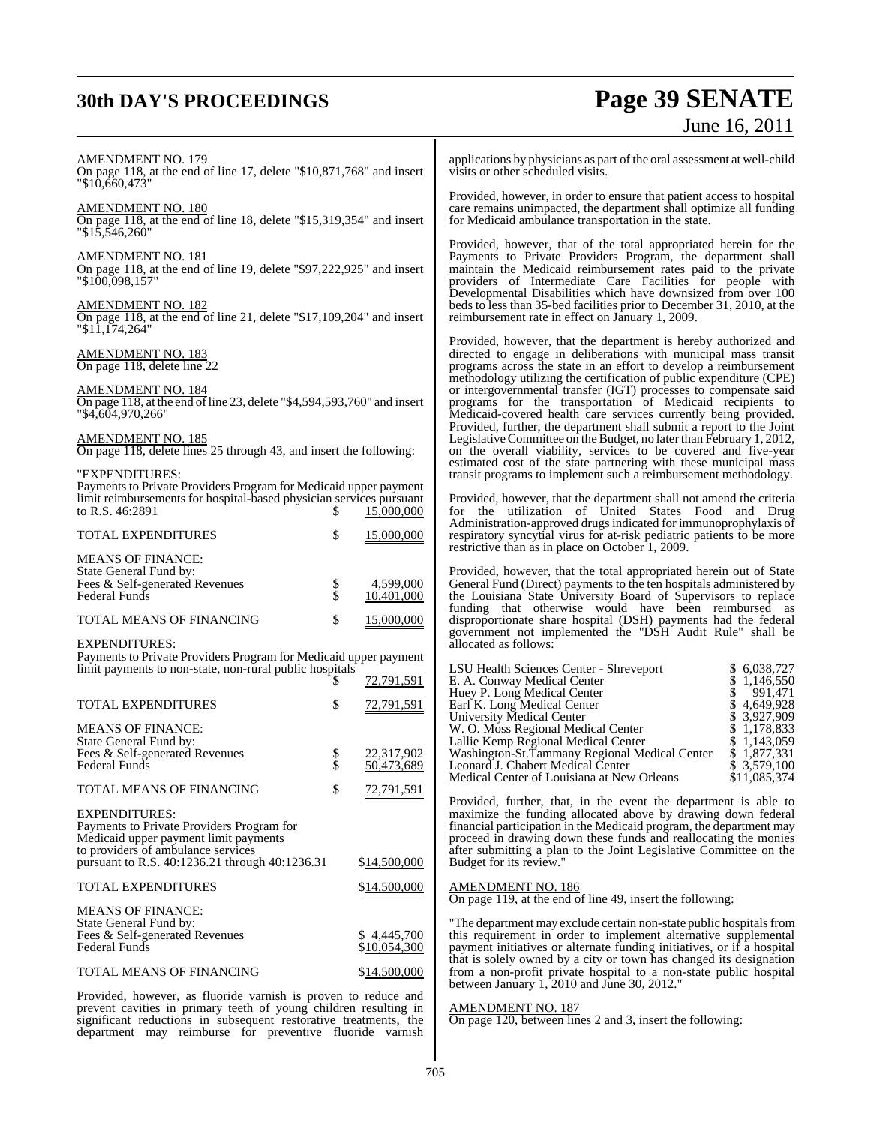## **30th DAY'S PROCEEDINGS Page 39 SENATE** June 16, 2011

| AMENDMENT NO. 179<br>On page 118, at the end of line 17, delete "\$10,871,768" and insert                                                                                                                                                                                                                                    |                |                                       | applications by physicians as part of the oral assessment at well-child<br>visits or other scheduled visits.                                                                                                                                                                                                                                                                                                                                                                                                                                                                                                                                                                                                                                                                                                                                |                                                                          |
|------------------------------------------------------------------------------------------------------------------------------------------------------------------------------------------------------------------------------------------------------------------------------------------------------------------------------|----------------|---------------------------------------|---------------------------------------------------------------------------------------------------------------------------------------------------------------------------------------------------------------------------------------------------------------------------------------------------------------------------------------------------------------------------------------------------------------------------------------------------------------------------------------------------------------------------------------------------------------------------------------------------------------------------------------------------------------------------------------------------------------------------------------------------------------------------------------------------------------------------------------------|--------------------------------------------------------------------------|
| "\$10,660,473"<br><u>AMENDMENT NO. 180</u><br>On page 118, at the end of line 18, delete "\$15,319,354" and insert                                                                                                                                                                                                           |                |                                       | Provided, however, in order to ensure that patient access to hospital<br>care remains unimpacted, the department shall optimize all funding<br>for Medicaid ambulance transportation in the state.                                                                                                                                                                                                                                                                                                                                                                                                                                                                                                                                                                                                                                          |                                                                          |
| "\$15.546.260"<br><u>AMENDMENT NO. 181</u><br>On page 118, at the end of line 19, delete "\$97,222,925" and insert<br>"\$100,098,157"<br>AMENDMENT NO. 182<br>On page 118, at the end of line 21, delete "\$17,109,204" and insert                                                                                           |                |                                       | Provided, however, that of the total appropriated herein for the<br>Payments to Private Providers Program, the department shall<br>maintain the Medicaid reimbursement rates paid to the private<br>providers of Intermediate Care Facilities for people with<br>Developmental Disabilities which have downsized from over 100<br>beds to less than 35-bed facilities prior to December 31, 2010, at the<br>reimbursement rate in effect on January 1, 2009.                                                                                                                                                                                                                                                                                                                                                                                |                                                                          |
| "\$11,174,264"<br><u>AMENDMENT NO. 183</u><br>On page 118, delete line 22<br><u>AMENDMENT NO. 184</u><br>On page $118$ , at the end of line 23, delete "\$4,594,593,760" and insert<br>"\$4,604,970,266"<br><u>AMENDMENT NO. 185</u><br>On page 118, delete lines 25 through 43, and insert the following:<br>"EXPENDITURES: |                |                                       | Provided, however, that the department is hereby authorized and<br>directed to engage in deliberations with municipal mass transit<br>programs across the state in an effort to develop a reimbursement<br>methodology utilizing the certification of public expenditure (CPE)<br>or intergovernmental transfer (IGT) processes to compensate said<br>programs for the transportation of Medicaid recipients to<br>Medicaid-covered health care services currently being provided.<br>Provided, further, the department shall submit a report to the Joint<br>Legislative Committee on the Budget, no later than February 1, 2012,<br>on the overall viability, services to be covered and five-year<br>estimated cost of the state partnering with these municipal mass<br>transit programs to implement such a reimbursement methodology. |                                                                          |
| Payments to Private Providers Program for Medicaid upper payment<br>limit reimbursements for hospital-based physician services pursuant<br>to R.S. 46:2891<br>TOTAL EXPENDITURES                                                                                                                                             | S<br>\$        | 15,000,000<br>15,000,000              | Provided, however, that the department shall not amend the criteria<br>for the utilization of United States Food and Drug<br>Administration-approved drugs indicated for immunoprophylaxis of<br>respiratory syncytial virus for at-risk pediatric patients to be more                                                                                                                                                                                                                                                                                                                                                                                                                                                                                                                                                                      |                                                                          |
| MEANS OF FINANCE:                                                                                                                                                                                                                                                                                                            |                |                                       | restrictive than as in place on October 1, 2009.                                                                                                                                                                                                                                                                                                                                                                                                                                                                                                                                                                                                                                                                                                                                                                                            |                                                                          |
| State General Fund by:<br>Fees & Self-generated Revenues<br>Federal Funds<br>TOTAL MEANS OF FINANCING<br>EXPENDITURES:                                                                                                                                                                                                       | \$<br>\$<br>\$ | 4,599,000<br>10,401,000<br>15,000,000 | Provided, however, that the total appropriated herein out of State<br>General Fund (Direct) payments to the ten hospitals administered by<br>the Louisiana State University Board of Supervisors to replace<br>funding that otherwise would have been reimbursed as<br>disproportionate share hospital (DSH) payments had the federal<br>government not implemented the "DSH Audit Rule" shall be<br>allocated as follows:                                                                                                                                                                                                                                                                                                                                                                                                                  |                                                                          |
| Payments to Private Providers Program for Medicaid upper payment<br>limit payments to non-state, non-rural public hospitals                                                                                                                                                                                                  |                | 72,791,591                            | LSU Health Sciences Center - Shreveport<br>E. A. Conway Medical Center<br>Huey P. Long Medical Center                                                                                                                                                                                                                                                                                                                                                                                                                                                                                                                                                                                                                                                                                                                                       | \$ 6,038,727<br>\$1,146,550<br>991,471                                   |
| TOTAL EXPENDITURES<br><b>MEANS OF FINANCE:</b><br>State General Fund by:<br>Fees & Self-generated Revenues                                                                                                                                                                                                                   | \$<br>\$       | 72,791,591<br>22,317,902              | Earl K. Long Medical Center<br><b>University Medical Center</b><br>W. O. Moss Regional Medical Center<br>Lallie Kemp Regional Medical Center<br>Washington-St.Tammany Regional Medical Center                                                                                                                                                                                                                                                                                                                                                                                                                                                                                                                                                                                                                                               | \$4,649,928<br>\$ 3,927,909<br>\$1,178,833<br>\$1,143,059<br>\$1,877,331 |
| Federal Funds                                                                                                                                                                                                                                                                                                                | \$             | 50,473,689                            | Leonard J. Chabert Medical Center<br>Medical Center of Louisiana at New Orleans                                                                                                                                                                                                                                                                                                                                                                                                                                                                                                                                                                                                                                                                                                                                                             | \$ 3,579,100<br>\$11,085,374                                             |
| TOTAL MEANS OF FINANCING<br>EXPENDITURES:                                                                                                                                                                                                                                                                                    | \$             | 72,791,591                            | Provided, further, that, in the event the department is able to<br>maximize the funding allocated above by drawing down federal                                                                                                                                                                                                                                                                                                                                                                                                                                                                                                                                                                                                                                                                                                             |                                                                          |
| Payments to Private Providers Program for<br>Medicaid upper payment limit payments<br>to providers of ambulance services<br>pursuant to R.S. 40:1236.21 through 40:1236.31                                                                                                                                                   |                | \$14,500,000                          | financial participation in the Medicaid program, the department may<br>proceed in drawing down these funds and reallocating the monies<br>after submitting a plan to the Joint Legislative Committee on the<br>Budget for its review."                                                                                                                                                                                                                                                                                                                                                                                                                                                                                                                                                                                                      |                                                                          |
| TOTAL EXPENDITURES                                                                                                                                                                                                                                                                                                           |                | \$14,500,000                          | <b>AMENDMENT NO. 186</b><br>On page 119, at the end of line 49, insert the following:                                                                                                                                                                                                                                                                                                                                                                                                                                                                                                                                                                                                                                                                                                                                                       |                                                                          |
| <b>MEANS OF FINANCE:</b><br>State General Fund by:<br>Fees & Self-generated Revenues<br>Federal Funds                                                                                                                                                                                                                        |                | \$4,445,700<br>\$10,054,300           | "The department may exclude certain non-state public hospitals from<br>this requirement in order to implement alternative supplemental<br>payment initiatives or alternate funding initiatives, or if a hospital                                                                                                                                                                                                                                                                                                                                                                                                                                                                                                                                                                                                                            |                                                                          |
| TOTAL MEANS OF FINANCING                                                                                                                                                                                                                                                                                                     |                | \$14,500,000                          | that is solely owned by a city or town has changed its designation<br>from a non-profit private hospital to a non-state public hospital<br>between January 1, 2010 and June 30, 2012."                                                                                                                                                                                                                                                                                                                                                                                                                                                                                                                                                                                                                                                      |                                                                          |

Provided, however, as fluoride varnish is proven to reduce and prevent cavities in primary teeth of young children resulting in significant reductions in subsequent restorative treatments, the department may reimburse for preventive fluoride varnish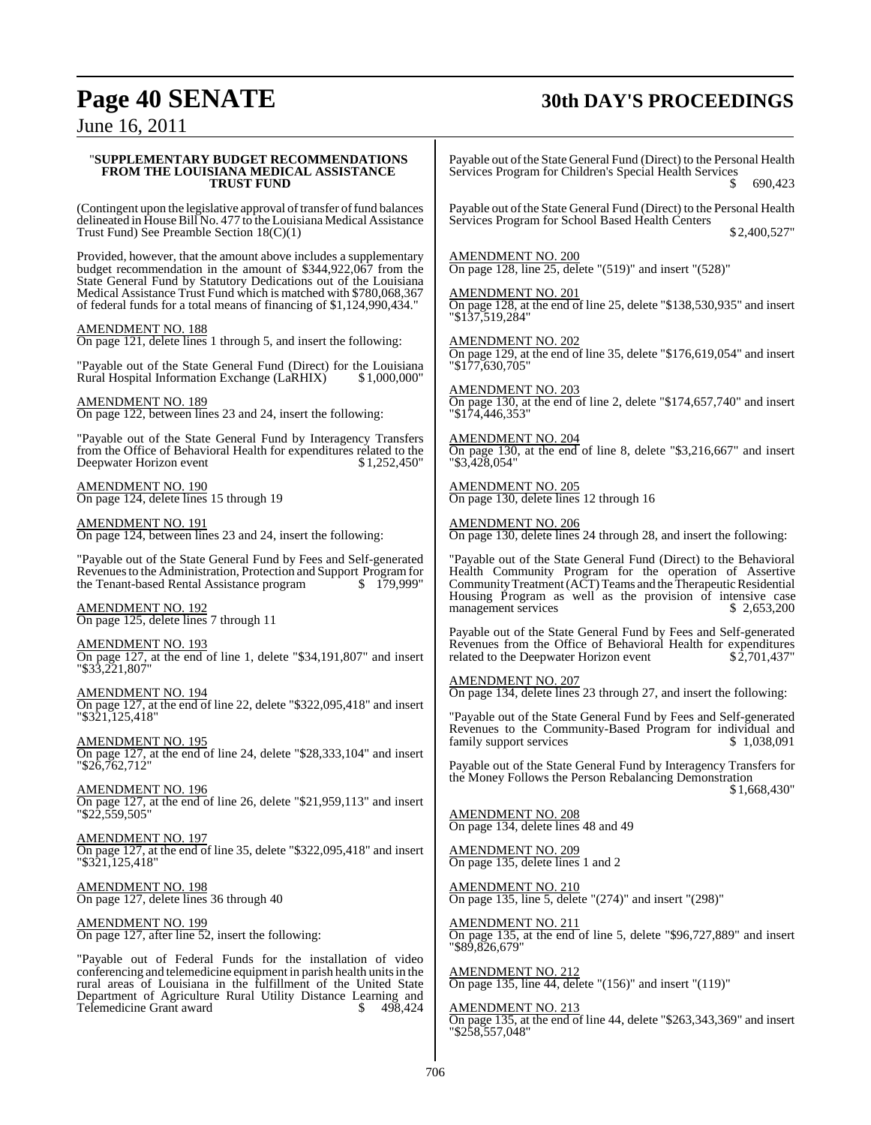## **Page 40 SENATE 30th DAY'S PROCEEDINGS**

June 16, 2011

#### "**SUPPLEMENTARY BUDGET RECOMMENDATIONS FROM THE LOUISIANA MEDICAL ASSISTANCE TRUST FUND**

(Contingent upon the legislative approval of transfer of fund balances delineated in House Bill No. 477 to the Louisiana Medical Assistance Trust Fund) See Preamble Section 18(C)(1)

Provided, however, that the amount above includes a supplementary budget recommendation in the amount of \$344,922,067 from the State General Fund by Statutory Dedications out of the Louisiana Medical Assistance Trust Fund which is matched with \$780,068,367 of federal funds for a total means of financing of \$1,124,990,434."

AMENDMENT NO. 188

On page 121, delete lines 1 through 5, and insert the following:

"Payable out of the State General Fund (Direct) for the Louisiana Rural Hospital Information Exchange (LaRHIX)

AMENDMENT NO. 189 On page 122, between lines 23 and 24, insert the following:

"Payable out of the State General Fund by Interagency Transfers From the Office of Behavioral Health for expenditures related to the Deepwater Horizon event \$1,252.450" Deepwater Horizon event

AMENDMENT NO. 190 On page 124, delete lines 15 through 19

AMENDMENT NO. 191 On page 124, between lines 23 and 24, insert the following:

"Payable out of the State General Fund by Fees and Self-generated Revenuesto the Administration, Protection and Support Program for the Tenant-based Rental Assistance program \$ 179,999"

AMENDMENT NO. 192 On page 125, delete lines 7 through 11

AMENDMENT NO. 193 On page 127, at the end of line 1, delete "\$34,191,807" and insert "\$33,221,807"

AMENDMENT NO. 194 On page 127, at the end of line 22, delete "\$322,095,418" and insert "\$321,125,418"

AMENDMENT NO. 195 On page 127, at the end of line 24, delete "\$28,333,104" and insert "\$26,762,712"

AMENDMENT NO. 196 On page 127, at the end of line 26, delete "\$21,959,113" and insert "\$22,559,505"

AMENDMENT NO. 197 On page 127, at the end of line 35, delete "\$322,095,418" and insert "\$321,125,418"

AMENDMENT NO. 198 On page 127, delete lines 36 through 40

AMENDMENT NO. 199 On page 127, after line 52, insert the following:

"Payable out of Federal Funds for the installation of video conferencing and telemedicine equipment in parish health units in the rural areas of Louisiana in the fulfillment of the United State Department of Agriculture Rural Utility Distance Learning and Telemedicine Grant award  $$498,424$ Telemedicine Grant award

Payable out of the State General Fund (Direct) to the Personal Health Services Program for Children's Special Health Services 690.423

Payable out of the State General Fund (Direct) to the Personal Health Services Program for School Based Health Centers \$ 2,400,527"

AMENDMENT NO. 200 On page 128, line 25, delete "(519)" and insert "(528)"

AMENDMENT NO. 201 On page 128, at the end of line 25, delete "\$138,530,935" and insert "\$137,519,284"

AMENDMENT NO. 202 On page 129, at the end of line 35, delete "\$176,619,054" and insert "\$177,630,705"

AMENDMENT NO. 203 On page 130, at the end of line 2, delete "\$174,657,740" and insert "\$174,446,353"

AMENDMENT NO. 204 On page 130, at the end of line 8, delete "\$3,216,667" and insert "\$3,428,054"

AMENDMENT NO. 205 On page 130, delete lines 12 through 16

AMENDMENT NO. 206 On page 130, delete lines 24 through 28, and insert the following:

"Payable out of the State General Fund (Direct) to the Behavioral Health Community Program for the operation of Assertive Community Treatment (ACT) Teams and the Therapeutic Residential Housing Program as well as the provision of intensive case<br>management services  $$2.653,200$ management services

Payable out of the State General Fund by Fees and Self-generated Revenues from the Office of Behavioral Health for expenditures<br>related to the Deepwater Horizon event \$2,701,437" related to the Deepwater Horizon event

AMENDMENT NO. 207

On page 134, delete lines 23 through 27, and insert the following:

"Payable out of the State General Fund by Fees and Self-generated Revenues to the Community-Based Program for individual and family support services family support services

Payable out of the State General Fund by Interagency Transfers for the Money Follows the Person Rebalancing Demonstration \$ 1,668,430"

AMENDMENT NO. 208 On page 134, delete lines 48 and 49

AMENDMENT NO. 209 On page 135, delete lines 1 and 2

<u>AMENDMENT NO. 210</u> On page 135, line 5, delete "(274)" and insert "(298)"

AMENDMENT NO. 211 On page 135, at the end of line 5, delete "\$96,727,889" and insert "\$89,826,679"

AMENDMENT NO. 212 On page 135, line 44, delete "(156)" and insert "(119)"

AMENDMENT NO. 213

On page 135, at the end of line 44, delete "\$263,343,369" and insert "\$258,557,048"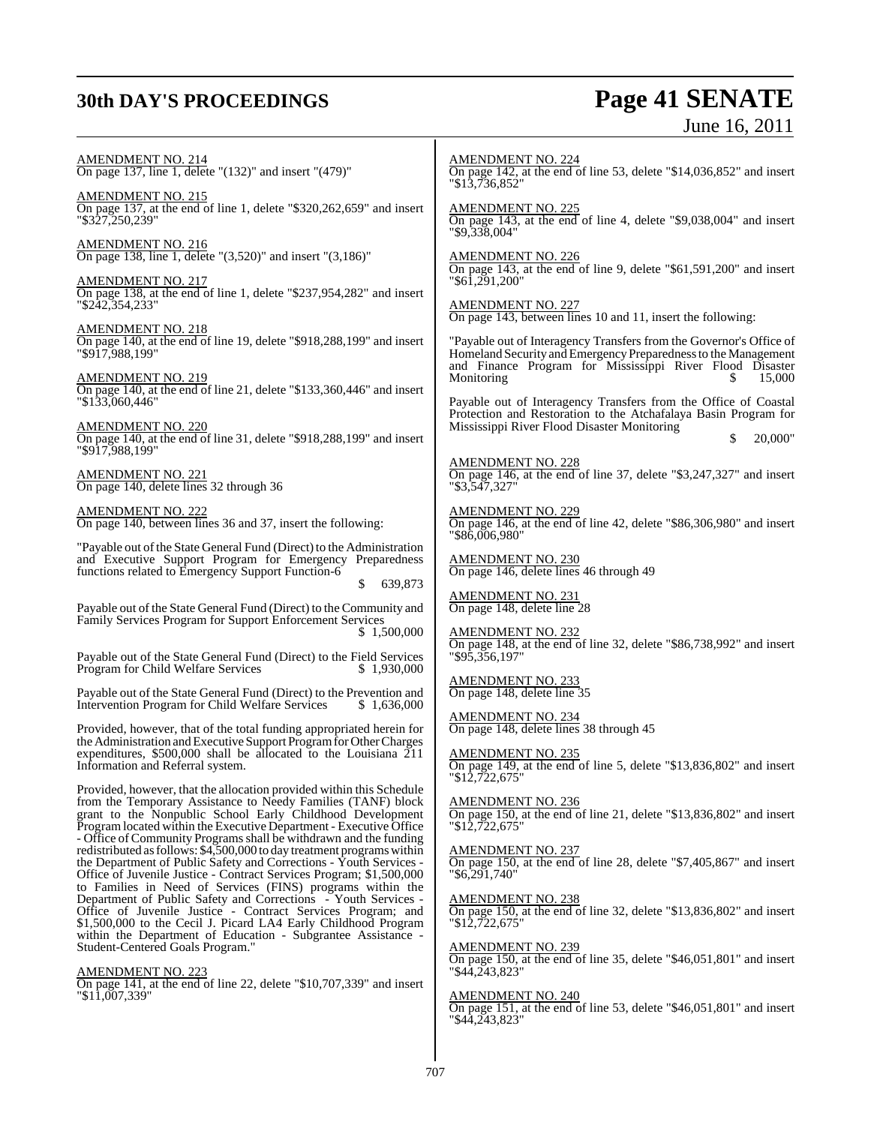## **30th DAY'S PROCEEDINGS Page 41 SENATE**

# June 16, 2011

AMENDMENT NO. 214 On page 137, line 1, delete "(132)" and insert "(479)" AMENDMENT NO. 215 On page 137, at the end of line 1, delete "\$320,262,659" and insert "\$327,250,239" AMENDMENT NO. 216 On page 138, line 1, delete "(3,520)" and insert "(3,186)" AMENDMENT NO. 217 On page 138, at the end of line 1, delete "\$237,954,282" and insert "\$242,354,233" AMENDMENT NO. 218 On page 140, at the end of line 19, delete "\$918,288,199" and insert "\$917,988,199" AMENDMENT NO. 219 On page 140, at the end of line 21, delete "\$133,360,446" and insert "\$133,060,446" AMENDMENT NO. 220 On page 140, at the end of line 31, delete "\$918,288,199" and insert "\$917,988,199" AMENDMENT NO. 221 On page 140, delete lines 32 through 36 AMENDMENT NO. 222 On page 140, between lines 36 and 37, insert the following: "Payable out of the State General Fund (Direct) to the Administration and Executive Support Program for Emergency Preparedness functions related to Emergency Support Function-6 \$ 639,873 Payable out of the State General Fund (Direct) to the Community and Family Services Program for Support Enforcement Services \$ 1,500,000 Payable out of the State General Fund (Direct) to the Field Services Program for Child Welfare Services Payable out of the State General Fund (Direct) to the Prevention and Intervention Program for Child Welfare Services \$1,636,000 Intervention Program for Child Welfare Services Provided, however, that of the total funding appropriated herein for the Administration and Executive Support Program for Other Charges expenditures,  $$500,000$  shall be allocated to the Louisiana  $211$ Information and Referral system. Provided, however, that the allocation provided within this Schedule from the Temporary Assistance to Needy Families (TANF) block grant to the Nonpublic School Early Childhood Development Program located within the Executive Department - Executive Office - Office of Community Programs shall be withdrawn and the funding redistributed as follows: \$4,500,000 to day treatment programs within the Department of Public Safety and Corrections - Youth Services - Office of Juvenile Justice - Contract Services Program; \$1,500,000 to Families in Need of Services (FINS) programs within the Department of Public Safety and Corrections - Youth Services - Office of Juvenile Justice - Contract Services Program; and \$1,500,000 to the Cecil J. Picard LA4 Early Childhood Program within the Department of Education - Subgrantee Assistance - Student-Centered Goals Program." AMENDMENT NO. 223 On page 141, at the end of line 22, delete "\$10,707,339" and insert "\$11,007,339" AMENDMENT NO. 224 On page 142, at the end of line 53, delete "\$14,036,852" and insert "\$13,736,852" AMENDMENT NO. 225 On page 143, at the end of line 4, delete "\$9,038,004" and insert "\$9,338,004" AMENDMENT NO. 226 On page 143, at the end of line 9, delete "\$61,591,200" and insert "\$61,291,200" AMENDMENT NO. 227 On page 143, between lines 10 and 11, insert the following: "Payable out of Interagency Transfers from the Governor's Office of Homeland Security and Emergency Preparedness to the Management and Finance Program for Mississippi River Flood Disaster Monitoring  $\begin{array}{ccc} 5 & 15,000 \\ \end{array}$ Payable out of Interagency Transfers from the Office of Coastal Protection and Restoration to the Atchafalaya Basin Program for Mississippi River Flood Disaster Monitoring \$ 20,000" AMENDMENT NO. 228 On page 146, at the end of line 37, delete "\$3,247,327" and insert "\$3,547,327" AMENDMENT NO. 229 On page 146, at the end of line 42, delete "\$86,306,980" and insert "\$86,006,980" AMENDMENT NO. 230 On page 146, delete lines 46 through 49 AMENDMENT NO. 231 On page 148, delete line 28 AMENDMENT NO. 232 On page 148, at the end of line 32, delete "\$86,738,992" and insert "\$95,356,197" AMENDMENT NO. 233 On page 148, delete line 35 AMENDMENT NO. 234 On page 148, delete lines 38 through 45 AMENDMENT NO. 235 On page 149, at the end of line 5, delete "\$13,836,802" and insert "\$12,722,675" AMENDMENT NO. 236 On page 150, at the end of line 21, delete "\$13,836,802" and insert "\$12,722,675" AMENDMENT NO. 237 On page 150, at the end of line 28, delete "\$7,405,867" and insert "\$6,291,740" AMENDMENT NO. 238 On page 150, at the end of line 32, delete "\$13,836,802" and insert "\$12,722,675" AMENDMENT NO. 239 On page 150, at the end of line 35, delete "\$46,051,801" and insert "\$44,243,823" AMENDMENT NO. 240 On page 151, at the end of line 53, delete "\$46,051,801" and insert "\$44,243,823"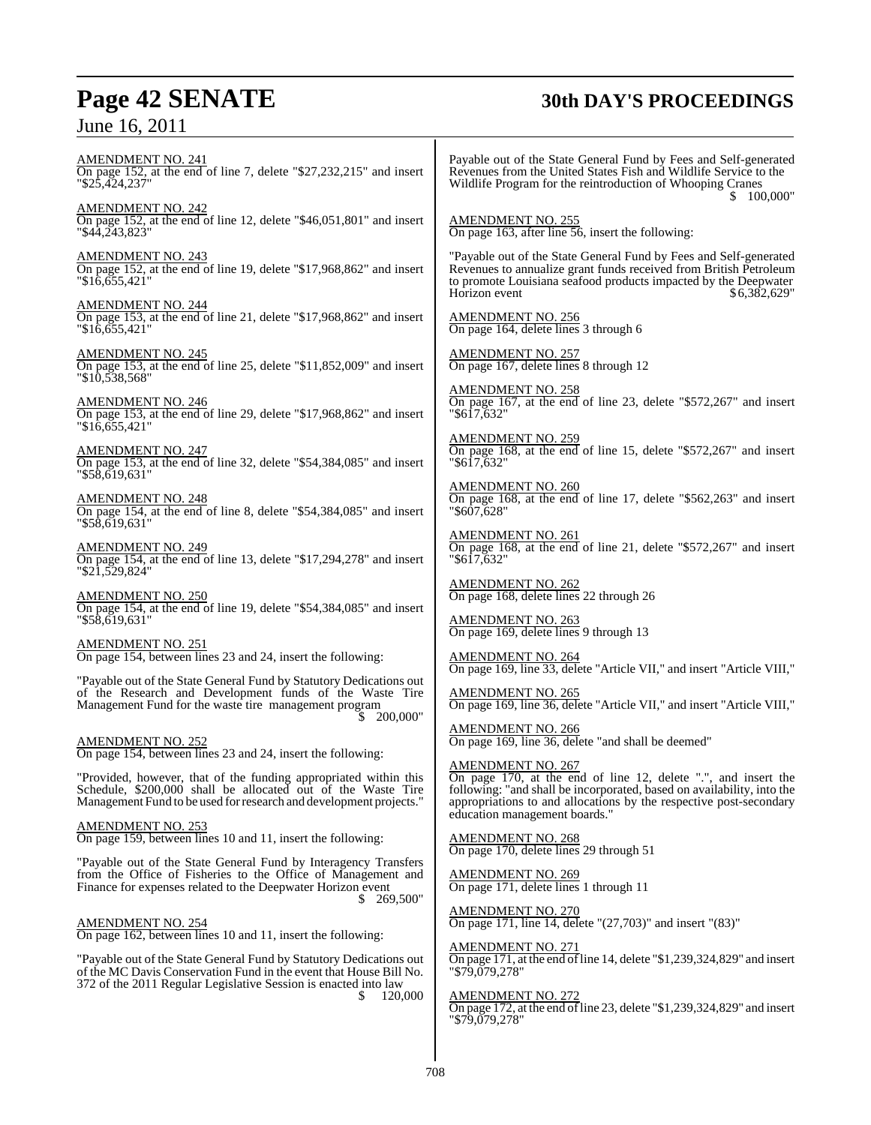## **Page 42 SENATE 30th DAY'S PROCEEDINGS**

| Julie 10, $\angle$ UII                                                                                                                                                                                       |                                                                                                                                                                                                                                                                            |
|--------------------------------------------------------------------------------------------------------------------------------------------------------------------------------------------------------------|----------------------------------------------------------------------------------------------------------------------------------------------------------------------------------------------------------------------------------------------------------------------------|
| <b>AMENDMENT NO. 241</b><br>On page 152, at the end of line 7, delete "\$27,232,215" and insert<br>"\$25,424,237"                                                                                            | Payable out of the State General Fund by Fees and Self-generated<br>Revenues from the United States Fish and Wildlife Service to the<br>Wildlife Program for the reintroduction of Whooping Cranes<br>\$100,000"                                                           |
| <b>AMENDMENT NO. 242</b><br>On page 152, at the end of line 12, delete "\$46,051,801" and insert<br>$"\$4\overline{4}$ , $\overline{2}43$ , $823"$                                                           | AMENDMENT NO. 255<br>On page 163, after line 56, insert the following:                                                                                                                                                                                                     |
| <b>AMENDMENT NO. 243</b><br>On page 152, at the end of line 19, delete "\$17,968,862" and insert<br>$"\$16,655,421"$                                                                                         | "Payable out of the State General Fund by Fees and Self-generated<br>Revenues to annualize grant funds received from British Petroleum<br>to promote Louisiana seafood products impacted by the Deepwater<br>\$6,382,629"<br>Horizon event                                 |
| <b>AMENDMENT NO. 244</b><br>On page 153, at the end of line 21, delete " $$17,968,862"$ and insert<br>$"\$16,655,421"$                                                                                       | AMENDMENT NO. 256<br>On page 164, delete lines 3 through 6                                                                                                                                                                                                                 |
| <b>AMENDMENT NO. 245</b><br>On page 153, at the end of line 25, delete "\$11,852,009" and insert<br>$"\$10,538,568"$                                                                                         | <b>AMENDMENT NO. 257</b><br>On page 167, delete lines 8 through 12                                                                                                                                                                                                         |
| <u>AMENDMENT NO. 246</u><br>On page 153, at the end of line 29, delete "\$17,968,862" and insert<br>$"\$16.655.421"$                                                                                         | <b>AMENDMENT NO. 258</b><br>On page 167, at the end of line 23, delete "\$572,267" and insert<br>"\$617,632"                                                                                                                                                               |
| <u>AMENDMENT NO. 247</u><br>On page 153, at the end of line 32, delete "\$54,384,085" and insert                                                                                                             | AMENDMENT NO. 259<br>On page 168, at the end of line 15, delete "\$572,267" and insert<br>"\$617,632"                                                                                                                                                                      |
| "\$58,619,631"<br><u>AMENDMENT NO. 248</u><br>On page 154, at the end of line 8, delete "\$54,384,085" and insert                                                                                            | <b>AMENDMENT NO. 260</b><br>On page 168, at the end of line 17, delete "\$562,263" and insert<br>"\$607,628"                                                                                                                                                               |
| "\$58,619,631"<br><b>AMENDMENT NO. 249</b><br>On page 154, at the end of line 13, delete "\$17,294,278" and insert<br>"\$21,529,824"                                                                         | <u>AMENDMENT NO. 261</u><br>On page 168, at the end of line 21, delete "\$572,267" and insert<br>"\$617,632"                                                                                                                                                               |
| <b>AMENDMENT NO. 250</b><br>On page 154, at the end of line 19, delete "\$54,384,085" and insert                                                                                                             | <u>AMENDMENT NO. 262</u><br>On page 168, delete lines 22 through 26                                                                                                                                                                                                        |
| $"$ \$58,619,631"                                                                                                                                                                                            | <u>AMENDMENT NO. 263</u><br>On page 169, delete lines 9 through 13                                                                                                                                                                                                         |
| AMENDMENT NO. 251<br>On page 154, between lines 23 and 24, insert the following:                                                                                                                             | <b>AMENDMENT NO. 264</b><br>On page 169, line 33, delete "Article VII," and insert "Article VIII,"                                                                                                                                                                         |
| "Payable out of the State General Fund by Statutory Dedications out<br>of the Research and Development funds of the Waste Tire<br>Management Fund for the waste tire management program                      | AMENDMENT NO. 265<br>On page 169, line 36, delete "Article VII," and insert "Article VIII,"                                                                                                                                                                                |
| \$ 200,000"<br><b>AMENDMENT NO. 252</b><br>On page 154, between lines 23 and 24, insert the following:                                                                                                       | <b>AMENDMENT NO. 266</b><br>On page 169, line 36, delete "and shall be deemed"                                                                                                                                                                                             |
| "Provided, however, that of the funding appropriated within this<br>Schedule, \$200,000 shall be allocated out of the Waste Tire<br>Management Fund to be used for research and development projects."       | <b>AMENDMENT NO. 267</b><br>On page 170, at the end of line 12, delete "", and insert the<br>following: "and shall be incorporated, based on availability, into the<br>appropriations to and allocations by the respective post-secondary<br>education management boards." |
| <b>AMENDMENT NO. 253</b><br>On page 159, between lines 10 and 11, insert the following:                                                                                                                      | <u>AMENDMENT NO. 268</u>                                                                                                                                                                                                                                                   |
| "Payable out of the State General Fund by Interagency Transfers<br>from the Office of Fisheries to the Office of Management and<br>Finance for expenses related to the Deepwater Horizon event               | On page 170, delete lines 29 through 51<br><u>AMENDMENT NO. 269</u><br>On page 171, delete lines 1 through 11                                                                                                                                                              |
| \$269,500"<br>AMENDMENT NO. 254<br>On page 162, between lines 10 and 11, insert the following:                                                                                                               | <u>AMENDMENT NO. 270</u><br>On page 171, line 14, delete "(27,703)" and insert "(83)"                                                                                                                                                                                      |
| "Payable out of the State General Fund by Statutory Dedications out<br>of the MC Davis Conservation Fund in the event that House Bill No.<br>372 of the 2011 Regular Legislative Session is enacted into law | AMENDMENT NO. 271<br>On page 171, at the end of line 14, delete "\$1,239,324,829" and insert<br>"\$79,079,278"                                                                                                                                                             |

\$ 120,000

AMENDMENT NO. 272 On page 172, at the end of line 23, delete "\$1,239,324,829" and insert "\$79,079,278"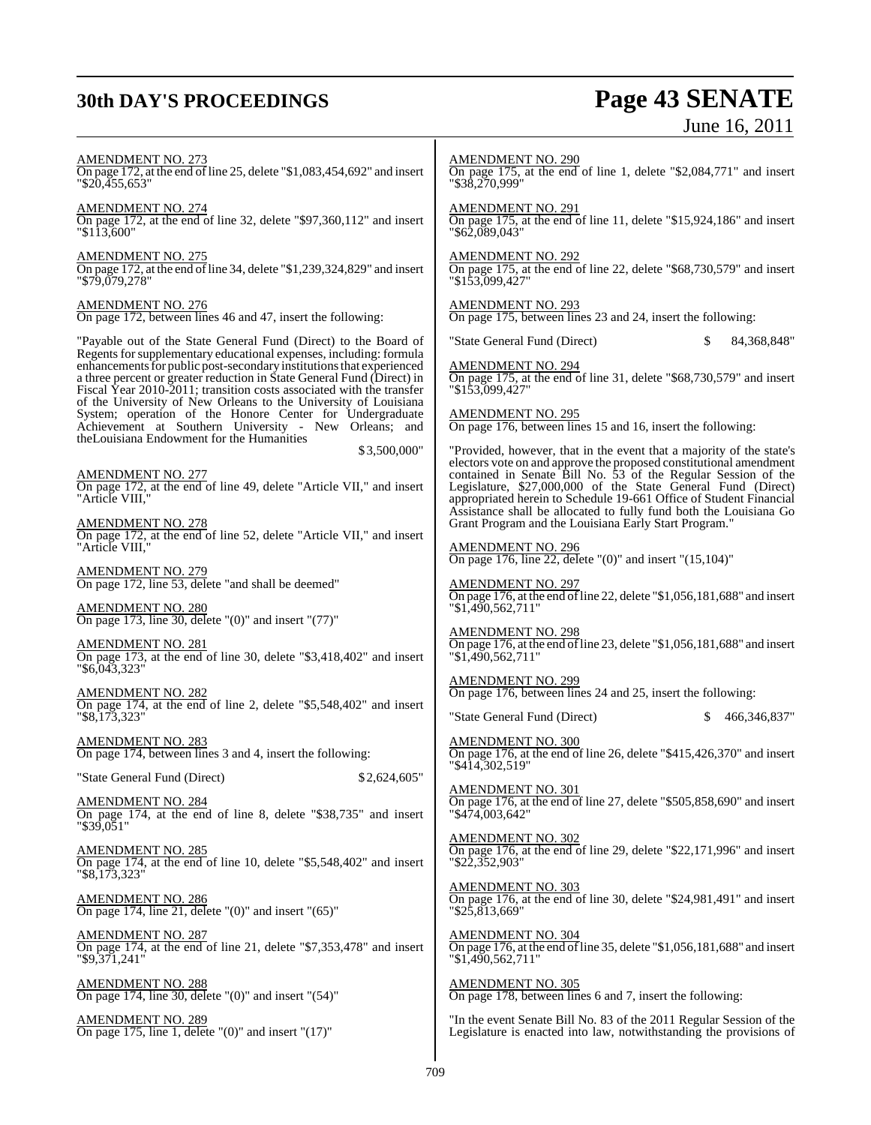## **30th DAY'S PROCEEDINGS Page 43 SENATE**

# June 16, 2011

AMENDMENT NO. 273 On page 172, at the end of line 25, delete "\$1,083,454,692" and insert "\$20,455,653" AMENDMENT NO. 274 On page 172, at the end of line 32, delete "\$97,360,112" and insert "\$113,600" AMENDMENT NO. 275 On page 172, at the end ofline 34, delete "\$1,239,324,829" and insert "\$79,079,278" AMENDMENT NO. 276 On page 172, between lines 46 and 47, insert the following: "Payable out of the State General Fund (Direct) to the Board of Regents forsupplementary educational expenses, including: formula enhancements for public post-secondary institutions that experienced a three percent or greater reduction in State General Fund (Direct) in Fiscal Year 2010-2011; transition costs associated with the transfer of the University of New Orleans to the University of Louisiana System; operation of the Honore Center for Undergraduate Achievement at Southern University - New Orleans; and theLouisiana Endowment for the Humanities \$ 3,500,000" AMENDMENT NO. 277 On page 172, at the end of line 49, delete "Article VII," and insert "Article VIII," AMENDMENT NO. 278 On page 172, at the end of line 52, delete "Article VII," and insert "Article VIII. AMENDMENT NO. 279 On page 172, line 53, delete "and shall be deemed" AMENDMENT NO. 280 On page 173, line 30, delete "(0)" and insert "(77)" AMENDMENT NO. 281 On page 173, at the end of line 30, delete "\$3,418,402" and insert "\$6,043,323" AMENDMENT NO. 282 On page 174, at the end of line 2, delete "\$5,548,402" and insert "\$8,173,323" AMENDMENT NO. 283 On page 174, between lines 3 and 4, insert the following: "State General Fund (Direct) \$2,624,605" AMENDMENT NO. 284 On page 174, at the end of line 8, delete "\$38,735" and insert "\$39,051" AMENDMENT NO. 285 On page 174, at the end of line 10, delete "\$5,548,402" and insert "\$8,173,323" AMENDMENT NO. 286 On page 174, line 21, delete " $(0)$ " and insert " $(65)$ " AMENDMENT NO. 287 On page 174, at the end of line 21, delete "\$7,353,478" and insert "\$9,371,241" AMENDMENT NO. 288 On page 174, line 30, delete " $(0)$ " and insert " $(54)$ " AMENDMENT NO. 289 On page 175, line 1, delete "(0)" and insert "(17)" AMENDMENT NO. 290 On page 175, at the end of line 1, delete "\$2,084,771" and insert "\$38,270,999" AMENDMENT NO. 291 On page 175, at the end of line 11, delete "\$15,924,186" and insert "\$62,089,043" AMENDMENT NO. 292 On page 175, at the end of line 22, delete "\$68,730,579" and insert "\$153,099,427" AMENDMENT NO. 293 On page 175, between lines 23 and 24, insert the following: "State General Fund (Direct) \$ 84,368,848" AMENDMENT NO. 294 On page 175, at the end of line 31, delete "\$68,730,579" and insert "\$153,099,427" AMENDMENT NO. 295 On page 176, between lines 15 and 16, insert the following: "Provided, however, that in the event that a majority of the state's electors vote on and approve the proposed constitutional amendment contained in Senate Bill No. 53 of the Regular Session of the Legislature, \$27,000,000 of the State General Fund (Direct) appropriated herein to Schedule 19-661 Office of Student Financial Assistance shall be allocated to fully fund both the Louisiana Go Grant Program and the Louisiana Early Start Program." AMENDMENT NO. 296 On page 176, line 22, delete "(0)" and insert " $(15,104)$ " AMENDMENT NO. 297 On page 176, at the end of line 22, delete " $$1,056,181,688$ " and insert "\$1,490,562,711" AMENDMENT NO. 298 On page 176, at the end of line 23, delete " $$1,056,181,688"$  and insert "\$1,490,562,711" AMENDMENT NO. 299 On page 176, between lines 24 and 25, insert the following: "State General Fund (Direct) \$ 466,346,837" AMENDMENT NO. 300 On page 176, at the end of line 26, delete "\$415,426,370" and insert "\$414,302,519" AMENDMENT NO. 301 On page 176, at the end of line 27, delete "\$505,858,690" and insert "\$474,003,642" AMENDMENT NO. 302 On page 176, at the end of line 29, delete "\$22,171,996" and insert "\$22,352,903" AMENDMENT NO. 303 On page 176, at the end of line 30, delete "\$24,981,491" and insert "\$25,813,669" AMENDMENT NO. 304 On page 176, at the end of line 35, delete "\$1,056,181,688" and insert "\$1,490,562,711" AMENDMENT NO. 305 On page 178, between lines 6 and 7, insert the following: "In the event Senate Bill No. 83 of the 2011 Regular Session of the Legislature is enacted into law, notwithstanding the provisions of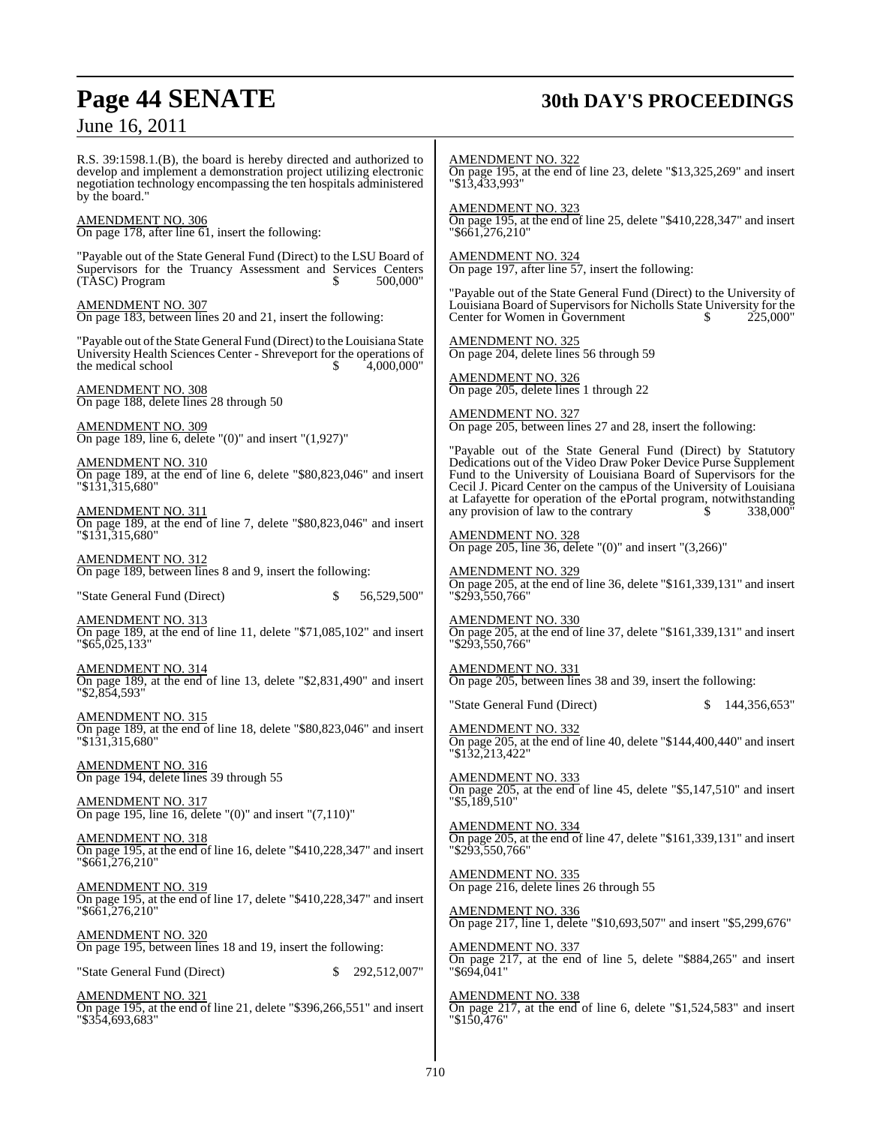## **Page 44 SENATE 30th DAY'S PROCEEDINGS**

June 16, 2011

R.S. 39:1598.1.(B), the board is hereby directed and authorized to develop and implement a demonstration project utilizing electronic negotiation technology encompassing the ten hospitals administered by the board."

## AMENDMENT NO. 306

On page 178, after line 61, insert the following:

"Payable out of the State General Fund (Direct) to the LSU Board of Supervisors for the Truancy Assessment and Services Centers (TASC) Program  $$500,000"$  $(TASC)$  Program

AMENDMENT NO. 307 On page 183, between lines 20 and 21, insert the following:

"Payable out of the State General Fund (Direct) to the Louisiana State University Health Sciences Center - Shreveport for the operations of the medical school  $\frac{\$ \quad 4,000,000" \quad \$}$ the medical school

AMENDMENT NO. 308 On page 188, delete lines 28 through 50

AMENDMENT NO. 309 On page 189, line 6, delete " $(0)$ " and insert " $(1,927)$ "

AMENDMENT NO. 310 On page 189, at the end of line 6, delete "\$80,823,046" and insert "\$131,315,680"

AMENDMENT NO. 311 On page 189, at the end of line 7, delete "\$80,823,046" and insert "\$131,315,680"

AMENDMENT NO. 312 On page 189, between lines 8 and 9, insert the following:

"State General Fund (Direct) \$ 56,529,500"

AMENDMENT NO. 313 On page 189, at the end of line 11, delete "\$71,085,102" and insert "\$65,025,133"

AMENDMENT NO. 314 On page 189, at the end of line 13, delete "\$2,831,490" and insert "\$2,854,593"

AMENDMENT NO. 315 On page 189, at the end of line 18, delete "\$80,823,046" and insert "\$131,315,680"

AMENDMENT NO. 316 On page 194, delete lines 39 through 55

AMENDMENT NO. 317 On page 195, line 16, delete " $(0)$ " and insert " $(7,110)$ "

AMENDMENT NO. 318 On page 195, at the end of line 16, delete "\$410,228,347" and insert "\$661,276,210"

AMENDMENT NO. 319 On page 195, at the end of line 17, delete "\$410,228,347" and insert "\$661,276,210"

AMENDMENT NO. 320 On page 195, between lines 18 and 19, insert the following:

"State General Fund (Direct) \$ 292,512,007"

AMENDMENT NO. 321 On page 195, at the end of line 21, delete "\$396,266,551" and insert "\$354,693,683"

AMENDMENT NO. 322 On page 195, at the end of line 23, delete "\$13,325,269" and insert "\$13,433,993"

AMENDMENT NO. 323 On page 195, at the end of line 25, delete "\$410,228,347" and insert "\$661,276,210"

AMENDMENT NO. 324 On page 197, after line 57, insert the following:

"Payable out of the State General Fund (Direct) to the University of Louisiana Board of Supervisors for Nicholls State University for the Center for Women in Government  $\qquad$  \$ 225,000"

AMENDMENT NO. 325 On page 204, delete lines 56 through 59

AMENDMENT NO. 326 On page 205, delete lines 1 through 22

AMENDMENT NO. 327 On page 205, between lines 27 and 28, insert the following:

"Payable out of the State General Fund (Direct) by Statutory Dedications out of the Video Draw Poker Device Purse Supplement Fund to the University of Louisiana Board of Supervisors for the Cecil J. Picard Center on the campus of the University of Louisiana Exercise at Lafayette for operation of the ePortal program, notwithstanding<br>any provision of law to the contrary s 338.000 any provision of law to the contrary

AMENDMENT NO. 328 On page 205, line 36, delete "(0)" and insert "(3,266)"

AMENDMENT NO. 329 On page 205, at the end of line 36, delete "\$161,339,131" and insert "\$293,550,766"

AMENDMENT NO. 330 On page 205, at the end of line 37, delete "\$161,339,131" and insert "\$293,550,766"

AMENDMENT NO. 331 On page 205, between lines 38 and 39, insert the following:

"State General Fund (Direct) \$ 144,356,653"

AMENDMENT NO. 332 On page 205, at the end of line 40, delete "\$144,400,440" and insert "\$132,213,422"

AMENDMENT NO. 333 On page 205, at the end of line 45, delete "\$5,147,510" and insert "\$5,189,510"

AMENDMENT NO. 334 On page 205, at the end of line 47, delete "\$161,339,131" and insert "\$293,550,766"

AMENDMENT NO. 335 On page 216, delete lines 26 through 55

AMENDMENT NO. 336 On page 217, line 1, delete "\$10,693,507" and insert "\$5,299,676"

AMENDMENT NO. 337 On page 217, at the end of line 5, delete "\$884,265" and insert "\$694,041"

AMENDMENT NO. 338 On page 217, at the end of line 6, delete "\$1,524,583" and insert "\$150,476"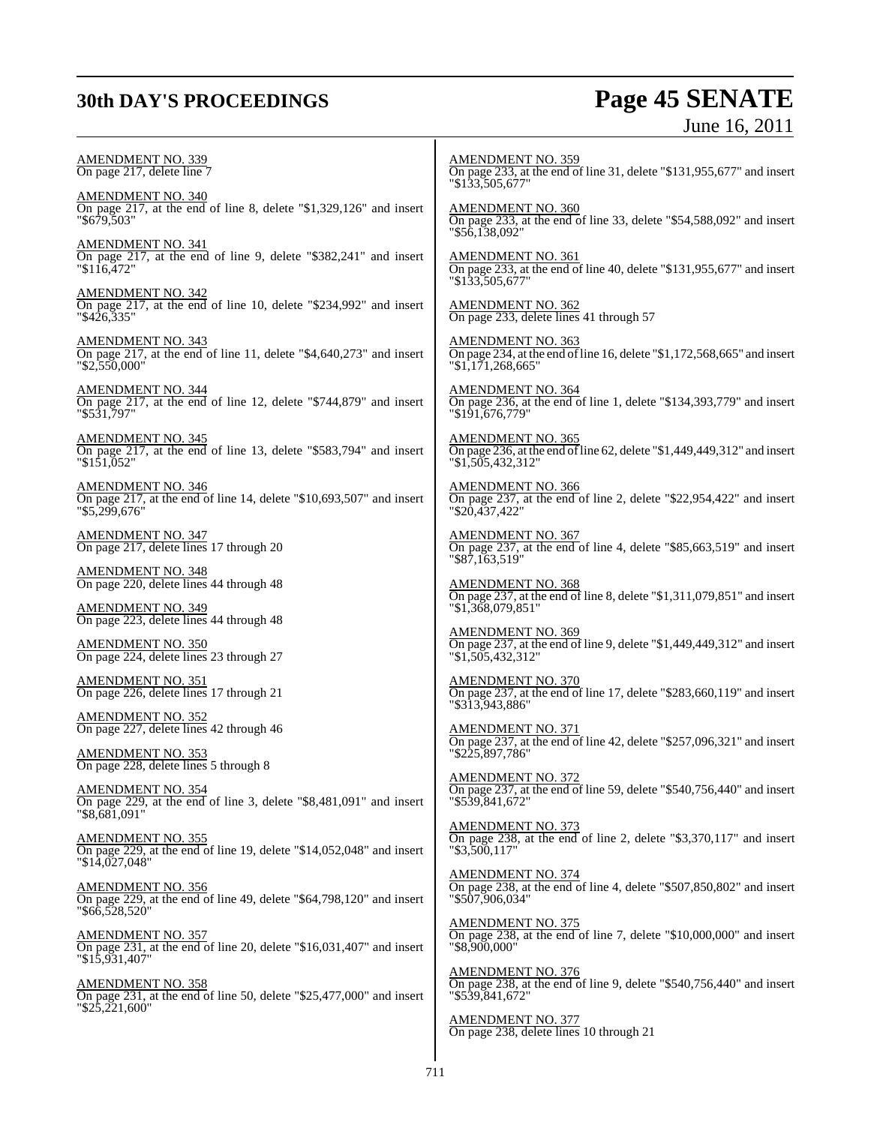## **30th DAY'S PROCEEDINGS Page 45 SENATE** June 16, 2011

| AMENDMENT NO. 339<br>On page 217, delete line 7                                                              | <u>AMENDMENT NO. 359</u><br>On page 233, at the end of line 31, delete "\$131,955,677" and insert<br>"\$133,505,677"    |
|--------------------------------------------------------------------------------------------------------------|-------------------------------------------------------------------------------------------------------------------------|
| <b>AMENDMENT NO. 340</b>                                                                                     | <b>AMENDMENT NO. 360</b>                                                                                                |
| On page $217$ , at the end of line 8, delete "\$1,329,126" and insert                                        | On page 233, at the end of line 33, delete "\$54,588,092" and insert                                                    |
| "\$679,503"                                                                                                  | "\$56,138,092"                                                                                                          |
| <b>AMENDMENT NO. 341</b>                                                                                     | <b>AMENDMENT NO. 361</b>                                                                                                |
| On page 217, at the end of line 9, delete "\$382,241" and insert                                             | On page 233, at the end of line 40, delete "\$131,955,677" and insert                                                   |
| " \$116,472"                                                                                                 | "\$133.505.677"                                                                                                         |
| <b>AMENDMENT NO. 342</b><br>On page 217, at the end of line 10, delete "\$234,992" and insert<br>"\$426,335" | <b>AMENDMENT NO. 362</b><br>On page 233, delete lines 41 through 57                                                     |
| <b>AMENDMENT NO. 343</b>                                                                                     | <b>AMENDMENT NO. 363</b>                                                                                                |
| On page 217, at the end of line 11, delete "\$4,640,273" and insert                                          | On page 234, at the end of line 16, delete "\$1,172,568,665" and insert                                                 |
| $"\$2,550,000"$                                                                                              | "\$1,171,268,665"                                                                                                       |
| <b>AMENDMENT NO. 344</b>                                                                                     | <b>AMENDMENT NO. 364</b>                                                                                                |
| On page 217, at the end of line 12, delete "\$744,879" and insert                                            | On page 236, at the end of line 1, delete "\$134,393,779" and insert                                                    |
| "\$531,797"                                                                                                  | "\$191,676,779"                                                                                                         |
| <b>AMENDMENT NO. 345</b>                                                                                     | <b>AMENDMENT NO. 365</b>                                                                                                |
| On page 217, at the end of line 13, delete "\$583,794" and insert                                            | On page 236, at the end of line 62, delete "\$1,449,449,312" and insert                                                 |
| "\$151,052"                                                                                                  | "\$1,505,432,312"                                                                                                       |
| <b>AMENDMENT NO. 346</b>                                                                                     | <b>AMENDMENT NO. 366</b>                                                                                                |
| On page 217, at the end of line 14, delete "\$10,693,507" and insert                                         | On page 237, at the end of line 2, delete "\$22,954,422" and insert                                                     |
| "\$5,299,676"                                                                                                | "\$20,437,422"                                                                                                          |
| <b>AMENDMENT NO. 347</b><br>On page 217, delete lines 17 through 20                                          | <b>AMENDMENT NO. 367</b><br>On page 237, at the end of line 4, delete "\$85,663,519" and insert<br>$"$ \$87,163,519"    |
| AMENDMENT NO. 348<br>On page 220, delete lines 44 through 48                                                 | <b>AMENDMENT NO. 368</b><br>On page 237, at the end of line 8, delete "\$1,311,079,851" and insert                      |
| <b>AMENDMENT NO. 349</b><br>On page 223, delete lines 44 through 48                                          | "\$1,368,079,851"                                                                                                       |
| <b>AMENDMENT NO. 350</b><br>On page 224, delete lines 23 through 27                                          | <b>AMENDMENT NO. 369</b><br>On page 237, at the end of line 9, delete "\$1,449,449,312" and insert<br>"\$1,505,432,312" |
| <b>AMENDMENT NO. 351</b><br>On page 226, delete lines 17 through 21                                          | <b>AMENDMENT NO. 370</b><br>On page 237, at the end of line 17, delete "\$283,660,119" and insert<br>"\$313,943,886"    |
| <b>AMENDMENT NO. 352</b>                                                                                     | <b>AMENDMENT NO. 371</b>                                                                                                |
| On page 227, delete lines 42 through 46                                                                      | On page 237, at the end of line 42, delete "\$257,096,321" and insert                                                   |
| <b>AMENDMENT NO. 353</b><br>On page 228, delete lines 5 through 8                                            | "\$225,897,786"                                                                                                         |
| <b>AMENDMENT NO. 354</b>                                                                                     | <b>AMENDMENT NO. 372</b>                                                                                                |
| On page 229, at the end of line 3, delete "\$8,481,091" and insert                                           | On page 237, at the end of line 59, delete "\$540,756,440" and insert                                                   |
| "\$8,681,091"                                                                                                | "\$539,841,672"                                                                                                         |
| <b>AMENDMENT NO. 355</b>                                                                                     | <b>AMENDMENT NO. 373</b>                                                                                                |
| On page 229, at the end of line 19, delete "\$14,052,048" and insert                                         | On page 238, at the end of line 2, delete " $$3,370,117"$ and insert                                                    |
| $"\$1\overline{4}0\overline{27}048"$                                                                         | $"$ \$3,500,117"                                                                                                        |
| <b>AMENDMENT NO. 356</b>                                                                                     | <b>AMENDMENT NO. 374</b>                                                                                                |
| On page 229, at the end of line 49, delete " $$64,798,120"$ and insert                                       | On page 238, at the end of line 4, delete "\$507,850,802" and insert                                                    |
| "\$66,528,520"                                                                                               | "\$507,906,034"                                                                                                         |
| <u>AMENDMENT NO. 357</u>                                                                                     | <b>AMENDMENT NO. 375</b>                                                                                                |
| On page 231, at the end of line 20, delete "\$16,031,407" and insert                                         | On page $238$ , at the end of line 7, delete "\$10,000,000" and insert                                                  |
| $"\$1\overline{5}.\overline{9}31,40\overline{7"$                                                             | "\$8,900,000"                                                                                                           |
| <b>AMENDMENT NO. 358</b>                                                                                     | <b>AMENDMENT NO. 376</b>                                                                                                |
| On page 231, at the end of line 50, delete "\$25,477,000" and insert                                         | On page 238, at the end of line 9, delete "\$540,756,440" and insert                                                    |
| $"\$2\overline{5,2}21,600"$                                                                                  | "\$539,841,672"                                                                                                         |
|                                                                                                              | <b>AMENDMENT NO. 377</b><br>On page 238, delete lines 10 through 21                                                     |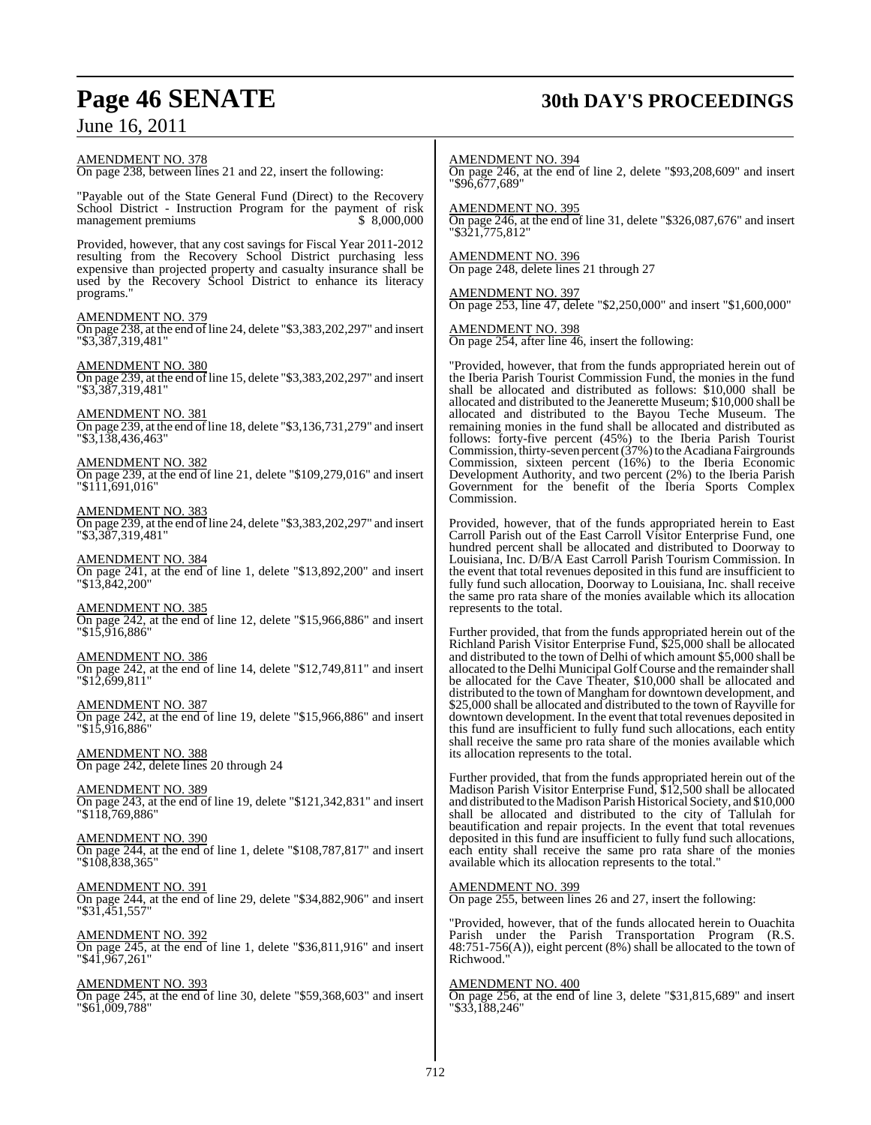## **Page 46 SENATE 30th DAY'S PROCEEDINGS**

June 16, 2011

AMENDMENT NO. 378 On page 238, between lines 21 and 22, insert the following: "Payable out of the State General Fund (Direct) to the Recovery School District - Instruction Program for the payment of risk<br>management premiums \$8,000,000 management premiums Provided, however, that any cost savings for Fiscal Year 2011-2012 resulting from the Recovery School District purchasing less expensive than projected property and casualty insurance shall be used by the Recovery School District to enhance its literacy programs." AMENDMENT NO. 379 On page 238, at the end of line 24, delete "\$3,383,202,297" and insert "\$3,387,319,481" AMENDMENT NO. 380 On page 239, at the end of line 15, delete " $$3,383,202,297$ " and insert "\$3,387,319,481" AMENDMENT NO. 381 On page  $239$ , at the end of line 18, delete "\$3,136,731,279" and insert "\$3,138,436,463" AMENDMENT NO. 382 On page 239, at the end of line 21, delete "\$109,279,016" and insert "\$111,691,016" AMENDMENT NO. 383 On page 239, at the end ofline 24, delete "\$3,383,202,297" and insert "\$3,387,319,481" AMENDMENT NO. 384 On page 241, at the end of line 1, delete "\$13,892,200" and insert "\$13,842,200" AMENDMENT NO. 385 On page 242, at the end of line 12, delete "\$15,966,886" and insert "\$15,916,886" AMENDMENT NO. 386 On page 242, at the end of line 14, delete "\$12,749,811" and insert "\$12,699,811" AMENDMENT NO. 387 On page 242, at the end of line 19, delete "\$15,966,886" and insert "\$15,916,886" AMENDMENT NO. 388 On page 242, delete lines 20 through 24 AMENDMENT NO. 389 On page 243, at the end of line 19, delete "\$121,342,831" and insert "\$118,769,886" AMENDMENT NO. 390 On page 244, at the end of line 1, delete "\$108,787,817" and insert "\$108,838,365" AMENDMENT NO. 391 On page 244, at the end of line 29, delete "\$34,882,906" and insert "\$31,451,557" AMENDMENT NO. 392 On page 245, at the end of line 1, delete "\$36,811,916" and insert "\$41,967,261" AMENDMENT NO. 393 On page 245, at the end of line 30, delete "\$59,368,603" and insert "\$61,009,788" AMENDMENT NO. 394 On page 246, at the end of line 2, delete "\$93,208,609" and insert "\$96,677,689" AMENDMENT NO. 395 On page 246, at the end of line 31, delete "\$326,087,676" and insert "\$321,775,812" AMENDMENT NO. 396 On page 248, delete lines 21 through 27 AMENDMENT NO. 397 On page 253, line 47, delete "\$2,250,000" and insert "\$1,600,000" AMENDMENT NO. 398 On page 254, after line 46, insert the following: "Provided, however, that from the funds appropriated herein out of the Iberia Parish Tourist Commission Fund, the monies in the fund shall be allocated and distributed as follows: \$10,000 shall be allocated and distributed to the Jeanerette Museum; \$10,000 shall be allocated and distributed to the Bayou Teche Museum. The remaining monies in the fund shall be allocated and distributed as follows: forty-five percent (45%) to the Iberia Parish Tourist Commission, thirty-seven percent (37%) to the Acadiana Fairgrounds Commission, sixteen percent (16%) to the Iberia Economic Development Authority, and two percent (2%) to the Iberia Parish Government for the benefit of the Iberia Sports Complex Commission. Provided, however, that of the funds appropriated herein to East Carroll Parish out of the East Carroll Visitor Enterprise Fund, one hundred percent shall be allocated and distributed to Doorway to Louisiana, Inc. D/B/A East Carroll Parish Tourism Commission. In the event that total revenues deposited in this fund are insufficient to fully fund such allocation, Doorway to Louisiana, Inc. shall receive the same pro rata share of the monies available which its allocation represents to the total. Further provided, that from the funds appropriated herein out of the Richland Parish Visitor Enterprise Fund, \$25,000 shall be allocated and distributed to the town of Delhi of which amount \$5,000 shall be allocated to the Delhi Municipal Golf Course and the remainder shall be allocated for the Cave Theater, \$10,000 shall be allocated and distributed to the town of Mangham for downtown development, and \$25,000 shall be allocated and distributed to the town of Rayville for downtown development. In the event that total revenues deposited in this fund are insufficient to fully fund such allocations, each entity shall receive the same pro rata share of the monies available which its allocation represents to the total. Further provided, that from the funds appropriated herein out of the Madison Parish Visitor Enterprise Fund, \$12,500 shall be allocated and distributed to the Madison Parish Historical Society, and \$10,000 shall be allocated and distributed to the city of Tallulah for beautification and repair projects. In the event that total revenues deposited in this fund are insufficient to fully fund such allocations, each entity shall receive the same pro rata share of the monies available which its allocation represents to the total." AMENDMENT NO. 399 On page 255, between lines 26 and 27, insert the following: "Provided, however, that of the funds allocated herein to Ouachita Parish under the Parish Transportation Program (R.S. 48:751-756(A)), eight percent (8%) shall be allocated to the town of Richwood." AMENDMENT NO. 400 On page 256, at the end of line 3, delete "\$31,815,689" and insert "\$33,188,246"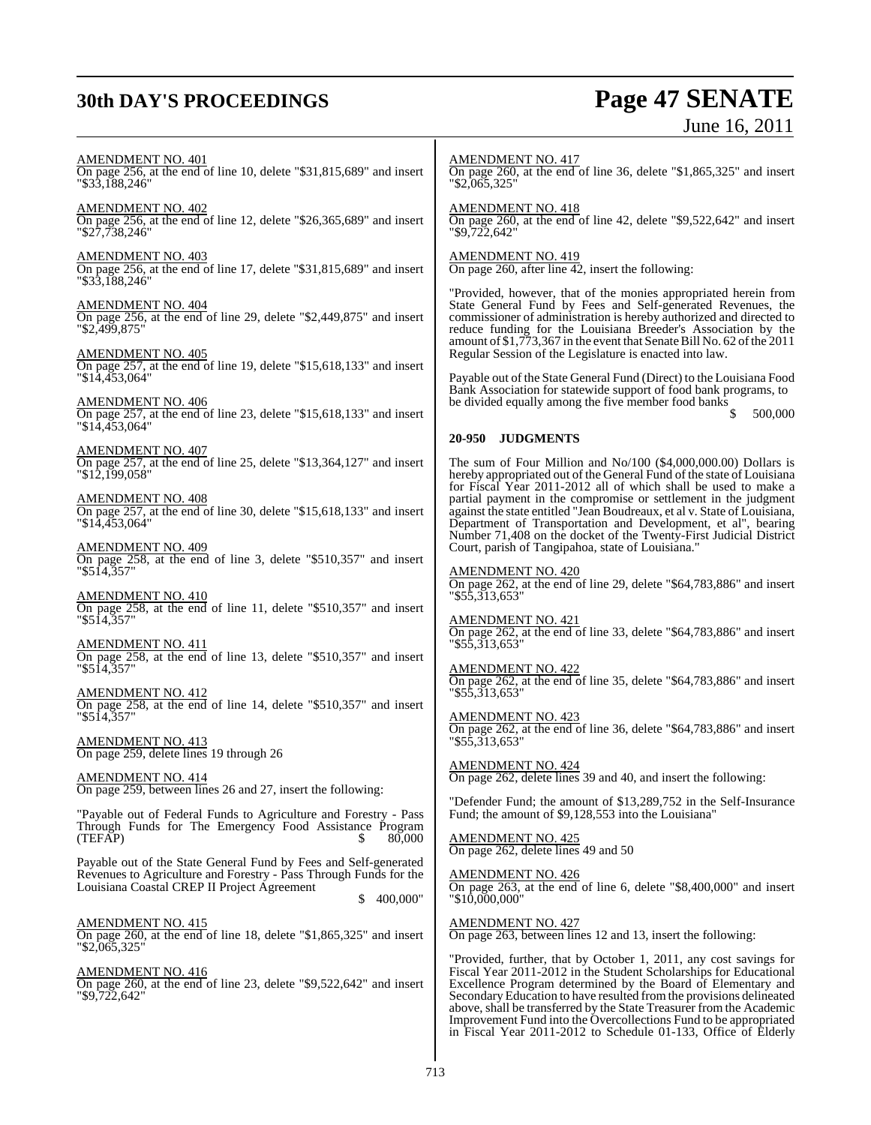## **30th DAY'S PROCEEDINGS Page 47 SENATE**

# June 16, 2011

AMENDMENT NO. 401 On page 256, at the end of line 10, delete "\$31,815,689" and insert "\$33,188,246" AMENDMENT NO. 402 On page 256, at the end of line 12, delete "\$26,365,689" and insert "\$27,738,246" AMENDMENT NO. 403 On page 256, at the end of line 17, delete "\$31,815,689" and insert "\$33,188,246" AMENDMENT NO. 404 On page 256, at the end of line 29, delete "\$2,449,875" and insert "\$2,499,875" AMENDMENT NO. 405 On page 257, at the end of line 19, delete "\$15,618,133" and insert "\$14,453,064" AMENDMENT NO. 406 On page 257, at the end of line 23, delete "\$15,618,133" and insert "\$14,453,064" AMENDMENT NO. 407 On page 257, at the end of line 25, delete "\$13,364,127" and insert "\$12,199,058" AMENDMENT NO. 408 On page 257, at the end of line 30, delete "\$15,618,133" and insert "\$14,453,064" AMENDMENT NO. 409 On page 258, at the end of line 3, delete "\$510,357" and insert "\$514,357" AMENDMENT NO. 410 On page 258, at the end of line 11, delete "\$510,357" and insert "\$514,357" AMENDMENT NO. 411 On page 258, at the end of line 13, delete "\$510,357" and insert "\$514,357" AMENDMENT NO. 412 On page 258, at the end of line 14, delete "\$510,357" and insert "\$514,357" AMENDMENT NO. 413 On page 259, delete lines 19 through 26 AMENDMENT NO. 414 On page 259, between lines 26 and 27, insert the following: "Payable out of Federal Funds to Agriculture and Forestry - Pass Through Funds for The Emergency Food Assistance Program  $(TEF\widetilde{AP})$ Payable out of the State General Fund by Fees and Self-generated Revenues to Agriculture and Forestry - Pass Through Funds for the Louisiana Coastal CREP II Project Agreement \$ 400,000" AMENDMENT NO. 415 On page 260, at the end of line 18, delete "\$1,865,325" and insert "\$2,065,325" AMENDMENT NO. 416 On page 260, at the end of line 23, delete "\$9,522,642" and insert "\$9,722,642" AMENDMENT NO. 417 On page 260, at the end of line 36, delete "\$1,865,325" and insert "\$2,065,325" AMENDMENT NO. 418 On page 260, at the end of line 42, delete "\$9,522,642" and insert "\$9,722,642" AMENDMENT NO. 419 On page 260, after line 42, insert the following: "Provided, however, that of the monies appropriated herein from State General Fund by Fees and Self-generated Revenues, the commissioner of administration is hereby authorized and directed to reduce funding for the Louisiana Breeder's Association by the amount of \$1,773,367 in the event that Senate Bill No. 62 of the 2011 Regular Session of the Legislature is enacted into law. Payable out of the State General Fund (Direct) to the Louisiana Food Bank Association for statewide support of food bank programs, to be divided equally among the five member food banks  $\frac{1}{s}$ \$ 500,000 **20-950 JUDGMENTS** The sum of Four Million and No/100 (\$4,000,000.00) Dollars is hereby appropriated out of the General Fund of the state of Louisiana for Fiscal Year 2011-2012 all of which shall be used to make a partial payment in the compromise or settlement in the judgment against the state entitled "Jean Boudreaux, et al v. State of Louisiana, Department of Transportation and Development, et al", bearing Number 71,408 on the docket of the Twenty-First Judicial District Court, parish of Tangipahoa, state of Louisiana." AMENDMENT NO. 420 On page 262, at the end of line 29, delete "\$64,783,886" and insert "\$55,313,653" AMENDMENT NO. 421 On page 262, at the end of line 33, delete "\$64,783,886" and insert "\$55,313,653" AMENDMENT NO. 422 On page 262, at the end of line 35, delete "\$64,783,886" and insert "\$55,313,653" AMENDMENT NO. 423 On page 262, at the end of line 36, delete "\$64,783,886" and insert "\$55,313,653" AMENDMENT NO. 424 On page 262, delete lines 39 and 40, and insert the following: "Defender Fund; the amount of \$13,289,752 in the Self-Insurance Fund: the amount of \$9,128,553 into the Louisiana" AMENDMENT NO. 425 On page 262, delete lines 49 and 50 AMENDMENT NO. 426 On page 263, at the end of line 6, delete "\$8,400,000" and insert "\$10,000,000" AMENDMENT NO. 427 On page 263, between lines 12 and 13, insert the following: "Provided, further, that by October 1, 2011, any cost savings for Fiscal Year 2011-2012 in the Student Scholarships for Educational Excellence Program determined by the Board of Elementary and Secondary Education to have resulted from the provisions delineated above, shall be transferred by the State Treasurer from the Academic Improvement Fund into the Overcollections Fund to be appropriated in Fiscal Year 2011-2012 to Schedule 01-133, Office of Elderly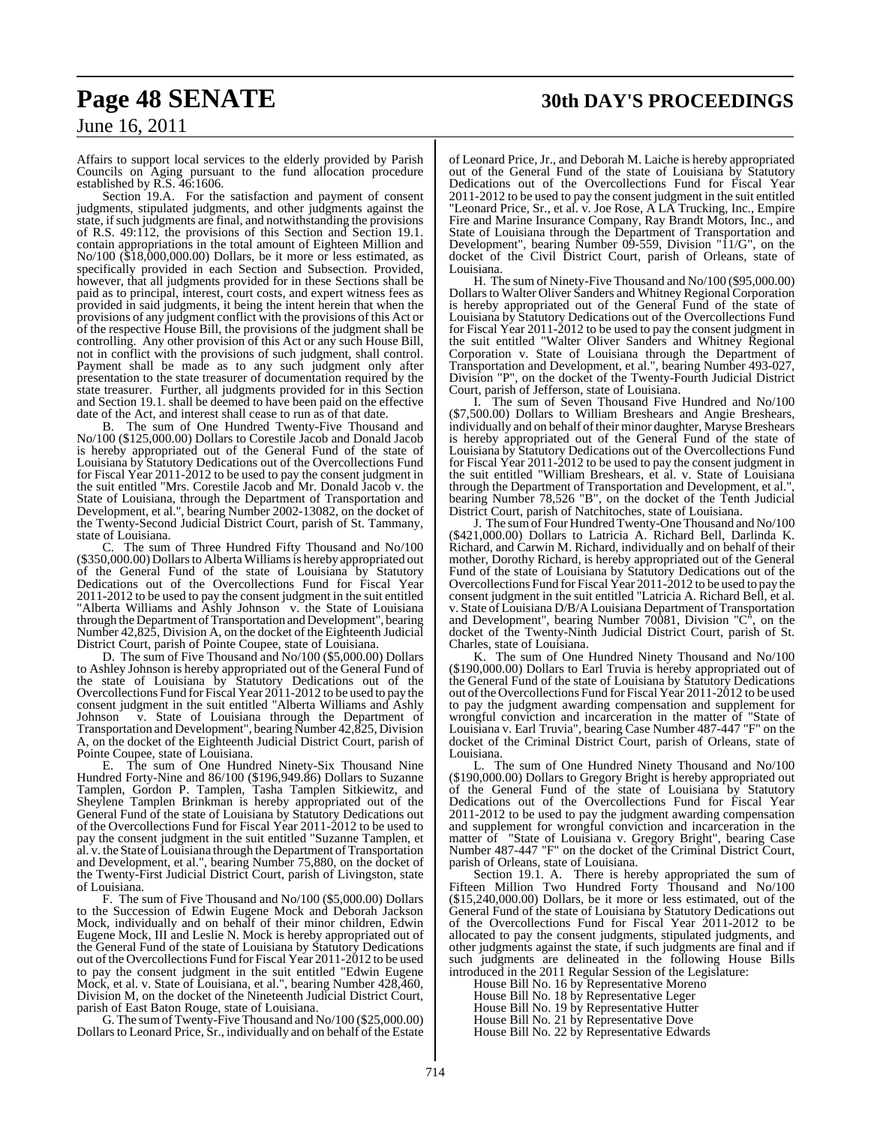## **Page 48 SENATE 30th DAY'S PROCEEDINGS**

## June 16, 2011

Affairs to support local services to the elderly provided by Parish Councils on Aging pursuant to the fund allocation procedure established by R.S. 46:1606.

Section 19.A. For the satisfaction and payment of consent judgments, stipulated judgments, and other judgments against the state, if such judgments are final, and notwithstanding the provisions of R.S. 49:112, the provisions of this Section and Section 19.1. contain appropriations in the total amount of Eighteen Million and No/100 (\$18,000,000.00) Dollars, be it more or less estimated, as specifically provided in each Section and Subsection. Provided, however, that all judgments provided for in these Sections shall be paid as to principal, interest, court costs, and expert witness fees as provided in said judgments, it being the intent herein that when the provisions of any judgment conflict with the provisions of this Act or of the respective House Bill, the provisions of the judgment shall be controlling. Any other provision of this Act or any such House Bill, not in conflict with the provisions of such judgment, shall control. Payment shall be made as to any such judgment only after presentation to the state treasurer of documentation required by the state treasurer. Further, all judgments provided for in this Section and Section 19.1. shall be deemed to have been paid on the effective date of the Act, and interest shall cease to run as of that date.

The sum of One Hundred Twenty-Five Thousand and No/100 (\$125,000.00) Dollars to Corestile Jacob and Donald Jacob is hereby appropriated out of the General Fund of the state of Louisiana by Statutory Dedications out of the Overcollections Fund for Fiscal Year 2011-2012 to be used to pay the consent judgment in the suit entitled "Mrs. Corestile Jacob and Mr. Donald Jacob v. the State of Louisiana, through the Department of Transportation and Development, et al.", bearing Number 2002-13082, on the docket of the Twenty-Second Judicial District Court, parish of St. Tammany, state of Louisiana.

C. The sum of Three Hundred Fifty Thousand and No/100 (\$350,000.00) Dollars to Alberta Williams is hereby appropriated out of the General Fund of the state of Louisiana by Statutory Dedications out of the Overcollections Fund for Fiscal Year 2011-2012 to be used to pay the consent judgment in the suit entitled "Alberta Williams and Ashly Johnson<sup>"</sup> v. the State of Louisiana through the Department of Transportation and Development", bearing Number 42,825, Division A, on the docket of the Eighteenth Judicial District Court, parish of Pointe Coupee, state of Louisiana.

D. The sum of Five Thousand and No/100 (\$5,000.00) Dollars to Ashley Johnson is hereby appropriated out of the General Fund of the state of Louisiana by Statutory Dedications out of the Overcollections Fund for Fiscal Year 2011-2012 to be used to pay the consent judgment in the suit entitled "Alberta Williams and Ashly Johnson v. State of Louisiana through the Department of Transportation and Development", bearing Number 42,825, Division A, on the docket of the Eighteenth Judicial District Court, parish of Pointe Coupee, state of Louisiana.

E. The sum of One Hundred Ninety-Six Thousand Nine Hundred Forty-Nine and 86/100 (\$196,949.86) Dollars to Suzanne Tamplen, Gordon P. Tamplen, Tasha Tamplen Sitkiewitz, and Sheylene Tamplen Brinkman is hereby appropriated out of the General Fund of the state of Louisiana by Statutory Dedications out of the Overcollections Fund for Fiscal Year 2011-2012 to be used to pay the consent judgment in the suit entitled "Suzanne Tamplen, et al. v. the State of Louisiana through the Department of Transportation and Development, et al.", bearing Number 75,880, on the docket of the Twenty-First Judicial District Court, parish of Livingston, state of Louisiana.

F. The sum of Five Thousand and No/100 (\$5,000.00) Dollars to the Succession of Edwin Eugene Mock and Deborah Jackson Mock, individually and on behalf of their minor children, Edwin Eugene Mock, III and Leslie N. Mock is hereby appropriated out of the General Fund of the state of Louisiana by Statutory Dedications out of the Overcollections Fund for Fiscal Year 2011-2012 to be used to pay the consent judgment in the suit entitled "Edwin Eugene Mock, et al. v. State of Louisiana, et al.", bearing Number 428,460, Division M, on the docket of the Nineteenth Judicial District Court, parish of East Baton Rouge, state of Louisiana.

G. The sumofTwenty-Five Thousand and No/100 (\$25,000.00) Dollars to Leonard Price, Sr., individually and on behalf of the Estate of Leonard Price, Jr., and Deborah M. Laiche is hereby appropriated out of the General Fund of the state of Louisiana by Statutory Dedications out of the Overcollections Fund for Fiscal Year 2011-2012 to be used to pay the consent judgment in the suit entitled "Leonard Price, Sr., et al. v. Joe Rose, A LA Trucking, Inc., Empire Fire and Marine Insurance Company, Ray Brandt Motors, Inc., and State of Louisiana through the Department of Transportation and Development", bearing Number 09-559, Division "11/G", on the docket of the Civil District Court, parish of Orleans, state of Louisiana.

H. The sum of Ninety-Five Thousand and No/100 (\$95,000.00) Dollars to Walter Oliver Sanders and Whitney Regional Corporation is hereby appropriated out of the General Fund of the state of Louisiana by Statutory Dedications out of the Overcollections Fund for Fiscal Year 2011-2012 to be used to pay the consent judgment in the suit entitled "Walter Oliver Sanders and Whitney Regional Corporation v. State of Louisiana through the Department of Transportation and Development, et al.", bearing Number 493-027, Division "P", on the docket of the Twenty-Fourth Judicial District Court, parish of Jefferson, state of Louisiana.

I. The sum of Seven Thousand Five Hundred and No/100 (\$7,500.00) Dollars to William Breshears and Angie Breshears, individually and on behalf of their minor daughter, Maryse Breshears is hereby appropriated out of the General Fund of the state of Louisiana by Statutory Dedications out of the Overcollections Fund for Fiscal Year 2011-2012 to be used to pay the consent judgment in the suit entitled "William Breshears, et al. v. State of Louisiana through the Department of Transportation and Development, et al." bearing Number 78,526 "B", on the docket of the Tenth Judicial District Court, parish of Natchitoches, state of Louisiana.

J. The sum of Four Hundred Twenty-One Thousand and No/100 (\$421,000.00) Dollars to Latricia A. Richard Bell, Darlinda K. Richard, and Carwin M. Richard, individually and on behalf of their mother, Dorothy Richard, is hereby appropriated out of the General Fund of the state of Louisiana by Statutory Dedications out of the Overcollections Fund for Fiscal Year 2011-2012 to be used to pay the consent judgment in the suit entitled "Latricia A. Richard Bell, et al. v. State of Louisiana D/B/A Louisiana Department of Transportation and Development", bearing Number 70081, Division "C", on the docket of the Twenty-Ninth Judicial District Court, parish of St. Charles, state of Louisiana.

K. The sum of One Hundred Ninety Thousand and No/100 (\$190,000.00) Dollars to Earl Truvia is hereby appropriated out of the General Fund of the state of Louisiana by Statutory Dedications out of the Overcollections Fund for Fiscal Year 2011-2012 to be used to pay the judgment awarding compensation and supplement for wrongful conviction and incarceration in the matter of "State of Louisiana v. Earl Truvia", bearing Case Number 487-447 "F" on the docket of the Criminal District Court, parish of Orleans, state of Louisiana.

L. The sum of One Hundred Ninety Thousand and No/100 (\$190,000.00) Dollars to Gregory Bright is hereby appropriated out of the General Fund of the state of Louisiana by Statutory Dedications out of the Overcollections Fund for Fiscal Year 2011-2012 to be used to pay the judgment awarding compensation and supplement for wrongful conviction and incarceration in the matter of "State of Louisiana v. Gregory Bright", bearing Case Number 487-447 "F" on the docket of the Criminal District Court, parish of Orleans, state of Louisiana.

Section 19.1. A. There is hereby appropriated the sum of Fifteen Million Two Hundred Forty Thousand and No/100 (\$15,240,000.00) Dollars, be it more or less estimated, out of the General Fund of the state of Louisiana by Statutory Dedications out of the Overcollections Fund for Fiscal Year 2011-2012 to be allocated to pay the consent judgments, stipulated judgments, and other judgments against the state, if such judgments are final and if such judgments are delineated in the following House Bills introduced in the 2011 Regular Session of the Legislature:

House Bill No. 16 by Representative Moreno House Bill No. 18 by Representative Leger House Bill No. 19 by Representative Hutter House Bill No. 21 by Representative Dove House Bill No. 22 by Representative Edwards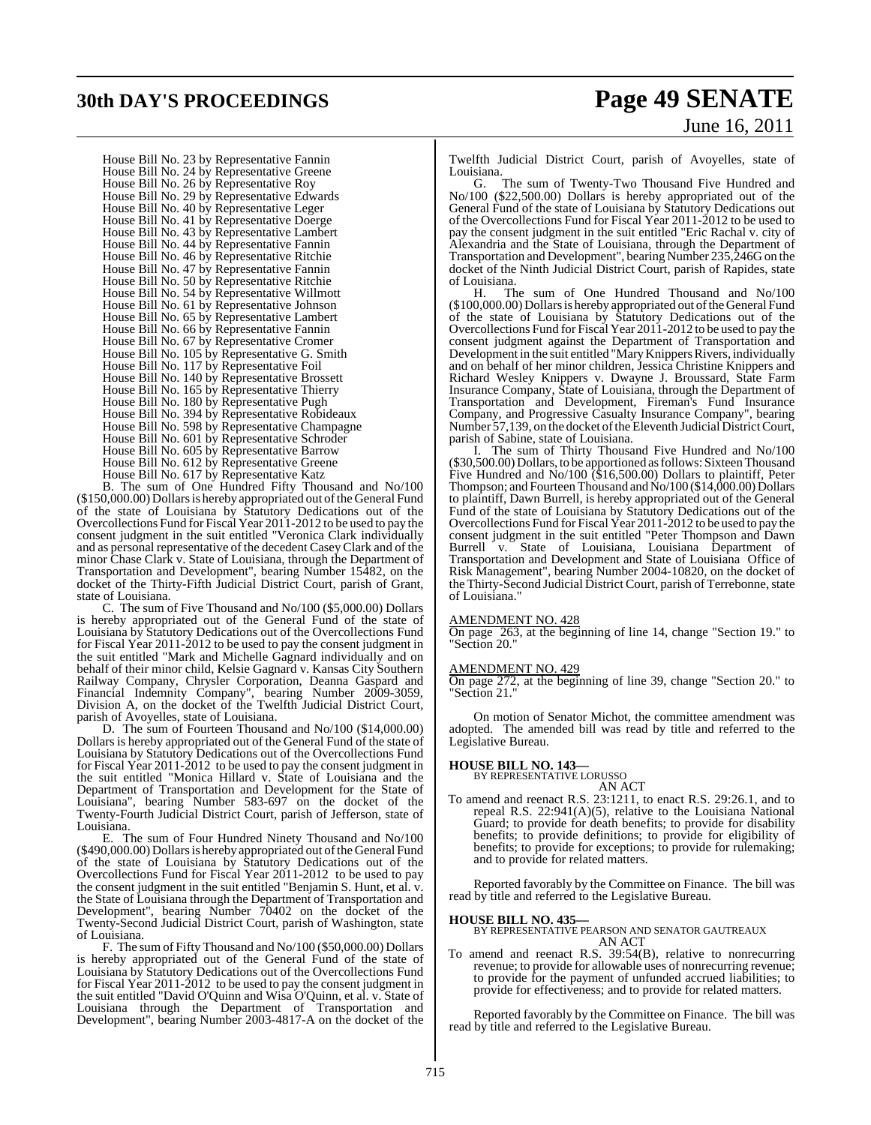## **30th DAY'S PROCEEDINGS Page 49 SENATE**

# June 16, 2011

House Bill No. 23 by Representative Fannin House Bill No. 24 by Representative Greene House Bill No. 26 by Representative Roy House Bill No. 29 by Representative Edwards House Bill No. 40 by Representative Leger House Bill No. 41 by Representative Doerge House Bill No. 43 by Representative Lambert House Bill No. 44 by Representative Fannin House Bill No. 46 by Representative Ritchie House Bill No. 47 by Representative Fannin House Bill No. 50 by Representative Ritchie House Bill No. 54 by Representative Willmott House Bill No. 61 by Representative Johnson House Bill No. 65 by Representative Lambert House Bill No. 66 by Representative Fannin House Bill No. 67 by Representative Cromer House Bill No. 105 by Representative G. Smith House Bill No. 117 by Representative Foil House Bill No. 140 by Representative Brossett House Bill No. 165 by Representative Thierry House Bill No. 180 by Representative Pugh House Bill No. 394 by Representative Robideaux House Bill No. 598 by Representative Champagne House Bill No. 601 by Representative Schroder House Bill No. 605 by Representative Barrow House Bill No. 612 by Representative Greene House Bill No. 617 by Representative Katz

B. The sum of One Hundred Fifty Thousand and No/100 (\$150,000.00) Dollars is hereby appropriated out of the General Fund of the state of Louisiana by Statutory Dedications out of the Overcollections Fund for Fiscal Year 2011-2012 to be used to pay the consent judgment in the suit entitled "Veronica Clark individually and as personal representative of the decedent CaseyClark and of the minor Chase Clark v. State of Louisiana, through the Department of Transportation and Development", bearing Number 15482, on the docket of the Thirty-Fifth Judicial District Court, parish of Grant, state of Louisiana.

C. The sum of Five Thousand and No/100 (\$5,000.00) Dollars is hereby appropriated out of the General Fund of the state of Louisiana by Statutory Dedications out of the Overcollections Fund for Fiscal Year 2011-2012 to be used to pay the consent judgment in the suit entitled "Mark and Michelle Gagnard individually and on behalf of their minor child, Kelsie Gagnard v. Kansas City Southern Railway Company, Chrysler Corporation, Deanna Gaspard and Financial Indemnity Company", bearing Number 2009-3059, Division A, on the docket of the Twelfth Judicial District Court, parish of Avoyelles, state of Louisiana.

D. The sum of Fourteen Thousand and No/100 (\$14,000.00) Dollars is hereby appropriated out of the General Fund of the state of Louisiana by Statutory Dedications out of the Overcollections Fund for Fiscal Year 2011-2012 to be used to pay the consent judgment in the suit entitled "Monica Hillard v. State of Louisiana and the Department of Transportation and Development for the State of Louisiana", bearing Number 583-697 on the docket of the Twenty-Fourth Judicial District Court, parish of Jefferson, state of Louisiana.

E. The sum of Four Hundred Ninety Thousand and No/100 (\$490,000.00) Dollars is hereby appropriated out of the General Fund of the state of Louisiana by Statutory Dedications out of the Overcollections Fund for Fiscal Year 2011-2012 to be used to pay the consent judgment in the suit entitled "Benjamin S. Hunt, et al. v. the State of Louisiana through the Department of Transportation and Development", bearing Number 70402 on the docket of the Twenty-Second Judicial District Court, parish of Washington, state of Louisiana.

F. The sum of Fifty Thousand and No/100 (\$50,000.00) Dollars is hereby appropriated out of the General Fund of the state of Louisiana by Statutory Dedications out of the Overcollections Fund for Fiscal Year 2011-2012 to be used to pay the consent judgment in the suit entitled "David O'Quinn and Wisa O'Quinn, et al. v. State of Louisiana through the Department of Transportation and Development", bearing Number 2003-4817-A on the docket of the Twelfth Judicial District Court, parish of Avoyelles, state of Louisiana.<br>G

The sum of Twenty-Two Thousand Five Hundred and No/100 (\$22,500.00) Dollars is hereby appropriated out of the General Fund of the state of Louisiana by Statutory Dedications out of the Overcollections Fund for Fiscal Year 2011-2012 to be used to pay the consent judgment in the suit entitled "Eric Rachal v. city of Alexandria and the State of Louisiana, through the Department of Transportation and Development", bearing Number 235,246G on the docket of the Ninth Judicial District Court, parish of Rapides, state of Louisiana.

H. The sum of One Hundred Thousand and No/100 (\$100,000.00) Dollarsis hereby appropriated out of the General Fund of the state of Louisiana by Statutory Dedications out of the Overcollections Fund for Fiscal Year 2011-2012 to be used to pay the consent judgment against the Department of Transportation and Development in the suit entitled "Mary Knippers Rivers, individually and on behalf of her minor children, Jessica Christine Knippers and Richard Wesley Knippers v. Dwayne J. Broussard, State Farm Insurance Company, State of Louisiana, through the Department of Transportation and Development, Fireman's Fund Insurance Company, and Progressive Casualty Insurance Company", bearing Number 57,139, on the docket of the Eleventh Judicial District Court, parish of Sabine, state of Louisiana.

I. The sum of Thirty Thousand Five Hundred and No/100 (\$30,500.00) Dollars, to be apportioned as follows: Sixteen Thousand Five Hundred and No/100 (\$16,500.00) Dollars to plaintiff, Peter Thompson; and Fourteen Thousand and No/100 (\$14,000.00) Dollars to plaintiff, Dawn Burrell, is hereby appropriated out of the General Fund of the state of Louisiana by Statutory Dedications out of the Overcollections Fund for Fiscal Year 2011-2012 to be used to pay the consent judgment in the suit entitled "Peter Thompson and Dawn Burrell v. State of Louisiana, Louisiana Department of Transportation and Development and State of Louisiana Office of Risk Management", bearing Number 2004-10820, on the docket of the Thirty-Second Judicial District Court, parish of Terrebonne, state of Louisiana."

### AMENDMENT NO. 428

On page 263, at the beginning of line 14, change "Section 19." to "Section 20."

### AMENDMENT NO. 429

On page 272, at the beginning of line 39, change "Section 20." to "Section 21."

On motion of Senator Michot, the committee amendment was adopted. The amended bill was read by title and referred to the Legislative Bureau.

## **HOUSE BILL NO. 143—**

BY REPRESENTATIVE LORUSSO AN ACT

To amend and reenact R.S. 23:1211, to enact R.S. 29:26.1, and to repeal R.S. 22:941(A)(5), relative to the Louisiana National Guard; to provide for death benefits; to provide for disability benefits; to provide definitions; to provide for eligibility of benefits; to provide for exceptions; to provide for rulemaking; and to provide for related matters.

Reported favorably by the Committee on Finance. The bill was read by title and referred to the Legislative Bureau.

**HOUSE BILL NO. 435—** BY REPRESENTATIVE PEARSON AND SENATOR GAUTREAUX AN ACT

To amend and reenact R.S. 39:54(B), relative to nonrecurring revenue; to provide for allowable uses of nonrecurring revenue; to provide for the payment of unfunded accrued liabilities; to provide for effectiveness; and to provide for related matters.

Reported favorably by the Committee on Finance. The bill was read by title and referred to the Legislative Bureau.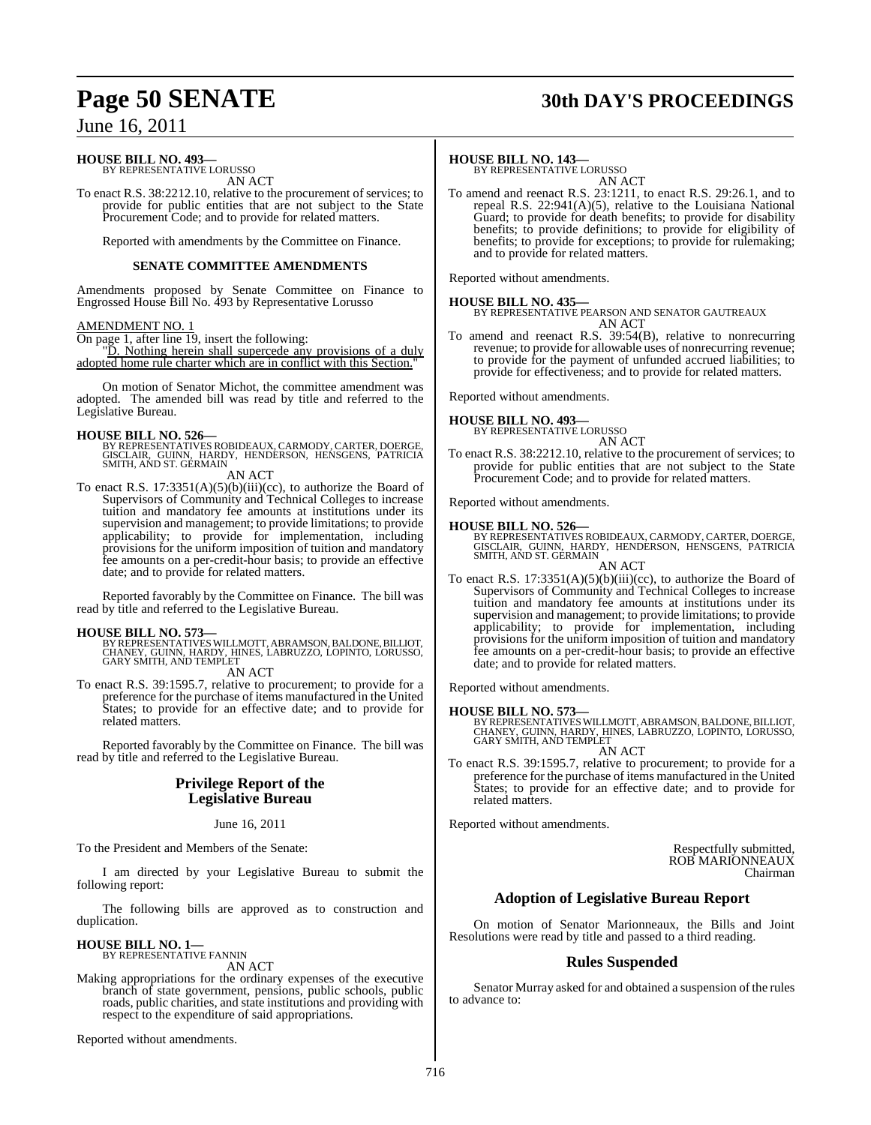## **Page 50 SENATE 30th DAY'S PROCEEDINGS**

## June 16, 2011

## **HOUSE BILL NO. 493—**

BY REPRESENTATIVE LORUSSO AN ACT

To enact R.S. 38:2212.10, relative to the procurement of services; to provide for public entities that are not subject to the State Procurement Code; and to provide for related matters.

Reported with amendments by the Committee on Finance.

## **SENATE COMMITTEE AMENDMENTS**

Amendments proposed by Senate Committee on Finance to Engrossed House Bill No. 493 by Representative Lorusso

## AMENDMENT NO. 1

On page 1, after line 19, insert the following:

"D. Nothing herein shall supercede any provisions of a duly adopted home rule charter which are in conflict with this Section."

On motion of Senator Michot, the committee amendment was adopted. The amended bill was read by title and referred to the Legislative Bureau.

## **HOUSE BILL NO. 526—**

BY REPRESENTATIVES ROBIDEAUX, CARMODY, CARTER, DOERGE, GISCLAIR, GUINN, HARDY, HENDERSON, HENSGENS, PATRICIA SMITH, AND ST. GERMAIN

AN ACT

To enact R.S. 17:3351(A)(5)(b)(iii)(cc), to authorize the Board of Supervisors of Community and Technical Colleges to increase tuition and mandatory fee amounts at institutions under its supervision and management; to provide limitations; to provide applicability; to provide for implementation, including provisions for the uniform imposition of tuition and mandatory fee amounts on a per-credit-hour basis; to provide an effective date; and to provide for related matters.

Reported favorably by the Committee on Finance. The bill was read by title and referred to the Legislative Bureau.

## **HOUSE BILL NO. 573—**

BY REPRESENTATIVES WILLMOTT, ABRAMSON, BALDONE, BILLIOT,<br>CHANEY, GUINN, HARDY, HINES, LABRUZZO, LOPINTO, LORUSSO,<br>GARY SMITH, AND TEMPLET AN ACT

To enact R.S. 39:1595.7, relative to procurement; to provide for a preference for the purchase of items manufactured in the United States; to provide for an effective date; and to provide for related matters.

Reported favorably by the Committee on Finance. The bill was read by title and referred to the Legislative Bureau.

## **Privilege Report of the Legislative Bureau**

June 16, 2011

To the President and Members of the Senate:

I am directed by your Legislative Bureau to submit the following report:

The following bills are approved as to construction and duplication.

**HOUSE BILL NO. 1—** BY REPRESENTATIVE FANNIN

AN ACT Making appropriations for the ordinary expenses of the executive branch of state government, pensions, public schools, public roads, public charities, and state institutions and providing with respect to the expenditure of said appropriations.

Reported without amendments.

## **HOUSE BILL NO. 143—**

BY REPRESENTATIVE LORUSSO AN ACT

To amend and reenact R.S. 23:1211, to enact R.S. 29:26.1, and to repeal R.S. 22:941(A)(5), relative to the Louisiana National Guard; to provide for death benefits; to provide for disability benefits; to provide definitions; to provide for eligibility of benefits; to provide for exceptions; to provide for rulemaking; and to provide for related matters.

Reported without amendments.

## **HOUSE BILL NO. 435—**

BY REPRESENTATIVE PEARSON AND SENATOR GAUTREAUX AN ACT

To amend and reenact R.S. 39:54(B), relative to nonrecurring revenue; to provide for allowable uses of nonrecurring revenue; to provide for the payment of unfunded accrued liabilities; to provide for effectiveness; and to provide for related matters.

Reported without amendments.

## **HOUSE BILL NO. 493—**

BY REPRESENTATIVE LORUSSO AN ACT

To enact R.S. 38:2212.10, relative to the procurement of services; to provide for public entities that are not subject to the State Procurement Code; and to provide for related matters.

Reported without amendments.

- **HOUSE BILL NO. 526—**<br>BY REPRESENTATIVES ROBIDEAUX, CARMODY, CARTER, DOERGE,<br>GISCLAIR, GUINN, HARDY, HENDERSON, HENSGENS, PATRICIA<br>SMITH, AND ST. GERMAIN AN ACT
- To enact R.S. 17:3351(A)(5)(b)(iii)(cc), to authorize the Board of Supervisors of Community and Technical Colleges to increase tuition and mandatory fee amounts at institutions under its supervision and management; to provide limitations; to provide applicability; to provide for implementation, including provisions for the uniform imposition of tuition and mandatory fee amounts on a per-credit-hour basis; to provide an effective date; and to provide for related matters.

Reported without amendments.

## **HOUSE BILL NO. 573—**

BY REPRESENTATIVES WILLMOTT, ABRAMSON, BALDONE, BILLIOT, CHANEY, GUINN, HARDY, HINES, LABRUZZO, LOPINTO, LORUSSO, GARY SMITH, AND TEMPLET

AN ACT To enact R.S. 39:1595.7, relative to procurement; to provide for a preference for the purchase of items manufactured in the United States; to provide for an effective date; and to provide for related matters.

Reported without amendments.

Respectfully submitted, ROB MARIONNEAUX Chairman

## **Adoption of Legislative Bureau Report**

On motion of Senator Marionneaux, the Bills and Joint Resolutions were read by title and passed to a third reading.

## **Rules Suspended**

Senator Murray asked for and obtained a suspension of the rules to advance to: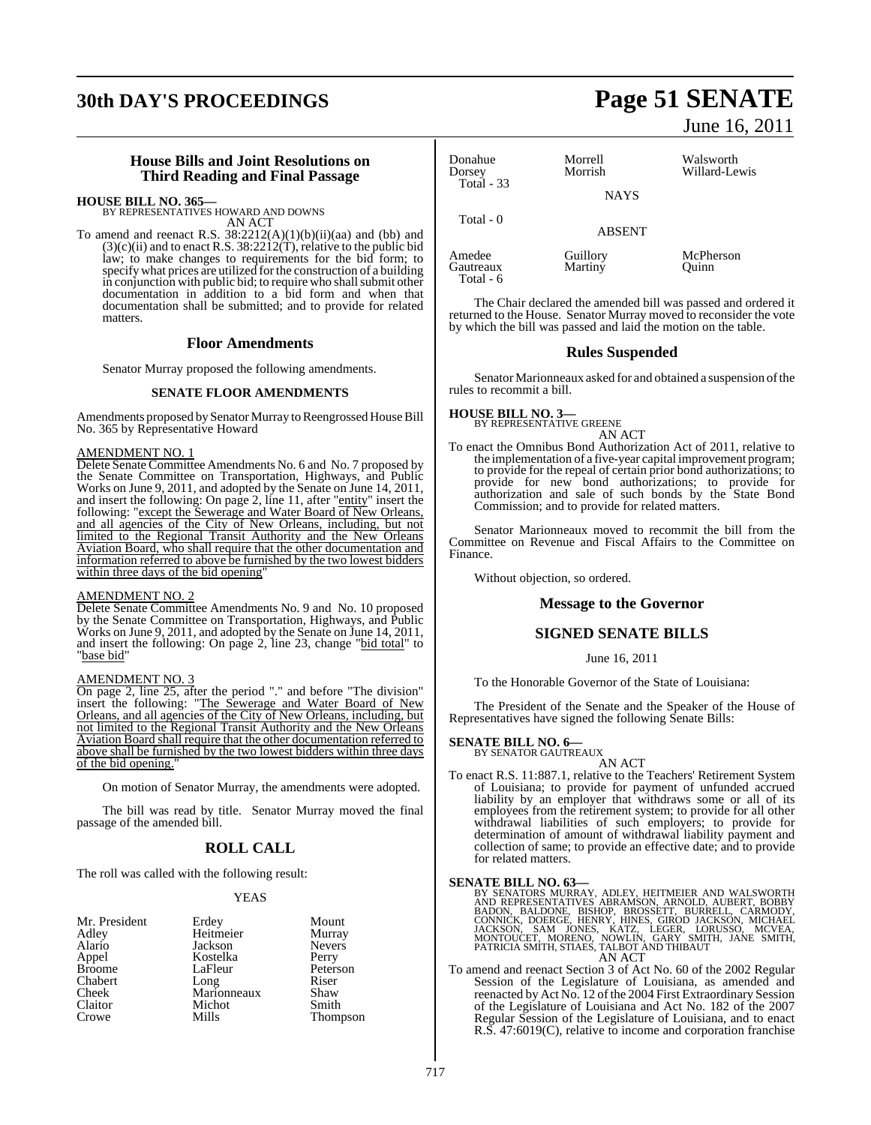## **30th DAY'S PROCEEDINGS Page 51 SENATE**

## **House Bills and Joint Resolutions on Third Reading and Final Passage**

**HOUSE BILL NO. 365—** BY REPRESENTATIVES HOWARD AND DOWNS

AN ACT To amend and reenact R.S.  $38:2212(A)(1)(b)(ii)(aa)$  and (bb) and  $(3)(c)(ii)$  and to enact R.S.  $38:2212(T)$ , relative to the public bid law; to make changes to requirements for the bid form; to specify what prices are utilized for the construction of a building in conjunction with public bid; to require who shall submit other documentation in addition to a bid form and when that documentation shall be submitted; and to provide for related matters.

## **Floor Amendments**

Senator Murray proposed the following amendments.

## **SENATE FLOOR AMENDMENTS**

Amendments proposed by Senator Murray to Reengrossed House Bill No. 365 by Representative Howard

## AMENDMENT NO. 1

Delete Senate Committee Amendments No. 6 and No. 7 proposed by the Senate Committee on Transportation, Highways, and Public Works on June 9, 2011, and adopted by the Senate on June 14, 2011, and insert the following: On page 2, line 11, after "entity" insert the following: "except the Sewerage and Water Board of New Orleans, and all agencies of the City of New Orleans, including, but not limited to the Regional Transit Authority and the New Orleans Aviation Board, who shall require that the other documentation and information referred to above be furnished by the two lowest bidders within three days of the bid opening

#### AMENDMENT NO. 2

Delete Senate Committee Amendments No. 9 and No. 10 proposed by the Senate Committee on Transportation, Highways, and Public Works on June 9, 2011, and adopted by the Senate on June 14, 2011, and insert the following: On page 2, line 23, change "bid total" to "base bid"

## AMENDMENT NO. 3

On page 2, line 25, after the period "." and before "The division" insert the following: "The Sewerage and Water Board of New Orleans, and all agencies of the City of New Orleans, including, but not limited to the Regional Transit Authority and the New Orleans Aviation Board shall require that the other documentation referred to above shall be furnished by the two lowest bidders within three days of the bid opening."

On motion of Senator Murray, the amendments were adopted.

The bill was read by title. Senator Murray moved the final passage of the amended bill.

## **ROLL CALL**

The roll was called with the following result:

Kostelka<br>LaFleur

Michot<br>Mills

## YEAS

| Mr. President |
|---------------|
| Adley         |
| Alario        |
| Appel         |
| Broome        |
| Chabert       |
| Cheek         |
| Claitor       |
| Crowe         |
|               |

Erdey Mount<br>
Heitmeier Murray Heitmeier Murray<br>Jackson Nevers Jackson Never<br>Kostelka Perry Peterson<br>Riser Long Riser<br>
Marionneaux Shaw Marionneaux Shaw<br>Michot Smith Thompson

June 16, 2011

| Donahue<br>Dorsey<br>Total $-33$ | Morrell<br>Morrish<br><b>NAYS</b> | Walsworth<br>Willard-Lewis |
|----------------------------------|-----------------------------------|----------------------------|
| Total $-0$                       | <b>ABSENT</b>                     |                            |
| Amedee<br>Gautreaux              | Guillory<br>Martiny               | McPherson<br>)uinn         |

The Chair declared the amended bill was passed and ordered it returned to the House. Senator Murray moved to reconsider the vote by which the bill was passed and laid the motion on the table.

## **Rules Suspended**

Senator Marionneaux asked for and obtained a suspension of the rules to recommit a bill.

## **HOUSE BILL NO. 3—** BY REPRESENTATIVE GREENE

Total - 6

AN ACT

To enact the Omnibus Bond Authorization Act of 2011, relative to the implementation of a five-year capital improvement program; to provide for the repeal of certain prior bond authorizations; to provide for new bond authorizations; to provide for authorization and sale of such bonds by the State Bond Commission; and to provide for related matters.

Senator Marionneaux moved to recommit the bill from the Committee on Revenue and Fiscal Affairs to the Committee on Finance.

Without objection, so ordered.

## **Message to the Governor**

## **SIGNED SENATE BILLS**

June 16, 2011

To the Honorable Governor of the State of Louisiana:

The President of the Senate and the Speaker of the House of Representatives have signed the following Senate Bills:

## **SENATE BILL NO. 6—** BY SENATOR GAUTREAUX

AN ACT

To enact R.S. 11:887.1, relative to the Teachers' Retirement System of Louisiana; to provide for payment of unfunded accrued liability by an employer that withdraws some or all of its employees from the retirement system; to provide for all other withdrawal liabilities of such employers; to provide for determination of amount of withdrawal liability payment and collection of same; to provide an effective date; and to provide for related matters.

 $\begin{tabular}{lcl} \bf SENATE~BILL NO. 63— \\ \bf BY\textcolor{red}{BEND} & \textcolor{red}{BND} & \textcolor{red}{BND} & \textcolor{red}{BND} & \textcolor{red}{BND} & \textcolor{red}{BND} & \textcolor{red}{BND} & \textcolor{red}{BND} & \textcolor{red}{BND} & \textcolor{red}{BND} & \textcolor{red}{BND} & \textcolor{red}{BND} & \textcolor{red}{BDR} & \textcolor{red}{BRRAMSON}, ARNOLD, AUBERT, BOBBY BADON, BALDONE, BISHOP, BROSSETT, BURRELLA, CARMODY, CONNICK, DOBER, JOKUSSO, M$ 

To amend and reenact Section 3 of Act No. 60 of the 2002 Regular Session of the Legislature of Louisiana, as amended and reenacted by Act No. 12 of the 2004 First Extraordinary Session of the Legislature of Louisiana and Act No. 182 of the 2007 Regular Session of the Legislature of Louisiana, and to enact R.S. 47:6019(C), relative to income and corporation franchise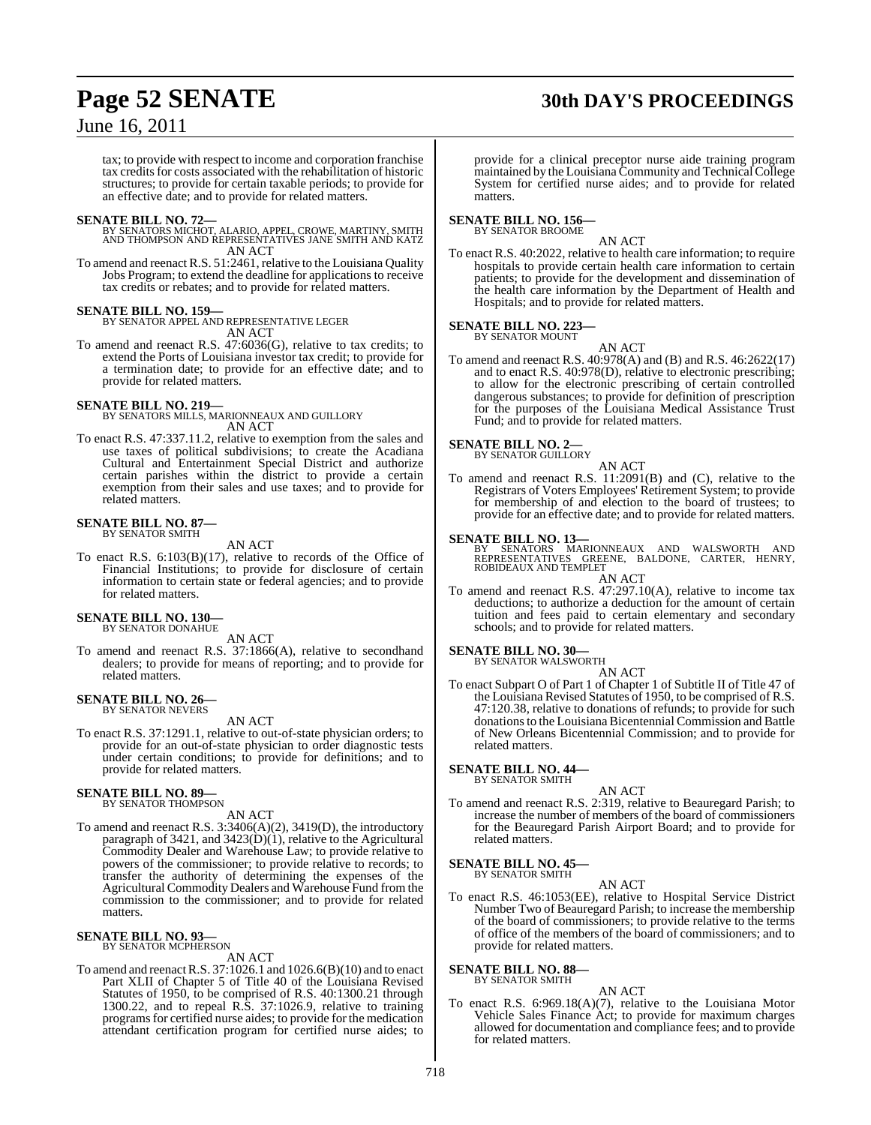## **Page 52 SENATE 30th DAY'S PROCEEDINGS**

## June 16, 2011

tax; to provide with respect to income and corporation franchise tax credits for costs associated with the rehabilitation of historic structures; to provide for certain taxable periods; to provide for an effective date; and to provide for related matters.

**SENATE BILL NO. 72—**<br>BY SENATORS MICHOT, ALARIO, APPEL, CROWE, MARTINY, SMITH<br>AND THOMPSON AND REPRESENTATIVES JANE SMITH AND KATZ AN ACT

To amend and reenact R.S. 51:2461, relative to the Louisiana Quality Jobs Program; to extend the deadline for applications to receive tax credits or rebates; and to provide for related matters.

### **SENATE BILL NO. 159—**

BY SENATOR APPEL AND REPRESENTATIVE LEGER AN ACT

To amend and reenact R.S. 47:6036(G), relative to tax credits; to extend the Ports of Louisiana investor tax credit; to provide for a termination date; to provide for an effective date; and to provide for related matters.

### **SENATE BILL NO. 219—**

BY SENATORS MILLS, MARIONNEAUX AND GUILLORY AN ACT

To enact R.S. 47:337.11.2, relative to exemption from the sales and use taxes of political subdivisions; to create the Acadiana Cultural and Entertainment Special District and authorize certain parishes within the district to provide a certain exemption from their sales and use taxes; and to provide for related matters.

#### **SENATE BILL NO. 87—** BY SENATOR SMITH

AN ACT

To enact R.S. 6:103(B)(17), relative to records of the Office of Financial Institutions; to provide for disclosure of certain information to certain state or federal agencies; and to provide for related matters.

## **SENATE BILL NO. 130—** BY SENATOR DONAHUE

AN ACT

To amend and reenact R.S. 37:1866(A), relative to secondhand dealers; to provide for means of reporting; and to provide for related matters.

## **SENATE BILL NO. 26—** BY SENATOR NEVERS

AN ACT

To enact R.S. 37:1291.1, relative to out-of-state physician orders; to provide for an out-of-state physician to order diagnostic tests under certain conditions; to provide for definitions; and to provide for related matters.

## **SENATE BILL NO. 89—**<br>BY SENATOR THOMPSON

AN ACT

To amend and reenact R.S. 3:3406(A)(2), 3419(D), the introductory paragraph of 3421, and 3423(D)(1), relative to the Agricultural Commodity Dealer and Warehouse Law; to provide relative to powers of the commissioner; to provide relative to records; to transfer the authority of determining the expenses of the Agricultural Commodity Dealers and Warehouse Fund from the commission to the commissioner; and to provide for related matters.

#### **SENATE BILL NO. 93—** BY SENATOR MCPHERSON

AN ACT

To amend and reenactR.S. 37:1026.1 and 1026.6(B)(10) and to enact Part XLII of Chapter 5 of Title 40 of the Louisiana Revised Statutes of 1950, to be comprised of R.S. 40:1300.21 through 1300.22, and to repeal R.S. 37:1026.9, relative to training programs for certified nurse aides; to provide for the medication attendant certification program for certified nurse aides; to

provide for a clinical preceptor nurse aide training program maintained by the Louisiana Community and Technical College System for certified nurse aides; and to provide for related matters.

#### **SENATE BILL NO. 156—** BY SENATOR BROOME

AN ACT

To enact R.S. 40:2022, relative to health care information; to require hospitals to provide certain health care information to certain patients; to provide for the development and dissemination of the health care information by the Department of Health and Hospitals; and to provide for related matters.

## **SENATE BILL NO. 223—**

BY SENATOR MOUNT AN ACT

To amend and reenact R.S. 40:978(A) and (B) and R.S. 46:2622(17) and to enact R.S. 40:978(D), relative to electronic prescribing; to allow for the electronic prescribing of certain controlled dangerous substances; to provide for definition of prescription for the purposes of the Louisiana Medical Assistance Trust Fund; and to provide for related matters.

## **SENATE BILL NO. 2—**<br>BY SENATOR GUILLORY

AN ACT To amend and reenact R.S. 11:2091(B) and (C), relative to the Registrars of Voters Employees' Retirement System; to provide for membership of and election to the board of trustees; to provide for an effective date; and to provide for related matters.

## **SENATE BILL NO. 13—**

BY SENATORS MARIONNEAUX AND WALSWORTH AND<br>REPRESENTATIVES GREENE, BALDONE, CARTER, HENRY,<br>ROBIDEAUXANDTEMPLET AN ACT

To amend and reenact R.S. 47:297.10(A), relative to income tax deductions; to authorize a deduction for the amount of certain tuition and fees paid to certain elementary and secondary schools; and to provide for related matters.

## **SENATE BILL NO. 30—** BY SENATOR WALSWORTH

AN ACT

To enact Subpart O of Part 1 of Chapter 1 of Subtitle II of Title 47 of the Louisiana Revised Statutes of 1950, to be comprised of R.S. 47:120.38, relative to donations of refunds; to provide for such donationsto the Louisiana Bicentennial Commission and Battle of New Orleans Bicentennial Commission; and to provide for related matters.

## **SENATE BILL NO. 44—** BY SENATOR SMITH

AN ACT

To amend and reenact R.S. 2:319, relative to Beauregard Parish; to increase the number of members of the board of commissioners for the Beauregard Parish Airport Board; and to provide for related matters.

## **SENATE BILL NO. 45—** BY SENATOR SMITH

AN ACT

To enact R.S. 46:1053(EE), relative to Hospital Service District Number Two of Beauregard Parish; to increase the membership of the board of commissioners; to provide relative to the terms of office of the members of the board of commissioners; and to provide for related matters.

**SENATE BILL NO. 88—** BY SENATOR SMITH

## AN ACT

To enact R.S. 6:969.18(A)(7), relative to the Louisiana Motor Vehicle Sales Finance Act; to provide for maximum charges allowed for documentation and compliance fees; and to provide for related matters.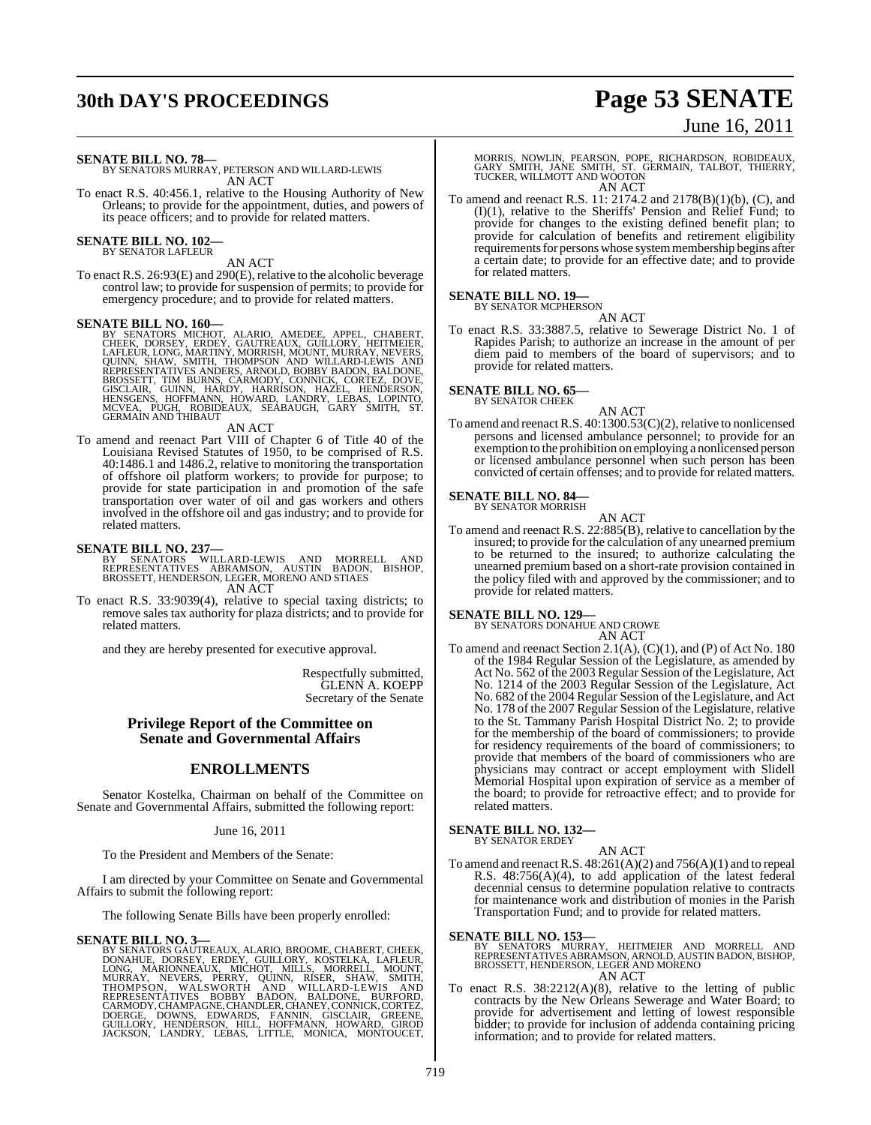## **30th DAY'S PROCEEDINGS Page 53 SENATE**

## June 16, 2011

**SENATE BILL NO. 78—**

BY SENATORS MURRAY, PETERSON AND WILLARD-LEWIS AN ACT

To enact R.S. 40:456.1, relative to the Housing Authority of New Orleans; to provide for the appointment, duties, and powers of its peace officers; and to provide for related matters.

## **SENATE BILL NO. 102—** BY SENATOR LAFLEUR

AN ACT

To enact R.S. 26:93(E) and 290(E), relative to the alcoholic beverage control law; to provide for suspension of permits; to provide for emergency procedure; and to provide for related matters.

**SENATE BILL NO. 160—**<br>BY SENATORS MICHOT, ALARIO, AMEDEE, APPEL, CHABERT, CHEK, DORSEY, ERDEY, GAUTREAUX, GUILLORY, HEITMEIER,<br>LAFLEUR, LONG, MARTINY, MORRISH, MOUNT, MURRAY, NEVERS,<br>QUINN, SHAW, SMITH, THOMPSON AND WILLA

## AN ACT

To amend and reenact Part VIII of Chapter 6 of Title 40 of the Louisiana Revised Statutes of 1950, to be comprised of R.S. 40:1486.1 and 1486.2, relative to monitoring the transportation of offshore oil platform workers; to provide for purpose; to provide for state participation in and promotion of the safe transportation over water of oil and gas workers and others involved in the offshore oil and gas industry; and to provide for related matters.

**SENATE BILL NO. 237—**<br>BY SENATORS WILLARD-LEWIS AND MORRELL AND<br>REPRESENTATIVES ABRAMSON, AUSTIN BADON, BISHOP,<br>BROSSETT, HENDERSON, LEGER, MORENO AND STIAES AN ACT

To enact R.S. 33:9039(4), relative to special taxing districts; to remove sales tax authority for plaza districts; and to provide for related matters.

and they are hereby presented for executive approval.

Respectfully submitted, GLENN A. KOEPP Secretary of the Senate

## **Privilege Report of the Committee on Senate and Governmental Affairs**

## **ENROLLMENTS**

Senator Kostelka, Chairman on behalf of the Committee on Senate and Governmental Affairs, submitted the following report:

## June 16, 2011

To the President and Members of the Senate:

I am directed by your Committee on Senate and Governmental Affairs to submit the following report:

The following Senate Bills have been properly enrolled:

## **SENATE BILL NO. 3—**

BY SENATORS GAUTREAUX, ALARIO, BROOME, CHABERT, CHEEK,<br>DONAHUE, DORSEY, ERDEY, GUILLORY, KOSTELKA, LAFLEUR,<br>LONG, MARIONNEAUX, MICHOT, MILLS, MORRELL, MOUNT,<br>MURRAY, NEVERS, PERRY, QUINN, RISER, SHAW, SMITH,<br>THOMPSON, WALS

MORRIS, NOWLIN, PEARSON, POPE, RICHARDSON, ROBIDEAUX,<br>GARY SMITH, JANE SMITH, ST. GERMAIN, TALBOT, THIERRY,<br>TUCKER,WILLMOTT AND WOOTON AN ACT

To amend and reenact R.S. 11: 2174.2 and 2178(B)(1)(b), (C), and (I)(1), relative to the Sheriffs' Pension and Relief Fund; to provide for changes to the existing defined benefit plan; to provide for calculation of benefits and retirement eligibility requirements for persons whose system membership begins after a certain date; to provide for an effective date; and to provide for related matters.

## **SENATE BILL NO. 19—**

BY SENATOR MCPHERSON

AN ACT To enact R.S. 33:3887.5, relative to Sewerage District No. 1 of Rapides Parish; to authorize an increase in the amount of per diem paid to members of the board of supervisors; and to provide for related matters.

## **SENATE BILL NO. 65—**

BY SENATOR CHEEK

AN ACT To amend and reenact R.S. 40:1300.53(C)(2), relative to nonlicensed persons and licensed ambulance personnel; to provide for an exemption to the prohibition on employing a nonlicensed person or licensed ambulance personnel when such person has been convicted of certain offenses; and to provide for related matters.

## **SENATE BILL NO. 84—** BY SENATOR MORRISH

AN ACT

To amend and reenact R.S.  $22:885(B)$ , relative to cancellation by the insured; to provide for the calculation of any unearned premium to be returned to the insured; to authorize calculating the unearned premium based on a short-rate provision contained in the policy filed with and approved by the commissioner; and to provide for related matters.

**SENATE BILL NO. 129—**

BY SENATORS DONAHUE AND CROWE

- AN ACT
- To amend and reenact Section 2.1(A), (C)(1), and (P) of Act No. 180 of the 1984 Regular Session of the Legislature, as amended by Act No. 562 of the 2003 Regular Session of the Legislature, Act No. 1214 of the 2003 Regular Session of the Legislature, Act No. 682 of the 2004 Regular Session of the Legislature, and Act No. 178 of the 2007 Regular Session of the Legislature, relative to the St. Tammany Parish Hospital District No. 2; to provide for the membership of the board of commissioners; to provide for residency requirements of the board of commissioners; to provide that members of the board of commissioners who are physicians may contract or accept employment with Slidell Memorial Hospital upon expiration of service as a member of the board; to provide for retroactive effect; and to provide for related matters.

#### **SENATE BILL NO. 132—** BY SENATOR ERDEY

AN ACT

To amend and reenact R.S.  $48:261(A)(2)$  and  $756(A)(1)$  and to repeal R.S. 48:756(A)(4), to add application of the latest federal decennial census to determine population relative to contracts for maintenance work and distribution of monies in the Parish Transportation Fund; and to provide for related matters.

**SENATE BILL NO. 153—**<br>BY SENATORS MURRAY, HEITMEIER AND MORRELL AND<br>REPRESENTATIVES ABRAMSON, ARNOLD, AUSTIN BADON, BISHOP,<br>BROSSETT, HENDERSON, LEGER AND MORENO AN ACT

To enact R.S. 38:2212(A)(8), relative to the letting of public contracts by the New Orleans Sewerage and Water Board; to provide for advertisement and letting of lowest responsible bidder; to provide for inclusion of addenda containing pricing information; and to provide for related matters.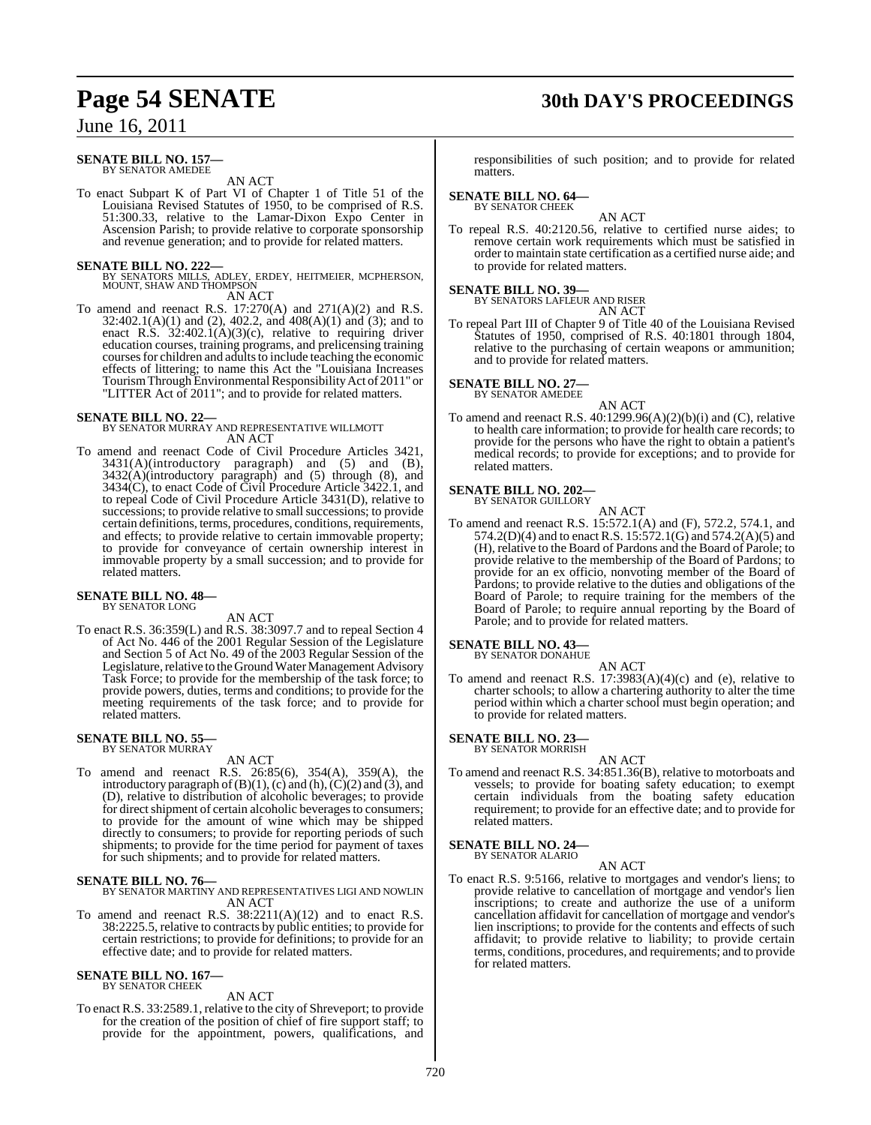## **Page 54 SENATE 30th DAY'S PROCEEDINGS**

## June 16, 2011

#### **SENATE BILL NO. 157—** BY SENATOR AMEDEE

AN ACT

To enact Subpart K of Part VI of Chapter 1 of Title 51 of the Louisiana Revised Statutes of 1950, to be comprised of R.S. 51:300.33, relative to the Lamar-Dixon Expo Center in Ascension Parish; to provide relative to corporate sponsorship and revenue generation; and to provide for related matters.

**SENATE BILL NO. 222—**<br>BY SENATORS MILLS, ADLEY, ERDEY, HEITMEIER, MCPHERSON,<br>MOUNT, SHAW AND THOMPSON AN ACT

To amend and reenact R.S. 17:270(A) and 271(A)(2) and R.S. 32:402.1(A)(1) and (2), 402.2, and 408(A)(1) and (3); and to enact R.S.  $32:402.1(A)(3)(c)$ , relative to requiring driver education courses, training programs, and prelicensing training courses for children and adults to include teaching the economic effects of littering; to name this Act the "Louisiana Increases Tourism Through Environmental Responsibility Act of 2011" or "LITTER Act of 2011"; and to provide for related matters.

**SENATE BILL NO. 22—** BY SENATOR MURRAY AND REPRESENTATIVE WILLMOTT AN ACT

To amend and reenact Code of Civil Procedure Articles 3421,  $3431(A)$ (introductory paragraph) and  $(5)$  and  $(B)$ , 3432(A)(introductory paragraph) and (5) through (8), and 3434(C), to enact Code of Civil Procedure Article 3422.1, and to repeal Code of Civil Procedure Article 3431(D), relative to successions; to provide relative to small successions; to provide certain definitions, terms, procedures, conditions, requirements, and effects; to provide relative to certain immovable property; to provide for conveyance of certain ownership interest in immovable property by a small succession; and to provide for related matters.

#### **SENATE BILL NO. 48—** BY SENATOR LONG

AN ACT

To enact R.S. 36:359(L) and R.S. 38:3097.7 and to repeal Section 4 of Act No. 446 of the 2001 Regular Session of the Legislature and Section 5 of Act No. 49 of the 2003 Regular Session of the Legislature, relative to the Ground Water Management Advisory Task Force; to provide for the membership of the task force; to provide powers, duties, terms and conditions; to provide for the meeting requirements of the task force; and to provide for related matters.

#### **SENATE BILL NO. 55—** BY SENATOR MURRAY

AN ACT

To amend and reenact R.S. 26:85(6), 354(A), 359(A), the introductory paragraph of (B)(1), (c) and (h),  $\widetilde{\mathcal{C}}(2)$  and (3), and (D), relative to distribution of alcoholic beverages; to provide for direct shipment of certain alcoholic beverages to consumers; to provide for the amount of wine which may be shipped directly to consumers; to provide for reporting periods of such shipments; to provide for the time period for payment of taxes for such shipments; and to provide for related matters.

## **SENATE BILL NO. 76—**

BY SENATOR MARTINY AND REPRESENTATIVES LIGI AND NOWLIN AN ACT

To amend and reenact R.S. 38:2211(A)(12) and to enact R.S. 38:2225.5, relative to contracts by public entities; to provide for certain restrictions; to provide for definitions; to provide for an effective date; and to provide for related matters.

## **SENATE BILL NO. 167—** BY SENATOR CHEEK

## AN ACT

To enact R.S. 33:2589.1, relative to the city of Shreveport; to provide for the creation of the position of chief of fire support staff; to provide for the appointment, powers, qualifications, and

responsibilities of such position; and to provide for related matters.

## **SENATE BILL NO. 64—** BY SENATOR CHEEK

AN ACT

To repeal R.S. 40:2120.56, relative to certified nurse aides; to remove certain work requirements which must be satisfied in order to maintain state certification as a certified nurse aide; and to provide for related matters.

## **SENATE BILL NO. 39—** BY SENATORS LAFLEUR AND RISER

AN ACT

To repeal Part III of Chapter 9 of Title 40 of the Louisiana Revised Statutes of 1950, comprised of R.S. 40:1801 through 1804, relative to the purchasing of certain weapons or ammunition; and to provide for related matters.

## **SENATE BILL NO. 27—** BY SENATOR AMEDEE

AN ACT To amend and reenact R.S. 40:1299.96(A)(2)(b)(i) and (C), relative to health care information; to provide for health care records; to provide for the persons who have the right to obtain a patient's medical records; to provide for exceptions; and to provide for related matters.

## **SENATE BILL NO. 202—**

BY SENATOR GUILLORY AN ACT

To amend and reenact R.S. 15:572.1(A) and (F), 572.2, 574.1, and 574.2(D)(4) and to enact R.S. 15:572.1(G) and 574.2(A)(5) and (H), relative to the Board of Pardons and the Board of Parole; to provide relative to the membership of the Board of Pardons; to provide for an ex officio, nonvoting member of the Board of Pardons; to provide relative to the duties and obligations of the Board of Parole; to require training for the members of the Board of Parole; to require annual reporting by the Board of Parole; and to provide for related matters.

#### **SENATE BILL NO. 43—** BY SENATOR DONAHUE

AN ACT

To amend and reenact R.S.  $17:3983(A)(4)(c)$  and (e), relative to charter schools; to allow a chartering authority to alter the time period within which a charter school must begin operation; and to provide for related matters.

#### **SENATE BILL NO. 23—** BY SENATOR MORRISH

AN ACT

To amend and reenact R.S. 34:851.36(B), relative to motorboats and vessels; to provide for boating safety education; to exempt certain individuals from the boating safety education requirement; to provide for an effective date; and to provide for related matters.

#### **SENATE BILL NO. 24—** BY SENATOR ALARIO

AN ACT

To enact R.S. 9:5166, relative to mortgages and vendor's liens; to provide relative to cancellation of mortgage and vendor's lien inscriptions; to create and authorize the use of a uniform cancellation affidavit for cancellation of mortgage and vendor's lien inscriptions; to provide for the contents and effects of such affidavit; to provide relative to liability; to provide certain terms, conditions, procedures, and requirements; and to provide for related matters.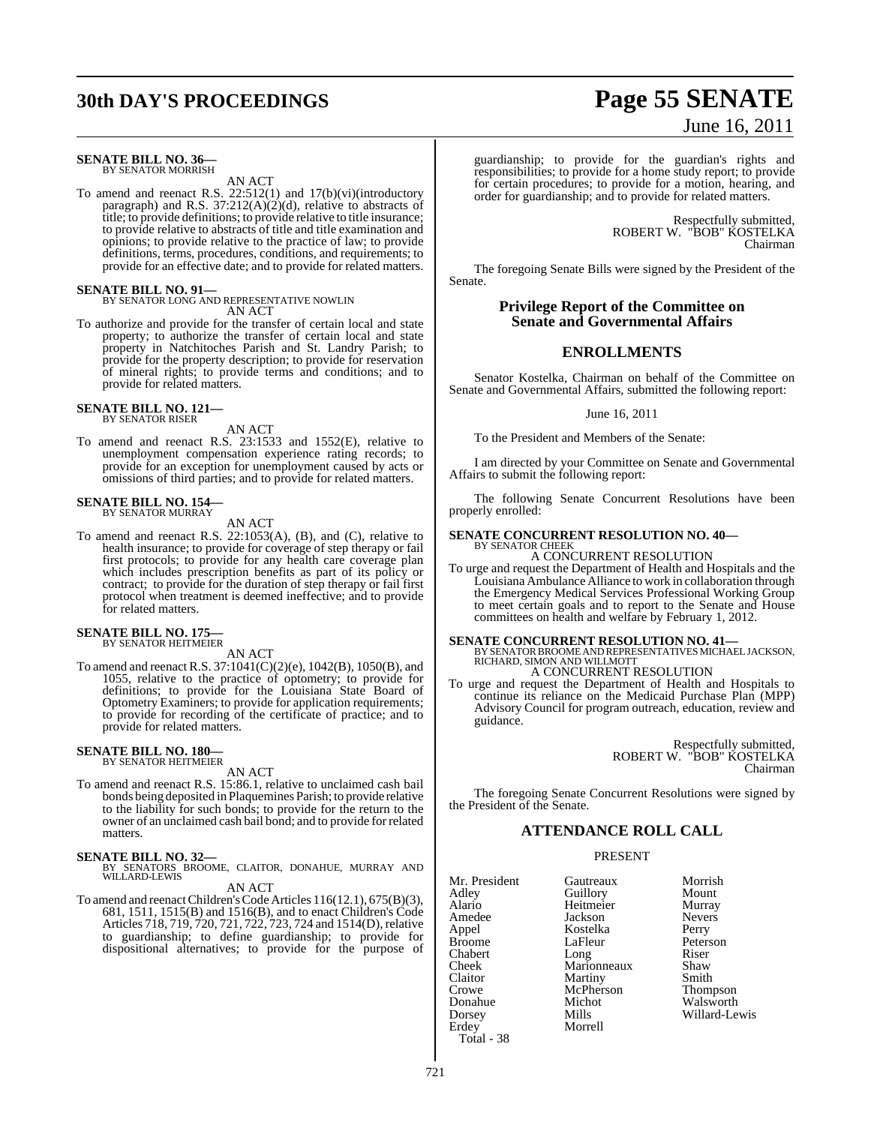## **30th DAY'S PROCEEDINGS Page 55 SENATE**

#### **SENATE BILL NO. 36—** BY SENATOR MORRISH

AN ACT

To amend and reenact R.S. 22:512(1) and 17(b)(vi)(introductory paragraph) and R.S.  $37:212(A)(2)(d)$ , relative to abstracts of title; to provide definitions; to provide relative to title insurance; to provide relative to abstracts of title and title examination and opinions; to provide relative to the practice of law; to provide definitions, terms, procedures, conditions, and requirements; to provide for an effective date; and to provide for related matters.

**SENATE BILL NO. 91—** BY SENATOR LONG AND REPRESENTATIVE NOWLIN AN ACT

To authorize and provide for the transfer of certain local and state property; to authorize the transfer of certain local and state property in Natchitoches Parish and St. Landry Parish; to provide for the property description; to provide for reservation of mineral rights; to provide terms and conditions; and to provide for related matters.

## **SENATE BILL NO. 121—** BY SENATOR RISER

AN ACT

To amend and reenact R.S. 23:1533 and 1552(E), relative to unemployment compensation experience rating records; to provide for an exception for unemployment caused by acts or omissions of third parties; and to provide for related matters.

## **SENATE BILL NO. 154—** BY SENATOR MURRAY

AN ACT

To amend and reenact R.S. 22:1053(A), (B), and (C), relative to health insurance; to provide for coverage of step therapy or fail first protocols; to provide for any health care coverage plan which includes prescription benefits as part of its policy or contract; to provide for the duration of step therapy or fail first protocol when treatment is deemed ineffective; and to provide for related matters.

#### **SENATE BILL NO. 175—** BY SENATOR HEITMEIER

AN ACT

To amend and reenact R.S. 37:1041(C)(2)(e), 1042(B), 1050(B), and 1055, relative to the practice of optometry; to provide for definitions; to provide for the Louisiana State Board of Optometry Examiners; to provide for application requirements; to provide for recording of the certificate of practice; and to provide for related matters.

## **SENATE BILL NO. 180—** BY SENATOR HEITMEIER

AN ACT

To amend and reenact R.S. 15:86.1, relative to unclaimed cash bail bonds being deposited in Plaquemines Parish; to provide relative to the liability for such bonds; to provide for the return to the owner of an unclaimed cash bail bond; and to provide for related matters.

**SENATE BILL NO. 32—** BY SENATORS BROOME, CLAITOR, DONAHUE, MURRAY AND WILLARD-LEWIS

AN ACT

To amend and reenactChildren'sCodeArticles 116(12.1), 675(B)(3), 681, 1511, 1515(B) and 1516(B), and to enact Children's Code Articles 718, 719, 720, 721, 722, 723, 724 and 1514(D), relative to guardianship; to define guardianship; to provide for dispositional alternatives; to provide for the purpose of

# June 16, 2011

guardianship; to provide for the guardian's rights and responsibilities; to provide for a home study report; to provide for certain procedures; to provide for a motion, hearing, and order for guardianship; and to provide for related matters.

> Respectfully submitted, ROBERT W. "BOB" KOSTELKA Chairman

The foregoing Senate Bills were signed by the President of the Senate.

## **Privilege Report of the Committee on Senate and Governmental Affairs**

## **ENROLLMENTS**

Senator Kostelka, Chairman on behalf of the Committee on Senate and Governmental Affairs, submitted the following report:

June 16, 2011

To the President and Members of the Senate:

I am directed by your Committee on Senate and Governmental Affairs to submit the following report:

The following Senate Concurrent Resolutions have been properly enrolled:

#### **SENATE CONCURRENT RESOLUTION NO. 40—** BY SENATOR CHEEK

A CONCURRENT RESOLUTION To urge and request the Department of Health and Hospitals and the Louisiana Ambulance Alliance to work in collaboration through the Emergency Medical Services Professional Working Group to meet certain goals and to report to the Senate and House committees on health and welfare by February 1, 2012.

## **SENATE CONCURRENT RESOLUTION NO. 41—**

BY SENATOR BROOME AND REPRESENTATIVES MICHAEL JACKSON, RICHARD, SIMON AND WILLMOTT A CONCURRENT RESOLUTION

To urge and request the Department of Health and Hospitals to continue its reliance on the Medicaid Purchase Plan (MPP) Advisory Council for program outreach, education, review and guidance.

> Respectfully submitted, ROBERT W. "BOB" KOSTELKA Chairman

The foregoing Senate Concurrent Resolutions were signed by the President of the Senate.

## **ATTENDANCE ROLL CALL**

## PRESENT

Mr. President Gautreaux Morrish<br>
Adley Guillory Mount Adley Guillory Mount Alario Heitmeier Murray Amedee Jackson Nevers Appel Kostelka<br>Broome LaFleur Chabert Cheek Marionneaux Shaw<br>Claitor Martiny Smith Claitor Martiny Smith Donahue Michot Walsworth<br>
Dorsey Mills Willard-Le Dorsey Mills Willard-Lewis

Total - 38

LaFleur Peterson<br>Long Riser McPherson<br>Michot Morrell